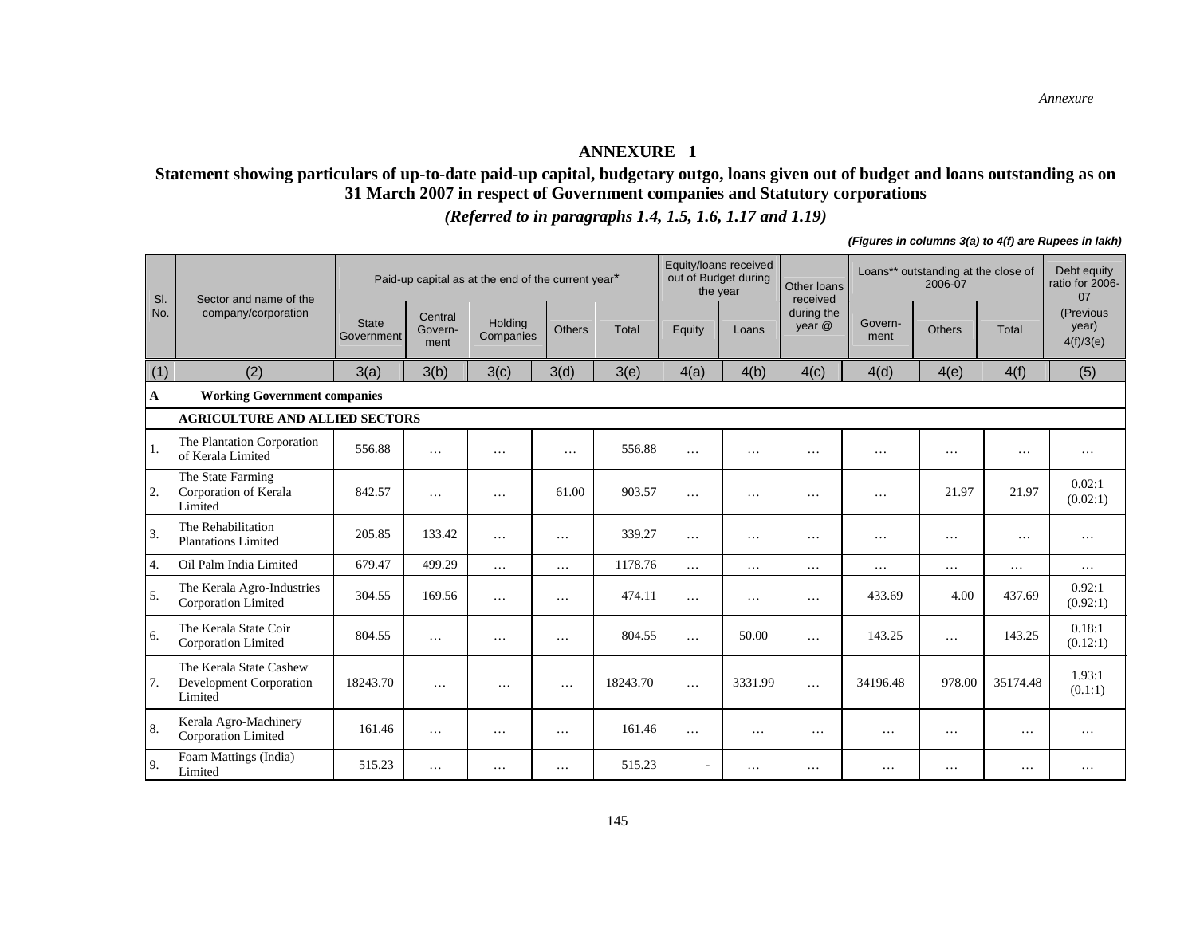#### **ANNEXURE 1**

#### **Statement showing particulars of up-to-date paid-up capital, budgetary outgo, loans given out of budget and loans outstanding as on 31 March 2007 in respect of Government companies and Statutory corporations**

*(Referred to in paragraphs 1.4, 1.5, 1.6, 1.17 and 1.19)*

*(Figures in columns 3(a) to 4(f) are Rupees in lakh)* 

| SI. | Sector and name of the                                               |                            |                            | Paid-up capital as at the end of the current year* |               |          | Equity/loans received<br>out of Budget during<br>the year |          | Other loans<br>received |                 | Loans** outstanding at the close of<br>2006-07 |          | Debt equity<br>ratio for 2006-<br>07 |
|-----|----------------------------------------------------------------------|----------------------------|----------------------------|----------------------------------------------------|---------------|----------|-----------------------------------------------------------|----------|-------------------------|-----------------|------------------------------------------------|----------|--------------------------------------|
| No. | company/corporation                                                  | <b>State</b><br>Government | Central<br>Govern-<br>ment | <b>Holding</b><br>Companies                        | <b>Others</b> | Total    | Equity                                                    | Loans    | during the<br>year @    | Govern-<br>ment | Others                                         | Total    | (Previous<br>year)<br>4(f)/3(e)      |
| (1) | (2)                                                                  | 3(a)                       | 3(b)                       | 3(c)                                               | 3(d)          | 3(e)     | 4(a)                                                      | 4(b)     | 4(c)                    | 4(d)            | 4(e)                                           | 4(f)     | (5)                                  |
| A   | <b>Working Government companies</b>                                  |                            |                            |                                                    |               |          |                                                           |          |                         |                 |                                                |          |                                      |
|     | <b>AGRICULTURE AND ALLIED SECTORS</b>                                |                            |                            |                                                    |               |          |                                                           |          |                         |                 |                                                |          |                                      |
| 1.  | The Plantation Corporation<br>of Kerala Limited                      | 556.88                     | .                          | $\cdots$                                           | .             | 556.88   | .                                                         | $\cdots$ | $\cdots$                | $\cdots$        | .                                              | $\cdots$ | $\cdots$                             |
| 2.  | The State Farming<br>Corporation of Kerala<br>Limited                | 842.57                     | .                          | $\cdots$                                           | 61.00         | 903.57   | .                                                         | $\cdots$ | $\cdots$                | $\cdots$        | 21.97                                          | 21.97    | 0.02:1<br>(0.02:1)                   |
| 3.  | The Rehabilitation<br><b>Plantations Limited</b>                     | 205.85                     | 133.42                     | $\cdots$                                           | $\ddotsc$     | 339.27   | $\cdots$                                                  | $\ddots$ | $\cdots$                | $\cdots$        | $\ddots$                                       | $\cdots$ | $\cdots$                             |
| 4.  | Oil Palm India Limited                                               | 679.47                     | 499.29                     | $\cdots$                                           | $\ddots$      | 1178.76  | $\cdots$                                                  | $\cdots$ | $\cdots$                | $\cdots$        | .                                              | $\cdots$ | $\cdots$                             |
| 5.  | The Kerala Agro-Industries<br>Corporation Limited                    | 304.55                     | 169.56                     | $\cdots$                                           | $\cdots$      | 474.11   | $\cdots$                                                  | $\ddots$ | $\cdots$                | 433.69          | 4.00                                           | 437.69   | 0.92:1<br>(0.92:1)                   |
| 6.  | The Kerala State Coir<br>Corporation Limited                         | 804.55                     | .                          | $\cdots$                                           | $\cdot$       | 804.55   | $\cdots$                                                  | 50.00    | $\cdots$                | 143.25          | $\cdots$                                       | 143.25   | 0.18:1<br>(0.12:1)                   |
| 7.  | The Kerala State Cashew<br><b>Development Corporation</b><br>Limited | 18243.70                   | $\cdots$                   | .                                                  | $\cdots$      | 18243.70 | .                                                         | 3331.99  | $\cdots$                | 34196.48        | 978.00                                         | 35174.48 | 1.93:1<br>(0.1:1)                    |
| 8.  | Kerala Agro-Machinery<br>Corporation Limited                         | 161.46                     | .                          | $\cdots$                                           | $\cdots$      | 161.46   | $\cdots$                                                  | $\cdots$ | $\cdots$                | $\cdots$        | $\cdots$                                       | $\cdots$ | $\cdots$                             |
| 9.  | Foam Mattings (India)<br>Limited                                     | 515.23                     | $\cdots$                   | $\cdots$                                           | $\cdots$      | 515.23   |                                                           | .        | $\cdots$                | .               | .                                              | $\cdots$ | $\cdots$                             |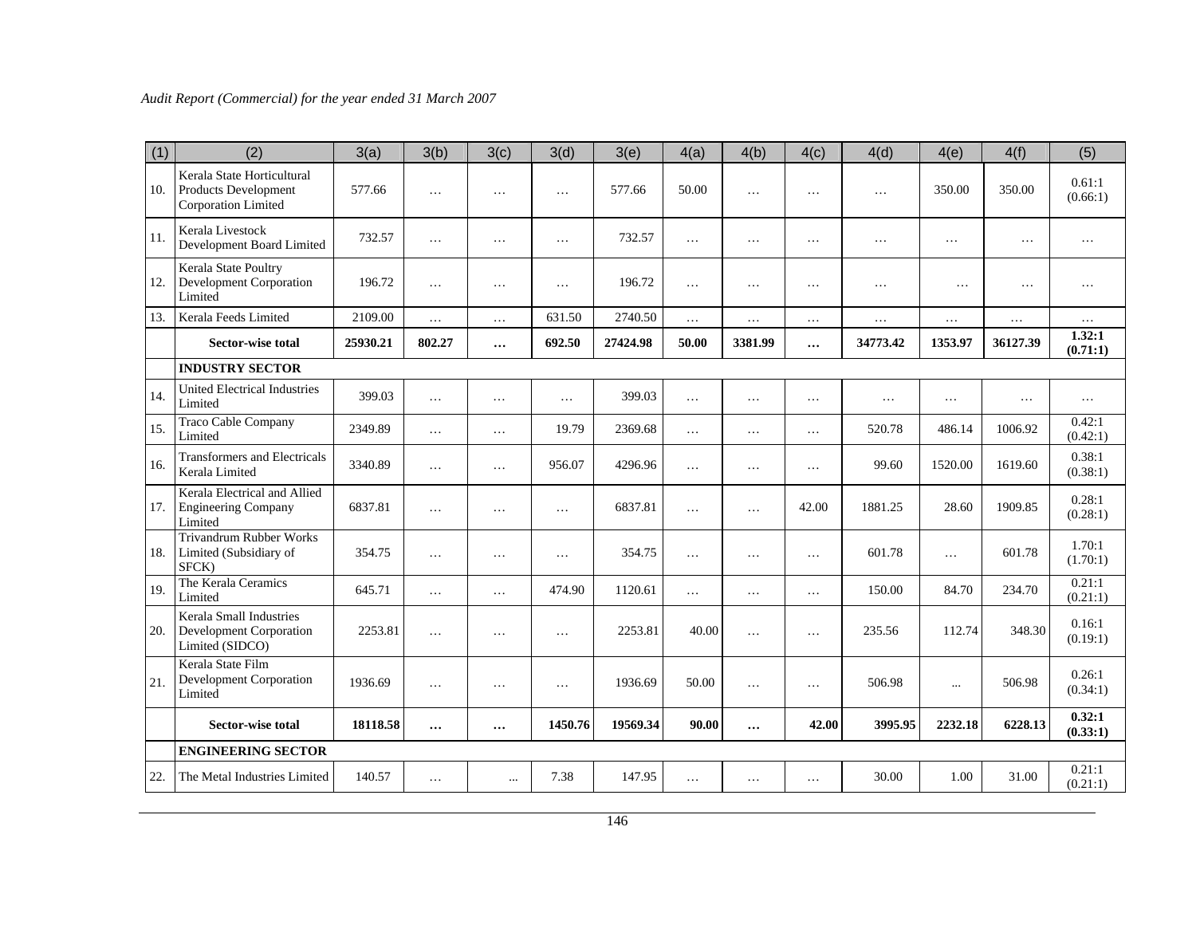| (1) | (2)                                                                       | 3(a)     | 3(b)     | 3(c)     | 3(d)      | 3(e)     | 4(a)     | 4(b)     | 4(c)     | 4(d)     | 4(e)      | 4(f)     | (5)                |
|-----|---------------------------------------------------------------------------|----------|----------|----------|-----------|----------|----------|----------|----------|----------|-----------|----------|--------------------|
| 10. | Kerala State Horticultural<br>Products Development<br>Corporation Limited | 577.66   | $\ldots$ | $\cdots$ | $\cdots$  | 577.66   | 50.00    | $\cdots$ | $\cdots$ | $\cdots$ | 350.00    | 350.00   | 0.61:1<br>(0.66:1) |
| 11. | Kerala Livestock<br>Development Board Limited                             | 732.57   | $\ldots$ | $\ldots$ | $\ldots$  | 732.57   | $\cdots$ | $\ldots$ | $\ldots$ | $\cdots$ | $\cdots$  | $\cdots$ | .                  |
| 12. | Kerala State Poultry<br>Development Corporation<br>Limited                | 196.72   | $\cdots$ | .        | .         | 196.72   | $\ldots$ | $\ldots$ | .        | $\ldots$ | $\cdots$  | .        | .                  |
| 13. | Kerala Feeds Limited                                                      | 2109.00  | $\ldots$ | $\cdots$ | 631.50    | 2740.50  | $\ldots$ | $\ldots$ | .        | $\ldots$ | $\ldots$  | $\ldots$ | $\cdots$           |
|     | <b>Sector-wise total</b>                                                  | 25930.21 | 802.27   | $\cdots$ | 692.50    | 27424.98 | 50.00    | 3381.99  | $\cdots$ | 34773.42 | 1353.97   | 36127.39 | 1.32:1<br>(0.71:1) |
|     | <b>INDUSTRY SECTOR</b>                                                    |          |          |          |           |          |          |          |          |          |           |          |                    |
| 14. | <b>United Electrical Industries</b><br>Limited                            | 399.03   | $\ldots$ | $\cdots$ | $\cdots$  | 399.03   | $\cdots$ | $\cdots$ | .        | .        | $\cdots$  | $\cdots$ | $\cdots$           |
| 15. | <b>Traco Cable Company</b><br>Limited                                     | 2349.89  | $\ldots$ | $\cdots$ | 19.79     | 2369.68  | $\ldots$ | $\cdots$ | $\cdots$ | 520.78   | 486.14    | 1006.92  | 0.42:1<br>(0.42:1) |
| 16. | <b>Transformers and Electricals</b><br>Kerala Limited                     | 3340.89  | $\cdots$ | $\cdots$ | 956.07    | 4296.96  | $\cdots$ | $\cdots$ | .        | 99.60    | 1520.00   | 1619.60  | 0.38:1<br>(0.38:1) |
| 17. | Kerala Electrical and Allied<br><b>Engineering Company</b><br>Limited     | 6837.81  | $\ldots$ | $\cdots$ | $\cdots$  | 6837.81  | $\cdots$ | .        | 42.00    | 1881.25  | 28.60     | 1909.85  | 0.28:1<br>(0.28:1) |
| 18. | <b>Trivandrum Rubber Works</b><br>Limited (Subsidiary of<br>SFCK)         | 354.75   | $\cdots$ | $\cdots$ | .         | 354.75   | $\cdots$ | $\cdots$ | $\cdots$ | 601.78   | $\ddotsc$ | 601.78   | 1.70:1<br>(1.70:1) |
| 19. | The Kerala Ceramics<br>Limited                                            | 645.71   | $\cdots$ | $\cdots$ | 474.90    | 1120.61  | $\cdots$ | $\cdots$ | $\cdots$ | 150.00   | 84.70     | 234.70   | 0.21:1<br>(0.21:1) |
| 20. | Kerala Small Industries<br>Development Corporation<br>Limited (SIDCO)     | 2253.81  | $\cdots$ | .        | .         | 2253.81  | 40.00    | .        | $\cdots$ | 235.56   | 112.74    | 348.30   | 0.16:1<br>(0.19:1) |
| 21. | Kerala State Film<br><b>Development Corporation</b><br>Limited            | 1936.69  | $\cdots$ | $\cdots$ | $\ddotsc$ | 1936.69  | 50.00    | $\ldots$ | $\cdots$ | 506.98   | $\ldots$  | 506.98   | 0.26:1<br>(0.34:1) |
|     | <b>Sector-wise total</b>                                                  | 18118.58 | $\cdots$ | $\cdots$ | 1450.76   | 19569.34 | 90.00    | $\cdots$ | 42.00    | 3995.95  | 2232.18   | 6228.13  | 0.32:1<br>(0.33:1) |
|     | <b>ENGINEERING SECTOR</b>                                                 |          |          |          |           |          |          |          |          |          |           |          |                    |
| 22. | The Metal Industries Limited                                              | 140.57   | $\cdots$ | $\cdots$ | 7.38      | 147.95   | $\cdots$ | $\cdots$ | $\cdots$ | 30.00    | 1.00      | 31.00    | 0.21:1<br>(0.21:1) |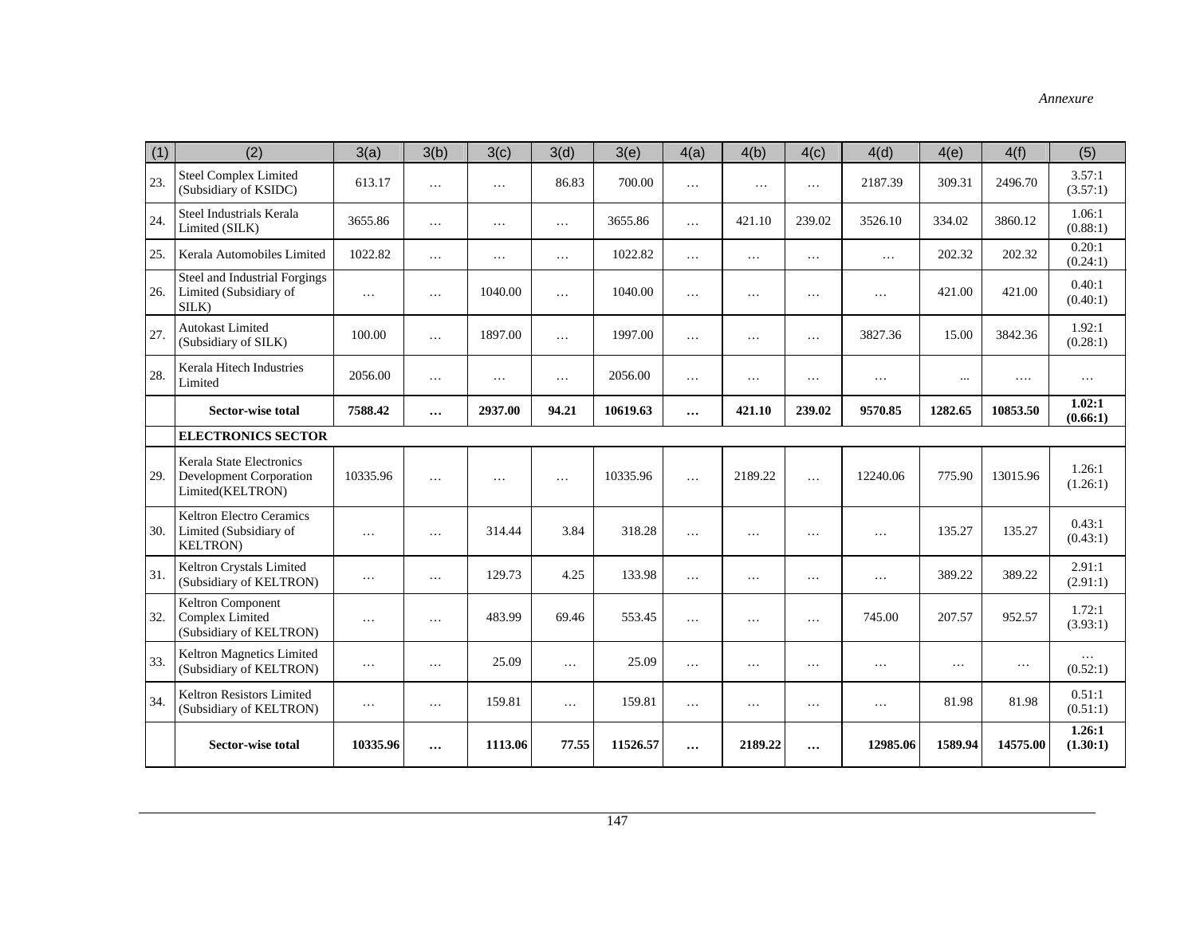| (1) | (2)                                                                            | 3(a)     | 3(b)     | 3(c)      | 3(d)     | 3(e)     | 4(a)      | 4(b)     | 4(c)     | 4(d)      | 4(e)      | 4(f)     | (5)                |
|-----|--------------------------------------------------------------------------------|----------|----------|-----------|----------|----------|-----------|----------|----------|-----------|-----------|----------|--------------------|
| 23. | <b>Steel Complex Limited</b><br>(Subsidiary of KSIDC)                          | 613.17   | $\cdots$ | $\cdots$  | 86.83    | 700.00   | $\ddotsc$ | $\cdots$ | $\cdots$ | 2187.39   | 309.31    | 2496.70  | 3.57:1<br>(3.57:1) |
| 24. | Steel Industrials Kerala<br>Limited (SILK)                                     | 3655.86  | $\cdots$ | $\cdots$  | $\cdots$ | 3655.86  | $\cdots$  | 421.10   | 239.02   | 3526.10   | 334.02    | 3860.12  | 1.06:1<br>(0.88:1) |
| 25. | Kerala Automobiles Limited                                                     | 1022.82  | $\cdots$ | $\ldots$  | $\cdots$ | 1022.82  | $\cdots$  | $\ldots$ | $\cdots$ | $\ldots$  | 202.32    | 202.32   | 0.20:1<br>(0.24:1) |
| 26. | Steel and Industrial Forgings<br>Limited (Subsidiary of<br>SILK)               | $\ldots$ | $\cdots$ | 1040.00   | $\ldots$ | 1040.00  | $\cdots$  | .        | $\cdots$ | .         | 421.00    | 421.00   | 0.40:1<br>(0.40:1) |
| 27. | <b>Autokast Limited</b><br>(Subsidiary of SILK)                                | 100.00   | $\cdots$ | 1897.00   | $\ldots$ | 1997.00  | $\cdots$  | $\cdots$ | $\cdots$ | 3827.36   | 15.00     | 3842.36  | 1.92:1<br>(0.28:1) |
| 28. | Kerala Hitech Industries<br>Limited                                            | 2056.00  | $\cdots$ | $\cdots$  | $\ldots$ | 2056.00  | $\ldots$  | .        | $\cdots$ | $\ddotsc$ | $\cdots$  | $\cdots$ | $\ddots$           |
|     | <b>Sector-wise total</b>                                                       | 7588.42  | $\cdots$ | 2937.00   | 94.21    | 10619.63 | $\cdots$  | 421.10   | 239.02   | 9570.85   | 1282.65   | 10853.50 | 1.02:1<br>(0.66:1) |
|     | <b>ELECTRONICS SECTOR</b>                                                      |          |          |           |          |          |           |          |          |           |           |          |                    |
| 29. | Kerala State Electronics<br><b>Development Corporation</b><br>Limited(KELTRON) | 10335.96 | $\cdots$ | $\ddotsc$ | $\cdots$ | 10335.96 | $\ddotsc$ | 2189.22  | $\cdots$ | 12240.06  | 775.90    | 13015.96 | 1.26:1<br>(1.26:1) |
| 30. | <b>Keltron Electro Ceramics</b><br>Limited (Subsidiary of<br><b>KELTRON)</b>   | $\cdots$ | $\cdots$ | 314.44    | 3.84     | 318.28   | $\cdots$  | $\cdots$ | $\cdots$ | .         | 135.27    | 135.27   | 0.43:1<br>(0.43:1) |
| 31. | Keltron Crystals Limited<br>(Subsidiary of KELTRON)                            | .        | $\cdots$ | 129.73    | 4.25     | 133.98   | $\cdots$  | .        | $\cdots$ | $\cdots$  | 389.22    | 389.22   | 2.91:1<br>(2.91:1) |
| 32. | Keltron Component<br><b>Complex Limited</b><br>(Subsidiary of KELTRON)         | $\ldots$ | $\cdots$ | 483.99    | 69.46    | 553.45   | $\cdots$  | $\cdots$ | $\cdots$ | 745.00    | 207.57    | 952.57   | 1.72:1<br>(3.93:1) |
| 33. | Keltron Magnetics Limited<br>(Subsidiary of KELTRON)                           | $\cdots$ | $\cdots$ | 25.09     | $\cdots$ | 25.09    | $\ldots$  | $\cdots$ | $\cdots$ | $\cdots$  | $\ddotsc$ | $\cdots$ | (0.52:1)           |
| 34. | Keltron Resistors Limited<br>(Subsidiary of KELTRON)                           | $\cdots$ | $\cdots$ | 159.81    | $\cdots$ | 159.81   | $\ldots$  | $\cdots$ | $\cdots$ | $\cdots$  | 81.98     | 81.98    | 0.51:1<br>(0.51:1) |
|     | Sector-wise total                                                              | 10335.96 | $\cdots$ | 1113.06   | 77.55    | 11526.57 | $\cdots$  | 2189.22  | $\cdots$ | 12985.06  | 1589.94   | 14575.00 | 1.26:1<br>(1.30:1) |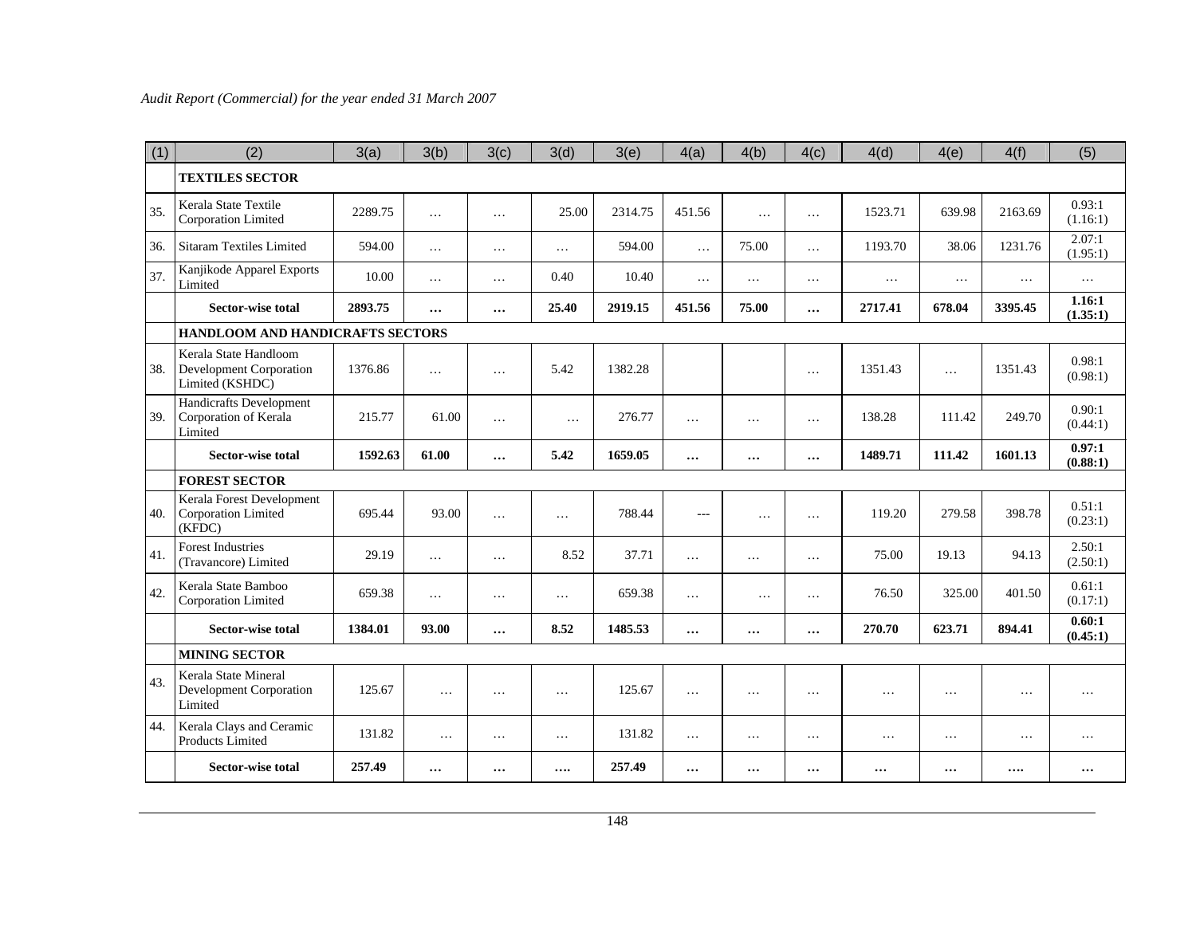| (1) | (2)                                                                 | 3(a)    | 3(b)     | 3(c)     | 3(d)     | 3(e)    | 4(a)     | 4(b)      | 4(c)      | 4(d)     | 4(e)     | 4(f)     | (5)                |
|-----|---------------------------------------------------------------------|---------|----------|----------|----------|---------|----------|-----------|-----------|----------|----------|----------|--------------------|
|     | <b>TEXTILES SECTOR</b>                                              |         |          |          |          |         |          |           |           |          |          |          |                    |
| 35. | Kerala State Textile<br>Corporation Limited                         | 2289.75 | $\ldots$ | $\cdots$ | 25.00    | 2314.75 | 451.56   | $\ddotsc$ | $\cdots$  | 1523.71  | 639.98   | 2163.69  | 0.93:1<br>(1.16:1) |
| 36. | <b>Sitaram Textiles Limited</b>                                     | 594.00  | $\cdots$ | $\cdots$ | $\cdots$ | 594.00  | $\cdots$ | 75.00     | .         | 1193.70  | 38.06    | 1231.76  | 2.07:1<br>(1.95:1) |
| 37. | Kanjikode Apparel Exports<br>Limited                                | 10.00   | $\cdots$ | $\ldots$ | 0.40     | 10.40   | $\ldots$ | $\ldots$  | $\cdots$  | $\ldots$ | $\ldots$ | $\ldots$ | $\cdots$           |
|     | <b>Sector-wise total</b>                                            | 2893.75 | $\cdots$ | $\cdots$ | 25.40    | 2919.15 | 451.56   | 75.00     | $\cdots$  | 2717.41  | 678.04   | 3395.45  | 1.16:1<br>(1.35:1) |
|     | HANDLOOM AND HANDICRAFTS SECTORS                                    |         |          |          |          |         |          |           |           |          |          |          |                    |
| 38. | Kerala State Handloom<br>Development Corporation<br>Limited (KSHDC) | 1376.86 | $\cdots$ | $\cdots$ | 5.42     | 1382.28 |          |           | $\cdots$  | 1351.43  | $\cdots$ | 1351.43  | 0.98:1<br>(0.98:1) |
| 39. | Handicrafts Development<br>Corporation of Kerala<br>Limited         | 215.77  | 61.00    | $\cdots$ | $\cdots$ | 276.77  | $\cdots$ | $\ldots$  | $\cdots$  | 138.28   | 111.42   | 249.70   | 0.90:1<br>(0.44:1) |
|     | <b>Sector-wise total</b>                                            | 1592.63 | 61.00    | $\cdots$ | 5.42     | 1659.05 |          | $\cdots$  | $\cdots$  | 1489.71  | 111.42   | 1601.13  | 0.97:1<br>(0.88:1) |
|     | <b>FOREST SECTOR</b>                                                |         |          |          |          |         |          |           |           |          |          |          |                    |
| 40. | Kerala Forest Development<br>Corporation Limited<br>(KFDC)          | 695.44  | 93.00    | $\cdots$ | $\ldots$ | 788.44  | $---$    | $\cdots$  | $\cdots$  | 119.20   | 279.58   | 398.78   | 0.51:1<br>(0.23:1) |
| 41. | <b>Forest Industries</b><br>(Travancore) Limited                    | 29.19   | $\cdots$ | $\ldots$ | 8.52     | 37.71   | .        | $\cdots$  | $\ldots$  | 75.00    | 19.13    | 94.13    | 2.50:1<br>(2.50:1) |
| 42. | Kerala State Bamboo<br>Corporation Limited                          | 659.38  | $\cdots$ | $\cdots$ | $\ldots$ | 659.38  | $\ldots$ | $\cdots$  | $\cdots$  | 76.50    | 325.00   | 401.50   | 0.61:1<br>(0.17:1) |
|     | <b>Sector-wise total</b>                                            | 1384.01 | 93.00    | $\cdots$ | 8.52     | 1485.53 |          | $\ddotsc$ | $\cdots$  | 270.70   | 623.71   | 894.41   | 0.60:1<br>(0.45:1) |
|     | <b>MINING SECTOR</b>                                                |         |          |          |          |         |          |           |           |          |          |          |                    |
| 43. | Kerala State Mineral<br>Development Corporation<br>Limited          | 125.67  | $\ldots$ | .        | $\ldots$ | 125.67  | $\ldots$ | $\ddots$  | $\ddotsc$ | $\ddots$ | $\cdots$ | $\cdots$ | .                  |
| 44. | Kerala Clays and Ceramic<br><b>Products Limited</b>                 | 131.82  | $\ldots$ | $\ldots$ | $\ldots$ | 131.82  | $\ldots$ | $\ldots$  | $\ldots$  | $\ldots$ | $\ldots$ | $\cdots$ | $\cdots$           |
|     | Sector-wise total                                                   | 257.49  | $\cdots$ | $\cdots$ | $\cdots$ | 257.49  | $\cdots$ | $\cdots$  | $\cdots$  |          | $\cdots$ |          |                    |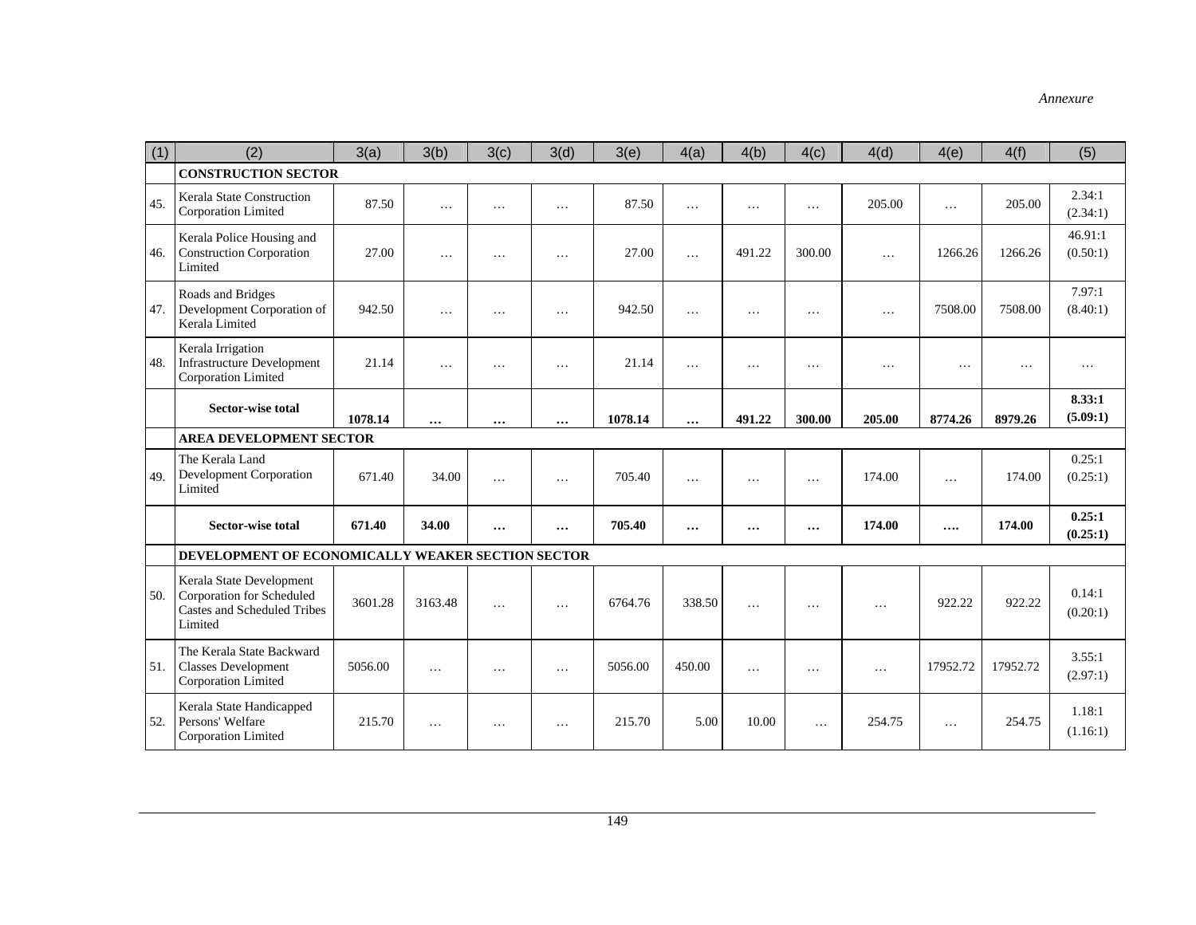| (1) | (2)                                                                                                    | 3(a)    | 3(b)     | 3(c)     | 3(d)     | 3(e)    | 4(a)      | 4(b)            | 4(c)            | 4(d)     | 4(e)     | 4(f)     | (5)                 |
|-----|--------------------------------------------------------------------------------------------------------|---------|----------|----------|----------|---------|-----------|-----------------|-----------------|----------|----------|----------|---------------------|
|     | <b>CONSTRUCTION SECTOR</b>                                                                             |         |          |          |          |         |           |                 |                 |          |          |          |                     |
| 45. | Kerala State Construction<br>Corporation Limited                                                       | 87.50   | $\cdots$ | $\cdots$ | $\cdots$ | 87.50   | $\ddotsc$ | $\cdots$        | $\cdots$        | 205.00   | $\cdots$ | 205.00   | 2.34:1<br>(2.34:1)  |
| 46. | Kerala Police Housing and<br><b>Construction Corporation</b><br>Limited                                | 27.00   | .        | $\cdots$ | $\cdots$ | 27.00   | $\ddotsc$ | 491.22          | 300.00          | $\cdots$ | 1266.26  | 1266.26  | 46.91:1<br>(0.50:1) |
| 47. | Roads and Bridges<br>Development Corporation of<br>Kerala Limited                                      | 942.50  | .        | .        | $\cdots$ | 942.50  | .         | $\cdots$        | $\cdots$        | $\cdots$ | 7508.00  | 7508.00  | 7.97:1<br>(8.40:1)  |
| 48. | Kerala Irrigation<br><b>Infrastructure Development</b><br>Corporation Limited                          | 21.14   | .        | .        | $\cdots$ | 21.14   | $\cdots$  | $\cdots$        | $\cdots$        | .        | $\cdots$ | .        | $\cdots$            |
|     | <b>Sector-wise total</b>                                                                               | 1078.14 | $\cdots$ | $\cdots$ | $\cdots$ | 1078.14 | $\cdots$  | 491.22          | 300.00          | 205.00   | 8774.26  | 8979.26  | 8.33:1<br>(5.09:1)  |
|     | <b>AREA DEVELOPMENT SECTOR</b>                                                                         |         |          |          |          |         |           |                 |                 |          |          |          |                     |
| 49. | The Kerala Land<br><b>Development Corporation</b><br>Limited                                           | 671.40  | 34.00    | $\cdots$ | $\cdots$ | 705.40  | $\cdots$  | $\cdot$ $\cdot$ | $\cdot$ $\cdot$ | 174.00   | $\cdots$ | 174.00   | 0.25:1<br>(0.25:1)  |
|     | <b>Sector-wise total</b>                                                                               | 671.40  | 34.00    | $\cdots$ | $\cdots$ | 705.40  | $\cdots$  | $\cdots$        | $\ddotsc$       | 174.00   |          | 174.00   | 0.25:1<br>(0.25:1)  |
|     | DEVELOPMENT OF ECONOMICALLY WEAKER SECTION SECTOR                                                      |         |          |          |          |         |           |                 |                 |          |          |          |                     |
| 50. | Kerala State Development<br>Corporation for Scheduled<br><b>Castes and Scheduled Tribes</b><br>Limited | 3601.28 | 3163.48  | .        | $\cdots$ | 6764.76 | 338.50    | $\cdots$        | $\cdots$        | .        | 922.22   | 922.22   | 0.14:1<br>(0.20:1)  |
| 51. | The Kerala State Backward<br><b>Classes Development</b><br>Corporation Limited                         | 5056.00 | $\cdots$ | $\cdots$ | $\cdots$ | 5056.00 | 450.00    | $\cdots$        | $\cdots$        | $\cdots$ | 17952.72 | 17952.72 | 3.55:1<br>(2.97:1)  |
| 52. | Kerala State Handicapped<br>Persons' Welfare<br>Corporation Limited                                    | 215.70  | $\cdots$ | $\cdots$ | $\cdots$ | 215.70  | 5.00      | 10.00           | $\ddotsc$       | 254.75   | $\cdots$ | 254.75   | 1.18:1<br>(1.16:1)  |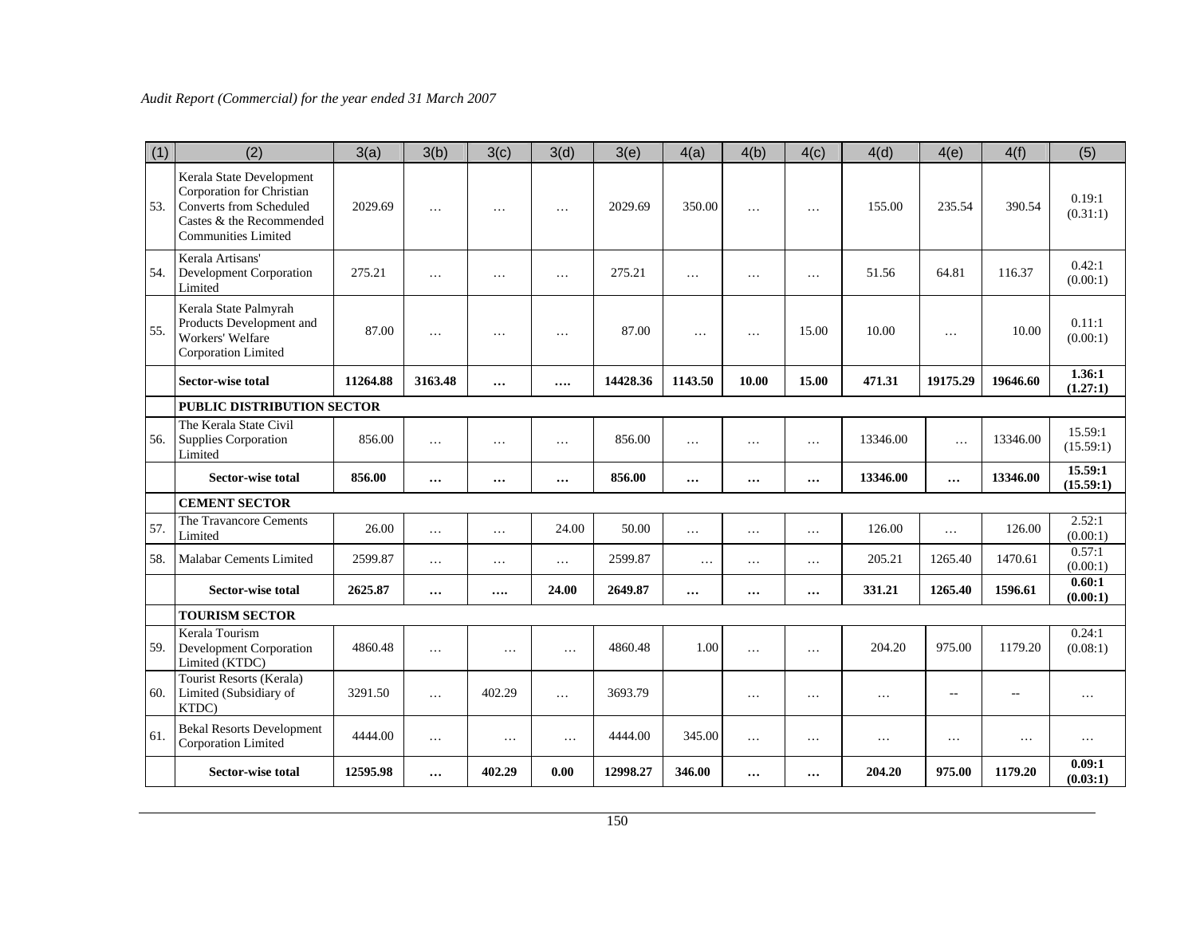| (1) | (2)                                                                                                                                               | 3(a)     | 3(b)     | 3(c)     | 3(d)     | 3(e)     | 4(a)     | 4(b)     | 4(c)     | 4(d)     | 4(e)      | 4(f)     | (5)                  |
|-----|---------------------------------------------------------------------------------------------------------------------------------------------------|----------|----------|----------|----------|----------|----------|----------|----------|----------|-----------|----------|----------------------|
| 53. | Kerala State Development<br>Corporation for Christian<br><b>Converts from Scheduled</b><br>Castes & the Recommended<br><b>Communities Limited</b> | 2029.69  | .        | $\cdots$ | $\ddots$ | 2029.69  | 350.00   | .        | $\cdot$  | 155.00   | 235.54    | 390.54   | 0.19:1<br>(0.31:1)   |
| 54. | Kerala Artisans'<br><b>Development Corporation</b><br>Limited                                                                                     | 275.21   | $\cdots$ | $\cdots$ | $\cdots$ | 275.21   | $\cdots$ | $\cdots$ | $\cdots$ | 51.56    | 64.81     | 116.37   | 0.42:1<br>(0.00:1)   |
| 55. | Kerala State Palmyrah<br>Products Development and<br>Workers' Welfare<br>Corporation Limited                                                      | 87.00    | .        | $\cdot$  | $\cdots$ | 87.00    | $\cdots$ | $\cdots$ | 15.00    | 10.00    | $\ldots$  | 10.00    | 0.11:1<br>(0.00:1)   |
|     | <b>Sector-wise total</b>                                                                                                                          | 11264.88 | 3163.48  | $\cdots$ |          | 14428.36 | 1143.50  | 10.00    | 15.00    | 471.31   | 19175.29  | 19646.60 | 1.36:1<br>(1.27:1)   |
|     | PUBLIC DISTRIBUTION SECTOR                                                                                                                        |          |          |          |          |          |          |          |          |          |           |          |                      |
| 56. | The Kerala State Civil<br><b>Supplies Corporation</b><br>Limited                                                                                  | 856.00   | $\cdots$ | $\cdots$ | $\cdots$ | 856.00   | $\cdots$ | $\cdots$ | $\ldots$ | 13346.00 | .         | 13346.00 | 15.59:1<br>(15.59:1) |
|     | <b>Sector-wise total</b>                                                                                                                          | 856.00   | $\cdots$ | $\cdots$ | $\cdots$ | 856.00   | $\cdots$ | $\cdots$ | $\cdots$ | 13346.00 | $\cdots$  | 13346.00 | 15.59:1<br>(15.59:1) |
|     | <b>CEMENT SECTOR</b>                                                                                                                              |          |          |          |          |          |          |          |          |          |           |          |                      |
| 57. | The Travancore Cements<br>Limited                                                                                                                 | 26.00    | $\cdots$ | $\ldots$ | 24.00    | 50.00    | $\cdots$ | $\ldots$ | $\cdots$ | 126.00   | $\ddotsc$ | 126.00   | 2.52:1<br>(0.00:1)   |
| 58. | Malabar Cements Limited                                                                                                                           | 2599.87  | $\cdots$ | $\cdots$ | $\ldots$ | 2599.87  | $\cdot$  | $\cdots$ | $\cdots$ | 205.21   | 1265.40   | 1470.61  | 0.57:1<br>(0.00:1)   |
|     | <b>Sector-wise total</b>                                                                                                                          | 2625.87  | $\cdots$ |          | 24.00    | 2649.87  | $\cdots$ |          | $\cdots$ | 331.21   | 1265.40   | 1596.61  | 0.60:1<br>(0.00:1)   |
|     | <b>TOURISM SECTOR</b>                                                                                                                             |          |          |          |          |          |          |          |          |          |           |          |                      |
| 59. | Kerala Tourism<br>Development Corporation<br>Limited (KTDC)                                                                                       | 4860.48  | $\cdots$ | $\cdots$ | $\cdots$ | 4860.48  | 1.00     | $\cdots$ | $\cdots$ | 204.20   | 975.00    | 1179.20  | 0.24:1<br>(0.08:1)   |
| 60. | Tourist Resorts (Kerala)<br>Limited (Subsidiary of<br>KTDC)                                                                                       | 3291.50  | $\cdots$ | 402.29   | $\cdots$ | 3693.79  |          | $\cdots$ | $\cdots$ | $\cdots$ | $-$       |          | $\cdots$             |
| 61. | <b>Bekal Resorts Development</b><br>Corporation Limited                                                                                           | 4444.00  | $\ldots$ | $\ldots$ | $\cdots$ | 4444.00  | 345.00   | $\cdots$ | $\cdots$ | $\cdots$ | $\cdots$  | $\ldots$ | $\cdots$             |
|     | <b>Sector-wise total</b>                                                                                                                          | 12595.98 | $\cdots$ | 402.29   | 0.00     | 12998.27 | 346.00   | $\cdots$ | $\cdots$ | 204.20   | 975.00    | 1179.20  | 0.09:1<br>(0.03:1)   |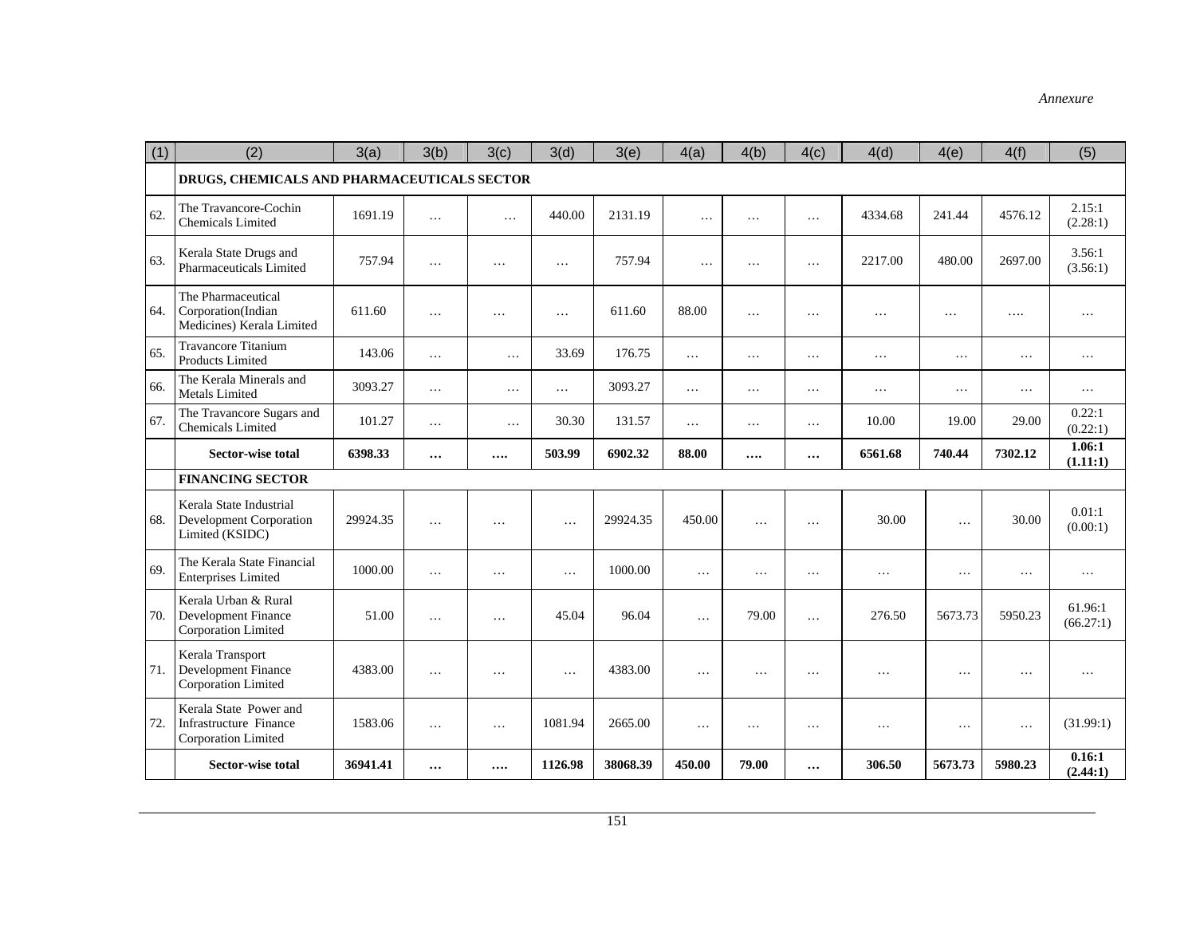| (1) | (2)                                                                          | 3(a)     | 3(b)     | 3(c)     | 3(d)     | 3(e)     | 4(a)     | 4(b)     | 4(c)     | 4(d)      | 4(e)     | 4(f)     | (5)                  |
|-----|------------------------------------------------------------------------------|----------|----------|----------|----------|----------|----------|----------|----------|-----------|----------|----------|----------------------|
|     | DRUGS, CHEMICALS AND PHARMACEUTICALS SECTOR                                  |          |          |          |          |          |          |          |          |           |          |          |                      |
| 62. | The Travancore-Cochin<br><b>Chemicals Limited</b>                            | 1691.19  | .        | $\ldots$ | 440.00   | 2131.19  | $\ldots$ | $\cdots$ | $\ldots$ | 4334.68   | 241.44   | 4576.12  | 2.15:1<br>(2.28:1)   |
| 63. | Kerala State Drugs and<br>Pharmaceuticals Limited                            | 757.94   | $\cdots$ | $\cdots$ | $\ddots$ | 757.94   | $\cdots$ | $\cdots$ | $\cdots$ | 2217.00   | 480.00   | 2697.00  | 3.56:1<br>(3.56:1)   |
| 64. | The Pharmaceutical<br>Corporation(Indian<br>Medicines) Kerala Limited        | 611.60   | $\cdots$ | $\cdots$ | $\ldots$ | 611.60   | 88.00    | $\cdots$ | $\cdots$ | $\cdots$  | .        | .        | .                    |
| 65. | <b>Travancore Titanium</b><br><b>Products Limited</b>                        | 143.06   | $\cdots$ | $\cdots$ | 33.69    | 176.75   | $\cdots$ | $\cdots$ | $\cdots$ | $\cdots$  | $\cdots$ | $\ldots$ | $\cdots$             |
| 66. | The Kerala Minerals and<br><b>Metals Limited</b>                             | 3093.27  | $\cdots$ | $\ldots$ | $\ldots$ | 3093.27  | $\ldots$ | $\ldots$ | $\ldots$ | $\cdots$  | $\ldots$ | $\ldots$ | $\cdots$             |
| 67. | The Travancore Sugars and<br><b>Chemicals Limited</b>                        | 101.27   | $\cdots$ | $\ldots$ | 30.30    | 131.57   | $\cdots$ | $\ldots$ | $\cdots$ | 10.00     | 19.00    | 29.00    | 0.22:1<br>(0.22:1)   |
|     | <b>Sector-wise total</b>                                                     | 6398.33  | $\cdots$ |          | 503.99   | 6902.32  | 88.00    | $\cdots$ | $\cdots$ | 6561.68   | 740.44   | 7302.12  | 1.06:1<br>(1.11:1)   |
|     | <b>FINANCING SECTOR</b>                                                      |          |          |          |          |          |          |          |          |           |          |          |                      |
| 68. | Kerala State Industrial<br><b>Development Corporation</b><br>Limited (KSIDC) | 29924.35 | $\cdots$ | .        | .        | 29924.35 | 450.00   | .        | $\cdots$ | 30.00     | $\cdots$ | 30.00    | 0.01:1<br>(0.00:1)   |
| 69. | The Kerala State Financial<br><b>Enterprises Limited</b>                     | 1000.00  | .        | $\ddots$ | $\cdots$ | 1000.00  | $\ddots$ | .        | $\cdots$ | $\cdots$  | $\cdots$ | $\cdots$ | $\cdots$             |
| 70. | Kerala Urban & Rural<br>Development Finance<br>Corporation Limited           | 51.00    | .        | $\cdots$ | 45.04    | 96.04    | $\ddots$ | 79.00    | $\cdots$ | 276.50    | 5673.73  | 5950.23  | 61.96:1<br>(66.27:1) |
| 71. | Kerala Transport<br>Development Finance<br>Corporation Limited               | 4383.00  | $\cdots$ | $\ddots$ | $\cdots$ | 4383.00  | $\cdots$ | .        | .        | $\ddotsc$ | .        | $\cdots$ | $\cdots$             |
| 72. | Kerala State Power and<br>Infrastructure Finance<br>Corporation Limited      | 1583.06  | $\cdots$ | $\cdots$ | 1081.94  | 2665.00  | $\ddots$ | $\cdots$ | $\ldots$ | $\ddotsc$ | $\ldots$ | $\cdots$ | (31.99:1)            |
|     | <b>Sector-wise total</b>                                                     | 36941.41 |          |          | 1126.98  | 38068.39 | 450.00   | 79.00    |          | 306.50    | 5673.73  | 5980.23  | 0.16:1<br>(2.44:1)   |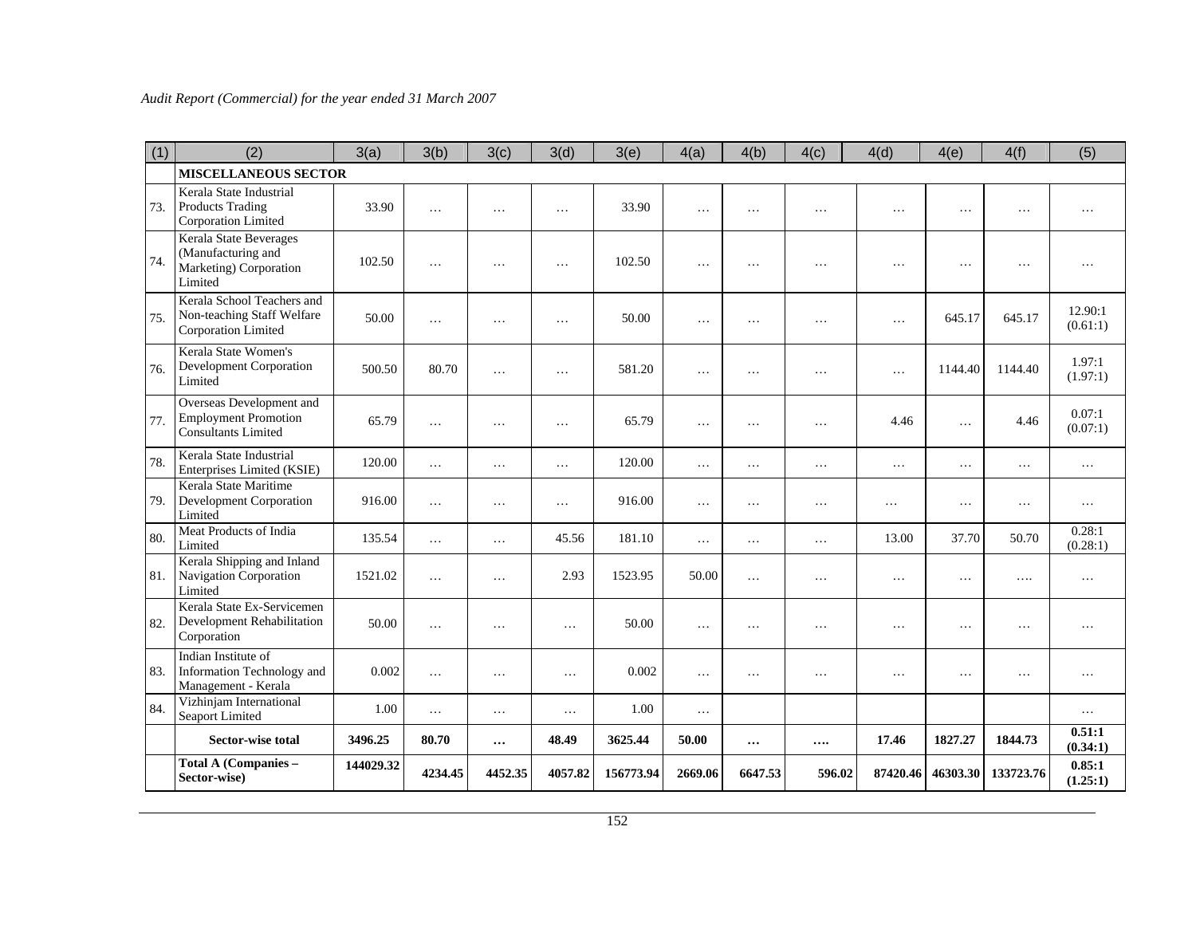| (1) | (2)                                                                                   | 3(a)      | 3(b)     | 3(c)     | 3(d)     | 3(e)      | 4(a)      | 4(b)     | 4(c)      | 4(d)      | 4(e)      | 4(f)      | (5)                 |
|-----|---------------------------------------------------------------------------------------|-----------|----------|----------|----------|-----------|-----------|----------|-----------|-----------|-----------|-----------|---------------------|
|     | <b>MISCELLANEOUS SECTOR</b>                                                           |           |          |          |          |           |           |          |           |           |           |           |                     |
| 73. | Kerala State Industrial<br><b>Products Trading</b><br>Corporation Limited             | 33.90     | $\cdots$ | $\cdots$ | $\cdots$ | 33.90     | $\ddotsc$ | $\cdots$ | $\cdots$  | $\cdot$   | $\ddots$  | $\cdots$  | $\cdots$            |
| 74. | Kerala State Beverages<br>(Manufacturing and<br>Marketing) Corporation<br>Limited     | 102.50    | $\cdots$ | .        | $\ddots$ | 102.50    | $\cdot$   | $\cdots$ | $\cdots$  | .         | .         | .         | .                   |
| 75. | Kerala School Teachers and<br>Non-teaching Staff Welfare<br>Corporation Limited       | 50.00     | $\cdots$ | $\cdots$ | $\cdots$ | 50.00     | $\cdots$  | $\cdots$ | $\cdots$  | $\cdots$  | 645.17    | 645.17    | 12.90:1<br>(0.61:1) |
| 76. | Kerala State Women's<br><b>Development Corporation</b><br>Limited                     | 500.50    | 80.70    | $\cdots$ | $\cdots$ | 581.20    | $\ddots$  | $\cdot$  | $\cdots$  | $\cdots$  | 1144.40   | 1144.40   | 1.97:1<br>(1.97:1)  |
| 77. | Overseas Development and<br><b>Employment Promotion</b><br><b>Consultants Limited</b> | 65.79     | $\cdots$ | $\cdots$ | $\cdots$ | 65.79     | .         | $\cdots$ | $\ddotsc$ | 4.46      | $\ddotsc$ | 4.46      | 0.07:1<br>(0.07:1)  |
| 78. | Kerala State Industrial<br>Enterprises Limited (KSIE)                                 | 120.00    | $\cdots$ | $\ldots$ | $\cdots$ | 120.00    | $\cdots$  | $\ldots$ | $\cdots$  | $\cdots$  | $\cdots$  | .         | $\cdots$            |
| 79. | Kerala State Maritime<br>Development Corporation<br>Limited                           | 916.00    | $\ldots$ | $\ldots$ | $\cdots$ | 916.00    | $\ldots$  | $\ldots$ | $\cdots$  | $\ddots$  | .         | .         | $\cdots$            |
| 80. | Meat Products of India<br>Limited                                                     | 135.54    | $\ldots$ | $\ldots$ | 45.56    | 181.10    | $\ddots$  | $\cdots$ | $\cdots$  | 13.00     | 37.70     | 50.70     | 0.28:1<br>(0.28:1)  |
| 81. | Kerala Shipping and Inland<br>Navigation Corporation<br>Limited                       | 1521.02   | $\cdots$ | $\ldots$ | 2.93     | 1523.95   | 50.00     | $\ldots$ | $\cdots$  | $\ldots$  | .         | .         | .                   |
| 82. | Kerala State Ex-Servicemen<br>Development Rehabilitation<br>Corporation               | 50.00     | $\cdots$ | $\cdots$ | .        | 50.00     | $\cdots$  | $\cdots$ | $\cdots$  | $\ddotsc$ | .         | .         | $\cdots$            |
| 83. | Indian Institute of<br>Information Technology and<br>Management - Kerala              | 0.002     | $\cdots$ | $\cdots$ | $\cdots$ | 0.002     | $\ddots$  | $\cdots$ | $\cdot$   | $\cdot$   | .         | $\cdots$  | $\cdots$            |
| 84. | Vizhinjam International<br>Seaport Limited                                            | 1.00      | $\cdots$ | $\cdots$ | .        | 1.00      | $\cdots$  |          |           |           |           |           | $\cdots$            |
|     | <b>Sector-wise total</b>                                                              | 3496.25   | 80.70    | $\cdots$ | 48.49    | 3625.44   | 50.00     | $\cdots$ |           | 17.46     | 1827.27   | 1844.73   | 0.51:1<br>(0.34:1)  |
|     | <b>Total A (Companies -</b><br>Sector-wise)                                           | 144029.32 | 4234.45  | 4452.35  | 4057.82  | 156773.94 | 2669.06   | 6647.53  | 596.02    | 87420.46  | 46303.30  | 133723.76 | 0.85:1<br>(1.25:1)  |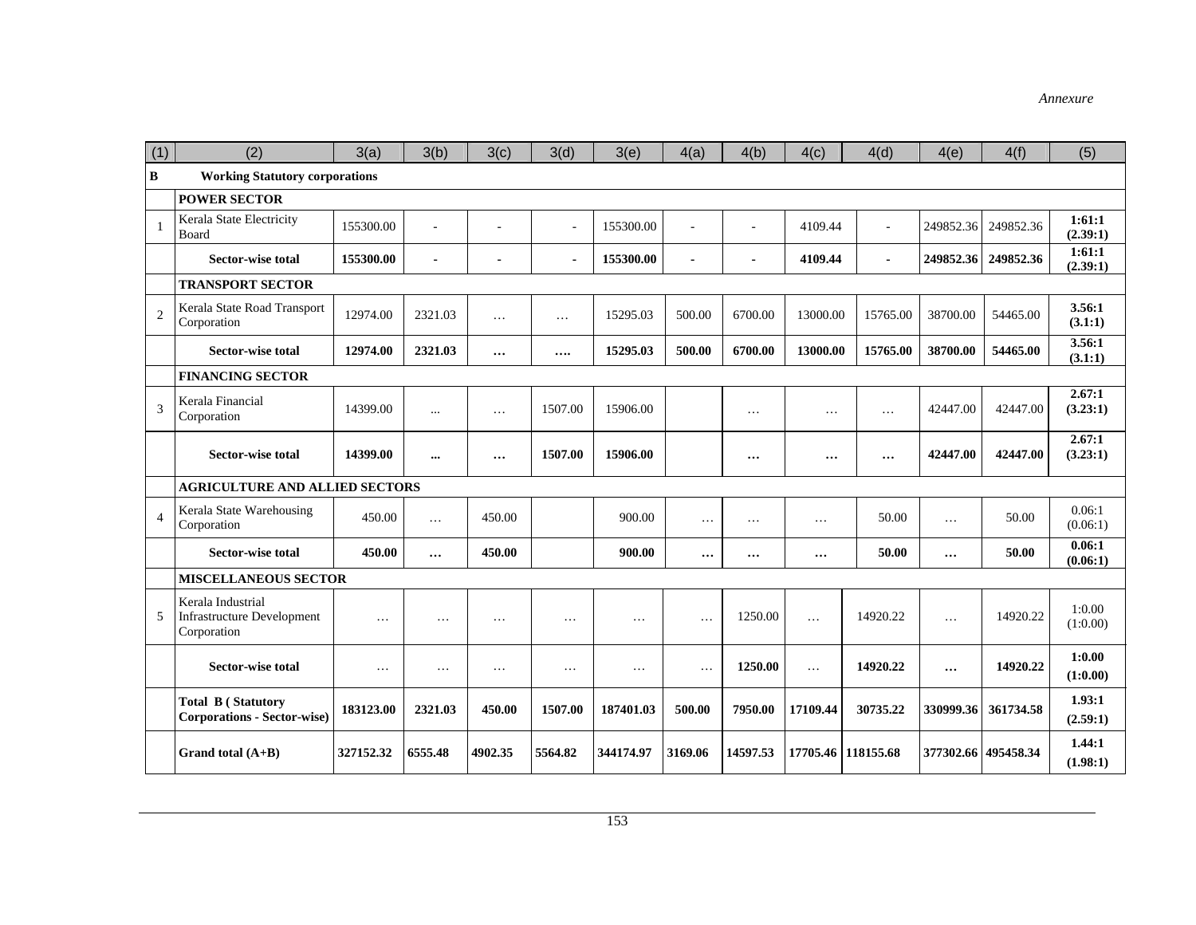| (1)            | (2)                                                                   | 3(a)      | 3(b)      | 3(c)     | 3(d)     | 3(e)      | 4(a)     | 4(b)           | 4(c)     | 4(d)           | 4(e)      | 4(f)      | (5)                |
|----------------|-----------------------------------------------------------------------|-----------|-----------|----------|----------|-----------|----------|----------------|----------|----------------|-----------|-----------|--------------------|
| B              | <b>Working Statutory corporations</b>                                 |           |           |          |          |           |          |                |          |                |           |           |                    |
|                | <b>POWER SECTOR</b>                                                   |           |           |          |          |           |          |                |          |                |           |           |                    |
| $\mathbf{1}$   | Kerala State Electricity<br>Board                                     | 155300.00 |           |          | ÷.       | 155300.00 |          | ä,             | 4109.44  | $\sim$         | 249852.36 | 249852.36 | 1:61:1<br>(2.39:1) |
|                | Sector-wise total                                                     | 155300.00 | ÷.        |          |          | 155300.00 |          | $\blacksquare$ | 4109.44  | $\blacksquare$ | 249852.36 | 249852.36 | 1:61:1<br>(2.39:1) |
|                | <b>TRANSPORT SECTOR</b>                                               |           |           |          |          |           |          |                |          |                |           |           |                    |
| $\overline{2}$ | Kerala State Road Transport<br>Corporation                            | 12974.00  | 2321.03   | $\cdots$ | $\cdots$ | 15295.03  | 500.00   | 6700.00        | 13000.00 | 15765.00       | 38700.00  | 54465.00  | 3.56:1<br>(3.1:1)  |
|                | <b>Sector-wise total</b>                                              | 12974.00  | 2321.03   | $\cdots$ |          | 15295.03  | 500.00   | 6700.00        | 13000.00 | 15765.00       | 38700.00  | 54465.00  | 3.56:1<br>(3.1:1)  |
|                | <b>FINANCING SECTOR</b>                                               |           |           |          |          |           |          |                |          |                |           |           |                    |
| $\overline{3}$ | Kerala Financial<br>Corporation                                       | 14399.00  | $\cdots$  | $\cdots$ | 1507.00  | 15906.00  |          | .              | .        | $\cdots$       | 42447.00  | 42447.00  | 2.67:1<br>(3.23:1) |
|                | Sector-wise total                                                     | 14399.00  | $\ddotsc$ | $\cdots$ | 1507.00  | 15906.00  |          | $\cdots$       |          | $\cdots$       | 42447.00  | 42447.00  | 2.67:1<br>(3.23:1) |
|                | <b>AGRICULTURE AND ALLIED SECTORS</b>                                 |           |           |          |          |           |          |                |          |                |           |           |                    |
| $\overline{4}$ | Kerala State Warehousing<br>Corporation                               | 450.00    | $\cdots$  | 450.00   |          | 900.00    | $\cdots$ | $\cdots$       | $\cdots$ | 50.00          | .         | 50.00     | 0.06:1<br>(0.06:1) |
|                | <b>Sector-wise total</b>                                              | 450.00    | $\cdots$  | 450.00   |          | 900.00    |          |                | $\cdots$ | 50.00          |           | 50.00     | 0.06:1<br>(0.06:1) |
|                | <b>MISCELLANEOUS SECTOR</b>                                           |           |           |          |          |           |          |                |          |                |           |           |                    |
| 5              | Kerala Industrial<br><b>Infrastructure Development</b><br>Corporation | .         | $\ddots$  | $\cdots$ | .        | .         | $\ddots$ | 1250.00        | $\cdots$ | 14920.22       | .         | 14920.22  | 1:0.00<br>(1:0.00) |
|                | <b>Sector-wise total</b>                                              | $\cdots$  | $\cdots$  | $\cdots$ | .        | $\cdots$  | $\cdot$  | 1250.00        | $\cdots$ | 14920.22       | $\cdots$  | 14920.22  | 1:0.00<br>(1:0.00) |
|                | <b>Total B (Statutory</b><br><b>Corporations - Sector-wise)</b>       | 183123.00 | 2321.03   | 450.00   | 1507.00  | 187401.03 | 500.00   | 7950.00        | 17109.44 | 30735.22       | 330999.36 | 361734.58 | 1.93:1<br>(2.59:1) |
|                | Grand total $(A+B)$                                                   | 327152.32 | 6555.48   | 4902.35  | 5564.82  | 344174.97 | 3169.06  | 14597.53       | 17705.46 | 118155.68      | 377302.66 | 495458.34 | 1.44:1<br>(1.98:1) |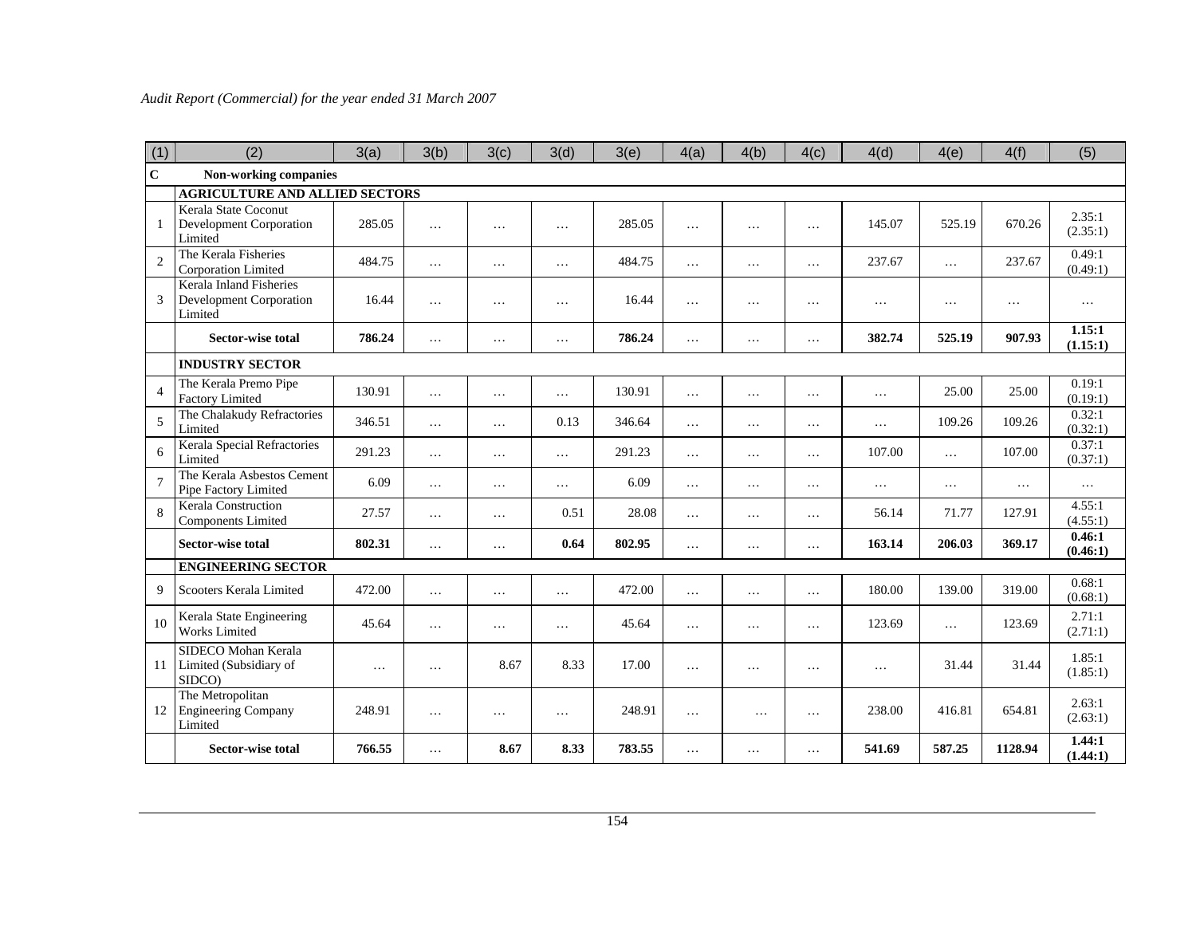| (1)            | (2)                                                                  | 3(a)   | 3(b)     | 3(c)     | 3(d)     | 3(e)   | 4(a)     | 4(b)     | 4(c)     | 4(d)     | 4(e)      | 4(f)     | (5)                |
|----------------|----------------------------------------------------------------------|--------|----------|----------|----------|--------|----------|----------|----------|----------|-----------|----------|--------------------|
| $\mathbf C$    | Non-working companies                                                |        |          |          |          |        |          |          |          |          |           |          |                    |
|                | <b>AGRICULTURE AND ALLIED SECTORS</b>                                |        |          |          |          |        |          |          |          |          |           |          |                    |
| $\mathbf{1}$   | Kerala State Coconut<br><b>Development Corporation</b><br>Limited    | 285.05 | $\cdots$ | $\cdots$ | $\ddots$ | 285.05 | $\cdots$ | $\cdots$ | $\cdots$ | 145.07   | 525.19    | 670.26   | 2.35:1<br>(2.35:1) |
| $\overline{2}$ | The Kerala Fisheries<br>Corporation Limited                          | 484.75 | $\cdots$ | $\cdots$ | $\ddots$ | 484.75 | $\cdots$ | $\cdots$ | $\cdots$ | 237.67   | $\ldots$  | 237.67   | 0.49:1<br>(0.49:1) |
| $\overline{3}$ | Kerala Inland Fisheries<br><b>Development Corporation</b><br>Limited | 16.44  | $\cdots$ | $\cdots$ | $\cdots$ | 16.44  | $\cdots$ | $\cdots$ | $\cdots$ | $\cdots$ | $\ddots$  | $\cdots$ | $\cdots$           |
|                | <b>Sector-wise total</b>                                             | 786.24 | $\cdots$ | $\cdots$ | $\cdots$ | 786.24 | $\cdots$ | $\cdots$ | $\cdots$ | 382.74   | 525.19    | 907.93   | 1.15:1<br>(1.15:1) |
|                | <b>INDUSTRY SECTOR</b>                                               |        |          |          |          |        |          |          |          |          |           |          |                    |
| $\overline{4}$ | The Kerala Premo Pipe<br><b>Factory Limited</b>                      | 130.91 | $\cdots$ | $\ldots$ | $\ldots$ | 130.91 | $\cdots$ | $\ldots$ | $\cdots$ | $\cdots$ | 25.00     | 25.00    | 0.19:1<br>(0.19:1) |
| 5              | The Chalakudy Refractories<br>Limited                                | 346.51 | $\cdots$ | $\ldots$ | 0.13     | 346.64 | $\cdots$ | $\cdots$ | .        | $\cdots$ | 109.26    | 109.26   | 0.32:1<br>(0.32:1) |
| 6              | <b>Kerala Special Refractories</b><br>Limited                        | 291.23 | $\cdots$ | $\cdots$ | $\ldots$ | 291.23 | $\cdots$ | $\cdots$ | $\cdots$ | 107.00   | $\ddotsc$ | 107.00   | 0.37:1<br>(0.37:1) |
| $\overline{7}$ | The Kerala Asbestos Cement<br>Pipe Factory Limited                   | 6.09   | $\cdots$ | $\ldots$ | $\ddots$ | 6.09   | $\cdots$ | $\cdots$ | $\cdots$ | $\cdots$ | $\ldots$  | $\ldots$ | $\cdots$           |
| 8              | Kerala Construction<br><b>Components Limited</b>                     | 27.57  | $\cdots$ | $\ldots$ | 0.51     | 28.08  | $\cdots$ | $\cdots$ | $\cdots$ | 56.14    | 71.77     | 127.91   | 4.55:1<br>(4.55:1) |
|                | <b>Sector-wise total</b>                                             | 802.31 | $\cdots$ | $\cdots$ | 0.64     | 802.95 | $\cdots$ | $\cdots$ | $\cdots$ | 163.14   | 206.03    | 369.17   | 0.46:1<br>(0.46:1) |
|                | <b>ENGINEERING SECTOR</b>                                            |        |          |          |          |        |          |          |          |          |           |          |                    |
| 9              | Scooters Kerala Limited                                              | 472.00 | $\cdots$ | $\ldots$ | $\ldots$ | 472.00 | $\cdots$ | $\cdots$ | $\cdots$ | 180.00   | 139.00    | 319.00   | 0.68:1<br>(0.68:1) |
| 10             | Kerala State Engineering<br><b>Works Limited</b>                     | 45.64  | $\cdots$ | $\cdots$ | $\ddots$ | 45.64  | $\cdots$ | $\cdots$ | .        | 123.69   | $\ddotsc$ | 123.69   | 2.71:1<br>(2.71:1) |
| 11             | SIDECO Mohan Kerala<br>Limited (Subsidiary of<br>SIDCO)              | .      | $\cdots$ | 8.67     | 8.33     | 17.00  | $\cdots$ | $\cdots$ | $\cdots$ | $\cdots$ | 31.44     | 31.44    | 1.85:1<br>(1.85:1) |
| 12             | The Metropolitan<br><b>Engineering Company</b><br>Limited            | 248.91 | $\cdots$ | $\cdots$ | $\cdots$ | 248.91 | $\cdots$ | .        | .        | 238.00   | 416.81    | 654.81   | 2.63:1<br>(2.63:1) |
|                | <b>Sector-wise total</b>                                             | 766.55 | $\cdots$ | 8.67     | 8.33     | 783.55 | $\cdots$ | .        | .        | 541.69   | 587.25    | 1128.94  | 1.44:1<br>(1.44:1) |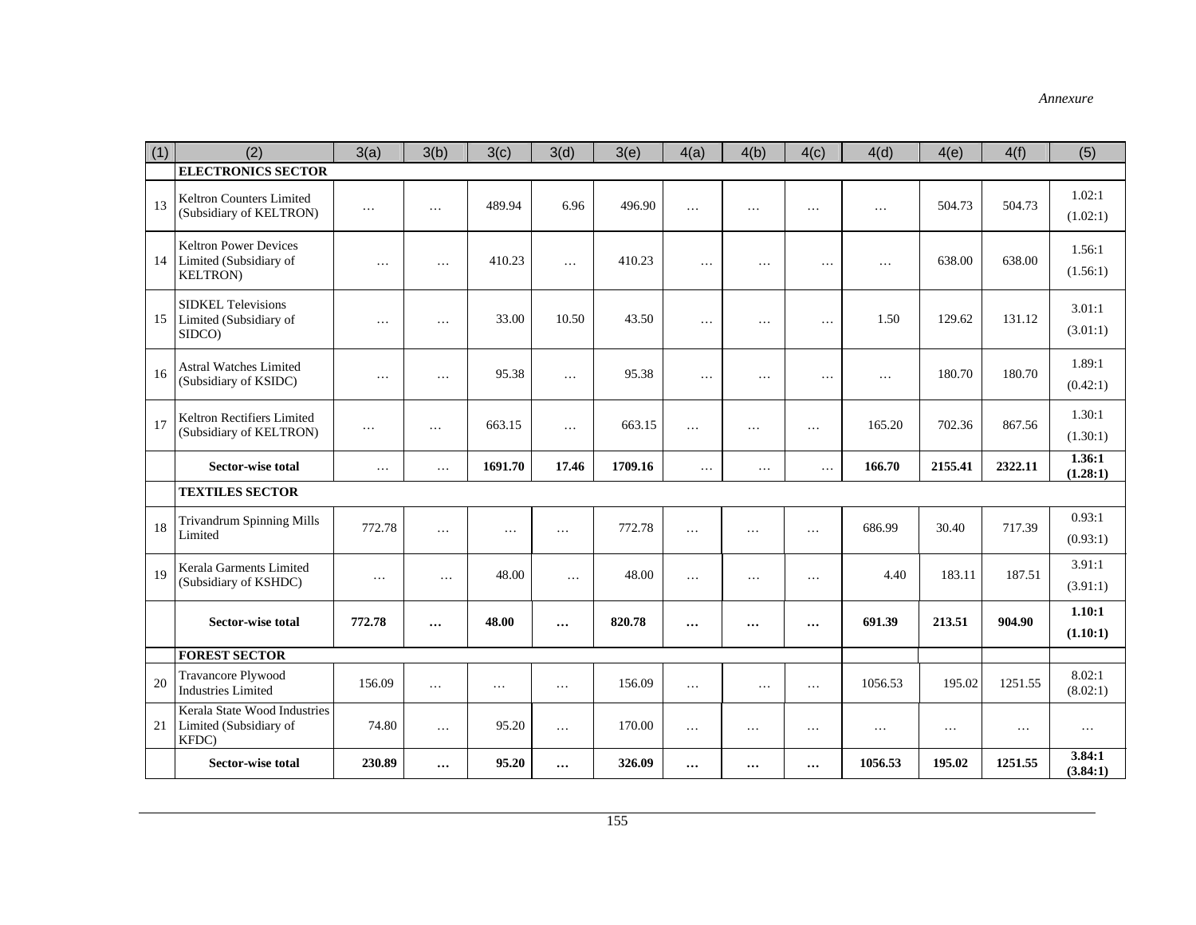| (1) | (2)                                                                        | 3(a)     | 3(b)     | 3(c)     | 3(d)     | 3(e)    | 4(a)     | 4(b)     | 4(c)     | 4(d)     | 4(e)     | 4(f)     | (5)                |
|-----|----------------------------------------------------------------------------|----------|----------|----------|----------|---------|----------|----------|----------|----------|----------|----------|--------------------|
|     | <b>ELECTRONICS SECTOR</b>                                                  |          |          |          |          |         |          |          |          |          |          |          |                    |
| 13  | Keltron Counters Limited<br>(Subsidiary of KELTRON)                        | $\cdots$ | $\cdots$ | 489.94   | 6.96     | 496.90  | $\cdots$ | $\cdots$ | $\cdots$ | $\cdots$ | 504.73   | 504.73   | 1.02:1<br>(1.02:1) |
| 14  | <b>Keltron Power Devices</b><br>Limited (Subsidiary of<br><b>KELTRON</b> ) | $\cdots$ | $\cdots$ | 410.23   | $\cdots$ | 410.23  | $\ddots$ | $\cdots$ | $\cdots$ | $\cdots$ | 638.00   | 638.00   | 1.56:1<br>(1.56:1) |
| 15  | <b>SIDKEL Televisions</b><br>Limited (Subsidiary of<br>SIDCO)              | $\ldots$ | $\cdots$ | 33.00    | 10.50    | 43.50   | $\ldots$ | $\ldots$ | $\cdots$ | 1.50     | 129.62   | 131.12   | 3.01:1<br>(3.01:1) |
| 16  | <b>Astral Watches Limited</b><br>(Subsidiary of KSIDC)                     | $\ddots$ | $\cdots$ | 95.38    | $\cdots$ | 95.38   | $\ddots$ | $\cdots$ | $\cdots$ | $\cdots$ | 180.70   | 180.70   | 1.89:1<br>(0.42:1) |
| 17  | Keltron Rectifiers Limited<br>(Subsidiary of KELTRON)                      | $\cdots$ | $\cdots$ | 663.15   | $\cdots$ | 663.15  | $\cdots$ | $\cdots$ | $\ldots$ | 165.20   | 702.36   | 867.56   | 1.30:1<br>(1.30:1) |
|     | <b>Sector-wise total</b>                                                   | $\ldots$ | $\cdots$ | 1691.70  | 17.46    | 1709.16 | $\ddots$ | $\ldots$ | $\cdots$ | 166.70   | 2155.41  | 2322.11  | 1.36:1<br>(1.28:1) |
|     | <b>TEXTILES SECTOR</b>                                                     |          |          |          |          |         |          |          |          |          |          |          |                    |
| 18  | <b>Trivandrum Spinning Mills</b><br>Limited                                | 772.78   | $\cdots$ | $\ldots$ | $\ldots$ | 772.78  | $\cdots$ | $\cdots$ | $\cdots$ | 686.99   | 30.40    | 717.39   | 0.93:1<br>(0.93:1) |
| 19  | Kerala Garments Limited<br>(Subsidiary of KSHDC)                           | $\ldots$ | $\cdots$ | 48.00    | $\cdots$ | 48.00   | $\cdots$ | $\ldots$ | $\ldots$ | 4.40     | 183.11   | 187.51   | 3.91:1<br>(3.91:1) |
|     | <b>Sector-wise total</b>                                                   | 772.78   | $\cdots$ | 48.00    | $\cdots$ | 820.78  |          | $\cdots$ | $\cdots$ | 691.39   | 213.51   | 904.90   | 1.10:1<br>(1.10:1) |
|     | <b>FOREST SECTOR</b>                                                       |          |          |          |          |         |          |          |          |          |          |          |                    |
| 20  | <b>Travancore Plywood</b><br><b>Industries Limited</b>                     | 156.09   | $\ldots$ | $\cdots$ | $\ldots$ | 156.09  | $\cdots$ | $\ldots$ | $\ldots$ | 1056.53  | 195.02   | 1251.55  | 8.02:1<br>(8.02:1) |
| 21  | Kerala State Wood Industries<br>Limited (Subsidiary of<br>KFDC)            | 74.80    | $\cdots$ | 95.20    | $\ldots$ | 170.00  | $\cdots$ | $\cdots$ | $\cdots$ | $\cdots$ | $\ldots$ | $\cdots$ | $\cdots$           |
|     | Sector-wise total                                                          | 230.89   | $\cdots$ | 95.20    | $\cdots$ | 326.09  |          | $\cdots$ | $\cdots$ | 1056.53  | 195.02   | 1251.55  | 3.84:1<br>(3.84:1) |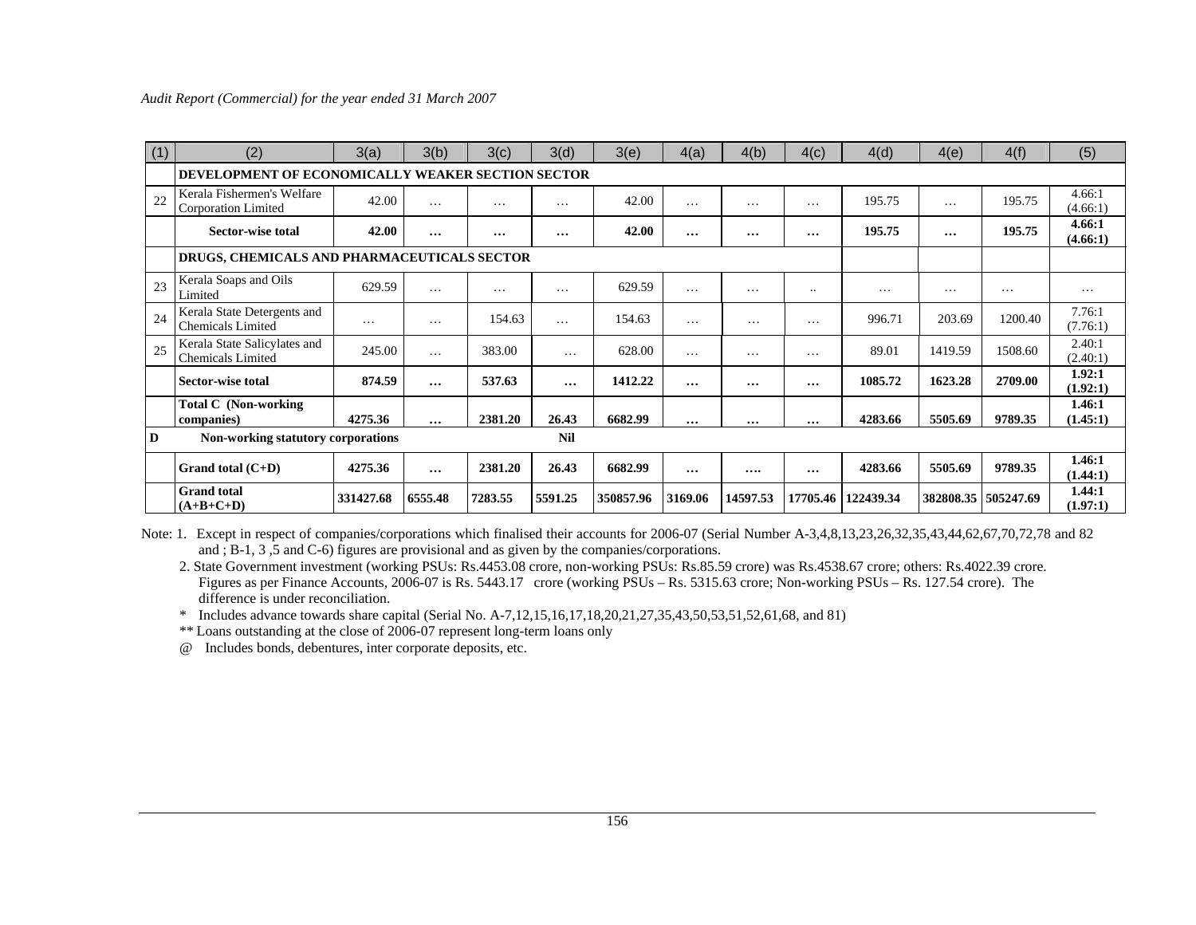| (1) | (2)                                                      | 3(a)      | 3(b)     | 3(c)     | 3(d)       | 3(e)      | 4(a)     | 4(b)     | 4(c)      | 4(d)      | 4(e)      | 4(f)      | (5)                |
|-----|----------------------------------------------------------|-----------|----------|----------|------------|-----------|----------|----------|-----------|-----------|-----------|-----------|--------------------|
|     | <b>DEVELOPMENT OF ECONOMICALLY WEAKER SECTION SECTOR</b> |           |          |          |            |           |          |          |           |           |           |           |                    |
| 22  | Kerala Fishermen's Welfare<br><b>Corporation Limited</b> | 42.00     | $\cdots$ | $\cdots$ | $\cdots$   | 42.00     | $\cdots$ | $\cdots$ | $\cdots$  | 195.75    | .         | 195.75    | 4.66:1<br>(4.66:1) |
|     | Sector-wise total                                        | 42.00     | $\cdots$ | $\cdots$ | $\cdots$   | 42.00     | $\cdots$ | $\cdots$ | $\cdots$  | 195.75    | $\cdots$  | 195.75    | 4.66:1<br>(4.66:1) |
|     | DRUGS, CHEMICALS AND PHARMACEUTICALS SECTOR              |           |          |          |            |           |          |          |           |           |           |           |                    |
| 23  | Kerala Soaps and Oils<br>Limited                         | 629.59    | $\cdots$ | $\cdots$ | $\cdots$   | 629.59    | $\cdots$ | $\cdots$ | $\ddotsc$ | $\cdots$  | $\cdots$  | $\cdots$  | $\cdots$           |
| 24  | Kerala State Detergents and<br><b>Chemicals Limited</b>  | $\cdots$  | $\cdots$ | 154.63   | $\cdots$   | 154.63    | $\cdots$ | $\cdots$ | $\cdots$  | 996.71    | 203.69    | 1200.40   | 7.76:1<br>(7.76:1) |
| 25  | Kerala State Salicylates and<br><b>Chemicals Limited</b> | 245.00    | $\cdots$ | 383.00   | $\cdots$   | 628.00    | $\cdots$ | $\cdots$ | $\cdots$  | 89.01     | 1419.59   | 1508.60   | 2.40:1<br>(2.40:1) |
|     | Sector-wise total                                        | 874.59    | $\cdots$ | 537.63   | $\cdots$   | 1412.22   | $\cdots$ | $\cdots$ | $\cdots$  | 1085.72   | 1623.28   | 2709.00   | 1.92:1<br>(1.92:1) |
|     | <b>Total C</b> (Non-working<br>companies)                | 4275.36   | $\cdots$ | 2381.20  | 26.43      | 6682.99   | $\cdots$ | $\cdots$ | $\cdots$  | 4283.66   | 5505.69   | 9789.35   | 1.46:1<br>(1.45:1) |
| D   | Non-working statutory corporations                       |           |          |          | <b>Nil</b> |           |          |          |           |           |           |           |                    |
|     | Grand total $(C+D)$                                      | 4275.36   | $\cdots$ | 2381.20  | 26.43      | 6682.99   | $\cdots$ | $\cdots$ | $\cdots$  | 4283.66   | 5505.69   | 9789.35   | 1.46:1<br>(1.44:1) |
|     | <b>Grand</b> total<br>$(A+B+C+D)$                        | 331427.68 | 6555.48  | 7283.55  | 5591.25    | 350857.96 | 3169.06  | 14597.53 | 17705.46  | 122439.34 | 382808.35 | 505247.69 | 1.44:1<br>(1.97:1) |

Note: 1. Except in respect of companies/corporations which finalised their accounts for 2006-07 (Serial Number A-3,4,8,13,23,26,32,35,43,44,62,67,70,72,78 and 82 and  $\overline{B}$  = 1, 3, 5 and C-6) figures are provisional and as given by the companies/corporations.

 2. State Government investment (working PSUs: Rs.4453.08 crore, non-working PSUs: Rs.85.59 crore) was Rs.4538.67 crore; others: Rs.4022.39 crore. Figures as per Finance Accounts, 2006-07 is Rs. 5443.17 crore (working PSUs – Rs. 5315.63 crore; Non-working PSUs – Rs. 127.54 crore). The difference is under reconciliation.

\* Includes advance towards share capital (Serial No. A-7,12,15,16,17,18,20,21,27,35,43,50,53,51,52,61,68, and 81)

\*\* Loans outstanding at the close of 2006-07 represent long-term loans only

@ Includes bonds, debentures, inter corporate deposits, etc.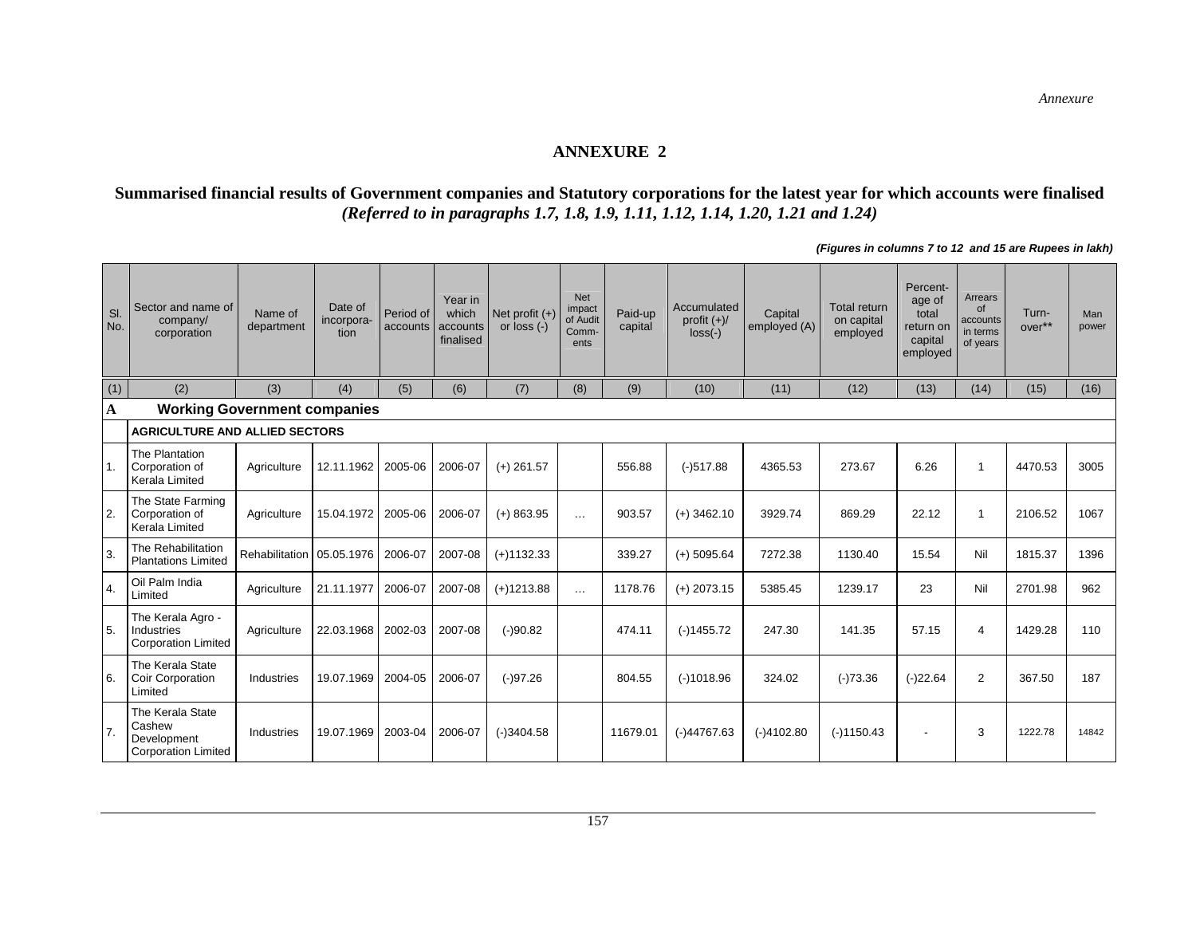#### **ANNEXURE 2**

#### **Summarised financial results of Government companies and Statutory corporations for the latest year for which accounts were finalised**  *(Referred to in paragraphs 1.7, 1.8, 1.9, 1.11, 1.12, 1.14, 1.20, 1.21 and 1.24)*

Sl. No. Sector and name of company/ corporation Name of department Date of incorporaate of<br>orpora- Period of<br>tion accounts Year in which accounts finalisedNet profit (+) or loss (-) Net impact of Audit CommentsPaid-up capital Accumulated profit (+)/ loss(-) **Capital** employed (A) Total return on capital employed Percentage of total return on capital employed Arrears of accounts in terms of years Turnover\*\*Man<br>power (1) (2) | (3) | (4) | (5) | (6) | (7) | (8) | (9) | (10) | (11) | (12) | (13) | (14) | (15) | (16) **A Working Government companies AGRICULTURE AND ALLIED SECTORS**  1. The Plantation Corporation of Kerala Limited Agriculture 12.11.1962 2005-06 2006-07 (+) 261.57 | 556.88 (-)517.88 4365.53 273.67 | 6.26 | 1 4470.53 3005 2. The State Farming Corporation of Kerala Limited Agriculture 15.04.1972 2005-06 2006-07 (+) 863.95 … 903.57 (+) 3462.10 3929.74 869.29 22.12 1 2106.52 1067 3. The Rehabilitation Rehabilitation 05.05.1976 2006-07 2007-08 (+)1132.33 339.27 (+) 5095.64 7272.38 1130.40 15.54 Nil 1815.37 1396 4. Oil Palm India | Agriculture 21.11.1977 2006-07 2007-08 (+)1213.88 … 1178.76 (+) 2073.15 5385.45 1239.17 23 Nil 2701.98 962<br>All Limited 5. The Kerala Agro - Industries Corporation Limited Agriculture 22.03.1968 2002-03 2007-08 (-)90.82 474.11 (-)1455.72 247.30 4141.35 57.15 4 1429.28 110 6. The Kerala State Coir Corporation Limited Industries |19.07.1969|2004-05|2006-07| (-)97.26 | | 804.55 | (-)1018.96 | 324.02 | (-)73.36 | (-)22.64 | 2 | 367.50 | 187 7. The Kerala State Cashew Development Corporation Limited Industries 19.07.1969 2003-04 2006-07 (-)3404.58 11679.01 (-)44767.63 (-)4102.80 (-)1150.43 - 3 1222.78 14842

*(Figures in columns 7 to 12 and 15 are Rupees in lakh)*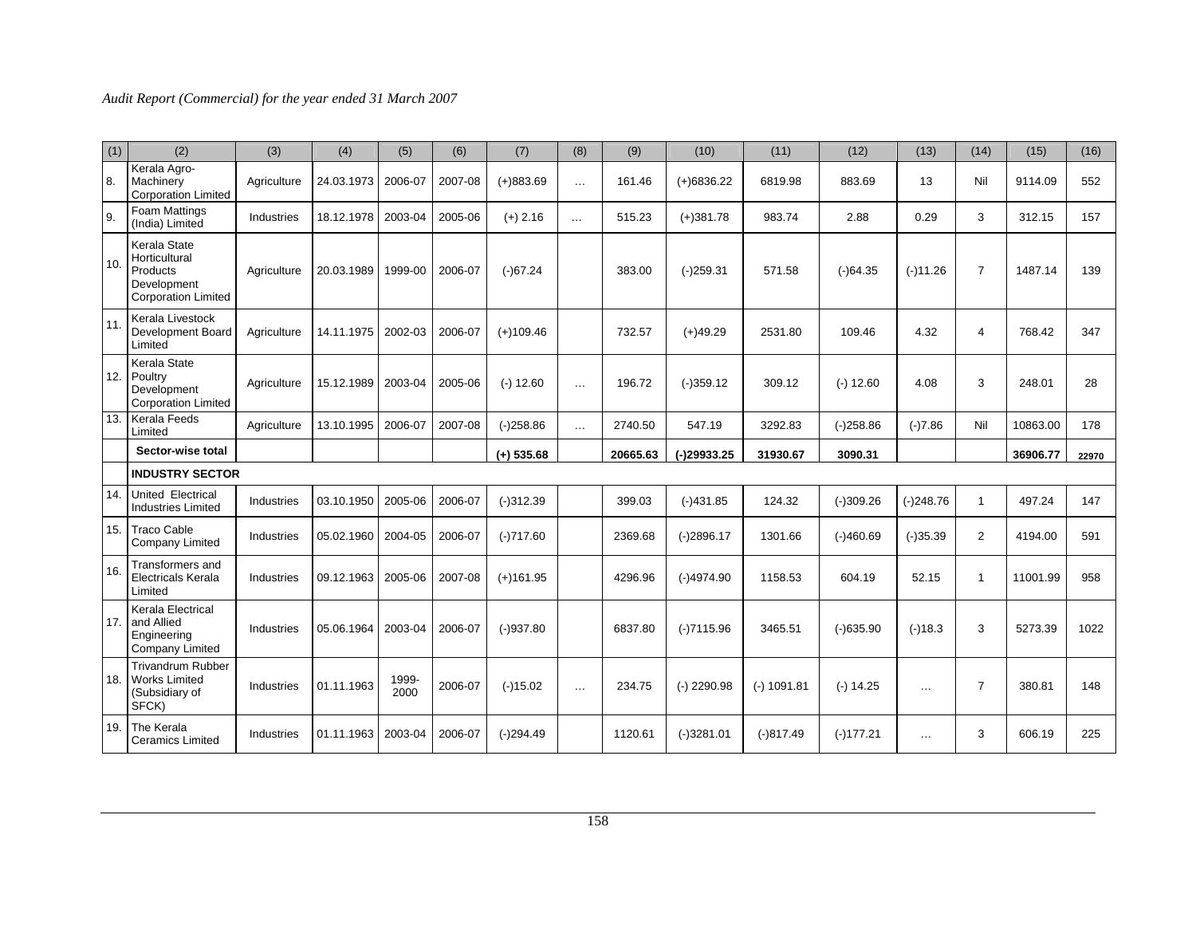| (1) | (2)                                                                                    | (3)         | (4)        | (5)           | (6)     | (7)          | (8)      | (9)      | (10)          | (11)          | (12)        | (13)          | (14)           | (15)     | (16)  |
|-----|----------------------------------------------------------------------------------------|-------------|------------|---------------|---------|--------------|----------|----------|---------------|---------------|-------------|---------------|----------------|----------|-------|
| 8.  | Kerala Agro-<br>Machinery<br><b>Corporation Limited</b>                                | Agriculture | 24.03.1973 | 2006-07       | 2007-08 | $(+)883.69$  | $\cdots$ | 161.46   | $(+)6836.22$  | 6819.98       | 883.69      | 13            | Nil            | 9114.09  | 552   |
| 9.  | <b>Foam Mattings</b><br>(India) Limited                                                | Industries  | 18.12.1978 | 2003-04       | 2005-06 | $(+)$ 2.16   | $\cdots$ | 515.23   | $(+)381.78$   | 983.74        | 2.88        | 0.29          | 3              | 312.15   | 157   |
| 10. | Kerala State<br>Horticultural<br>Products<br>Development<br><b>Corporation Limited</b> | Agriculture | 20.03.1989 | 1999-00       | 2006-07 | $(-)67.24$   |          | 383.00   | $(-)259.31$   | 571.58        | $(-)64.35$  | $(-)11.26$    | $\overline{7}$ | 1487.14  | 139   |
| 11. | Kerala Livestock<br>Development Board<br>Limited                                       | Agriculture | 14.11.1975 | 2002-03       | 2006-07 | $(+)109.46$  |          | 732.57   | $(+)49.29$    | 2531.80       | 109.46      | 4.32          | 4              | 768.42   | 347   |
| 12. | Kerala State<br>Poultry<br>Development<br><b>Corporation Limited</b>                   | Agriculture | 15.12.1989 | 2003-04       | 2005-06 | $(-) 12.60$  | $\cdots$ | 196.72   | $(-)359.12$   | 309.12        | $(-) 12.60$ | 4.08          | 3              | 248.01   | 28    |
| 13. | <b>Kerala Feeds</b><br>Limited                                                         | Agriculture | 13.10.1995 | 2006-07       | 2007-08 | $(-)258.86$  | $\cdots$ | 2740.50  | 547.19        | 3292.83       | $(-)258.86$ | $(-)7.86$     | Nil            | 10863.00 | 178   |
|     | Sector-wise total                                                                      |             |            |               |         | $(+)$ 535.68 |          | 20665.63 | (-)29933.25   | 31930.67      | 3090.31     |               |                | 36906.77 | 22970 |
|     | <b>INDUSTRY SECTOR</b>                                                                 |             |            |               |         |              |          |          |               |               |             |               |                |          |       |
| 14. | United Electrical<br><b>Industries Limited</b>                                         | Industries  | 03.10.1950 | 2005-06       | 2006-07 | $(-)312.39$  |          | 399.03   | $(-)431.85$   | 124.32        | $(-)309.26$ | $(-)248.76$   | $\mathbf{1}$   | 497.24   | 147   |
| 15. | Traco Cable<br>Company Limited                                                         | Industries  | 05.02.1960 | 2004-05       | 2006-07 | $(-)717.60$  |          | 2369.68  | $(-)2896.17$  | 1301.66       | $(-)460.69$ | $(-)35.39$    | $\overline{2}$ | 4194.00  | 591   |
| 16. | Transformers and<br><b>Electricals Kerala</b><br>Limited                               | Industries  | 09.12.1963 | 2005-06       | 2007-08 | $(+)161.95$  |          | 4296.96  | $(-)4974.90$  | 1158.53       | 604.19      | 52.15         | 1              | 11001.99 | 958   |
| 17. | Kerala Electrical<br>and Allied<br>Engineering<br>Company Limited                      | Industries  | 05.06.1964 | 2003-04       | 2006-07 | $(-)937.80$  |          | 6837.80  | $(-)7115.96$  | 3465.51       | $(-)635.90$ | $(-)18.3$     | 3              | 5273.39  | 1022  |
| 18. | <b>Trivandrum Rubber</b><br><b>Works Limited</b><br>(Subsidiary of<br>SFCK)            | Industries  | 01.11.1963 | 1999-<br>2000 | 2006-07 | $(-)15.02$   | $\cdots$ | 234.75   | $(-)$ 2290.98 | $(-) 1091.81$ | $(-) 14.25$ | $\sim$ $\sim$ | $\overline{7}$ | 380.81   | 148   |
| 19. | The Kerala<br><b>Ceramics Limited</b>                                                  | Industries  | 01.11.1963 | 2003-04       | 2006-07 | $(-)294.49$  |          | 1120.61  | $(-)3281.01$  | $(-)817.49$   | $(-)177.21$ | $\cdots$      | 3              | 606.19   | 225   |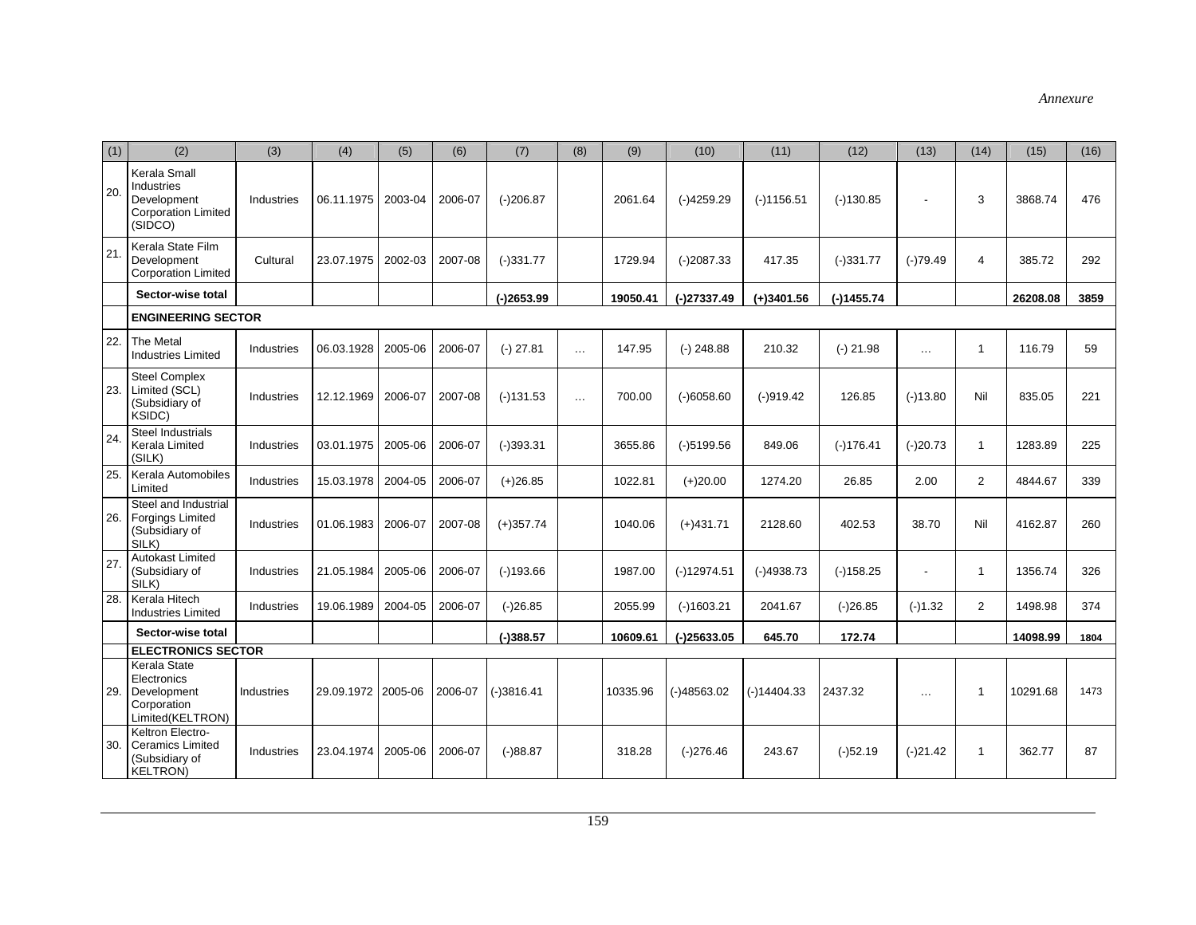| (1) | (2)                                                                                | (3)               | (4)                | (5)     | (6)     | (7)          | (8)      | (9)      | (10)          | (11)          | (12)         | (13)                     | (14)           | (15)     | (16) |
|-----|------------------------------------------------------------------------------------|-------------------|--------------------|---------|---------|--------------|----------|----------|---------------|---------------|--------------|--------------------------|----------------|----------|------|
| 20. | Kerala Small<br>Industries<br>Development<br><b>Corporation Limited</b><br>(SIDCO) | Industries        | 06.11.1975         | 2003-04 | 2006-07 | $(-)206.87$  |          | 2061.64  | $(-)4259.29$  | $(-)1156.51$  | $(-)130.85$  |                          | 3              | 3868.74  | 476  |
| 21  | Kerala State Film<br>Development<br><b>Corporation Limited</b>                     | Cultural          | 23.07.1975         | 2002-03 | 2007-08 | $(-)331.77$  |          | 1729.94  | $(-)2087.33$  | 417.35        | $(-)331.77$  | $(-)79.49$               | $\overline{4}$ | 385.72   | 292  |
|     | Sector-wise total                                                                  |                   |                    |         |         | $(-)2653.99$ |          | 19050.41 | $(-)27337.49$ | $(+)3401.56$  | $(-)1455.74$ |                          |                | 26208.08 | 3859 |
|     | <b>ENGINEERING SECTOR</b>                                                          |                   |                    |         |         |              |          |          |               |               |              |                          |                |          |      |
| 22. | The Metal<br><b>Industries Limited</b>                                             | Industries        | 06.03.1928         | 2005-06 | 2006-07 | $(-)$ 27.81  | $\ldots$ | 147.95   | $(-)$ 248.88  | 210.32        | $(-)$ 21.98  | $\ldots$                 | $\overline{1}$ | 116.79   | 59   |
| 23. | <b>Steel Complex</b><br>Limited (SCL)<br>(Subsidiary of<br>KSIDC)                  | Industries        | 12.12.1969         | 2006-07 | 2007-08 | $(-)131.53$  | $\cdots$ | 700.00   | $(-)6058.60$  | $(-)919.42$   | 126.85       | $(-)13.80$               | Nil            | 835.05   | 221  |
| 24  | <b>Steel Industrials</b><br>Kerala Limited<br>(SILK)                               | Industries        | 03.01.1975         | 2005-06 | 2006-07 | $(-)393.31$  |          | 3655.86  | $(-)5199.56$  | 849.06        | $(-)176.41$  | $(-)20.73$               | $\mathbf{1}$   | 1283.89  | 225  |
| 25  | Kerala Automobiles<br>Limited                                                      | Industries        | 15.03.1978         | 2004-05 | 2006-07 | $(+)26.85$   |          | 1022.81  | $(+)20.00$    | 1274.20       | 26.85        | 2.00                     | $\overline{2}$ | 4844.67  | 339  |
| 26. | Steel and Industrial<br><b>Forgings Limited</b><br>(Subsidiary of<br>SILK)         | Industries        | 01.06.1983         | 2006-07 | 2007-08 | $(+)357.74$  |          | 1040.06  | $(+)431.71$   | 2128.60       | 402.53       | 38.70                    | Nil            | 4162.87  | 260  |
| 27  | <b>Autokast Limited</b><br>(Subsidiary of<br>SILK)                                 | Industries        | 21.05.1984         | 2005-06 | 2006-07 | $(-)193.66$  |          | 1987.00  | $(-)12974.51$ | $(-)4938.73$  | $(-)158.25$  | $\overline{\phantom{a}}$ | $\mathbf{1}$   | 1356.74  | 326  |
| 28. | Kerala Hitech<br><b>Industries Limited</b>                                         | Industries        | 19.06.1989         | 2004-05 | 2006-07 | $(-)26.85$   |          | 2055.99  | $(-)1603.21$  | 2041.67       | $(-)26.85$   | $(-)1.32$                | $\overline{2}$ | 1498.98  | 374  |
|     | Sector-wise total                                                                  |                   |                    |         |         | $(-)388.57$  |          | 10609.61 | $(-)25633.05$ | 645.70        | 172.74       |                          |                | 14098.99 | 1804 |
|     | <b>ELECTRONICS SECTOR</b>                                                          |                   |                    |         |         |              |          |          |               |               |              |                          |                |          |      |
| 29. | Kerala State<br>Electronics<br>Development<br>Corporation<br>Limited(KELTRON)      | <b>Industries</b> | 29.09.1972 2005-06 |         | 2006-07 | $(-)3816.41$ |          | 10335.96 | $(-)48563.02$ | $(-)14404.33$ | 2437.32      | $\cdots$                 | $\mathbf{1}$   | 10291.68 | 1473 |
| 30. | Keltron Electro-<br><b>Ceramics Limited</b><br>(Subsidiary of<br><b>KELTRON)</b>   | Industries        | 23.04.1974         | 2005-06 | 2006-07 | $(-)88.87$   |          | 318.28   | $(-)276.46$   | 243.67        | $(-)52.19$   | $(-)21.42$               | 1              | 362.77   | 87   |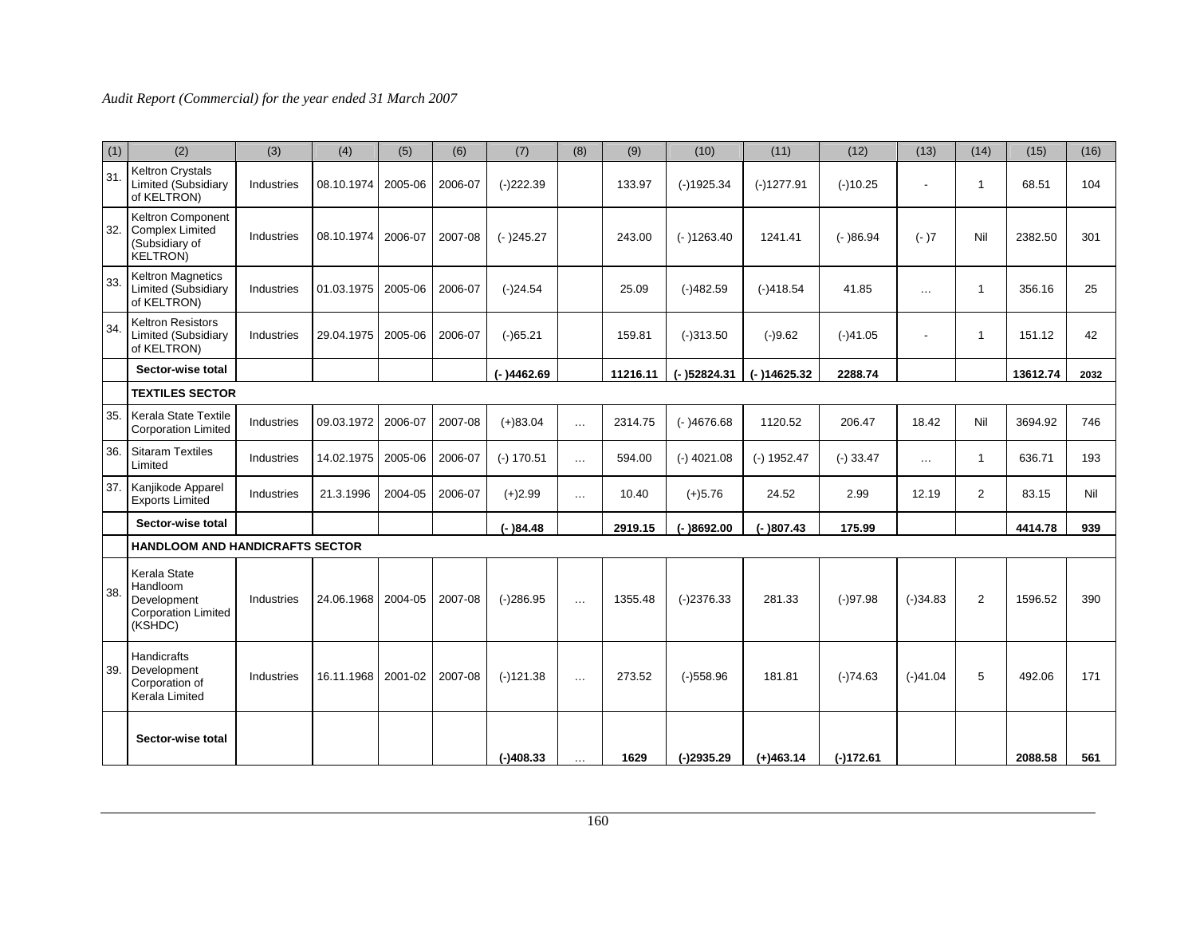| (1) | (2)                                                                                     | (3)        | (4)        | (5)     | (6)     | (7)          | (8)        | (9)      | (10)          | (11)          | (12)        | (13)           | (14)           | (15)     | (16) |
|-----|-----------------------------------------------------------------------------------------|------------|------------|---------|---------|--------------|------------|----------|---------------|---------------|-------------|----------------|----------------|----------|------|
| 31. | <b>Keltron Crystals</b><br><b>Limited (Subsidiary</b><br>of KELTRON)                    | Industries | 08.10.1974 | 2005-06 | 2006-07 | $(-)222.39$  |            | 133.97   | $(-)1925.34$  | $(-)1277.91$  | $(-)10.25$  |                | 1              | 68.51    | 104  |
| 32. | <b>Keltron Component</b><br><b>Complex Limited</b><br>(Subsidiary of<br><b>KELTRON)</b> | Industries | 08.10.1974 | 2006-07 | 2007-08 | $(-)245.27$  |            | 243.00   | $(-)1263.40$  | 1241.41       | $(-)86.94$  | $(-)7$         | Nil            | 2382.50  | 301  |
| 33. | <b>Keltron Magnetics</b><br><b>Limited (Subsidiary</b><br>of KELTRON)                   | Industries | 01.03.1975 | 2005-06 | 2006-07 | $(-)24.54$   |            | 25.09    | $(-)482.59$   | $(-)418.54$   | 41.85       | $\sim$ $\sim$  | 1              | 356.16   | 25   |
| 34  | <b>Keltron Resistors</b><br><b>Limited (Subsidiary</b><br>of KELTRON)                   | Industries | 29.04.1975 | 2005-06 | 2006-07 | $(-)65.21$   |            | 159.81   | $(-)313.50$   | $(-)9.62$     | $(-)41.05$  | $\blacksquare$ | 1              | 151.12   | 42   |
|     | Sector-wise total                                                                       |            |            |         |         | $(-)4462.69$ |            | 11216.11 | $(-)52824.31$ | $(-)14625.32$ | 2288.74     |                |                | 13612.74 | 2032 |
|     | <b>TEXTILES SECTOR</b>                                                                  |            |            |         |         |              |            |          |               |               |             |                |                |          |      |
| 35. | Kerala State Textile<br><b>Corporation Limited</b>                                      | Industries | 09.03.1972 | 2006-07 | 2007-08 | $(+)83.04$   | $\cdots$   | 2314.75  | $(-)4676.68$  | 1120.52       | 206.47      | 18.42          | Nil            | 3694.92  | 746  |
| 36. | <b>Sitaram Textiles</b><br>Limited                                                      | Industries | 14.02.1975 | 2005-06 | 2006-07 | $(-)$ 170.51 | $\cdots$   | 594.00   | $(-)$ 4021.08 | $(-) 1952.47$ | $(-)$ 33.47 | $\cdots$       | $\mathbf{1}$   | 636.71   | 193  |
| 37. | Kanjikode Apparel<br><b>Exports Limited</b>                                             | Industries | 21.3.1996  | 2004-05 | 2006-07 | $(+)2.99$    | $\ldots$   | 10.40    | $(+)5.76$     | 24.52         | 2.99        | 12.19          | $\overline{2}$ | 83.15    | Nil  |
|     | Sector-wise total                                                                       |            |            |         |         | $(-)84.48$   |            | 2919.15  | $(-)8692.00$  | $(-)807.43$   | 175.99      |                |                | 4414.78  | 939  |
|     | <b>HANDLOOM AND HANDICRAFTS SECTOR</b>                                                  |            |            |         |         |              |            |          |               |               |             |                |                |          |      |
| 38. | Kerala State<br>Handloom<br>Development<br><b>Corporation Limited</b><br>(KSHDC)        | Industries | 24.06.1968 | 2004-05 | 2007-08 | $(-)286.95$  | $\cdots$   | 1355.48  | $(-)2376.33$  | 281.33        | $(-)97.98$  | $(-)34.83$     | $\overline{2}$ | 1596.52  | 390  |
|     | Handicrafts<br>39. Development<br>Corporation of<br>Kerala Limited                      | Industries | 16.11.1968 | 2001-02 | 2007-08 | $(-)121.38$  | $\cdots$   | 273.52   | $(-)558.96$   | 181.81        | $(-)74.63$  | $(-)41.04$     | 5              | 492.06   | 171  |
|     | Sector-wise total                                                                       |            |            |         |         | $(-)408.33$  | $\ldots$ . | 1629     | $(-)2935.29$  | $(+)463.14$   | $(-)172.61$ |                |                | 2088.58  | 561  |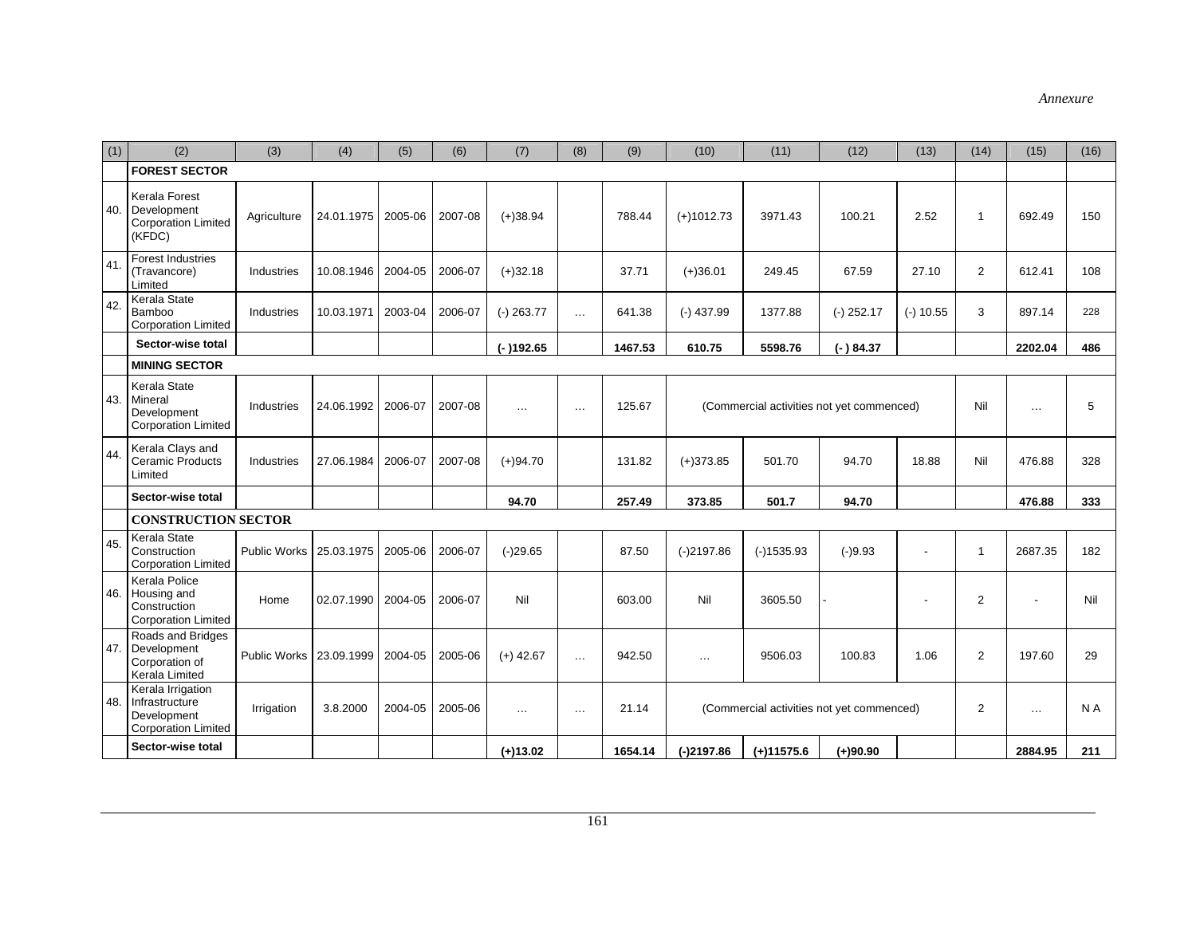| (1) | (2)                                                                              | (3)                 | (4)                  | (5)     | (6)     | (7)          | (8)      | (9)     | (10)         | (11)         | (12)                                      | (13)           | (14)           | (15)                     | (16) |
|-----|----------------------------------------------------------------------------------|---------------------|----------------------|---------|---------|--------------|----------|---------|--------------|--------------|-------------------------------------------|----------------|----------------|--------------------------|------|
|     | <b>FOREST SECTOR</b>                                                             |                     |                      |         |         |              |          |         |              |              |                                           |                |                |                          |      |
| 40. | Kerala Forest<br>Development<br><b>Corporation Limited</b><br>(KFDC)             | Agriculture         | 24.01.1975   2005-06 |         | 2007-08 | $(+)38.94$   |          | 788.44  | $(+)1012.73$ | 3971.43      | 100.21                                    | 2.52           | $\overline{1}$ | 692.49                   | 150  |
| 41  | <b>Forest Industries</b><br>(Travancore)<br>Limited                              | Industries          | 10.08.1946           | 2004-05 | 2006-07 | $(+)32.18$   |          | 37.71   | $(+)36.01$   | 249.45       | 67.59                                     | 27.10          | $\overline{2}$ | 612.41                   | 108  |
| 42. | Kerala State<br>Bamboo<br><b>Corporation Limited</b>                             | Industries          | 10.03.1971           | 2003-04 | 2006-07 | $(-)$ 263.77 | $\cdots$ | 641.38  | $(-)$ 437.99 | 1377.88      | $(-)$ 252.17                              | $(-)$ 10.55    | 3              | 897.14                   | 228  |
|     | Sector-wise total                                                                |                     |                      |         |         | $(-)192.65$  |          | 1467.53 | 610.75       | 5598.76      | $(-)84.37$                                |                |                | 2202.04                  | 486  |
|     | <b>MINING SECTOR</b>                                                             |                     |                      |         |         |              |          |         |              |              |                                           |                |                |                          |      |
|     | Kerala State<br>43. Mineral<br>Development<br><b>Corporation Limited</b>         | Industries          | 24.06.1992           | 2006-07 | 2007-08 | $\ddotsc$    | $\cdots$ | 125.67  |              |              | (Commercial activities not yet commenced) |                | Nil            | $\overline{\phantom{a}}$ | 5    |
| 44. | Kerala Clays and<br><b>Ceramic Products</b><br>Limited                           | Industries          | 27.06.1984           | 2006-07 | 2007-08 | $(+)94.70$   |          | 131.82  | $(+)373.85$  | 501.70       | 94.70                                     | 18.88          | Nil            | 476.88                   | 328  |
|     | Sector-wise total                                                                |                     |                      |         |         | 94.70        |          | 257.49  | 373.85       | 501.7        | 94.70                                     |                |                | 476.88                   | 333  |
|     | <b>CONSTRUCTION SECTOR</b>                                                       |                     |                      |         |         |              |          |         |              |              |                                           |                |                |                          |      |
| 45. | Kerala State<br>Construction<br><b>Corporation Limited</b>                       | Public Works        | 25.03.1975           | 2005-06 | 2006-07 | $(-)29.65$   |          | 87.50   | $(-)2197.86$ | $(-)1535.93$ | $(-)9.93$                                 | $\overline{a}$ | $\overline{1}$ | 2687.35                  | 182  |
| 46. | Kerala Police<br>Housing and<br>Construction<br><b>Corporation Limited</b>       | Home                | 02.07.1990           | 2004-05 | 2006-07 | Nil          |          | 603.00  | Nil          | 3605.50      |                                           |                | $\overline{2}$ |                          | Nil  |
| 47. | Roads and Bridges<br>Development<br>Corporation of<br>Kerala Limited             | <b>Public Works</b> | 23.09.1999           | 2004-05 | 2005-06 | $(+)$ 42.67  | $\ldots$ | 942.50  | $\cdots$     | 9506.03      | 100.83                                    | 1.06           | $\overline{2}$ | 197.60                   | 29   |
| 48. | Kerala Irrigation<br>Infrastructure<br>Development<br><b>Corporation Limited</b> | Irrigation          | 3.8.2000             | 2004-05 | 2005-06 | $\cdots$     | $\cdots$ | 21.14   |              |              | (Commercial activities not yet commenced) |                | $\overline{2}$ | $\cdots$                 | N A  |
|     | Sector-wise total                                                                |                     |                      |         |         | $(+)13.02$   |          | 1654.14 | $(-)2197.86$ | $(+)11575.6$ | $(+)90.90$                                |                |                | 2884.95                  | 211  |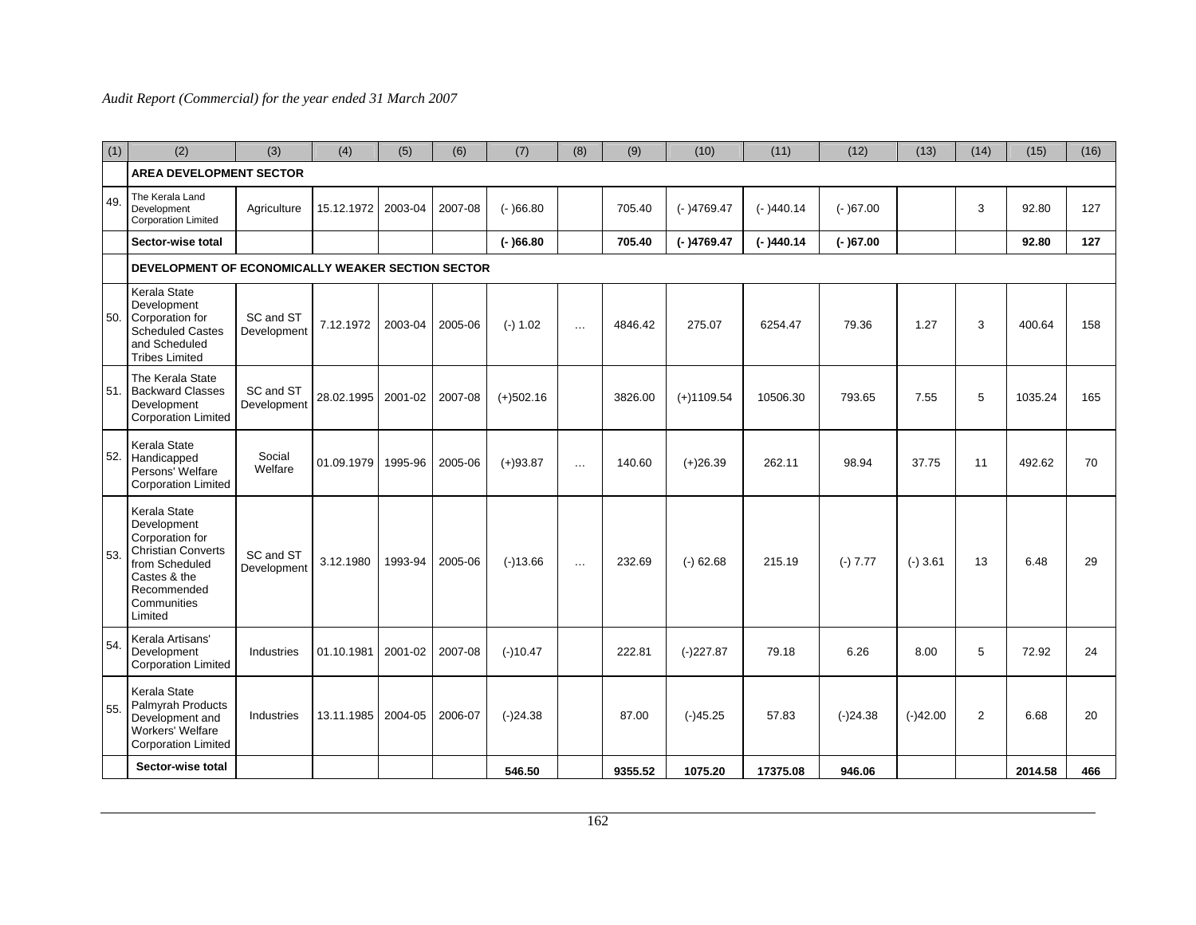| (1) | (2)                                                                                                                                                    | (3)                      | (4)        | (5)     | (6)     | (7)         | (8)      | (9)     | (10)         | (11)        | (12)       | (13)       | (14)           | (15)    | (16) |
|-----|--------------------------------------------------------------------------------------------------------------------------------------------------------|--------------------------|------------|---------|---------|-------------|----------|---------|--------------|-------------|------------|------------|----------------|---------|------|
|     | <b>AREA DEVELOPMENT SECTOR</b>                                                                                                                         |                          |            |         |         |             |          |         |              |             |            |            |                |         |      |
| 49. | The Kerala Land<br>Development<br><b>Corporation Limited</b>                                                                                           | Agriculture              | 15.12.1972 | 2003-04 | 2007-08 | $(-)66.80$  |          | 705.40  | $(-)4769.47$ | $(-)440.14$ | $(-)67.00$ |            | 3              | 92.80   | 127  |
|     | Sector-wise total                                                                                                                                      |                          |            |         |         | $(-)66.80$  |          | 705.40  | $(-)4769.47$ | $(-)440.14$ | $(-)67.00$ |            |                | 92.80   | 127  |
|     | DEVELOPMENT OF ECONOMICALLY WEAKER SECTION SECTOR                                                                                                      |                          |            |         |         |             |          |         |              |             |            |            |                |         |      |
| 50. | Kerala State<br>Development<br>Corporation for<br><b>Scheduled Castes</b><br>and Scheduled<br><b>Tribes Limited</b>                                    | SC and ST<br>Development | 7.12.1972  | 2003-04 | 2005-06 | $(-) 1.02$  | $\ldots$ | 4846.42 | 275.07       | 6254.47     | 79.36      | 1.27       | 3              | 400.64  | 158  |
| 51. | The Kerala State<br><b>Backward Classes</b><br>Development<br><b>Corporation Limited</b>                                                               | SC and ST<br>Development | 28.02.1995 | 2001-02 | 2007-08 | $(+)502.16$ |          | 3826.00 | $(+)1109.54$ | 10506.30    | 793.65     | 7.55       | 5              | 1035.24 | 165  |
| 52. | Kerala State<br>Handicapped<br>Persons' Welfare<br><b>Corporation Limited</b>                                                                          | Social<br>Welfare        | 01.09.1979 | 1995-96 | 2005-06 | $(+)93.87$  | $\cdots$ | 140.60  | $(+)26.39$   | 262.11      | 98.94      | 37.75      | 11             | 492.62  | 70   |
| 53. | Kerala State<br>Development<br>Corporation for<br><b>Christian Converts</b><br>from Scheduled<br>Castes & the<br>Recommended<br>Communities<br>Limited | SC and ST<br>Development | 3.12.1980  | 1993-94 | 2005-06 | $(-)13.66$  | $\cdots$ | 232.69  | $(-)$ 62.68  | 215.19      | $(-) 7.77$ | $(-)3.61$  | 13             | 6.48    | 29   |
| 54. | Kerala Artisans'<br>Development<br><b>Corporation Limited</b>                                                                                          | Industries               | 01.10.1981 | 2001-02 | 2007-08 | $(-)10.47$  |          | 222.81  | $(-)227.87$  | 79.18       | 6.26       | 8.00       | 5              | 72.92   | 24   |
| 55. | Kerala State<br><b>Palmyrah Products</b><br>Development and<br>Workers' Welfare<br><b>Corporation Limited</b>                                          | Industries               | 13.11.1985 | 2004-05 | 2006-07 | $(-)24.38$  |          | 87.00   | $(-)45.25$   | 57.83       | $(-)24.38$ | $(-)42.00$ | $\overline{2}$ | 6.68    | 20   |
|     | Sector-wise total                                                                                                                                      |                          |            |         |         | 546.50      |          | 9355.52 | 1075.20      | 17375.08    | 946.06     |            |                | 2014.58 | 466  |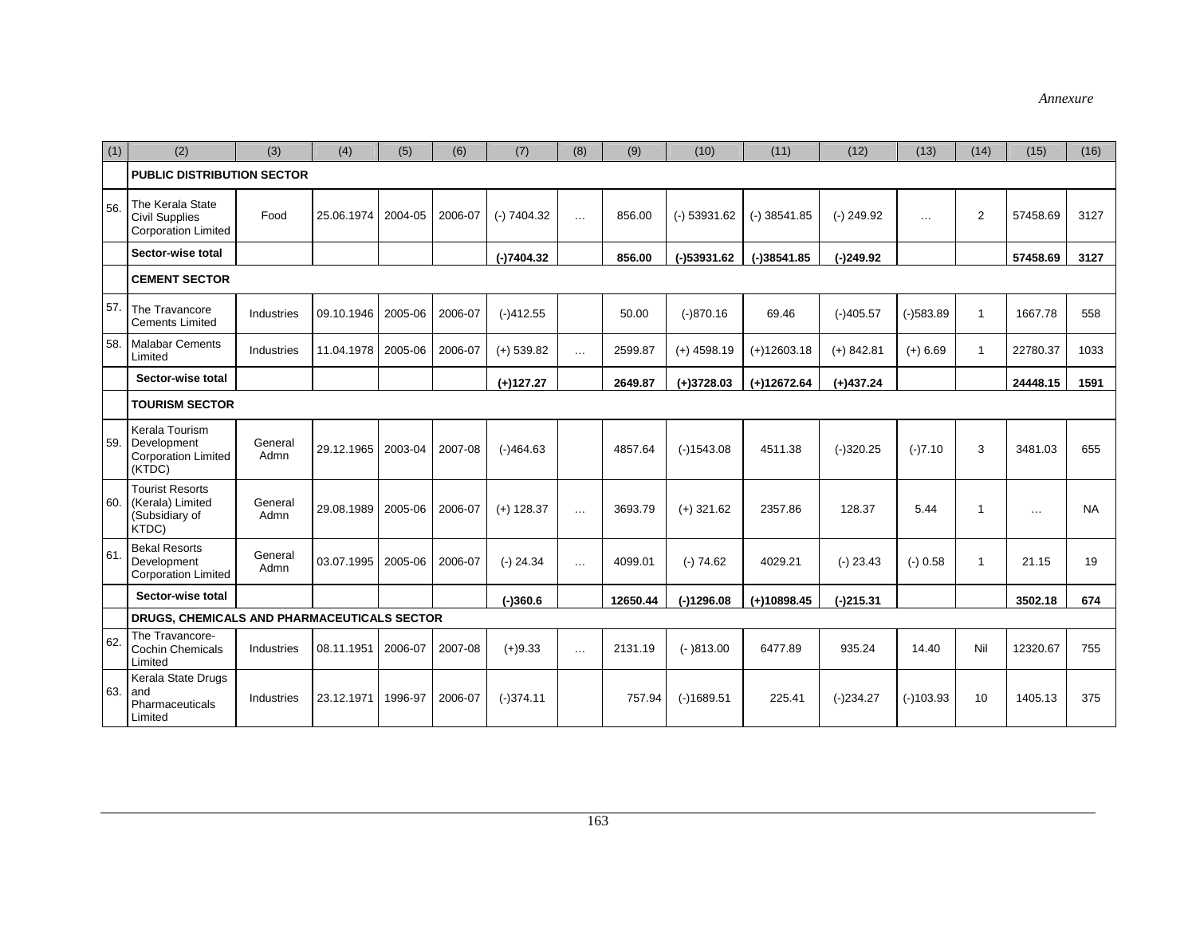| (1) | (2)                                                                     | (3)             | (4)        | (5)     | (6)     | (7)           | (8)      | (9)      | (10)           | (11)           | (12)         | (13)        | (14)                    | (15)     | (16)      |
|-----|-------------------------------------------------------------------------|-----------------|------------|---------|---------|---------------|----------|----------|----------------|----------------|--------------|-------------|-------------------------|----------|-----------|
|     | <b>PUBLIC DISTRIBUTION SECTOR</b>                                       |                 |            |         |         |               |          |          |                |                |              |             |                         |          |           |
| 56. | The Kerala State<br><b>Civil Supplies</b><br><b>Corporation Limited</b> | Food            | 25.06.1974 | 2004-05 | 2006-07 | $(-) 7404.32$ | $\cdots$ | 856.00   | $(-)$ 53931.62 | $(-)$ 38541.85 | $(-)$ 249.92 | $\cdots$    | $\overline{2}$          | 57458.69 | 3127      |
|     | Sector-wise total                                                       |                 |            |         |         | $(-)7404.32$  |          | 856.00   | $(-)53931.62$  | $(-)38541.85$  | $(-)249.92$  |             |                         | 57458.69 | 3127      |
|     | <b>CEMENT SECTOR</b>                                                    |                 |            |         |         |               |          |          |                |                |              |             |                         |          |           |
| 57. | The Travancore<br><b>Cements Limited</b>                                | Industries      | 09.10.1946 | 2005-06 | 2006-07 | $(-)412.55$   |          | 50.00    | $(-)870.16$    | 69.46          | $(-)405.57$  | $(-)583.89$ | $\overline{\mathbf{1}}$ | 1667.78  | 558       |
| 58. | <b>Malabar Cements</b><br>Limited                                       | Industries      | 11.04.1978 | 2005-06 | 2006-07 | $(+)$ 539.82  | $\cdots$ | 2599.87  | $(+)$ 4598.19  | $(+)12603.18$  | $(+)$ 842.81 | $(+)$ 6.69  | $\overline{1}$          | 22780.37 | 1033      |
|     | Sector-wise total                                                       |                 |            |         |         | $(+)127.27$   |          | 2649.87  | $(+)3728.03$   | $(+)12672.64$  | $(+)437.24$  |             |                         | 24448.15 | 1591      |
|     | <b>TOURISM SECTOR</b>                                                   |                 |            |         |         |               |          |          |                |                |              |             |                         |          |           |
| 59. | Kerala Tourism<br>Development<br><b>Corporation Limited</b><br>(KTDC)   | General<br>Admn | 29.12.1965 | 2003-04 | 2007-08 | $(-)464.63$   |          | 4857.64  | $(-)1543.08$   | 4511.38        | $(-)320.25$  | $(-)7.10$   | 3                       | 3481.03  | 655       |
| 60. | <b>Tourist Resorts</b><br>(Kerala) Limited<br>(Subsidiary of<br>KTDC)   | General<br>Admn | 29.08.1989 | 2005-06 | 2006-07 | $(+)$ 128.37  | $\cdots$ | 3693.79  | $(+)$ 321.62   | 2357.86        | 128.37       | 5.44        | -1                      | $\cdots$ | <b>NA</b> |
| 61. | <b>Bekal Resorts</b><br>Development<br><b>Corporation Limited</b>       | General<br>Admn | 03.07.1995 | 2005-06 | 2006-07 | $(-)$ 24.34   | $\sim$   | 4099.01  | $(-) 74.62$    | 4029.21        | $(-)$ 23.43  | $(-) 0.58$  | $\overline{1}$          | 21.15    | 19        |
|     | Sector-wise total                                                       |                 |            |         |         | $(-)360.6$    |          | 12650.44 | $(-)1296.08$   | $(+)10898.45$  | $(-)215.31$  |             |                         | 3502.18  | 674       |
|     | DRUGS, CHEMICALS AND PHARMACEUTICALS SECTOR                             |                 |            |         |         |               |          |          |                |                |              |             |                         |          |           |
| 62. | The Travancore-<br><b>Cochin Chemicals</b><br>Limited                   | Industries      | 08.11.1951 | 2006-07 | 2007-08 | $(+)9.33$     | $\sim$   | 2131.19  | $(-)813.00$    | 6477.89        | 935.24       | 14.40       | Nil                     | 12320.67 | 755       |
| 63. | Kerala State Drugs<br>and<br>Pharmaceuticals<br>Limited                 | Industries      | 23.12.1971 | 1996-97 | 2006-07 | $(-)374.11$   |          | 757.94   | $(-)1689.51$   | 225.41         | $(-)234.27$  | $(-)103.93$ | 10                      | 1405.13  | 375       |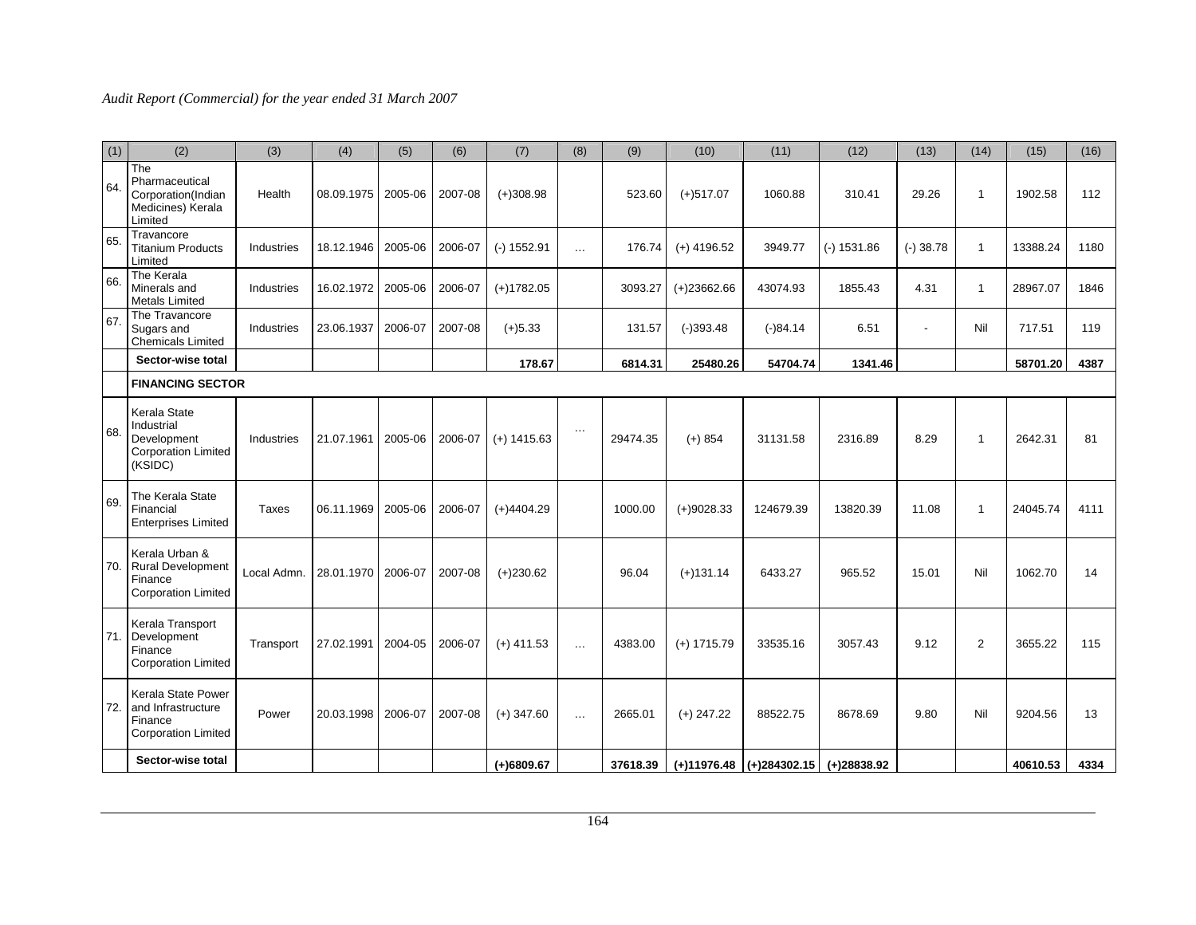| (1) | (2)                                                                                 | (3)          | (4)        | (5)     | (6)     | (7)           | (8)      | (9)      | (10)          | (11)                         | (12)          | (13)        | (14)           | (15)     | (16) |
|-----|-------------------------------------------------------------------------------------|--------------|------------|---------|---------|---------------|----------|----------|---------------|------------------------------|---------------|-------------|----------------|----------|------|
| 64. | The<br>Pharmaceutical<br>Corporation(Indian<br>Medicines) Kerala<br>Limited         | Health       | 08.09.1975 | 2005-06 | 2007-08 | $(+)308.98$   |          | 523.60   | $(+)517.07$   | 1060.88                      | 310.41        | 29.26       | $\overline{1}$ | 1902.58  | 112  |
| 65. | Travancore<br><b>Titanium Products</b><br>Limited                                   | Industries   | 18.12.1946 | 2005-06 | 2006-07 | $(-) 1552.91$ | $\cdots$ | 176.74   | $(+)$ 4196.52 | 3949.77                      | $(-) 1531.86$ | $(-)$ 38.78 | $\mathbf{1}$   | 13388.24 | 1180 |
| 66. | The Kerala<br>Minerals and<br><b>Metals Limited</b>                                 | Industries   | 16.02.1972 | 2005-06 | 2006-07 | $(+)1782.05$  |          | 3093.27  | $(+)23662.66$ | 43074.93                     | 1855.43       | 4.31        | 1              | 28967.07 | 1846 |
| 67. | The Travancore<br>Sugars and<br><b>Chemicals Limited</b>                            | Industries   | 23.06.1937 | 2006-07 | 2007-08 | $(+)5.33$     |          | 131.57   | $(-)393.48$   | $(-)84.14$                   | 6.51          |             | Nil            | 717.51   | 119  |
|     | Sector-wise total                                                                   |              |            |         |         | 178.67        |          | 6814.31  | 25480.26      | 54704.74                     | 1341.46       |             |                | 58701.20 | 4387 |
|     | <b>FINANCING SECTOR</b>                                                             |              |            |         |         |               |          |          |               |                              |               |             |                |          |      |
| 68. | Kerala State<br>Industrial<br>Development<br><b>Corporation Limited</b><br>(KSIDC)  | Industries   | 21.07.1961 | 2005-06 | 2006-07 | $(+)$ 1415.63 | $\cdots$ | 29474.35 | $(+) 854$     | 31131.58                     | 2316.89       | 8.29        | $\overline{1}$ | 2642.31  | 81   |
| 69. | The Kerala State<br>Financial<br><b>Enterprises Limited</b>                         | <b>Taxes</b> | 06.11.1969 | 2005-06 | 2006-07 | $(+)4404.29$  |          | 1000.00  | $(+)9028.33$  | 124679.39                    | 13820.39      | 11.08       | $\overline{1}$ | 24045.74 | 4111 |
| 70. | Kerala Urban &<br><b>Rural Development</b><br>Finance<br><b>Corporation Limited</b> | Local Admn.  | 28.01.1970 | 2006-07 | 2007-08 | $(+)230.62$   |          | 96.04    | $(+)131.14$   | 6433.27                      | 965.52        | 15.01       | Nil            | 1062.70  | 14   |
| 71. | Kerala Transport<br>Development<br>Finance<br><b>Corporation Limited</b>            | Transport    | 27.02.1991 | 2004-05 | 2006-07 | $(+)$ 411.53  | $\cdots$ | 4383.00  | $(+)$ 1715.79 | 33535.16                     | 3057.43       | 9.12        | $\overline{2}$ | 3655.22  | 115  |
| 72. | Kerala State Power<br>and Infrastructure<br>Finance<br><b>Corporation Limited</b>   | Power        | 20.03.1998 | 2006-07 | 2007-08 | $(+)$ 347.60  | $\cdots$ | 2665.01  | $(+)$ 247.22  | 88522.75                     | 8678.69       | 9.80        | Nil            | 9204.56  | 13   |
|     | Sector-wise total                                                                   |              |            |         |         | $(+)6809.67$  |          | 37618.39 |               | $(+)11976.48$ $(+)284302.15$ | (+)28838.92   |             |                | 40610.53 | 4334 |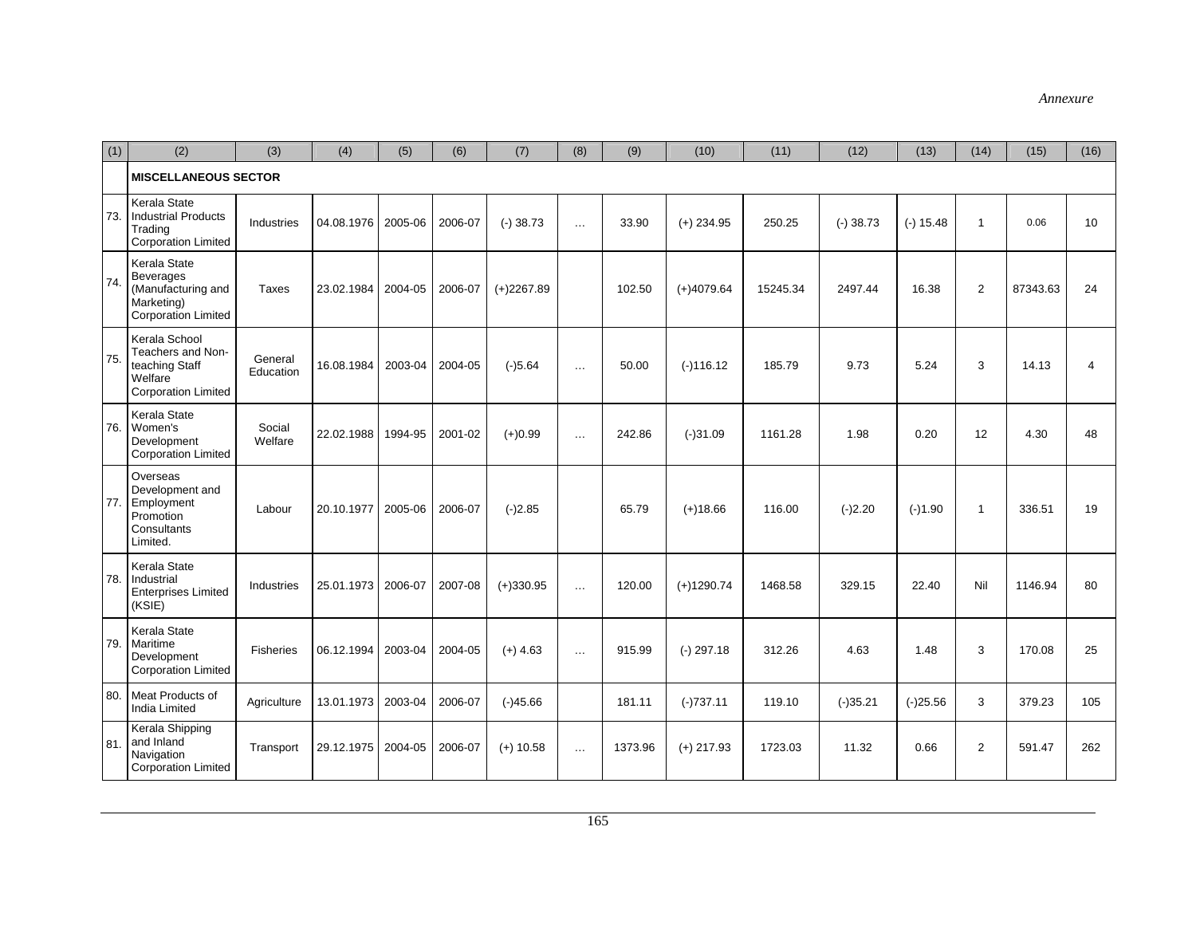| (1) | (2)                                                                                                | (3)                  | (4)        | (5)     | (6)     | (7)          | (8)      | (9)     | (10)         | (11)     | (12)       | (13)        | (14)           | (15)     | (16) |
|-----|----------------------------------------------------------------------------------------------------|----------------------|------------|---------|---------|--------------|----------|---------|--------------|----------|------------|-------------|----------------|----------|------|
|     | <b>MISCELLANEOUS SECTOR</b>                                                                        |                      |            |         |         |              |          |         |              |          |            |             |                |          |      |
| 73. | Kerala State<br><b>Industrial Products</b><br>Trading<br><b>Corporation Limited</b>                | Industries           | 04.08.1976 | 2005-06 | 2006-07 | $(-)38.73$   | $\cdots$ | 33.90   | $(+)$ 234.95 | 250.25   | $(-)38.73$ | $(-) 15.48$ | $\mathbf{1}$   | 0.06     | 10   |
| 74  | Kerala State<br><b>Beverages</b><br>(Manufacturing and<br>Marketing)<br><b>Corporation Limited</b> | <b>Taxes</b>         | 23.02.1984 | 2004-05 | 2006-07 | $(+)2267.89$ |          | 102.50  | $(+)4079.64$ | 15245.34 | 2497.44    | 16.38       | $\overline{2}$ | 87343.63 | 24   |
| 75. | Kerala School<br>Teachers and Non-<br>teaching Staff<br>Welfare<br><b>Corporation Limited</b>      | General<br>Education | 16.08.1984 | 2003-04 | 2004-05 | $(-)5.64$    | $\cdots$ | 50.00   | $(-)116.12$  | 185.79   | 9.73       | 5.24        | 3              | 14.13    | 4    |
| 76. | Kerala State<br>Women's<br>Development<br><b>Corporation Limited</b>                               | Social<br>Welfare    | 22.02.1988 | 1994-95 | 2001-02 | $(+)0.99$    | $\cdots$ | 242.86  | $(-)31.09$   | 1161.28  | 1.98       | 0.20        | 12             | 4.30     | 48   |
| 77. | Overseas<br>Development and<br>Employment<br>Promotion<br>Consultants<br>Limited.                  | Labour               | 20.10.1977 | 2005-06 | 2006-07 | $(-)2.85$    |          | 65.79   | $(+)18.66$   | 116.00   | $(-)2.20$  | $(-)1.90$   | $\mathbf{1}$   | 336.51   | 19   |
| 78. | Kerala State<br>Industrial<br><b>Enterprises Limited</b><br>(KSIE)                                 | Industries           | 25.01.1973 | 2006-07 | 2007-08 | $(+)330.95$  | $\cdots$ | 120.00  | $(+)1290.74$ | 1468.58  | 329.15     | 22.40       | Nil            | 1146.94  | 80   |
| 79. | Kerala State<br>Maritime<br>Development<br><b>Corporation Limited</b>                              | Fisheries            | 06.12.1994 | 2003-04 | 2004-05 | $(+)$ 4.63   | $\cdots$ | 915.99  | $(-)$ 297.18 | 312.26   | 4.63       | 1.48        | 3              | 170.08   | 25   |
| 80. | Meat Products of<br><b>India Limited</b>                                                           | Agriculture          | 13.01.1973 | 2003-04 | 2006-07 | $(-)45.66$   |          | 181.11  | $(-)737.11$  | 119.10   | $(-)35.21$ | $(-)25.56$  | 3              | 379.23   | 105  |
| 81. | Kerala Shipping<br>and Inland<br>Navigation<br><b>Corporation Limited</b>                          | Transport            | 29.12.1975 | 2004-05 | 2006-07 | $(+)$ 10.58  | $\cdots$ | 1373.96 | $(+)$ 217.93 | 1723.03  | 11.32      | 0.66        | $\overline{2}$ | 591.47   | 262  |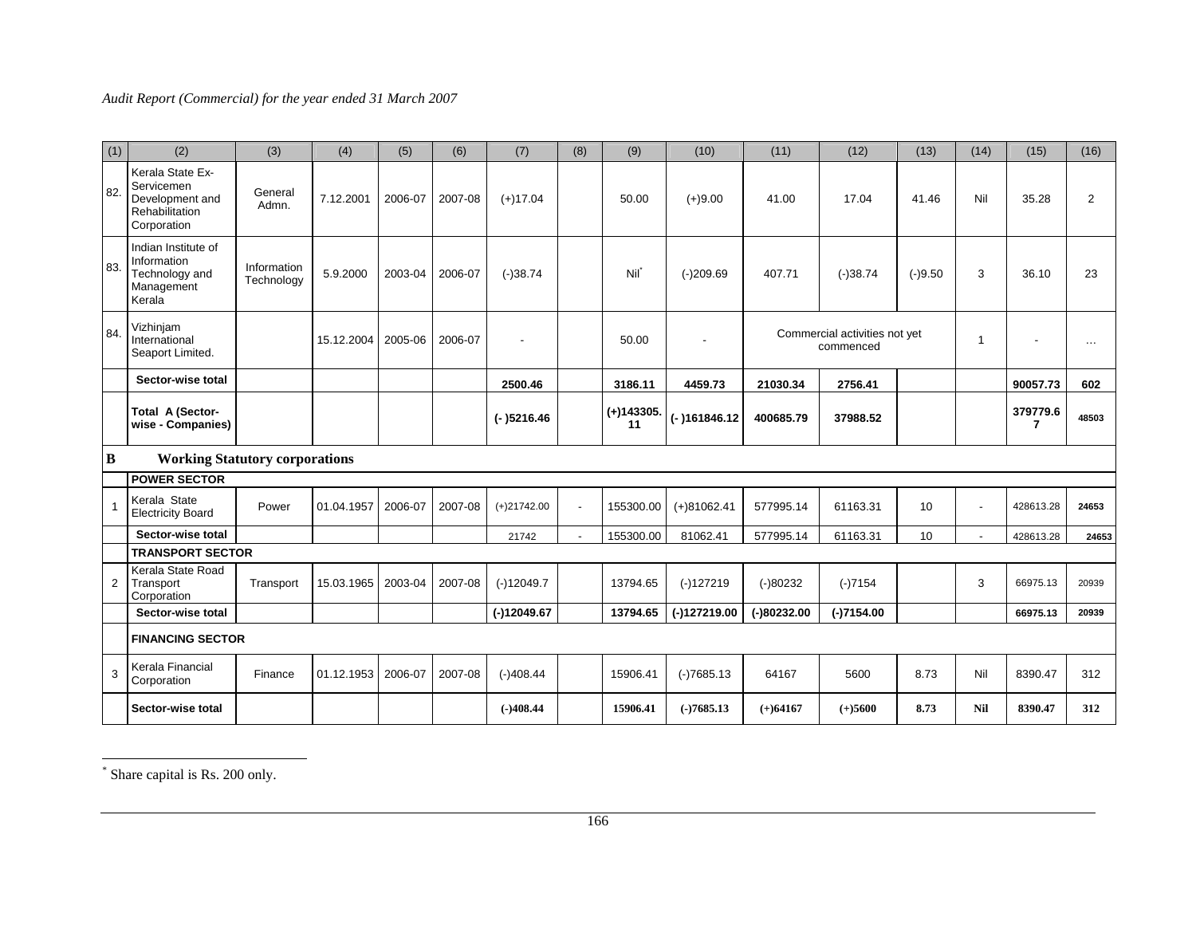| (1) | (2)                                                                                | (3)                       | (4)        | (5)     | (6)     | (7)           | (8)            | (9)                | (10)           | (11)          | (12)                                       | (13)      | (14) | (15)          | (16)           |
|-----|------------------------------------------------------------------------------------|---------------------------|------------|---------|---------|---------------|----------------|--------------------|----------------|---------------|--------------------------------------------|-----------|------|---------------|----------------|
| 82. | Kerala State Ex-<br>Servicemen<br>Development and<br>Rehabilitation<br>Corporation | General<br>Admn.          | 7.12.2001  | 2006-07 | 2007-08 | $(+)17.04$    |                | 50.00              | $(+)9.00$      | 41.00         | 17.04                                      | 41.46     | Nil  | 35.28         | $\overline{2}$ |
| 83. | Indian Institute of<br>Information<br>Technology and<br>Management<br>Kerala       | Information<br>Technology | 5.9.2000   | 2003-04 | 2006-07 | $(-)38.74$    |                | Nil                | $(-)209.69$    | 407.71        | $(-)38.74$                                 | $(-)9.50$ | 3    | 36.10         | 23             |
| 84. | Vizhinjam<br>International<br>Seaport Limited.                                     |                           | 15.12.2004 | 2005-06 | 2006-07 |               |                | 50.00              | $\overline{a}$ |               | Commercial activities not yet<br>commenced |           | -1   |               | $\ldots$       |
|     | Sector-wise total                                                                  |                           |            |         |         | 2500.46       |                | 3186.11            | 4459.73        | 21030.34      | 2756.41                                    |           |      | 90057.73      | 602            |
|     | Total A (Sector-<br>wise - Companies)                                              |                           |            |         |         | $(-)5216.46$  |                | $(+)143305.$<br>11 | (-)161846.12   | 400685.79     | 37988.52                                   |           |      | 379779.6<br>7 | 48503          |
| B   | <b>Working Statutory corporations</b>                                              |                           |            |         |         |               |                |                    |                |               |                                            |           |      |               |                |
|     | <b>POWER SECTOR</b>                                                                |                           |            |         |         |               |                |                    |                |               |                                            |           |      |               |                |
| 1   | Kerala State<br><b>Electricity Board</b>                                           | Power                     | 01.04.1957 | 2006-07 | 2007-08 | $(+)21742.00$ | $\blacksquare$ | 155300.00          | $(+)81062.41$  | 577995.14     | 61163.31                                   | 10        |      | 428613.28     | 24653          |
|     | Sector-wise total                                                                  |                           |            |         |         | 21742         |                | 155300.00          | 81062.41       | 577995.14     | 61163.31                                   | 10        |      | 428613.28     | 24653          |
|     | <b>TRANSPORT SECTOR</b>                                                            |                           |            |         |         |               |                |                    |                |               |                                            |           |      |               |                |
| 2   | Kerala State Road<br>Transport<br>Corporation                                      | Transport                 | 15.03.1965 | 2003-04 | 2007-08 | $(-)12049.7$  |                | 13794.65           | $(-)127219$    | $(-)80232$    | $(-)7154$                                  |           | 3    | 66975.13      | 20939          |
|     | Sector-wise total                                                                  |                           |            |         |         | $(-)12049.67$ |                | 13794.65           | (-)127219.00   | $(-)80232.00$ | $(-)7154.00$                               |           |      | 66975.13      | 20939          |
|     | <b>FINANCING SECTOR</b>                                                            |                           |            |         |         |               |                |                    |                |               |                                            |           |      |               |                |
| 3   | Kerala Financial<br>Corporation                                                    | Finance                   | 01.12.1953 | 2006-07 | 2007-08 | $(-)408.44$   |                | 15906.41           | $(-)7685.13$   | 64167         | 5600                                       | 8.73      | Nil  | 8390.47       | 312            |
|     | Sector-wise total                                                                  |                           |            |         |         | $(-)408.44$   |                | 15906.41           | $(-)7685.13$   | $(+)64167$    | $(+)5600$                                  | 8.73      | Nil  | 8390.47       | 312            |

\* Share capital is Rs. 200 only.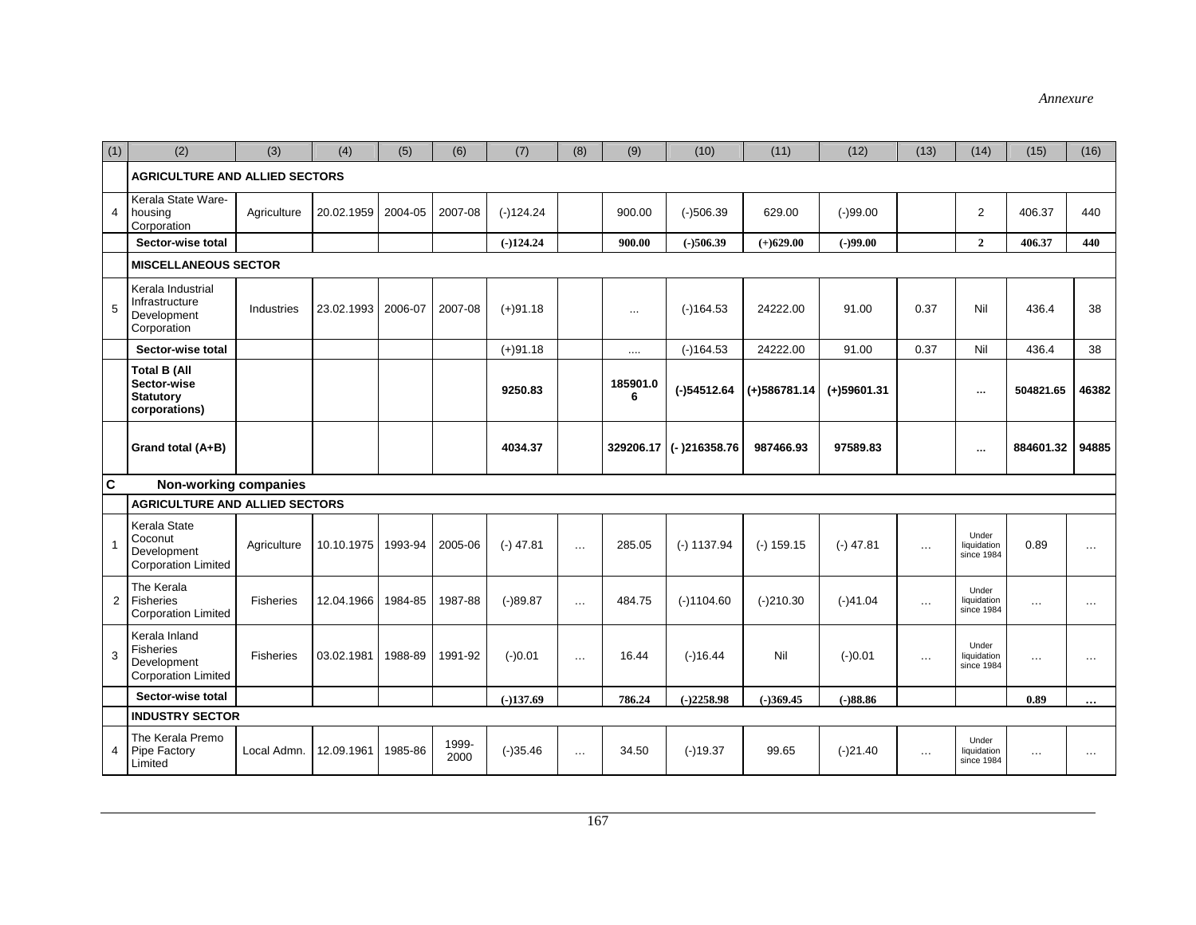| (1)            | (2)                                                                     | (3)         | (4)        | (5)     | (6)           | (7)         | (8)           | (9)           | (10)           | (11)           | (12)          | (13)     | (14)                               | (15)      | (16)          |
|----------------|-------------------------------------------------------------------------|-------------|------------|---------|---------------|-------------|---------------|---------------|----------------|----------------|---------------|----------|------------------------------------|-----------|---------------|
|                | <b>AGRICULTURE AND ALLIED SECTORS</b>                                   |             |            |         |               |             |               |               |                |                |               |          |                                    |           |               |
| $\overline{4}$ | Kerala State Ware-<br>housing<br>Corporation                            | Agriculture | 20.02.1959 | 2004-05 | 2007-08       | $(-)124.24$ |               | 900.00        | $(-)506.39$    | 629.00         | $(-)99.00$    |          | $\overline{2}$                     | 406.37    | 440           |
|                | Sector-wise total                                                       |             |            |         |               | $(-)124.24$ |               | 900.00        | $(-)506.39$    | $(+)629.00$    | $(-)99.00$    |          | $\mathbf{2}$                       | 406.37    | 440           |
|                | <b>MISCELLANEOUS SECTOR</b>                                             |             |            |         |               |             |               |               |                |                |               |          |                                    |           |               |
| 5              | Kerala Industrial<br>Infrastructure<br>Development<br>Corporation       | Industries  | 23.02.1993 | 2006-07 | 2007-08       | $(+)91.18$  |               | $\ldots$      | $(-)164.53$    | 24222.00       | 91.00         | 0.37     | Nil                                | 436.4     | 38            |
|                | Sector-wise total                                                       |             |            |         |               | $(+)91.18$  |               | $\cdots$      | $(-)164.53$    | 24222.00       | 91.00         | 0.37     | Nil                                | 436.4     | 38            |
|                | <b>Total B (All</b><br>Sector-wise<br><b>Statutory</b><br>corporations) |             |            |         |               | 9250.83     |               | 185901.0<br>6 | $(-)54512.64$  | $(+)586781.14$ | $(+)59601.31$ |          | $\cdots$                           | 504821.65 | 46382         |
|                | Grand total (A+B)                                                       |             |            |         |               | 4034.37     |               | 329206.17     | $(-)216358.76$ | 987466.93      | 97589.83      |          | $\cdots$                           | 884601.32 | 94885         |
| $\overline{c}$ | Non-working companies                                                   |             |            |         |               |             |               |               |                |                |               |          |                                    |           |               |
|                | <b>AGRICULTURE AND ALLIED SECTORS</b>                                   |             |            |         |               |             |               |               |                |                |               |          |                                    |           |               |
| 1              | Kerala State<br>Coconut<br>Development<br><b>Corporation Limited</b>    | Agriculture | 10.10.1975 | 1993-94 | 2005-06       | $(-)$ 47.81 | $\cdots$      | 285.05        | $(-) 1137.94$  | $(-) 159.15$   | $(-)$ 47.81   | $\cdots$ | Under<br>liquidation<br>since 1984 | 0.89      | $\cdots$      |
| $\overline{2}$ | The Kerala<br>Fisheries<br><b>Corporation Limited</b>                   | Fisheries   | 12.04.1966 | 1984-85 | 1987-88       | $(-)89.87$  | $\ldots$      | 484.75        | $(-)1104.60$   | $(-)210.30$    | $(-)41.04$    | $\cdots$ | Under<br>liquidation<br>since 1984 | $\cdots$  | $\cdots$      |
| 3              | Kerala Inland<br>Fisheries<br>Development<br><b>Corporation Limited</b> | Fisheries   | 03.02.1981 | 1988-89 | 1991-92       | $(-)0.01$   | $\sim$ $\sim$ | 16.44         | $(-)16.44$     | Nil            | $(-)0.01$     | $\cdots$ | Under<br>liquidation<br>since 1984 | $\cdots$  | $\sim$ $\sim$ |
|                | Sector-wise total                                                       |             |            |         |               | $(-)137.69$ |               | 786.24        | $(-)2258.98$   | $(-)369.45$    | $(-)88.86$    |          |                                    | 0.89      | $\cdots$      |
|                | <b>INDUSTRY SECTOR</b>                                                  |             |            |         |               |             |               |               |                |                |               |          |                                    |           |               |
| 4              | The Kerala Premo<br>Pipe Factory<br>Limited                             | Local Admn. | 12.09.1961 | 1985-86 | 1999-<br>2000 | $(-)35.46$  | $\cdots$      | 34.50         | $(-)19.37$     | 99.65          | $(-)21.40$    | $\cdots$ | Under<br>liquidation<br>since 1984 | $\cdots$  | $\cdots$      |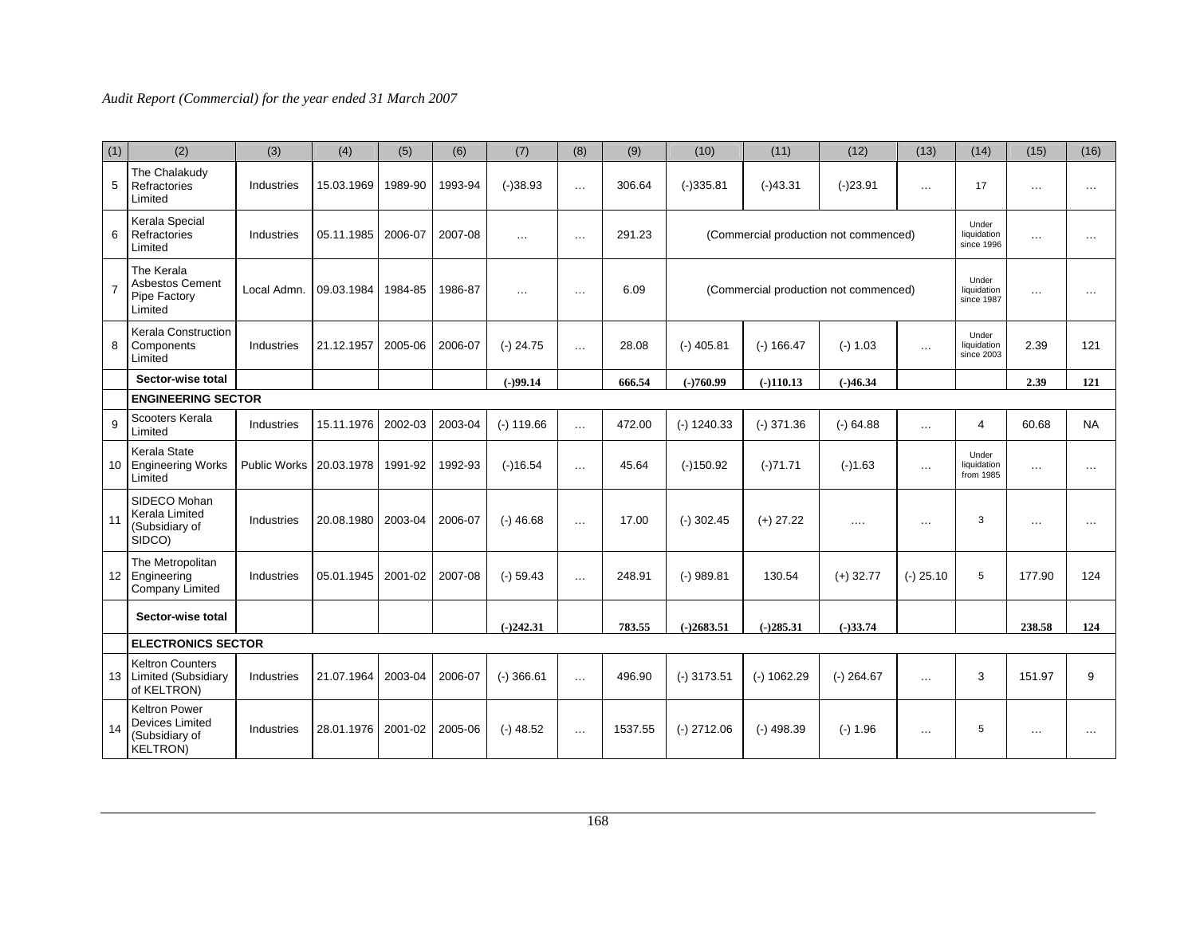| (1) | (2)                                                                           | (3)                 | (4)        | (5)     | (6)     | (7)          | (8)      | (9)     | (10)          | (11)          | (12)                                  | (13)        | (14)                               | (15)     | (16)      |
|-----|-------------------------------------------------------------------------------|---------------------|------------|---------|---------|--------------|----------|---------|---------------|---------------|---------------------------------------|-------------|------------------------------------|----------|-----------|
| 5   | The Chalakudy<br>Refractories<br>Limited                                      | Industries          | 15.03.1969 | 1989-90 | 1993-94 | $(-)38.93$   | $\cdots$ | 306.64  | $(-)335.81$   | $(-)43.31$    | $(-)23.91$                            | $\cdots$    | 17                                 | $\cdots$ | $\cdots$  |
| 6   | Kerala Special<br>Refractories<br>Limited                                     | Industries          | 05.11.1985 | 2006-07 | 2007-08 | $\ddotsc$    | $\cdots$ | 291.23  |               |               | (Commercial production not commenced) |             | Under<br>liquidation<br>since 1996 | .        | $\cdots$  |
| 7   | The Kerala<br>Asbestos Cement<br>Pipe Factory<br>Limited                      | Local Admn.         | 09.03.1984 | 1984-85 | 1986-87 | $\cdots$     | $\cdots$ | 6.09    |               |               | (Commercial production not commenced) |             | Under<br>liquidation<br>since 1987 | $\cdots$ | $\cdots$  |
| 8   | <b>Kerala Construction</b><br>Components<br>Limited                           | Industries          | 21.12.1957 | 2005-06 | 2006-07 | $(-)$ 24.75  | $\ldots$ | 28.08   | $(-)$ 405.81  | $(-) 166.47$  | $(-) 1.03$                            | $\cdots$    | Under<br>liquidation<br>since 2003 | 2.39     | 121       |
|     | Sector-wise total                                                             |                     |            |         |         | $(-)99.14$   |          | 666.54  | $(-)760.99$   | $(-)110.13$   | $(-)46.34$                            |             |                                    | 2.39     | 121       |
|     | <b>ENGINEERING SECTOR</b>                                                     |                     |            |         |         |              |          |         |               |               |                                       |             |                                    |          |           |
| 9   | Scooters Kerala<br>Limited                                                    | Industries          | 15.11.1976 | 2002-03 | 2003-04 | $(-) 119.66$ | $\sim$   | 472.00  | $(-)$ 1240.33 | $(-)$ 371.36  | $(-)$ 64.88                           | $\cdots$    | 4                                  | 60.68    | <b>NA</b> |
|     | Kerala State<br>10 Engineering Works<br>Limited                               | <b>Public Works</b> | 20.03.1978 | 1991-92 | 1992-93 | $(-)16.54$   | $\cdots$ | 45.64   | $(-)150.92$   | $(-)71.71$    | $(-)1.63$                             | $\cdots$    | Under<br>liquidation<br>from 1985  | $\cdots$ | $\cdots$  |
| 11  | SIDECO Mohan<br><b>Kerala Limited</b><br>(Subsidiary of<br>SIDCO)             | Industries          | 20.08.1980 | 2003-04 | 2006-07 | $(-)$ 46.68  | $\cdots$ | 17.00   | $(-)$ 302.45  | $(+)$ 27.22   | $\cdots$                              | $\cdots$    | 3                                  | $\cdots$ | $\cdots$  |
|     | The Metropolitan<br>12 Engineering<br>Company Limited                         | Industries          | 05.01.1945 | 2001-02 | 2007-08 | $(-) 59.43$  | $\cdots$ | 248.91  | $(-)$ 989.81  | 130.54        | $(+)$ 32.77                           | $(-)$ 25.10 | 5                                  | 177.90   | 124       |
|     | Sector-wise total                                                             |                     |            |         |         | $(-)242.31$  |          | 783.55  | $(-)2683.51$  | $(-)285.31$   | $(-)33.74$                            |             |                                    | 238.58   | 124       |
|     | <b>ELECTRONICS SECTOR</b>                                                     |                     |            |         |         |              |          |         |               |               |                                       |             |                                    |          |           |
|     | <b>Keltron Counters</b><br>13   Limited (Subsidiary<br>of KELTRON)            | Industries          | 21.07.1964 | 2003-04 | 2006-07 | $(-)366.61$  | $\cdots$ | 496.90  | $(-)$ 3173.51 | $(-) 1062.29$ | $(-)$ 264.67                          | $\cdots$    | 3                                  | 151.97   | 9         |
| 14  | Keltron Power<br><b>Devices Limited</b><br>(Subsidiary of<br><b>KELTRON</b> ) | Industries          | 28.01.1976 | 2001-02 | 2005-06 | $(-)$ 48.52  | $\cdots$ | 1537.55 | $(-)$ 2712.06 | $(-)$ 498.39  | $(-) 1.96$                            | $\cdots$    | 5                                  | $\cdots$ | .         |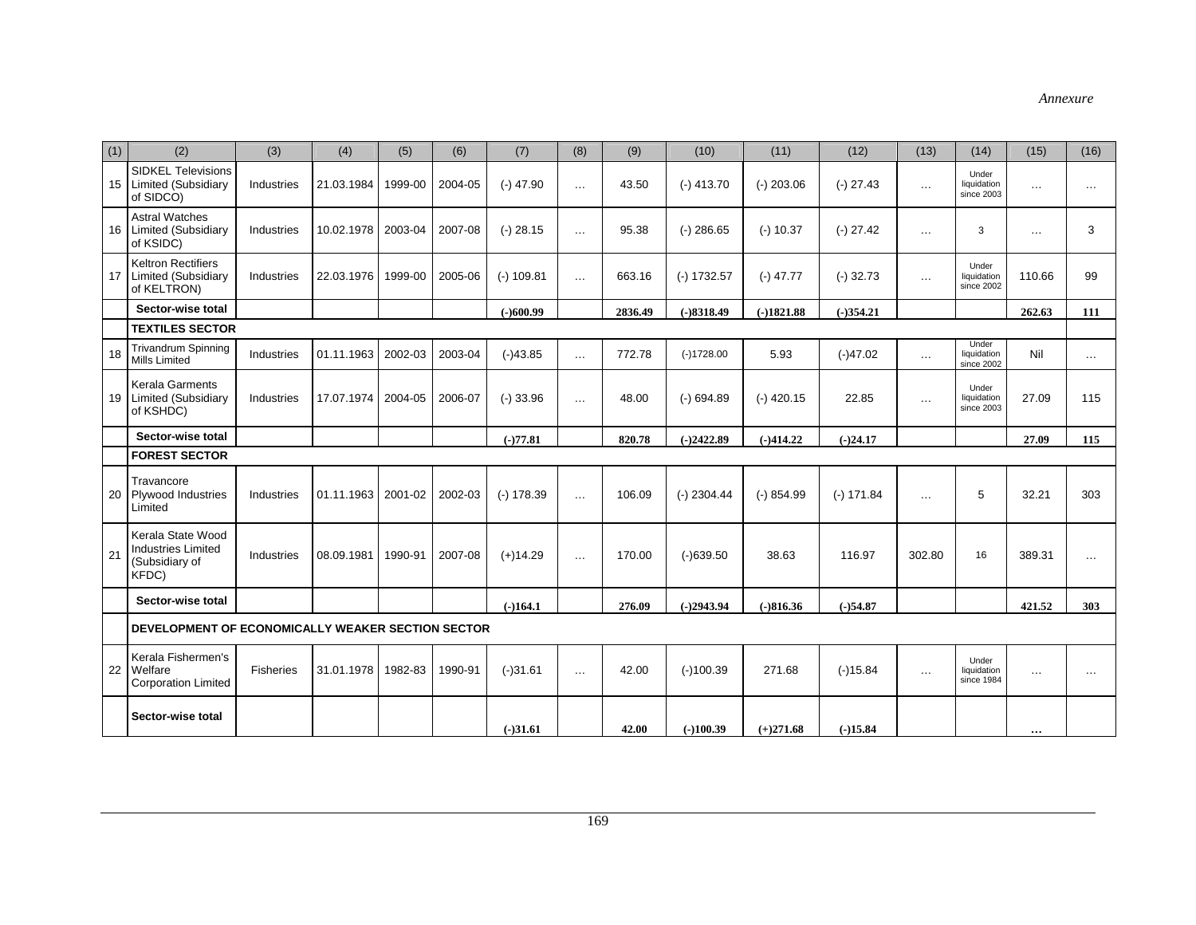| (1) | (2)                                                                       | (3)              | (4)        | (5)     | (6)     | (7)          | (8)      | (9)     | (10)          | (11)         | (12)         | (13)     | (14)                               | (15)     | (16)     |
|-----|---------------------------------------------------------------------------|------------------|------------|---------|---------|--------------|----------|---------|---------------|--------------|--------------|----------|------------------------------------|----------|----------|
|     | <b>SIDKEL Televisions</b><br>15 Limited (Subsidiary<br>of SIDCO)          | Industries       | 21.03.1984 | 1999-00 | 2004-05 | $(-)$ 47.90  | $\cdots$ | 43.50   | $(-)$ 413.70  | $(-)$ 203.06 | $(-)$ 27.43  | $\cdots$ | Under<br>liquidation<br>since 2003 | $\cdots$ | $\cdots$ |
|     | <b>Astral Watches</b><br>16 Limited (Subsidiary<br>of KSIDC)              | Industries       | 10.02.1978 | 2003-04 | 2007-08 | $(-)$ 28.15  | $\cdots$ | 95.38   | $(-)$ 286.65  | $(-)$ 10.37  | $(-)$ 27.42  | $\cdots$ | 3                                  | $\cdots$ | 3        |
| 17  | <b>Keltron Rectifiers</b><br>Limited (Subsidiary<br>of KELTRON)           | Industries       | 22.03.1976 | 1999-00 | 2005-06 | $(-) 109.81$ | $\ldots$ | 663.16  | $(-) 1732.57$ | $(-)$ 47.77  | $(-)$ 32.73  | $\cdots$ | Under<br>liquidation<br>since 2002 | 110.66   | 99       |
|     | Sector-wise total                                                         |                  |            |         |         | $(-)600.99$  |          | 2836.49 | $(-)8318.49$  | $(-)1821.88$ | $(-)354.21$  |          |                                    | 262.63   | 111      |
|     | <b>TEXTILES SECTOR</b>                                                    |                  |            |         |         |              |          |         |               |              |              |          |                                    |          |          |
| 18  | <b>Trivandrum Spinning</b><br>Mills Limited                               | Industries       | 01.11.1963 | 2002-03 | 2003-04 | $(-)43.85$   | $\cdots$ | 772.78  | $(-)1728.00$  | 5.93         | $(-)47.02$   | $\cdots$ | Under<br>liquidation<br>since 2002 | Nil      | $\cdots$ |
|     | Kerala Garments<br>19 Limited (Subsidiary<br>of KSHDC)                    | Industries       | 17.07.1974 | 2004-05 | 2006-07 | $(-)$ 33.96  | $\cdots$ | 48.00   | $(-)$ 694.89  | $(-)$ 420.15 | 22.85        | $\cdots$ | Under<br>liquidation<br>since 2003 | 27.09    | 115      |
|     | Sector-wise total                                                         |                  |            |         |         | $(-)77.81$   |          | 820.78  | $(-)2422.89$  | $(-)414.22$  | $(-)24.17$   |          |                                    | 27.09    | 115      |
|     | <b>FOREST SECTOR</b>                                                      |                  |            |         |         |              |          |         |               |              |              |          |                                    |          |          |
| 20  | Travancore<br>Plywood Industries<br>Limited                               | Industries       | 01.11.1963 | 2001-02 | 2002-03 | $(-) 178.39$ | $\cdots$ | 106.09  | $(-)$ 2304.44 | $(-) 854.99$ | $(-) 171.84$ | $\cdots$ | 5                                  | 32.21    | 303      |
| 21  | Kerala State Wood<br><b>Industries Limited</b><br>(Subsidiary of<br>KFDC) | Industries       | 08.09.1981 | 1990-91 | 2007-08 | $(+)14.29$   | $\cdots$ | 170.00  | $(-)639.50$   | 38.63        | 116.97       | 302.80   | 16                                 | 389.31   | $\cdots$ |
|     | Sector-wise total                                                         |                  |            |         |         | $(-164.1)$   |          | 276.09  | $(-)2943.94$  | $(-)816.36$  | $(-)54.87$   |          |                                    | 421.52   | 303      |
|     | DEVELOPMENT OF ECONOMICALLY WEAKER SECTION SECTOR                         |                  |            |         |         |              |          |         |               |              |              |          |                                    |          |          |
|     | Kerala Fishermen's<br>22 Welfare<br><b>Corporation Limited</b>            | <b>Fisheries</b> | 31.01.1978 | 1982-83 | 1990-91 | $(-)31.61$   | $\cdots$ | 42.00   | $(-)100.39$   | 271.68       | $(-)15.84$   | $\cdots$ | Under<br>liquidation<br>since 1984 | $\ldots$ | $\cdots$ |
|     | Sector-wise total                                                         |                  |            |         |         | $(-)31.61$   |          | 42.00   | $(-100.39)$   | $(+)271.68$  | $(-)15.84$   |          |                                    | $\cdots$ |          |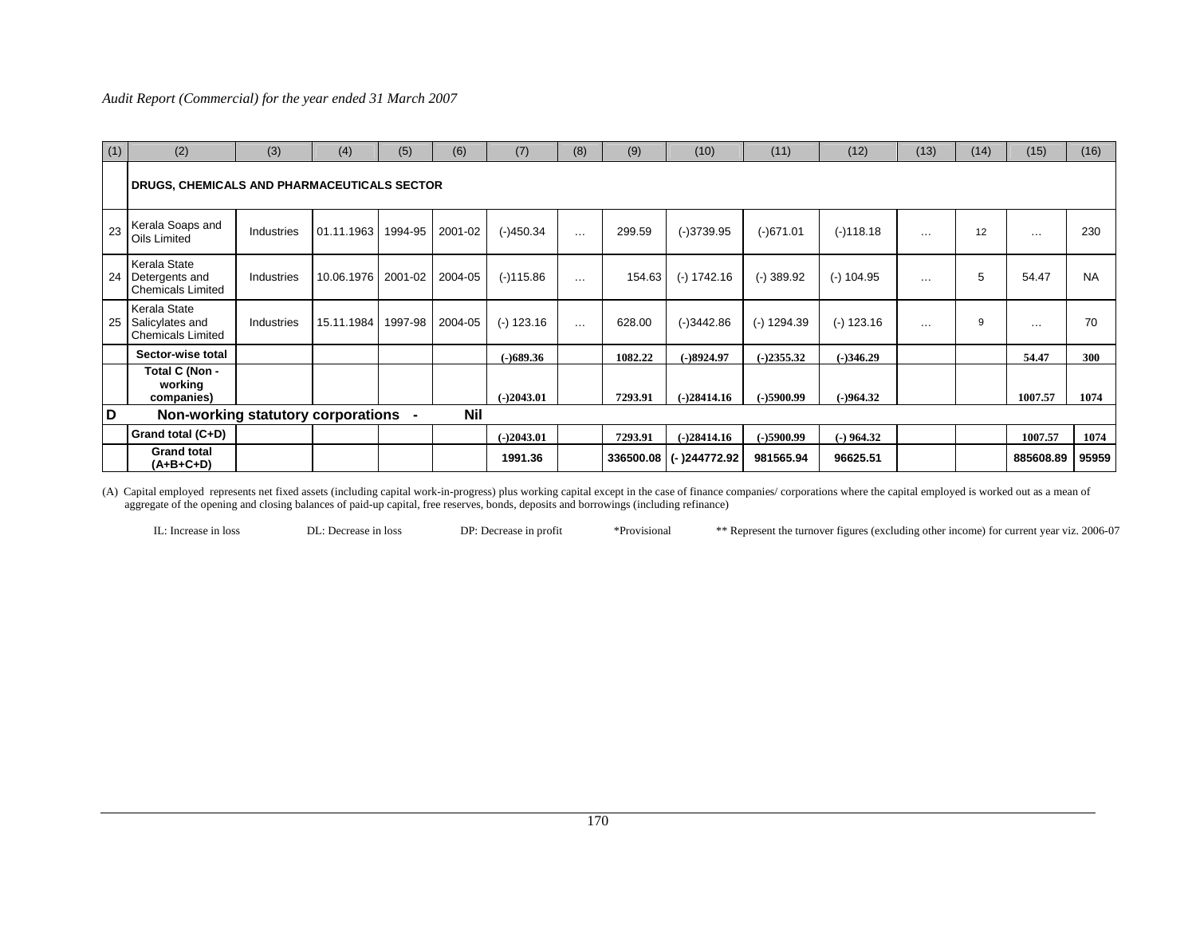| (1) | (2)                                                              | (3)        | (4)                  | (5)            | (6)        | (7)          | (8)                  | (9)       | (10)          | (11)         | (12)         | (13)     | (14) | (15)      | (16)      |
|-----|------------------------------------------------------------------|------------|----------------------|----------------|------------|--------------|----------------------|-----------|---------------|--------------|--------------|----------|------|-----------|-----------|
|     | DRUGS, CHEMICALS AND PHARMACEUTICALS SECTOR_                     |            |                      |                |            |              |                      |           |               |              |              |          |      |           |           |
| 23  | Kerala Soaps and<br>Oils Limited                                 | Industries | 01.11.1963           | 1994-95        | 2001-02    | $(-)450.34$  | $\sim$ $\sim$        | 299.59    | $(-)3739.95$  | $(-)671.01$  | $(-)118.18$  | $\cdots$ | 12   | $\cdots$  | 230       |
|     | Kerala State<br>24 Detergents and<br><b>Chemicals Limited</b>    | Industries | 10.06.1976   2001-02 |                | 2004-05    | $(-)115.86$  | $\cdots$             | 154.63    | $(-) 1742.16$ | $(-)$ 389.92 | $(-)$ 104.95 | $\cdots$ | 5    | 54.47     | <b>NA</b> |
|     | Kerala State<br>25   Salicylates and<br><b>Chemicals Limited</b> | Industries | 15.11.1984           | 1997-98        | 2004-05    | $(-) 123.16$ | $\sim$ $\sim$ $\sim$ | 628.00    | $(-)3442.86$  | (-) 1294.39  | $(-)$ 123.16 | $\cdots$ | 9    | $\cdots$  | 70        |
|     | Sector-wise total                                                |            |                      |                |            | $(-)689.36$  |                      | 1082.22   | $(-)8924.97$  | $(-)2355.32$ | $(-)346.29$  |          |      | 54.47     | 300       |
|     | Total C (Non -<br>working<br>companies)                          |            |                      |                |            | $(-)2043.01$ |                      | 7293.91   | $(-)28414.16$ | $(-)5900.99$ | $(-)964.32$  |          |      | 1007.57   | 1074      |
| D   | Non-working statutory corporations                               |            |                      | $\blacksquare$ | <b>Nil</b> |              |                      |           |               |              |              |          |      |           |           |
|     | <b>Grand total (C+D)</b>                                         |            |                      |                |            | $(-)2043.01$ |                      | 7293.91   | $(-)28414.16$ | $(-)5900.99$ | $(-)$ 964.32 |          |      | 1007.57   | 1074      |
|     | <b>Grand total</b><br>$(A+B+C+D)$                                |            |                      |                |            | 1991.36      |                      | 336500.08 | (-)244772.92  | 981565.94    | 96625.51     |          |      | 885608.89 | 95959     |

(A) Capital employed represents net fixed assets (including capital work-in-progress) plus working capital except in the case of finance companies/ corporations where the capital employed is worked out as a mean of aggregate of the opening and closing balances of paid-up capital, free reserves, bonds, deposits and borrowings (including refinance)

IL: Increase in loss DL: Decrease in loss DP: Decrease in profit \*Provisional \*\* Represent the turnover figures (excluding other income) for current year viz. 2006-07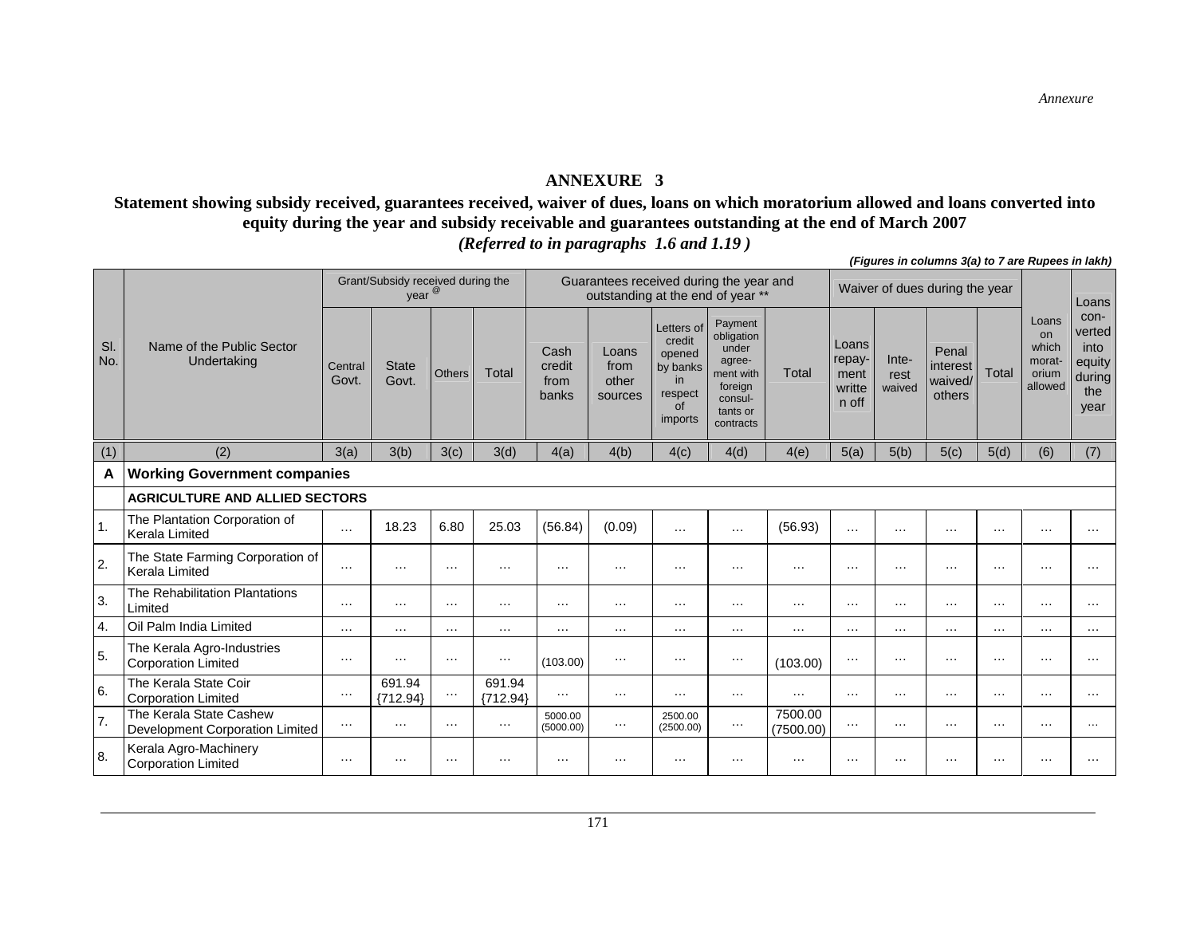#### **ANNEXURE 3**

**Statement showing subsidy received, guarantees received, waiver of dues, loans on which moratorium allowed and loans converted into equity during the year and subsidy receivable and guarantees outstanding at the end of March 2007**  *(Referred to in paragraphs 1.6 and 1.19 )*

|                |                                                            |                  |                                           |          |                      |                                 |                                                                              |                                                                              |                                                                                                      |                      |                                            |                         | (Figures in columns 3(a) to 7 are Rupees in fakil) |          |                                                    |                                                           |
|----------------|------------------------------------------------------------|------------------|-------------------------------------------|----------|----------------------|---------------------------------|------------------------------------------------------------------------------|------------------------------------------------------------------------------|------------------------------------------------------------------------------------------------------|----------------------|--------------------------------------------|-------------------------|----------------------------------------------------|----------|----------------------------------------------------|-----------------------------------------------------------|
|                |                                                            |                  | Grant/Subsidy received during the<br>year |          |                      |                                 | Guarantees received during the year and<br>outstanding at the end of year ** |                                                                              |                                                                                                      |                      |                                            |                         | Waiver of dues during the year                     |          |                                                    | Loans                                                     |
| SI.<br>No.     | Name of the Public Sector<br>Undertaking                   | Central<br>Govt. | <b>State</b><br>Govt.                     | Others   | Total                | Cash<br>credit<br>from<br>banks | Loans<br>from<br>other<br>sources                                            | Letters of<br>credit<br>opened<br>by banks<br>in<br>respect<br>of<br>imports | Payment<br>obligation<br>under<br>agree-<br>ment with<br>foreign<br>consul-<br>tants or<br>contracts | Total                | Loans<br>repay-<br>ment<br>writte<br>n off | Inte-<br>rest<br>waived | Penal<br>interest<br>waived/<br>others             | Total    | Loans<br>on<br>which<br>morat-<br>orium<br>allowed | con-<br>verted<br>into<br>equity<br>during<br>the<br>year |
| (1)            | (2)                                                        | 3(a)             | 3(b)                                      | 3(c)     | 3(d)                 | 4(a)                            | 4(b)                                                                         | 4(c)                                                                         | 4(d)                                                                                                 | 4(e)                 | 5(a)                                       | 5(b)                    | 5(c)                                               | 5(d)     | (6)                                                | (7)                                                       |
| A              | <b>Working Government companies</b>                        |                  |                                           |          |                      |                                 |                                                                              |                                                                              |                                                                                                      |                      |                                            |                         |                                                    |          |                                                    |                                                           |
|                | <b>AGRICULTURE AND ALLIED SECTORS</b>                      |                  |                                           |          |                      |                                 |                                                                              |                                                                              |                                                                                                      |                      |                                            |                         |                                                    |          |                                                    |                                                           |
| 1.             | The Plantation Corporation of<br>Kerala Limited            | $\cdots$         | 18.23                                     | 6.80     | 25.03                | (56.84)                         | (0.09)                                                                       | $\cdots$                                                                     | $\cdots$                                                                                             | (56.93)              | $\cdots$                                   | $\cdots$                | $\cdots$                                           | $\cdots$ | $\cdots$                                           | $\cdots$                                                  |
| $\overline{2}$ | The State Farming Corporation of<br>Kerala Limited         | $\cdots$         | $\ldots$                                  | $\cdots$ | $\cdots$             | $\cdots$                        | $\cdots$                                                                     | $\cdots$                                                                     | $\cdots$                                                                                             | $\cdots$             | .                                          | $\cdots$                | $\cdots$                                           | $\cdots$ | $\cdots$                                           | $\cdots$                                                  |
| 3.             | The Rehabilitation Plantations<br>Limited                  | $\cdots$         | $\cdots$                                  | $\cdots$ | $\cdots$             | $\cdots$                        | $\cdots$                                                                     | $\cdots$                                                                     | $\cdots$                                                                                             | $\cdots$             | $\cdots$                                   | $\cdots$                | $\cdots$                                           | $\cdots$ | $\cdots$                                           | $\cdots$                                                  |
| 4.             | Oil Palm India Limited                                     | $\cdots$         | $\cdots$                                  | $\cdots$ | $\cdots$             | $\cdots$                        | $\cdots$                                                                     | $\cdots$                                                                     | $\cdots$                                                                                             | $\cdots$             | $\cdots$                                   | $\cdots$                | $\cdots$                                           | $\cdots$ | $\cdots$                                           | $\cdots$                                                  |
| 5.             | The Kerala Agro-Industries<br><b>Corporation Limited</b>   | $\cdots$         | $\cdots$                                  | $\cdots$ | $\cdots$             | (103.00)                        | $\cdots$                                                                     | $\cdots$                                                                     | $\cdots$                                                                                             | (103.00)             | $\cdots$                                   | $\cdots$                |                                                    | $\cdots$ | $\ddotsc$                                          | $\cdots$                                                  |
| 6.             | The Kerala State Coir<br><b>Corporation Limited</b>        | $\cdots$         | 691.94<br>${712.94}$                      | $\cdots$ | 691.94<br>${712.94}$ | $\cdots$                        | $\cdots$                                                                     | $\ldots$                                                                     | $\cdots$                                                                                             | $\cdots$             | $\cdots$                                   | $\cdots$                | $\cdots$                                           | $\cdots$ | $\cdots$                                           | $\cdots$                                                  |
| 7.             | The Kerala State Cashew<br>Development Corporation Limited | $\cdots$         | $\ldots$                                  | $\cdots$ | $\cdots$             | 5000.00<br>(5000.00)            | $\cdots$                                                                     | 2500.00<br>(2500.00)                                                         | $\ldots$                                                                                             | 7500.00<br>(7500.00) | $\cdots$                                   | $\cdots$                | $\cdots$                                           | $\cdots$ | $\cdots$                                           | $\sim$ $\sim$                                             |
| 8.             | Kerala Agro-Machinery<br><b>Corporation Limited</b>        | $\cdots$         | $\cdots$                                  | $\cdots$ | $\cdots$             | $\cdots$                        | $\cdots$                                                                     | $\cdots$                                                                     | $\cdots$                                                                                             | $\cdots$             | $\cdots$                                   | .                       | $\cdots$                                           | $\cdots$ | $\cdots$                                           | $\cdots$                                                  |

*(Figures in columns 3(a) to 7 are Rupees in lakh)*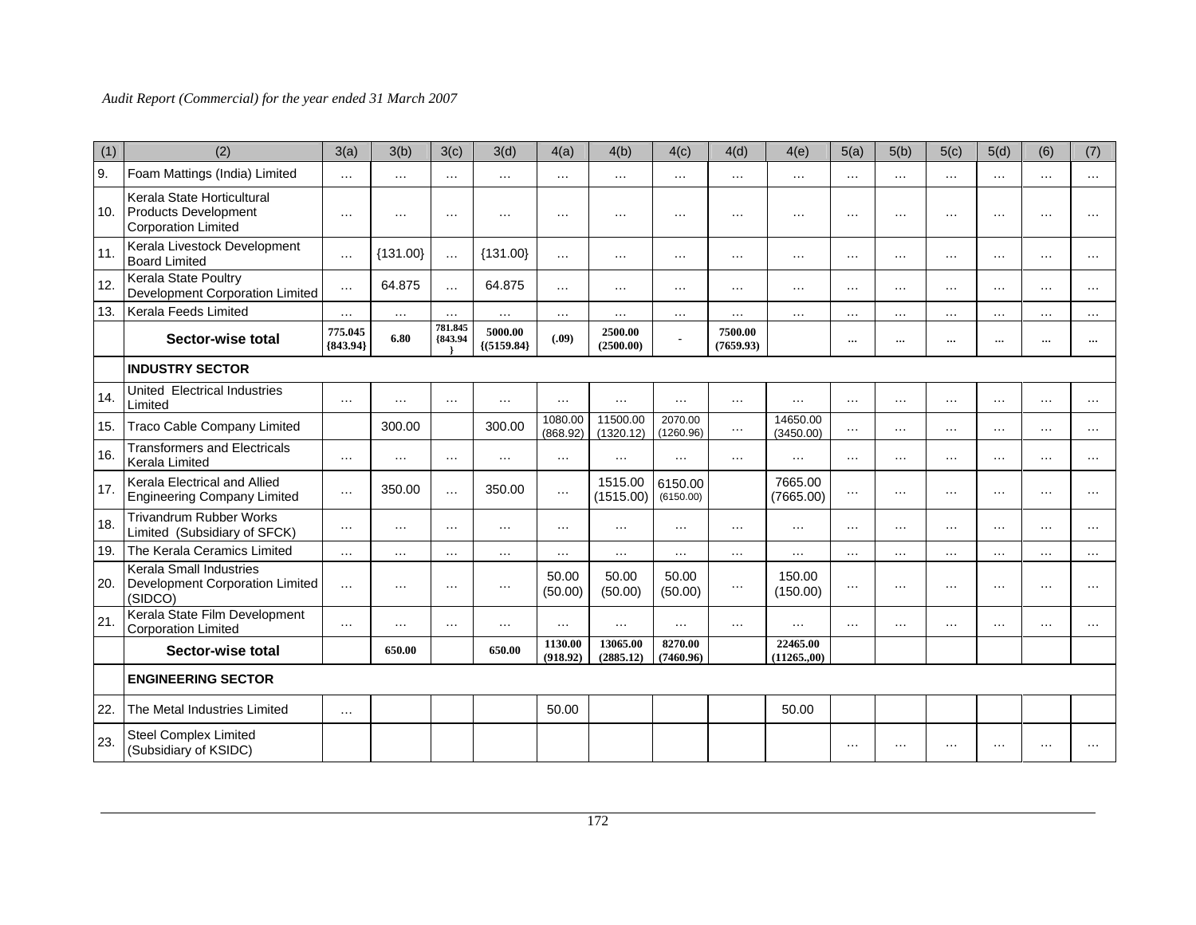| (1) | (2)                                                                              | 3(a)                  | 3(b)       | 3(c)               | 3(d)                     | 4(a)                | 4(b)                  | 4(c)                 | 4(d)                 | 4(e)                    | 5(a)      | 5(b)     | 5(c)      | 5(d)      | (6)               | (7)      |
|-----|----------------------------------------------------------------------------------|-----------------------|------------|--------------------|--------------------------|---------------------|-----------------------|----------------------|----------------------|-------------------------|-----------|----------|-----------|-----------|-------------------|----------|
| 9.  | Foam Mattings (India) Limited                                                    | $\cdots$              | $\cdots$   | $\cdots$           | $\cdots$                 | $\cdots$            | $\cdots$              | $\cdots$             | $\cdots$             | $\cdots$                | $\cdots$  | $\cdots$ | $\cdots$  | $\cdots$  | $\cdots$          | $\cdots$ |
| 10. | Kerala State Horticultural<br>Products Development<br><b>Corporation Limited</b> | $\cdots$              | $\cdots$   | $\cdots$           | $\cdots$                 | $\cdots$            | $\cdots$              | $\cdots$             | .                    | $\cdots$                | $\cdot$   | .        | .         | $\cdots$  | $\cdot$           | $\cdots$ |
| 11. | Kerala Livestock Development<br><b>Board Limited</b>                             | $\cdots$              | ${131.00}$ | $\cdots$           | ${131.00}$               | $\cdots$            | $\cdots$              | $\cdots$             | $\cdots$             | $\cdots$                | $\cdots$  | $\cdots$ | .         | $\cdots$  | $\cdots$          | $\cdots$ |
| 12. | Kerala State Poultry<br>Development Corporation Limited                          | $\cdots$              | 64.875     | $\cdots$           | 64.875                   | $\cdots$            | $\cdots$              | $\cdots$             | $\cdots$             | $\cdots$                | $\cdots$  | $\cdots$ | $\cdots$  | $\cdots$  | $\cdots$          | $\cdots$ |
| 13. | Kerala Feeds Limited                                                             | $\cdots$              | $\cdots$   | $\cdots$           | $\cdots$                 | $\ldots$            | $\cdots$              | $\cdots$             | $\cdots$             | $\cdots$                | $\cdots$  | $\cdots$ | $\cdots$  | $\cdots$  | $\cdots$          | $\cdots$ |
|     | Sector-wise total                                                                | 775.045<br>${843.94}$ | 6.80       | 781.845<br>{843.94 | 5000.00<br>${(5159.84)}$ | (.09)               | 2500.00<br>(2500.00)  |                      | 7500.00<br>(7659.93) |                         | $\cdots$  | $\cdots$ |           | $\cdots$  | $\cdots$          | $\cdots$ |
|     | <b>INDUSTRY SECTOR</b>                                                           |                       |            |                    |                          |                     |                       |                      |                      |                         |           |          |           |           |                   |          |
| 14. | United Electrical Industries<br>Limited                                          | $\cdots$              | $\cdots$   | $\cdots$           | $\cdots$                 | $\cdots$            | $\cdots$              | $\cdots$             | $\cdots$             | $\cdots$                | $\cdots$  | $\cdots$ | .         | $\cdots$  | $\cdots$          | $\cdots$ |
| 15. | <b>Traco Cable Company Limited</b>                                               |                       | 300.00     |                    | 300.00                   | 1080.00<br>(868.92) | 11500.00<br>(1320.12) | 2070.00<br>(1260.96) | $\cdots$             | 14650.00<br>(3450.00)   | $\cdots$  | $\cdots$ | $\cdots$  | $\cdots$  | $\cdots$          | $\cdots$ |
| 16. | <b>Transformers and Electricals</b><br>Kerala Limited                            | $\cdots$              | $\cdots$   | $\ldots$           | $\cdots$                 | $\cdots$            | $\cdots$              | $\cdots$             | $\cdots$             | $\cdots$                | $\cdots$  | $\cdots$ | $\cdots$  | $\cdots$  | $\cdots$          | $\cdots$ |
| 17. | Kerala Electrical and Allied<br><b>Engineering Company Limited</b>               | $\cdots$              | 350.00     | $\cdots$           | 350.00                   | $\cdots$            | 1515.00<br>(1515.00)  | 6150.00<br>(6150.00) |                      | 7665.00<br>(7665.00)    | $\ddotsc$ | $\cdots$ | .         | $\cdots$  | $\cdots$          | $\cdots$ |
| 18. | <b>Trivandrum Rubber Works</b><br>Limited (Subsidiary of SFCK)                   | $\cdots$              | $\cdots$   | $\cdots$           | $\cdots$                 | $\cdots$            | $\cdots$              | $\cdots$             | $\cdots$             | $\cdots$                | $\ddotsc$ | $\cdots$ | $\cdots$  | $\cdots$  | $\cdots$          | $\cdots$ |
| 19. | The Kerala Ceramics Limited                                                      | $\cdots$              | $\cdots$   | $\cdots$           | $\cdots$                 | $\cdots$            | $\cdots$              | $\cdots$             | $\cdots$             | $\cdots$                | $\cdots$  | $\cdots$ | $\cdots$  | $\cdots$  | $\ldots$          | $\cdots$ |
| 20. | <b>Kerala Small Industries</b><br>Development Corporation Limited<br>(SIDCO)     | $\cdots$              | $\cdots$   | $\cdots$           | $\cdots$                 | 50.00<br>(50.00)    | 50.00<br>(50.00)      | 50.00<br>(50.00)     | $\cdots$             | 150.00<br>(150.00)      | $\cdots$  | $\cdots$ | $\cdots$  | $\cdots$  | $\cdot\cdot\cdot$ | $\cdots$ |
| 21. | Kerala State Film Development<br><b>Corporation Limited</b>                      | $\cdots$              | $\cdots$   | $\ldots$           | $\cdots$                 | $\cdots$            | $\cdots$              | $\cdots$             | $\cdots$             | $\cdots$                | $\cdots$  | $\cdots$ | $\cdots$  | $\cdots$  | $\cdots$          | $\cdots$ |
|     | Sector-wise total                                                                |                       | 650.00     |                    | 650.00                   | 1130.00<br>(918.92) | 13065.00<br>(2885.12) | 8270.00<br>(7460.96) |                      | 22465.00<br>(11265, 00) |           |          |           |           |                   |          |
|     | <b>ENGINEERING SECTOR</b>                                                        |                       |            |                    |                          |                     |                       |                      |                      |                         |           |          |           |           |                   |          |
| 22. | The Metal Industries Limited                                                     | $\cdots$              |            |                    |                          | 50.00               |                       |                      |                      | 50.00                   |           |          |           |           |                   |          |
| 23. | <b>Steel Complex Limited</b><br>(Subsidiary of KSIDC)                            |                       |            |                    |                          |                     |                       |                      |                      |                         | $\cdots$  |          | $\ddotsc$ | $\ddotsc$ | $\cdots$          |          |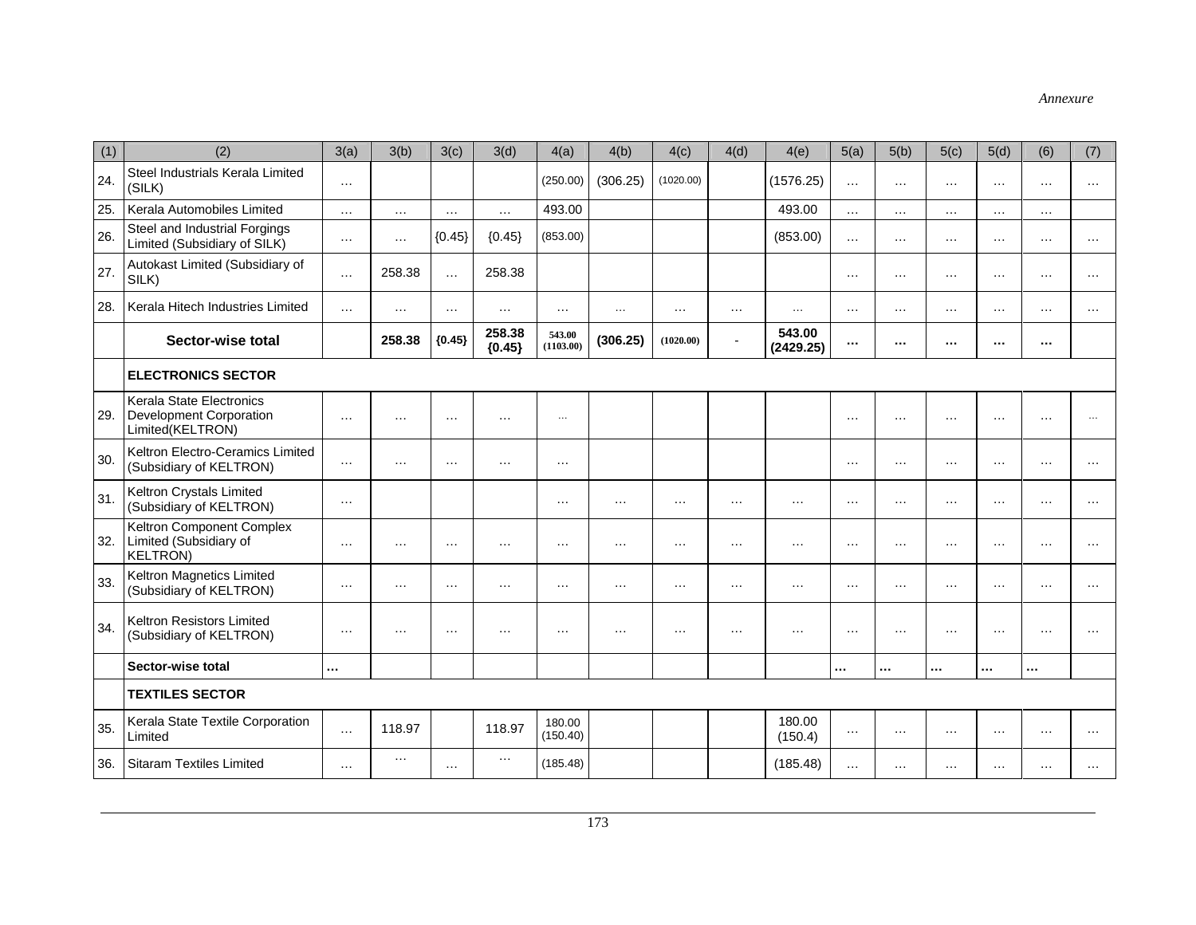| (1) | (2)                                                                            | 3(a)     | 3(b)     | 3(c)     | 3(d)               | 4(a)                | 4(b)     | 4(c)      | 4(d)     | 4(e)                | 5(a)     | 5(b)     | 5(c)     | 5(d)     | (6)      | (7)      |
|-----|--------------------------------------------------------------------------------|----------|----------|----------|--------------------|---------------------|----------|-----------|----------|---------------------|----------|----------|----------|----------|----------|----------|
| 24. | Steel Industrials Kerala Limited<br>(SILK)                                     | $\cdots$ |          |          |                    | (250.00)            | (306.25) | (1020.00) |          | (1576.25)           | $\cdots$ | $\cdots$ | $\cdots$ | $\cdots$ | $\cdots$ | $\cdots$ |
| 25. | Kerala Automobiles Limited                                                     | $\ldots$ | $\ldots$ | $\cdots$ | $\cdots$           | 493.00              |          |           |          | 493.00              | $\cdots$ | $\cdots$ | $\cdots$ | $\cdots$ | $\ldots$ |          |
| 26. | Steel and Industrial Forgings<br>Limited (Subsidiary of SILK)                  | $\ldots$ | $\cdots$ | ${0.45}$ | ${0.45}$           | (853.00)            |          |           |          | (853.00)            | $\cdots$ | $\cdots$ | $\cdots$ | $\cdots$ | $\cdots$ | $\cdots$ |
| 27. | Autokast Limited (Subsidiary of<br>SILK)                                       | $\ldots$ | 258.38   | $\cdots$ | 258.38             |                     |          |           |          |                     | $\cdots$ | $\cdots$ | $\cdots$ | $\sim$   | $\cdots$ | $\cdots$ |
| 28. | Kerala Hitech Industries Limited                                               | $\cdots$ | $\cdots$ | $\cdots$ | $\cdots$           | $\cdots$            | $\ldots$ | $\cdots$  | $\cdots$ | $\cdots$            | $\cdots$ | .        | $\cdots$ | $\cdots$ | $\cdots$ | .        |
|     | Sector-wise total                                                              |          | 258.38   | ${0.45}$ | 258.38<br>${0.45}$ | 543.00<br>(1103.00) | (306.25) | (1020.00) |          | 543.00<br>(2429.25) | $\cdots$ |          | $\cdots$ | $\cdots$ | $\cdots$ |          |
|     | <b>ELECTRONICS SECTOR</b>                                                      |          |          |          |                    |                     |          |           |          |                     |          |          |          |          |          |          |
| 29. | Kerala State Electronics<br><b>Development Corporation</b><br>Limited(KELTRON) | $\cdots$ | $\cdots$ | $\cdots$ | $\cdots$           | $\cdots$            |          |           |          |                     | $\cdots$ | $\cdots$ | .        | $\cdots$ | $\cdots$ | $\cdots$ |
| 30. | Keltron Electro-Ceramics Limited<br>(Subsidiary of KELTRON)                    | $\ldots$ | $\cdots$ | $\cdots$ | $\cdots$           | $\cdots$            |          |           |          |                     | $\cdots$ | $\cdots$ | $\cdots$ | $\cdots$ | $\cdots$ | $\cdots$ |
| 31. | Keltron Crystals Limited<br>(Subsidiary of KELTRON)                            | $\cdots$ |          |          |                    | $\cdots$            | $\ldots$ | $\cdots$  | $\cdots$ | $\cdots$            | $\cdots$ | $\cdots$ | .        | $\cdots$ | $\cdots$ | $\cdots$ |
| 32. | Keltron Component Complex<br>Limited (Subsidiary of<br><b>KELTRON)</b>         | $\cdots$ | $\cdots$ | $\ldots$ | $\cdots$           | $\cdots$            | $\cdots$ | $\cdots$  | $\cdots$ | $\cdots$            | $\cdots$ | $\cdots$ | $\cdots$ | $\cdots$ | $\cdots$ | $\cdots$ |
| 33. | Keltron Magnetics Limited<br>(Subsidiary of KELTRON)                           | $\ldots$ | $\cdots$ | $\cdots$ | $\cdots$           | $\cdots$            | $\cdots$ | $\cdots$  | $\cdots$ | $\cdots$            | $\cdots$ | $\cdots$ | $\cdots$ | $\cdots$ | $\cdots$ | $\cdots$ |
| 34. | Keltron Resistors Limited<br>(Subsidiary of KELTRON)                           | $\cdots$ | $\cdots$ | $\cdots$ | $\cdots$           | $\cdots$            | $\cdot$  | $\cdots$  | $\cdots$ | $\cdots$            | $\cdots$ | $\cdots$ | $\cdots$ | $\cdots$ | $\cdots$ | $\cdots$ |
|     | Sector-wise total                                                              |          |          |          |                    |                     |          |           |          |                     |          |          |          |          |          |          |
|     | <b>TEXTILES SECTOR</b>                                                         |          |          |          |                    |                     |          |           |          |                     |          |          |          |          |          |          |
| 35. | Kerala State Textile Corporation<br>Limited                                    | $\cdots$ | 118.97   |          | 118.97             | 180.00<br>(150.40)  |          |           |          | 180.00<br>(150.4)   | $\cdots$ | $\cdots$ | $\cdots$ | $\cdots$ | $\cdots$ | .        |
| 36. | <b>Sitaram Textiles Limited</b>                                                | $\cdots$ | $\cdots$ | $\cdots$ | $\cdots$           | (185.48)            |          |           |          | (185.48)            |          | .        | .        | $\cdots$ | $\cdots$ |          |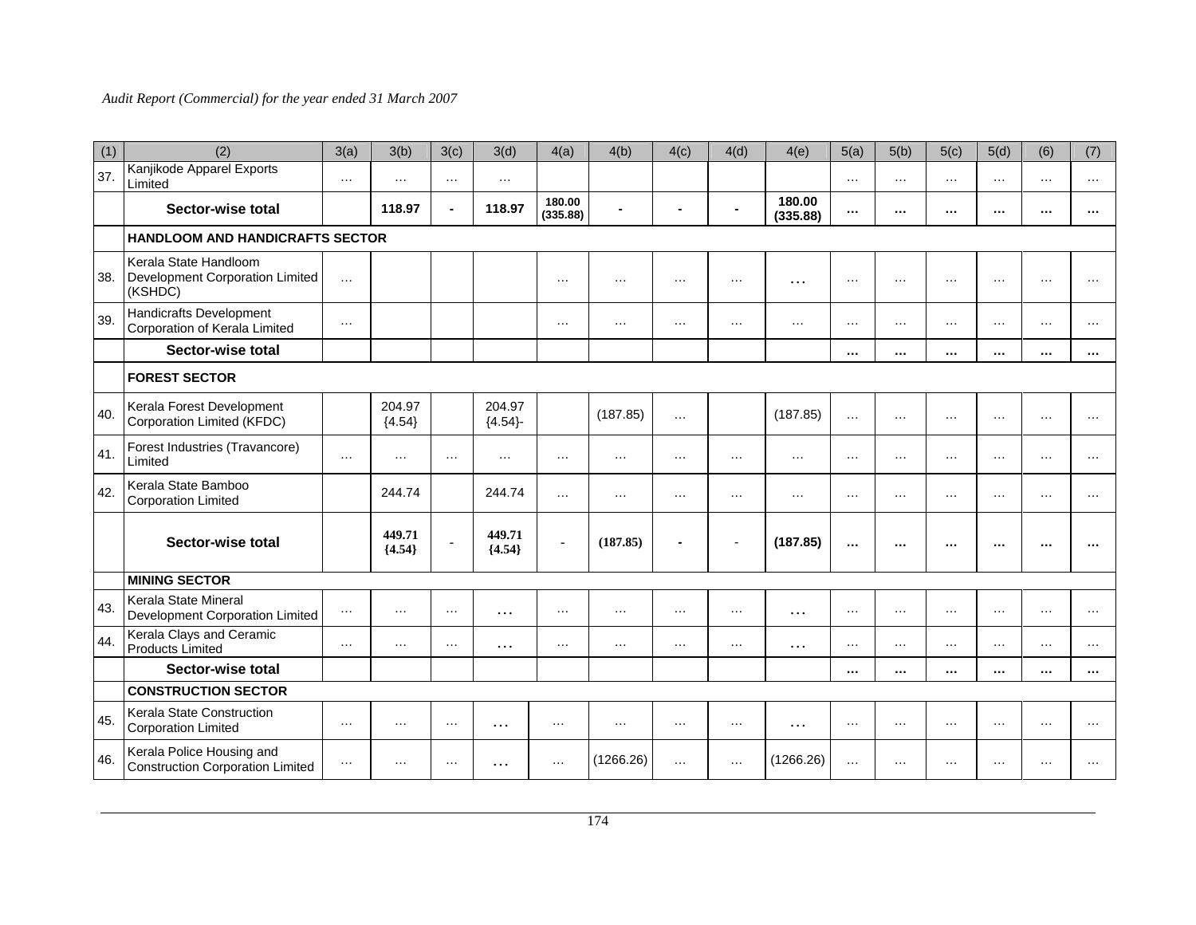| (1) | (2)                                                                  | 3(a)     | 3(b)               | 3(c)           | 3(d)               | 4(a)               | 4(b)      | 4(c)     | 4(d)           | 4(e)               | 5(a)     | 5(b)     | 5(c)     | 5(d)     | (6)      | (7)       |
|-----|----------------------------------------------------------------------|----------|--------------------|----------------|--------------------|--------------------|-----------|----------|----------------|--------------------|----------|----------|----------|----------|----------|-----------|
| 37. | Kanjikode Apparel Exports<br>Limited                                 | $\cdots$ | $\cdots$           | $\sim$ $\sim$  | $\cdots$           |                    |           |          |                |                    | $\cdots$ | $\cdots$ | $\cdots$ | $\cdots$ | $\cdots$ | $\cdots$  |
|     | Sector-wise total                                                    |          | 118.97             | ä,             | 118.97             | 180.00<br>(335.88) |           |          | $\blacksquare$ | 180.00<br>(335.88) | $\cdots$ | $\cdots$ |          | $\cdots$ | $\cdots$ | $\cdots$  |
|     | <b>HANDLOOM AND HANDICRAFTS SECTOR</b>                               |          |                    |                |                    |                    |           |          |                |                    |          |          |          |          |          |           |
| 38. | Kerala State Handloom<br>Development Corporation Limited<br>(KSHDC)  | $\cdots$ |                    |                |                    | $\cdots$           | $\cdot$   | $\cdots$ | $\cdots$       | $\cdots$           | $\cdots$ | $\cdots$ | $\cdots$ | $\cdots$ | $\cdots$ | $\cdots$  |
| 39. | Handicrafts Development<br>Corporation of Kerala Limited             | $\cdots$ |                    |                |                    | $\cdots$           | $\cdots$  | $\cdots$ | $\cdots$       | $\cdots$           | $\cdots$ | $\cdots$ | .        | $\cdots$ | $\cdots$ | $\ddotsc$ |
|     | Sector-wise total                                                    |          |                    |                |                    |                    |           |          |                |                    | $\cdots$ |          | $\cdots$ | $\cdots$ | $\cdots$ | $\cdots$  |
|     | <b>FOREST SECTOR</b>                                                 |          |                    |                |                    |                    |           |          |                |                    |          |          |          |          |          |           |
| 40. | Kerala Forest Development<br>Corporation Limited (KFDC)              |          | 204.97<br>${4.54}$ |                | 204.97<br>${4.54}$ |                    | (187.85)  | $\cdots$ |                | (187.85)           | $\cdots$ | $\cdots$ | $\cdots$ | $\sim$   | $\cdots$ | $\cdots$  |
| 41. | Forest Industries (Travancore)<br>Limited                            | $\cdots$ | $\cdots$           | $\cdots$       | $\cdots$           | $\cdots$           | $\cdots$  | $\cdots$ | $\cdots$       | $\cdots$           | $\cdots$ | $\cdots$ | $\cdots$ | $\cdots$ | $\cdots$ | $\cdots$  |
| 42. | Kerala State Bamboo<br><b>Corporation Limited</b>                    |          | 244.74             |                | 244.74             | $\cdots$           | $\cdots$  | $\cdots$ | $\cdots$       | $\cdots$           | $\cdots$ | $\cdots$ | $\cdots$ | $\cdots$ | $\cdots$ | $\cdots$  |
|     | Sector-wise total                                                    |          | 449.71<br>${4.54}$ | $\blacksquare$ | 449.71<br>${4.54}$ | $\blacksquare$     | (187.85)  |          | L,             | (187.85)           |          | $\cdots$ | $\cdots$ | $\cdots$ | $\cdots$ |           |
|     | <b>MINING SECTOR</b>                                                 |          |                    |                |                    |                    |           |          |                |                    |          |          |          |          |          |           |
| 43. | Kerala State Mineral<br>Development Corporation Limited              | $\ldots$ | $\cdots$           | $\cdots$       | .                  | $\cdots$           | $\cdots$  | $\cdots$ | $\cdots$       | $\cdots$           | $\cdots$ | $\cdots$ | $\cdots$ | $\cdots$ | $\cdots$ | $\cdots$  |
| 44. | Kerala Clays and Ceramic<br><b>Products Limited</b>                  | $\cdots$ | $\cdots$           | $\cdots$       | .                  | $\cdots$           | $\cdots$  | $\cdots$ | $\cdots$       | $\cdots$           | $\cdots$ | $\cdots$ | $\cdots$ | $\cdots$ | $\cdots$ | $\cdots$  |
|     | Sector-wise total                                                    |          |                    |                |                    |                    |           |          |                |                    |          |          | $\cdots$ | $\cdots$ | $\cdots$ |           |
|     | <b>CONSTRUCTION SECTOR</b>                                           |          |                    |                |                    |                    |           |          |                |                    |          |          |          |          |          |           |
| 45. | Kerala State Construction<br><b>Corporation Limited</b>              | $\cdots$ | $\cdots$           | $\cdots$       | $\cdots$           | $\cdots$           | $\cdots$  | $\cdots$ | $\cdots$       | $\cdots$           | $\cdots$ | $\cdots$ | $\cdots$ | $\cdots$ | $\cdots$ | $\cdots$  |
| 46. | Kerala Police Housing and<br><b>Construction Corporation Limited</b> | $\ldots$ | $\cdots$           | $\cdots$       | .                  | $\cdots$           | (1266.26) | $\cdots$ | $\cdots$       | (1266.26)          | $\cdots$ | $\cdots$ | $\cdots$ | $\cdots$ | $\cdots$ |           |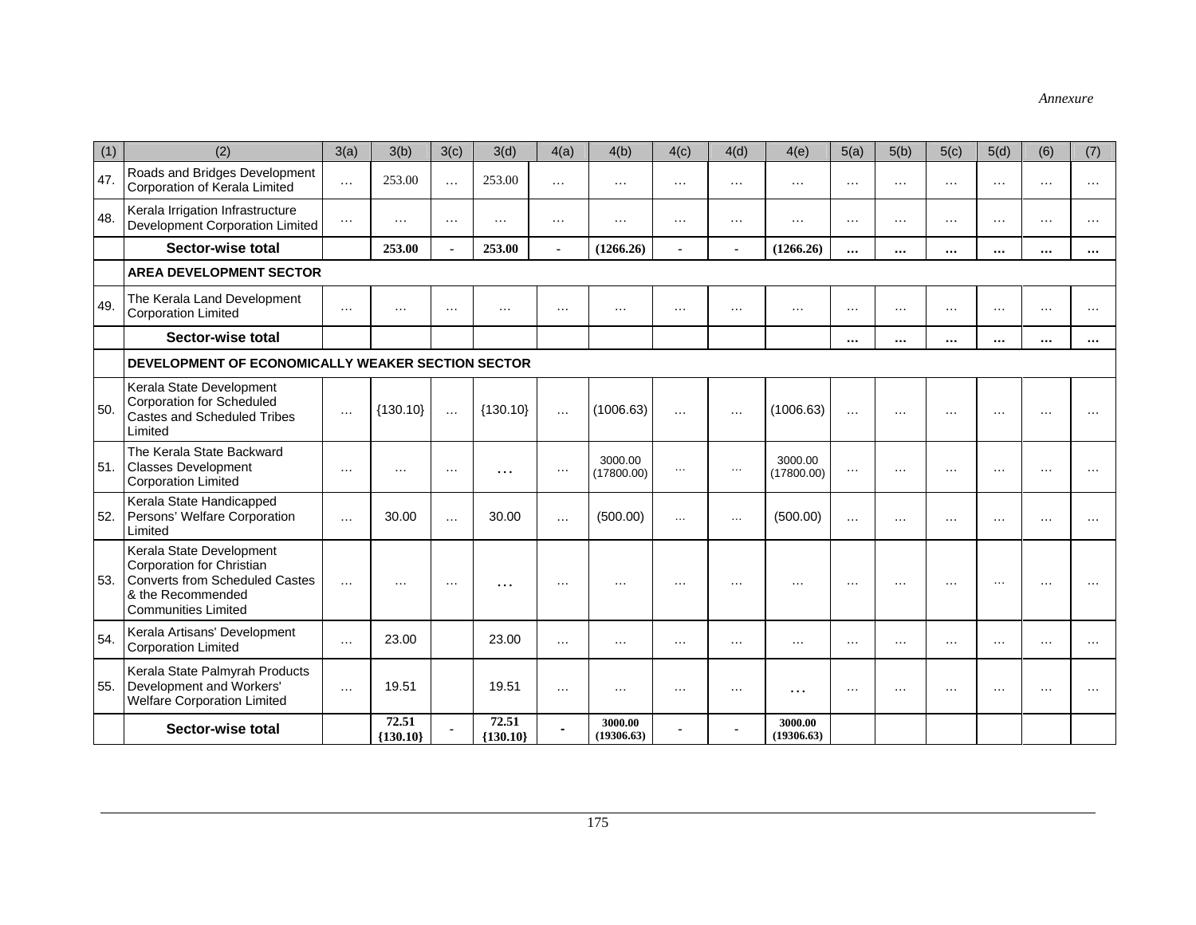| (1) | (2)                                                                                                                                               | 3(a)     | 3(b)                | 3(c)           | 3(d)                | 4(a)           | 4(b)                  | 4(c)     | 4(d)     | 4(e)                  | 5(a)     | 5(b)     | 5(c)     | 5(d)     | (6)      | (7)       |
|-----|---------------------------------------------------------------------------------------------------------------------------------------------------|----------|---------------------|----------------|---------------------|----------------|-----------------------|----------|----------|-----------------------|----------|----------|----------|----------|----------|-----------|
| 47. | Roads and Bridges Development<br>Corporation of Kerala Limited                                                                                    | $\ldots$ | 253.00              | $\ldots$       | 253.00              | $\ldots$       | $\ldots$              | $\ldots$ | $\cdots$ | $\ldots$              | $\cdots$ | $\cdots$ | $\ldots$ | $\ldots$ | $\ldots$ | $\cdots$  |
| 48. | Kerala Irrigation Infrastructure<br>Development Corporation Limited                                                                               | $\cdots$ | $\cdots$            | $\cdots$       | $\cdots$            | $\cdots$       | $\cdots$              | $\cdots$ | $\cdots$ | $\cdots$              | $\cdots$ | $\cdots$ | $\cdots$ | $\cdots$ | $\cdots$ | $\cdots$  |
|     | Sector-wise total                                                                                                                                 |          | 253.00              | $\overline{a}$ | 253.00              | $\blacksquare$ | (1266.26)             |          |          | (1266.26)             |          | $\cdots$ | $\cdots$ | $\cdots$ | $\cdots$ | $\cdots$  |
|     | <b>AREA DEVELOPMENT SECTOR</b>                                                                                                                    |          |                     |                |                     |                |                       |          |          |                       |          |          |          |          |          |           |
| 49. | The Kerala Land Development<br><b>Corporation Limited</b>                                                                                         | $\cdots$ | $\cdots$            | $\cdots$       | $\cdots$            | $\cdots$       | $\cdots$              | $\cdots$ | $\cdots$ | $\cdots$              | $\cdots$ | $\cdots$ | $\cdots$ | $\cdots$ | $\cdots$ | $\cdots$  |
|     | Sector-wise total                                                                                                                                 |          |                     |                |                     |                |                       |          |          |                       | $\cdots$ | $\cdots$ | $\cdots$ | $\cdots$ | $\cdots$ | $\cdots$  |
|     | DEVELOPMENT OF ECONOMICALLY WEAKER SECTION SECTOR                                                                                                 |          |                     |                |                     |                |                       |          |          |                       |          |          |          |          |          |           |
| 50. | Kerala State Development<br><b>Corporation for Scheduled</b><br>Castes and Scheduled Tribes<br>Limited                                            | $\cdots$ | ${130.10}$          | $\ldots$       | ${130.10}$          | $\cdots$       | (1006.63)             | $\cdots$ | $\cdots$ | (1006.63)             | $\cdots$ | $\cdots$ | $\cdots$ | $\cdots$ | $\cdots$ |           |
| 51. | The Kerala State Backward<br><b>Classes Development</b><br><b>Corporation Limited</b>                                                             | $\cdots$ | $\cdots$            | $\cdots$       | $\cdots$            | $\ldots$       | 3000.00<br>(17800.00) | $\cdots$ | $\ldots$ | 3000.00<br>(17800.00) | $\cdots$ | $\cdots$ | $\cdots$ | $\cdots$ | $\cdots$ | .         |
| 52. | Kerala State Handicapped<br>Persons' Welfare Corporation<br>Limited                                                                               | $\cdots$ | 30.00               | $\cdots$       | 30.00               | $\ldots$       | (500.00)              | $\cdots$ | $\ldots$ | (500.00)              | $\cdots$ | $\cdots$ | .        | $\cdots$ | $\cdot$  | $\cdots$  |
| 53. | Kerala State Development<br>Corporation for Christian<br><b>Converts from Scheduled Castes</b><br>& the Recommended<br><b>Communities Limited</b> | $\cdots$ | $\cdots$            | $\cdots$       | $\cdots$            | $\cdots$       | $\cdot \cdot$         | $\cdots$ | $\cdots$ | $\cdots$              | $\cdots$ | $\cdots$ | $\cdots$ | $\cdots$ | $\cdots$ |           |
| 54. | Kerala Artisans' Development<br><b>Corporation Limited</b>                                                                                        | $\cdots$ | 23.00               |                | 23.00               | $\cdots$       | $\cdots$              | .        | $\cdots$ | $\cdots$              | $\cdots$ | $\cdots$ | .        | $\cdots$ | $\cdots$ | $\cdots$  |
| 55. | Kerala State Palmyrah Products<br>Development and Workers'<br><b>Welfare Corporation Limited</b>                                                  | $\cdots$ | 19.51               |                | 19.51               | $\cdots$       | $\cdots$              |          | $\cdots$ | .                     | $\cdots$ | $\cdots$ | .        | $\cdots$ | $\cdots$ | $\ddotsc$ |
|     | Sector-wise total                                                                                                                                 |          | 72.51<br>${130.10}$ |                | 72.51<br>${130.10}$ | ä,             | 3000.00<br>(19306.63) |          |          | 3000.00<br>(19306.63) |          |          |          |          |          |           |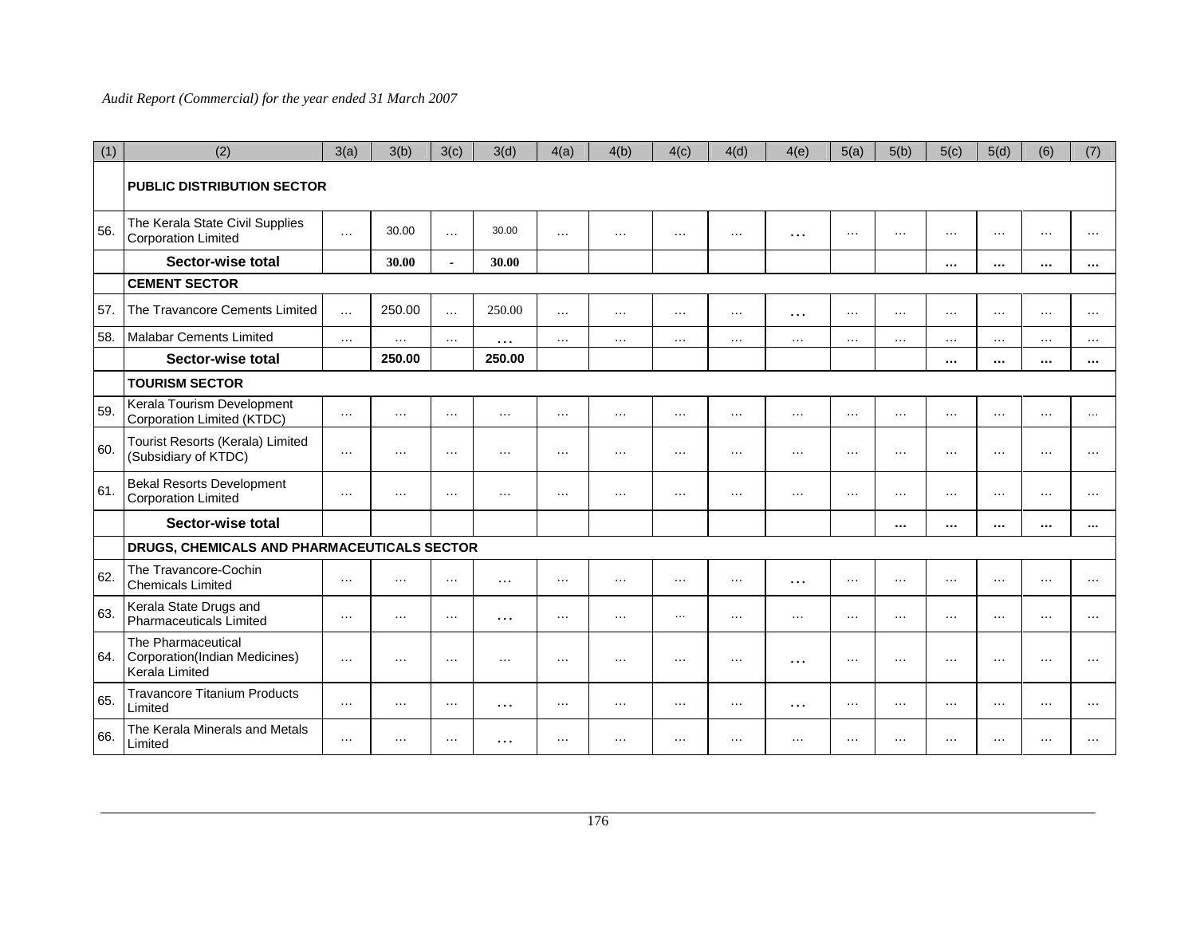| (1) | (2)                                                                   | 3(a)     | 3(b)     | 3(c)           | 3(d)     | 4(a)     | 4(b)     | 4(c)     | 4(d)     | 4(e)     | 5(a)     | 5(b)     | 5(c)     | 5(d)     | (6)      | (7)      |
|-----|-----------------------------------------------------------------------|----------|----------|----------------|----------|----------|----------|----------|----------|----------|----------|----------|----------|----------|----------|----------|
|     | <b>PUBLIC DISTRIBUTION SECTOR</b>                                     |          |          |                |          |          |          |          |          |          |          |          |          |          |          |          |
| 56. | The Kerala State Civil Supplies<br><b>Corporation Limited</b>         | $\cdots$ | 30.00    | $\cdots$       | 30.00    | $\cdots$ | $\cdots$ | $\cdots$ | $\cdots$ | $\cdots$ | $\cdots$ | $\cdots$ | $\cdots$ | $\cdots$ | $\cdots$ | $\cdots$ |
|     | Sector-wise total                                                     |          | 30.00    | $\blacksquare$ | 30.00    |          |          |          |          |          |          |          | $\cdots$ | $\cdots$ | $\cdots$ | $\cdots$ |
|     | <b>CEMENT SECTOR</b>                                                  |          |          |                |          |          |          |          |          |          |          |          |          |          |          |          |
| 57. | The Travancore Cements Limited                                        | $\cdots$ | 250.00   | $\cdots$       | 250.00   | $\cdots$ | $\cdots$ | $\cdots$ | $\cdots$ | $\cdots$ | $\cdots$ | $\cdots$ | $\cdots$ | $\cdots$ | $\cdots$ | $\cdots$ |
| 58. | <b>Malabar Cements Limited</b>                                        | $\cdots$ | $\cdots$ | $\cdots$       | $\cdots$ | $\cdots$ | $\cdots$ | $\cdots$ | $\cdots$ | $\cdots$ | $\cdots$ | $\cdots$ | $\cdots$ | $\cdots$ | $\cdots$ | $\cdots$ |
|     | Sector-wise total                                                     |          | 250.00   |                | 250.00   |          |          |          |          |          |          |          | $\cdots$ | $\cdots$ | $\cdots$ | $\cdots$ |
|     | <b>TOURISM SECTOR</b>                                                 |          |          |                |          |          |          |          |          |          |          |          |          |          |          |          |
| 59. | Kerala Tourism Development<br>Corporation Limited (KTDC)              | $\cdots$ | $\cdots$ | $\cdots$       | $\cdots$ | $\cdots$ | $\cdots$ | $\cdots$ | $\cdots$ | $\cdots$ | $\cdots$ | $\cdots$ | $\cdots$ | $\cdots$ | $\cdots$ | $\cdots$ |
| 60. | Tourist Resorts (Kerala) Limited<br>(Subsidiary of KTDC)              | $\cdots$ | $\cdots$ | $\cdots$       | $\cdots$ | $\cdots$ | $\cdots$ | $\cdots$ | $\cdots$ | $\cdots$ | $\cdots$ | $\cdots$ | $\cdots$ | $\cdots$ | $\cdots$ | $\cdots$ |
| 61. | <b>Bekal Resorts Development</b><br><b>Corporation Limited</b>        | $\cdots$ | $\cdots$ | $\cdots$       | $\cdots$ | $\cdots$ | $\cdots$ | $\cdots$ | $\cdots$ | $\cdots$ | $\cdots$ | $\cdots$ | $\cdots$ | $\cdots$ | $\cdots$ | $\cdots$ |
|     | Sector-wise total                                                     |          |          |                |          |          |          |          |          |          |          | $\cdots$ | $\cdots$ | $\cdots$ | $\cdots$ | $\cdots$ |
|     | DRUGS, CHEMICALS AND PHARMACEUTICALS SECTOR                           |          |          |                |          |          |          |          |          |          |          |          |          |          |          |          |
| 62. | The Travancore-Cochin<br><b>Chemicals Limited</b>                     | $\cdots$ | $\cdots$ | $\cdots$       | $\ddots$ | $\cdots$ | $\cdots$ | $\cdots$ | $\cdots$ | $\cdots$ | $\cdots$ | $\cdots$ | $\cdots$ | $\cdots$ | $\cdots$ | $\cdots$ |
| 63. | Kerala State Drugs and<br>Pharmaceuticals Limited                     | $\cdots$ | $\cdots$ | $\ldots$       | $\cdots$ | $\cdots$ | $\cdots$ | $\cdots$ | $\cdots$ | $\cdots$ | $\cdots$ | $\cdots$ | $\cdots$ | $\cdots$ | $\cdots$ | $\cdots$ |
| 64. | The Pharmaceutical<br>Corporation(Indian Medicines)<br>Kerala Limited | $\cdots$ | $\cdots$ | $\cdots$       | $\cdots$ | $\cdots$ | $\cdots$ | $\cdots$ | $\cdots$ | $\cdots$ | $\cdots$ | $\cdots$ | $\cdots$ | $\cdots$ | $\cdots$ | $\cdots$ |
| 65. | <b>Travancore Titanium Products</b><br>Limited                        | $\cdots$ | $\cdots$ | $\cdots$       | $\cdots$ | $\cdots$ | $\cdots$ | $\cdots$ | $\cdots$ | $\cdots$ | $\cdots$ | $\cdots$ | $\cdots$ | $\cdots$ | $\cdots$ | $\cdots$ |
| 66. | The Kerala Minerals and Metals<br>Limited                             | $\cdots$ | $\cdots$ | $\cdots$       | $\cdots$ | $\cdots$ | $\cdots$ | $\cdots$ | $\cdots$ | $\cdots$ | $\cdots$ | $\cdots$ | $\cdots$ | $\cdots$ | $\cdots$ | .        |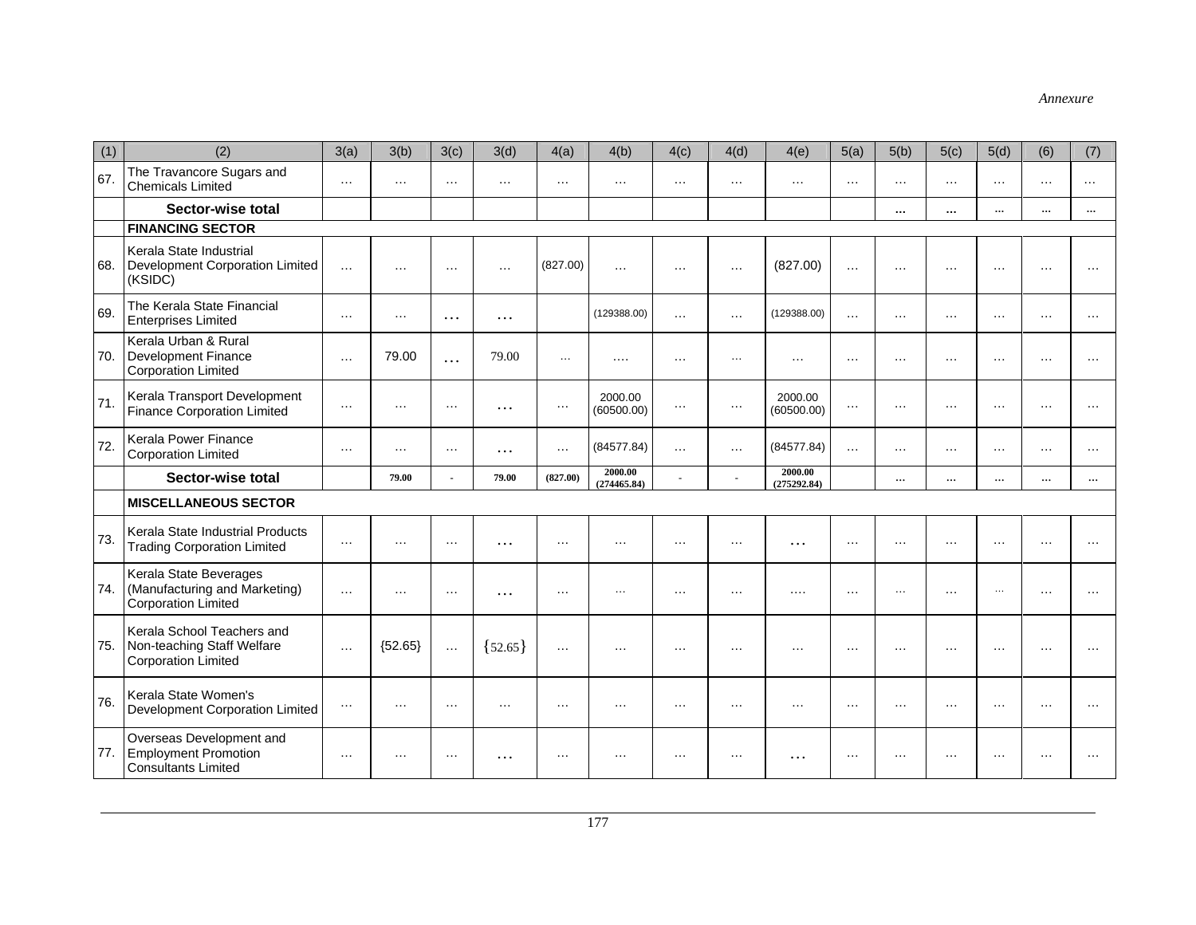| (1) | (2)                                                                                    | 3(a)     | 3(b)      | 3(c)           | 3(d)      | 4(a)     | 4(b)                   | 4(c)           | 4(d)     | 4(e)                   | 5(a)      | 5(b)     | 5(c)     | 5(d)     | (6)      | (7)       |
|-----|----------------------------------------------------------------------------------------|----------|-----------|----------------|-----------|----------|------------------------|----------------|----------|------------------------|-----------|----------|----------|----------|----------|-----------|
| 67. | The Travancore Sugars and<br><b>Chemicals Limited</b>                                  | $\cdots$ | $\cdots$  | $\cdots$       | $\cdots$  | $\cdots$ | $\cdots$               | $\cdots$       | $\cdots$ | $\cdots$               | $\cdots$  | $\cdots$ | $\cdots$ | $\cdots$ | $\cdots$ | $\cdots$  |
|     | Sector-wise total                                                                      |          |           |                |           |          |                        |                |          |                        |           | $\cdots$ | $\cdots$ | $\cdots$ | $\cdots$ | $\cdots$  |
|     | <b>FINANCING SECTOR</b>                                                                |          |           |                |           |          |                        |                |          |                        |           |          |          |          |          |           |
| 68. | Kerala State Industrial<br>Development Corporation Limited<br>(KSIDC)                  | $\cdots$ | $\cdots$  | $\cdots$       | $\cdots$  | (827.00) | $\cdots$               | $\cdots$       | $\cdots$ | (827.00)               | $\cdots$  | $\cdots$ | $\cdots$ | $\cdots$ | $\cdots$ | $\ddotsc$ |
| 69. | The Kerala State Financial<br><b>Enterprises Limited</b>                               | $\cdots$ | $\cdots$  | $\cdots$       | .         |          | (129388.00)            | $\ddotsc$      | $\cdots$ | (129388.00)            | $\cdots$  | $\cdots$ | $\cdots$ | $\cdots$ | $\cdots$ | $\cdots$  |
| 70. | Kerala Urban & Rural<br>Development Finance<br><b>Corporation Limited</b>              | $\cdots$ | 79.00     | $\ddotsc$      | 79.00     | $\ldots$ | $\cdots$               | $\cdots$       | $\cdots$ | $\cdots$               | $\cdots$  | $\cdots$ | $\cdots$ | $\cdots$ | $\cdots$ | $\cdots$  |
| 71. | Kerala Transport Development<br><b>Finance Corporation Limited</b>                     | $\cdots$ | $\cdots$  | $\cdots$       | $\cdots$  | $\ldots$ | 2000.00<br>(60500.00)  | $\cdots$       | $\ldots$ | 2000.00<br>(60500.00)  | $\cdots$  | $\cdots$ | $\cdots$ | $\cdots$ | $\cdots$ | $\cdots$  |
| 72. | Kerala Power Finance<br><b>Corporation Limited</b>                                     | $\cdots$ | $\cdots$  | $\cdots$       | $\cdots$  | $\cdots$ | (84577.84)             | $\cdots$       | $\cdots$ | (84577.84)             | $\cdots$  | $\cdots$ | $\cdots$ | $\cdots$ | $\cdots$ | $\cdots$  |
|     | Sector-wise total                                                                      |          | 79.00     | $\overline{a}$ | 79.00     | (827.00) | 2000.00<br>(274465.84) | $\blacksquare$ |          | 2000.00<br>(275292.84) |           | $\cdots$ | $\cdots$ | $\cdots$ | $\cdots$ | $\cdots$  |
|     | <b>MISCELLANEOUS SECTOR</b>                                                            |          |           |                |           |          |                        |                |          |                        |           |          |          |          |          |           |
| 73. | Kerala State Industrial Products<br><b>Trading Corporation Limited</b>                 | $\cdots$ | $\cdots$  | $\ldots$       | .         | $\cdots$ | $\cdots$               | $\cdots$       | $\cdots$ | .                      | $\cdots$  | $\cdots$ | $\cdots$ | $\cdots$ | $\cdots$ | $\cdots$  |
| 74. | Kerala State Beverages<br>(Manufacturing and Marketing)<br>Corporation Limited         | $\cdots$ | $\cdots$  | $\ldots$       | .         | $\ldots$ | $\sim$ $\sim$          | $\cdots$       | $\cdots$ | $\cdots$               | $\ddotsc$ | $\cdots$ | .        | $\ldots$ | $\cdots$ |           |
| 75. | Kerala School Teachers and<br>Non-teaching Staff Welfare<br><b>Corporation Limited</b> | $\cdots$ | ${52.65}$ | $\cdots$       | ${52.65}$ | $\cdots$ | $\cdots$               | $\cdots$       | $\cdots$ | $\cdots$               | $\cdot$   | $\cdots$ | $\cdots$ | $\cdots$ | $\cdots$ | .         |
| 76. | Kerala State Women's<br>Development Corporation Limited                                | $\ldots$ | $\cdots$  | $\cdots$       | $\cdots$  | $\cdots$ | $\cdots$               | $\cdots$       | $\cdots$ | $\cdots$               | $\cdots$  | $\cdots$ | $\cdots$ | $\cdots$ | $\cdots$ | $\cdots$  |
| 77. | Overseas Development and<br><b>Employment Promotion</b><br><b>Consultants Limited</b>  | $\cdots$ | $\cdots$  | $\cdots$       | .         | $\ldots$ | $\cdots$               | $\cdots$       | $\cdots$ | .                      | $\cdots$  | $\cdots$ | .        | $\ldots$ | $\ldots$ | .         |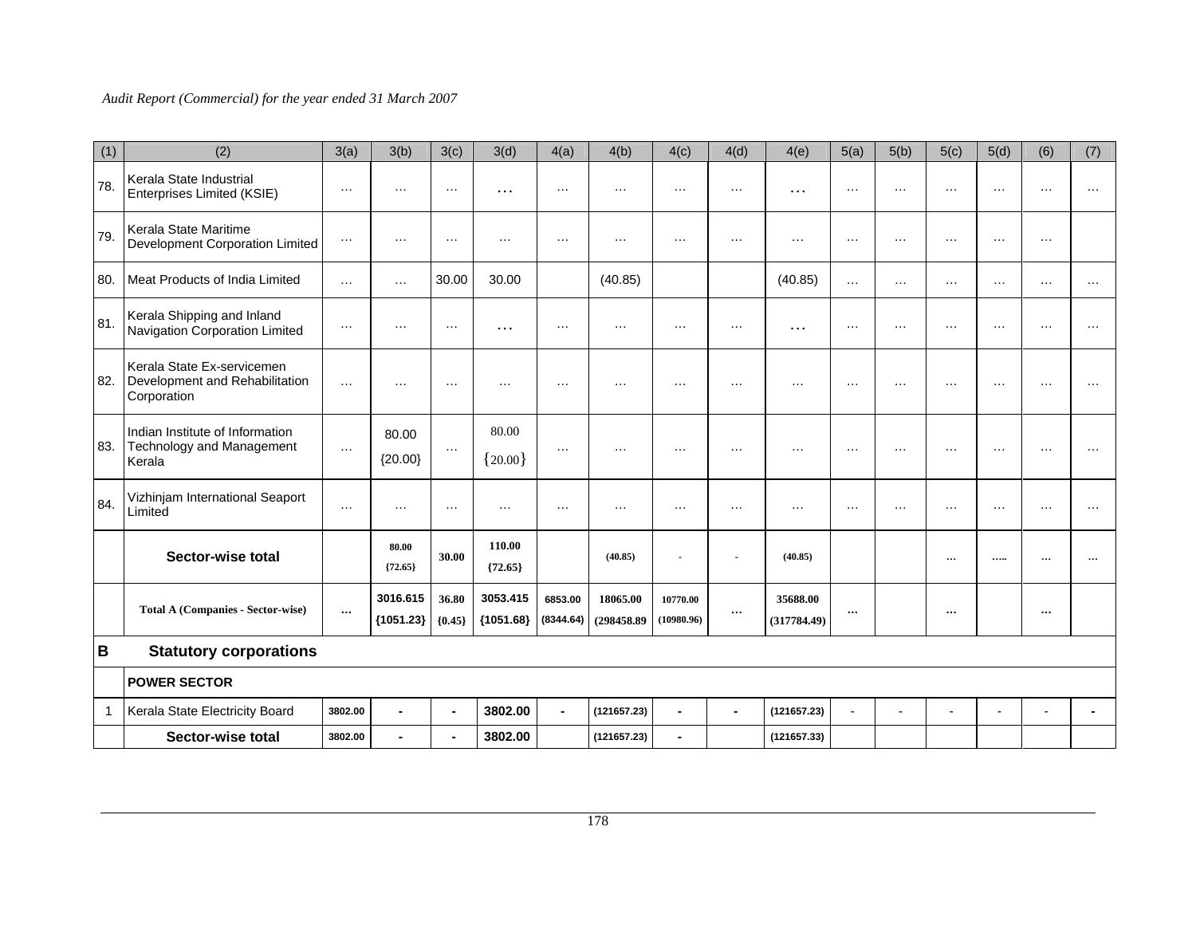| (1) | (2)                                                                           | 3(a)      | 3(b)                    | 3(c)              | 3(d)                    | 4(a)                 | 4(b)                    | 4(c)                   | 4(d)           | 4(e)                    | 5(a)           | 5(b)           | 5(c)           | 5(d)           | (6)      | (7)      |
|-----|-------------------------------------------------------------------------------|-----------|-------------------------|-------------------|-------------------------|----------------------|-------------------------|------------------------|----------------|-------------------------|----------------|----------------|----------------|----------------|----------|----------|
| 78. | Kerala State Industrial<br>Enterprises Limited (KSIE)                         | $\cdots$  | $\cdots$                | $\cdots$          | $\cdots$                | $\cdots$             | $\cdots$                | .                      | $\cdots$       | $\cdots$                | $\cdots$       | $\cdots$       | $\cdots$       | $\cdots$       | $\cdots$ | $\cdots$ |
| 79  | Kerala State Maritime<br>Development Corporation Limited                      | $\cdots$  | $\cdots$                | $\cdots$          | $\cdots$                | $\cdots$             | $\cdots$                | $\cdots$               | $\cdots$       | $\cdots$                | $\cdots$       | $\cdots$       | $\cdots$       | $\cdots$       | $\cdots$ |          |
| 80. | Meat Products of India Limited                                                | $\cdots$  | $\cdots$                | 30.00             | 30.00                   |                      | (40.85)                 |                        |                | (40.85)                 | $\cdots$       | $\cdots$       | $\cdots$       | $\cdots$       | $\cdots$ | $\cdots$ |
| 81. | Kerala Shipping and Inland<br>Navigation Corporation Limited                  | $\cdots$  | $\cdots$                | $\ldots$          | $\cdots$                | $\cdots$             | $\cdots$                | $\cdots$               | $\cdots$       | $\cdots$                | $\cdots$       | $\cdots$       | $\cdots$       | $\cdots$       | $\cdots$ | $\cdots$ |
| 82. | Kerala State Ex-servicemen<br>Development and Rehabilitation<br>Corporation   | .         | $\cdots$                | $\cdots$          |                         | $\cdots$             | $\cdot$                 | .                      | $\cdot$        | $\cdots$                | $\ddotsc$      | $\cdots$       | $\ddotsc$      | $\cdots$       | $\cdots$ | $\cdot$  |
| 83. | Indian Institute of Information<br><b>Technology and Management</b><br>Kerala | $\cdots$  | 80.00<br>${20.00}$      | $\ldots$          | 80.00<br>${20.00}$      | $\ldots$             | $\cdots$                | $\cdots$               | $\cdots$       | $\cdots$                | $\cdots$       | $\cdots$       | $\cdots$       | $\cdots$       | $\cdots$ | $\cdots$ |
| 84. | Vizhinjam International Seaport<br>Limited                                    | $\cdots$  | $\cdots$                | $\cdots$          | $\cdots$                | $\cdots$             | $\cdots$                | $\cdots$               | $\cdots$       | $\cdots$                | $\cdots$       | $\cdots$       | $\cdots$       | $\cdots$       | $\cdots$ | $\cdots$ |
|     | Sector-wise total                                                             |           | 80.00<br>${72.65}$      | 30.00             | 110.00<br>${72.65}$     |                      | (40.85)                 |                        |                | (40.85)                 |                |                | $\cdots$       |                |          |          |
|     | <b>Total A (Companies - Sector-wise)</b>                                      | $\ddotsc$ | 3016.615<br>${1051.23}$ | 36.80<br>${0.45}$ | 3053.415<br>${1051.68}$ | 6853.00<br>(8344.64) | 18065.00<br>(298458.89) | 10770.00<br>(10980.96) | $\cdots$       | 35688.00<br>(317784.49) | $\cdots$       |                | $\cdots$       |                | $\cdots$ |          |
| B   | <b>Statutory corporations</b>                                                 |           |                         |                   |                         |                      |                         |                        |                |                         |                |                |                |                |          |          |
|     | <b>POWER SECTOR</b>                                                           |           |                         |                   |                         |                      |                         |                        |                |                         |                |                |                |                |          |          |
|     | Kerala State Electricity Board                                                | 3802.00   | $\blacksquare$          | $\blacksquare$    | 3802.00                 | $\blacksquare$       | (121657.23)             | ÷.                     | $\blacksquare$ | (121657.23)             | $\blacksquare$ | $\overline{a}$ | $\overline{a}$ | $\overline{a}$ |          |          |
|     | Sector-wise total                                                             | 3802.00   | $\blacksquare$          | $\blacksquare$    | 3802.00                 |                      | (121657.23)             | $\blacksquare$         |                | (121657.33)             |                |                |                |                |          |          |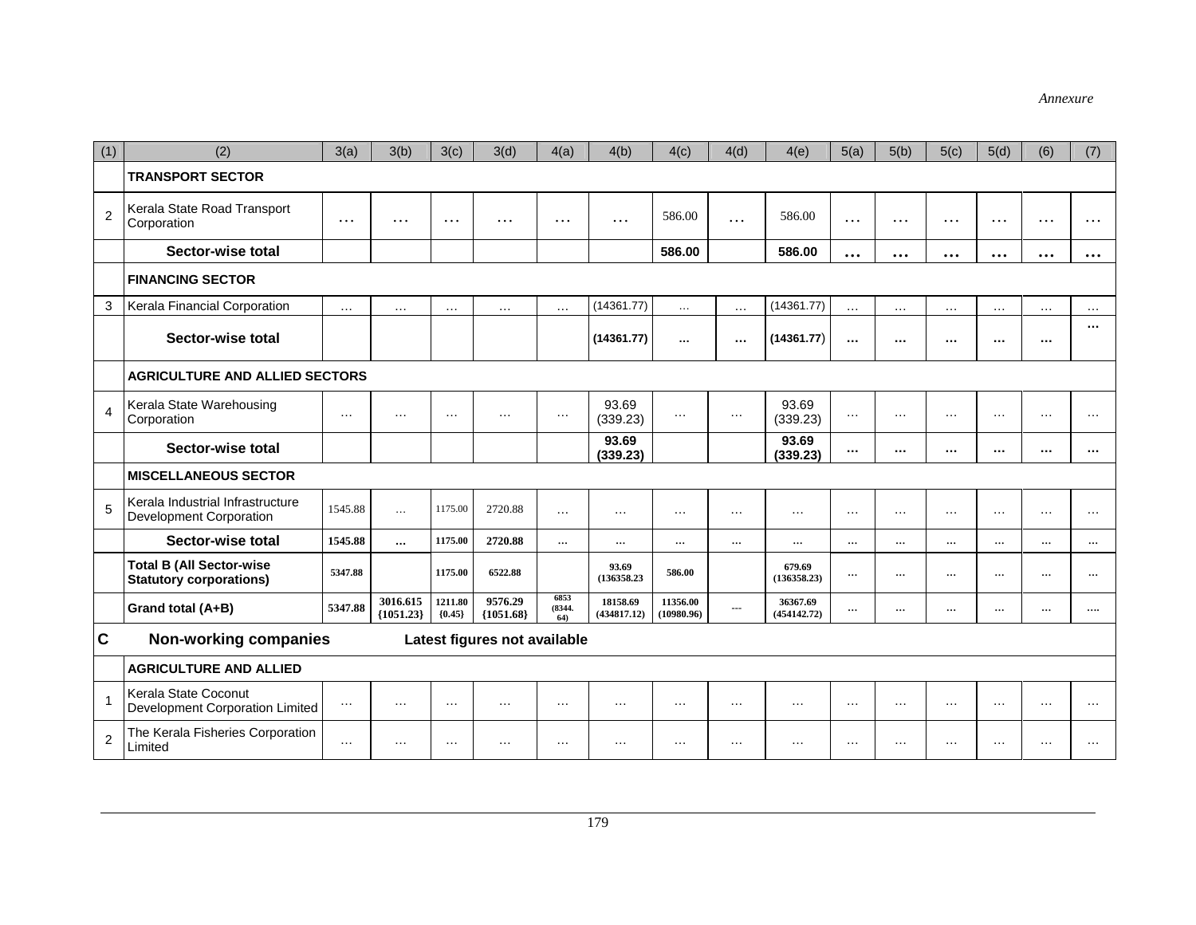| (1)            | (2)                                                               | 3(a)     | 3(b)                    | 3(c)                | 3(d)                         | 4(a)                  | 4(b)                    | 4(c)                   | 4(d)           | 4(e)                    | 5(a)      | 5(b)     | 5(c)                    | 5(d)     | (6)      | (7)      |
|----------------|-------------------------------------------------------------------|----------|-------------------------|---------------------|------------------------------|-----------------------|-------------------------|------------------------|----------------|-------------------------|-----------|----------|-------------------------|----------|----------|----------|
|                | <b>TRANSPORT SECTOR</b>                                           |          |                         |                     |                              |                       |                         |                        |                |                         |           |          |                         |          |          |          |
| $\overline{2}$ | Kerala State Road Transport<br>Corporation                        | $\cdots$ | $\cdots$                | $\cdots$            | $\cdots$                     | $\cdots$              | $\cdots$                | 586.00                 | .              | 586.00                  | $\cdots$  | $\cdots$ | $\cdots$                | $\cdots$ | $\cdots$ | $\cdots$ |
|                | Sector-wise total                                                 |          |                         |                     |                              |                       |                         | 586.00                 |                | 586.00                  | $\cdots$  | $\cdots$ | $\bullet\bullet\bullet$ | $\cdots$ | $\cdots$ | $\cdots$ |
|                | <b>FINANCING SECTOR</b>                                           |          |                         |                     |                              |                       |                         |                        |                |                         |           |          |                         |          |          |          |
| 3              | Kerala Financial Corporation                                      | $\cdots$ | $\cdots$                | $\cdots$            | $\cdots$                     | $\cdots$              | (14361.77)              | $\cdots$               | $\cdots$       | (14361.77)              | $\cdots$  | $\cdots$ | $\cdots$                | $\cdots$ | $\cdots$ | $\cdots$ |
|                | Sector-wise total                                                 |          |                         |                     |                              |                       | (14361.77)              | $\cdots$               | $\cdots$       | (14361.77)              | $\ddotsc$ | $\cdots$ | $\cdots$                | $\ldots$ | $\cdots$ |          |
|                | <b>AGRICULTURE AND ALLIED SECTORS</b>                             |          |                         |                     |                              |                       |                         |                        |                |                         |           |          |                         |          |          |          |
| $\overline{4}$ | Kerala State Warehousing<br>Corporation                           | $\cdots$ | $\cdots$                | $\cdots$            | $\cdots$                     | $\ldots$              | 93.69<br>(339.23)       | $\cdots$               | $\ldots$       | 93.69<br>(339.23)       | $\cdots$  | $\cdots$ | $\cdots$                | $\cdots$ | $\cdots$ | $\cdots$ |
|                | Sector-wise total                                                 |          |                         |                     |                              |                       | 93.69<br>(339.23)       |                        |                | 93.69<br>(339.23)       | $\cdots$  |          | $\cdots$                | $\cdots$ | $\cdots$ |          |
|                | <b>MISCELLANEOUS SECTOR</b>                                       |          |                         |                     |                              |                       |                         |                        |                |                         |           |          |                         |          |          |          |
| $\overline{5}$ | Kerala Industrial Infrastructure<br>Development Corporation       | 1545.88  | $\cdots$                | 1175.00             | 2720.88                      | $\cdots$              | $\cdots$                | .                      | $\cdots$       | $\cdots$                | $\cdots$  | $\cdots$ | $\cdots$                | $\cdots$ | $\cdots$ | $\cdots$ |
|                | Sector-wise total                                                 | 1545.88  |                         | 1175.00             | 2720.88                      | $\cdots$              | $\cdots$                | $\cdots$               | $\cdots$       | $\cdots$                | $\cdots$  | $\cdots$ | $\cdots$                | $\cdots$ | $\cdots$ | $\cdots$ |
|                | <b>Total B (All Sector-wise</b><br><b>Statutory corporations)</b> | 5347.88  |                         | 1175.00             | 6522.88                      |                       | 93.69<br>(136358.23)    | 586.00                 |                | 679.69<br>(136358.23)   | $\cdots$  | $\cdots$ | $\cdots$                | $\cdots$ | $\cdots$ | $\cdots$ |
|                | Grand total (A+B)                                                 | 5347.88  | 3016.615<br>${1051.23}$ | 1211.80<br>${0.45}$ | 9576.29<br>${1051.68}$       | 6853<br>(8344,<br>64) | 18158.69<br>(434817.12) | 11356.00<br>(10980.96) | $\overline{a}$ | 36367.69<br>(454142.72) | $\cdots$  | $\cdots$ | $\cdots$                | $\cdots$ | $\cdots$ |          |
| $\mathbf{C}$   | <b>Non-working companies</b>                                      |          |                         |                     | Latest figures not available |                       |                         |                        |                |                         |           |          |                         |          |          |          |
|                | <b>AGRICULTURE AND ALLIED</b>                                     |          |                         |                     |                              |                       |                         |                        |                |                         |           |          |                         |          |          |          |
| $\overline{1}$ | Kerala State Coconut<br>Development Corporation Limited           | $\cdots$ | .                       | $\cdots$            | $\cdots$                     | $\cdots$              | $\cdots$                | $\cdots$               | $\cdots$       | $\cdots$                | $\cdots$  | $\cdots$ | $\cdots$                | $\cdots$ | $\cdots$ | $\cdots$ |
| $\overline{2}$ | The Kerala Fisheries Corporation<br>Limited                       | $\cdots$ | $\cdots$                | $\cdots$            | $\cdots$                     | $\cdots$              | $\cdots$                | .                      | $\cdots$       | $\cdots$                | $\cdots$  | $\cdots$ | $\cdots$                | $\cdots$ | $\cdots$ | .        |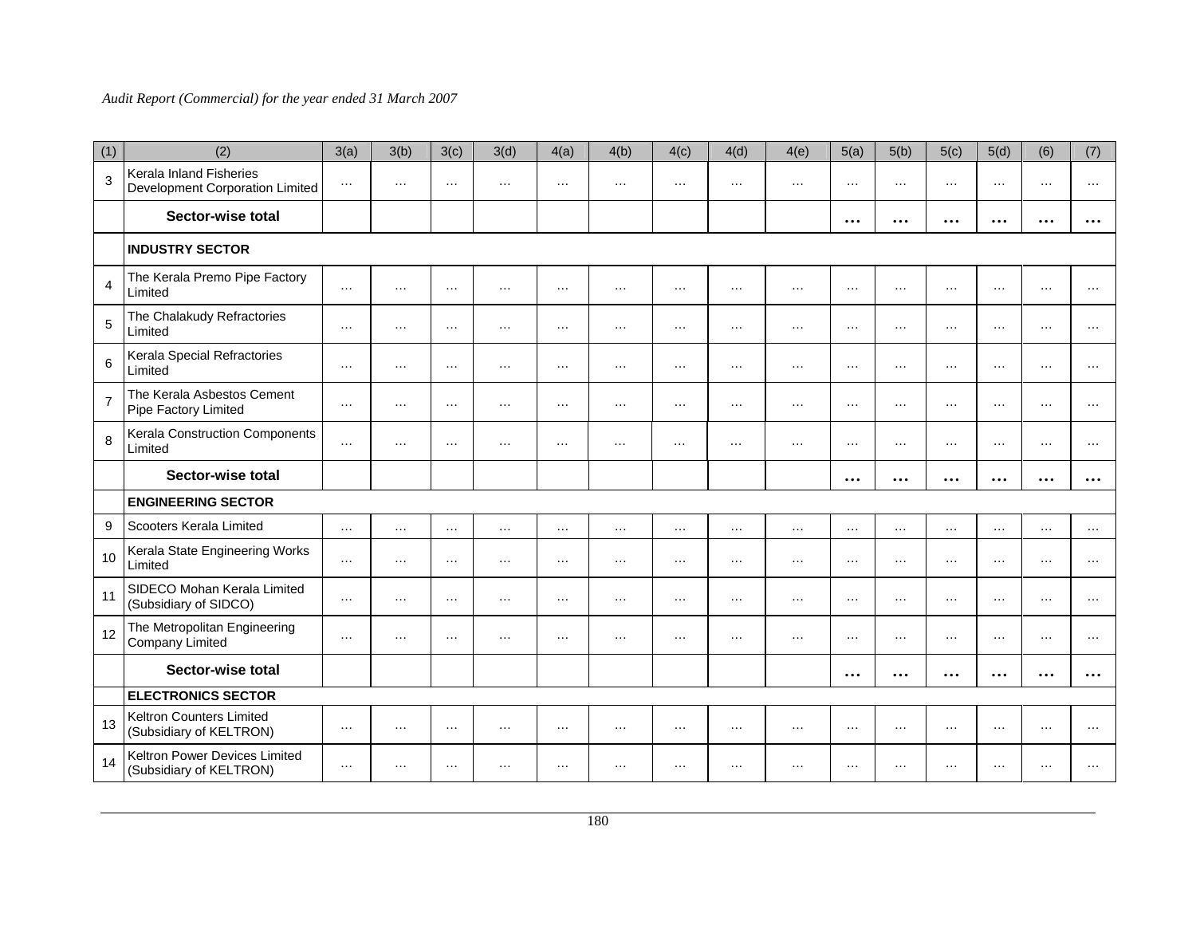| (1)            | (2)                                                        | 3(a)     | 3(b)     | 3(c)     | 3(d)     | 4(a)     | 4(b)     | 4(c)     | 4(d)     | 4(e)     | 5(a)      | 5(b)     | 5(c)                    | 5(d)      | (6)      | (7)       |
|----------------|------------------------------------------------------------|----------|----------|----------|----------|----------|----------|----------|----------|----------|-----------|----------|-------------------------|-----------|----------|-----------|
| 3              | Kerala Inland Fisheries<br>Development Corporation Limited | $\ldots$ | $\cdots$ | $\cdots$ | $\cdots$ | $\cdots$ | $\cdots$ | $\cdots$ | $\cdots$ | $\cdots$ | $\cdots$  | $\cdots$ | $\cdots$                | $\cdots$  | $\cdots$ | $\cdots$  |
|                | Sector-wise total                                          |          |          |          |          |          |          |          |          |          | $\cdots$  | $\cdots$ | $\ddotsc$               | $\ddotsc$ | $\cdots$ | $\ddotsc$ |
|                | <b>INDUSTRY SECTOR</b>                                     |          |          |          |          |          |          |          |          |          |           |          |                         |           |          |           |
| $\overline{4}$ | The Kerala Premo Pipe Factory<br>Limited                   | $\ldots$ | $\cdots$ | $\cdots$ | $\cdots$ | $\cdots$ | $\cdots$ | $\cdots$ | $\cdots$ | $\cdots$ | $\cdots$  | $\cdots$ | $\cdots$                | $\cdots$  | $\cdots$ | $\cdots$  |
| 5              | The Chalakudy Refractories<br>Limited                      | $\cdots$ | $\cdots$ | $\cdots$ | $\cdots$ | $\cdots$ | $\cdots$ | $\cdots$ | $\cdots$ | $\cdots$ | $\cdots$  | $\cdots$ | $\cdots$                | $\cdots$  | $\cdots$ | $\cdots$  |
| 6              | Kerala Special Refractories<br>Limited                     | $\cdots$ | $\cdots$ | $\cdots$ | $\cdots$ | $\cdots$ | $\cdots$ | $\cdots$ | $\cdots$ | $\cdots$ | $\cdots$  | $\cdots$ | $\cdots$                | $\cdots$  | $\cdots$ | $\cdots$  |
| $\overline{7}$ | The Kerala Asbestos Cement<br>Pipe Factory Limited         | $\ldots$ | $\cdots$ | $\cdots$ | $\ldots$ | $\ldots$ | $\cdots$ | $\cdots$ | $\cdots$ | $\cdots$ | $\cdots$  | $\cdots$ | $\cdots$                | $\ldots$  | $\ldots$ | $\cdots$  |
| 8              | Kerala Construction Components<br>Limited                  | $\cdots$ | $\cdots$ | $\cdots$ | $\cdots$ | $\cdots$ | $\cdots$ | $\cdots$ | $\cdots$ | $\cdots$ | $\cdots$  | $\cdots$ | $\cdots$                | $\cdots$  | $\cdots$ | $\cdots$  |
|                | Sector-wise total                                          |          |          |          |          |          |          |          |          |          | $\cdots$  | $\cdots$ | $\bullet\bullet\bullet$ | $\cdots$  | $\cdots$ | $\ddotsc$ |
|                | <b>ENGINEERING SECTOR</b>                                  |          |          |          |          |          |          |          |          |          |           |          |                         |           |          |           |
| 9              | Scooters Kerala Limited                                    | $\ldots$ | $\cdots$ | $\cdots$ | $\cdots$ | $\cdots$ | $\cdots$ | $\cdots$ | $\cdots$ | $\cdots$ | $\cdots$  | $\cdots$ | $\cdots$                | $\cdots$  | $\cdots$ | $\cdots$  |
| 10             | Kerala State Engineering Works<br>Limited                  | $\cdots$ | $\cdots$ | $\cdots$ | $\cdots$ | $\cdots$ | $\cdots$ | $\cdots$ | $\cdots$ | $\cdots$ | $\cdots$  | $\cdots$ | $\cdots$                | $\cdots$  | $\cdots$ | $\cdots$  |
| 11             | SIDECO Mohan Kerala Limited<br>(Subsidiary of SIDCO)       | $\cdots$ | $\cdots$ | $\cdots$ | $\cdots$ | $\cdots$ | $\cdots$ | $\cdots$ | $\cdots$ | $\cdots$ | $\cdots$  | $\cdots$ | $\cdots$                | $\cdots$  | $\cdots$ | $\cdots$  |
| 12             | The Metropolitan Engineering<br>Company Limited            | $\cdots$ | $\cdots$ | $\cdots$ | $\cdots$ | $\cdots$ | $\cdots$ | $\cdots$ | $\cdots$ | $\cdots$ | $\cdots$  | $\cdots$ | $\cdots$                | $\cdots$  | $\cdots$ | $\cdots$  |
|                | Sector-wise total                                          |          |          |          |          |          |          |          |          |          | $\cdots$  | $\cdots$ | $\bullet\bullet\bullet$ | $\cdots$  | $\cdots$ | $\ddotsc$ |
|                | <b>ELECTRONICS SECTOR</b>                                  |          |          |          |          |          |          |          |          |          |           |          |                         |           |          |           |
| 13             | Keltron Counters Limited<br>(Subsidiary of KELTRON)        | $\ldots$ | $\cdots$ | $\cdots$ | $\ldots$ | $\ldots$ | $\cdots$ | $\cdots$ | $\cdots$ | $\cdots$ | $\ddotsc$ | $\cdots$ | $\cdots$                | $\ldots$  | $\ldots$ | $\cdots$  |
| 14             | Keltron Power Devices Limited<br>(Subsidiary of KELTRON)   | $\ldots$ | $\cdots$ | $\cdots$ | $\ldots$ | $\ldots$ | $\cdots$ | $\cdots$ | $\cdots$ | $\cdots$ | $\cdots$  | $\cdots$ | $\cdots$                | $\ldots$  | $\ldots$ |           |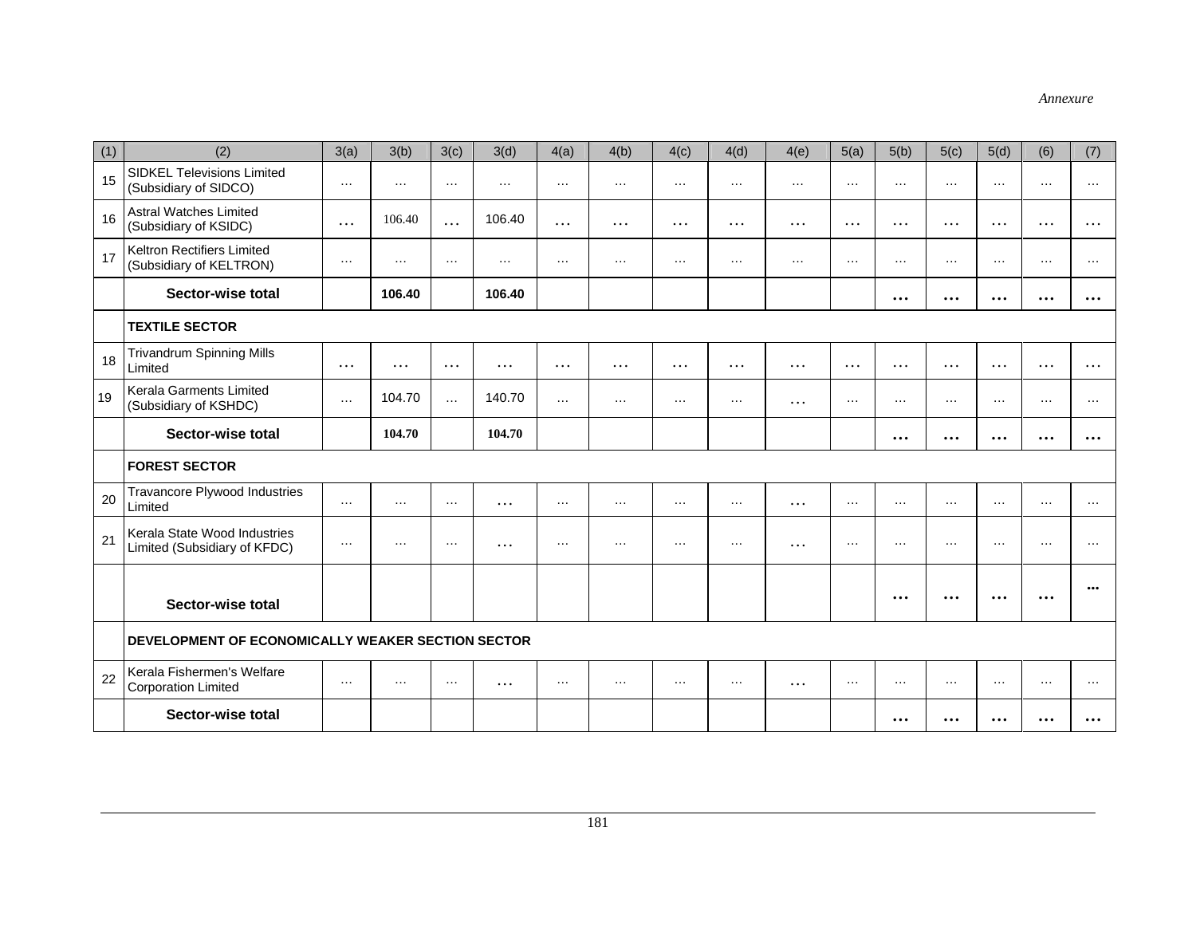| (1) | (2)                                                          | 3(a)     | 3(b)          | 3(c)     | 3(d)     | 4(a)     | 4(b)     | 4(c)     | 4(d)     | 4(e)     | 5(a)     | 5(b)      | 5(c)      | 5(d)      | (6)      | (7)       |
|-----|--------------------------------------------------------------|----------|---------------|----------|----------|----------|----------|----------|----------|----------|----------|-----------|-----------|-----------|----------|-----------|
| 15  | <b>SIDKEL Televisions Limited</b><br>(Subsidiary of SIDCO)   | $\cdots$ | $\cdots$      | $\cdots$ | $\cdots$ | $\cdots$ | $\cdots$ | $\cdots$ | $\cdots$ | $\cdots$ | $\cdots$ | $\cdots$  | $\cdots$  | $\cdots$  | $\cdots$ | $\cdots$  |
| 16  | <b>Astral Watches Limited</b><br>(Subsidiary of KSIDC)       | $\cdots$ | 106.40        | .        | 106.40   | .        | $\cdots$ | $\cdots$ | $\cdots$ | $\cdots$ | $\cdots$ | $\cdots$  | $\cdots$  | $\cdots$  | $\cdots$ | $\cdots$  |
| 17  | Keltron Rectifiers Limited<br>(Subsidiary of KELTRON)        | $\cdots$ | $\sim$ $\sim$ | $\cdots$ | $\cdots$ | $\cdots$ | $\cdots$ | $\cdots$ | $\cdots$ | $\cdots$ | $\cdots$ | $\cdots$  | $\cdots$  | $\cdots$  | $\cdots$ | $\cdots$  |
|     | Sector-wise total                                            |          | 106.40        |          | 106.40   |          |          |          |          |          |          | $\cdots$  | $\cdots$  | $\cdots$  | $\cdots$ | $\cdots$  |
|     | <b>TEXTILE SECTOR</b>                                        |          |               |          |          |          |          |          |          |          |          |           |           |           |          |           |
| 18  | <b>Trivandrum Spinning Mills</b><br>Limited                  | $\cdots$ | $\cdots$      | $\cdots$ | $\cdots$ | $\cdots$ | $\cdots$ | $\cdots$ | $\cdots$ | $\cdots$ | $\cdots$ | $\cdots$  | $\cdots$  | $\cdots$  | $\cdots$ | $\cdots$  |
| 19  | Kerala Garments Limited<br>(Subsidiary of KSHDC)             | $\cdots$ | 104.70        | $\cdots$ | 140.70   | $\cdots$ | $\cdots$ | $\cdots$ | $\cdots$ | $\cdots$ | $\cdots$ | $\cdots$  | $\cdots$  | $\cdots$  | $\cdots$ | $\cdots$  |
|     | Sector-wise total                                            |          | 104.70        |          | 104.70   |          |          |          |          |          |          | $\cdots$  | $\cdots$  | $\cdots$  | $\cdots$ | $\cdots$  |
|     | <b>FOREST SECTOR</b>                                         |          |               |          |          |          |          |          |          |          |          |           |           |           |          |           |
| 20  | Travancore Plywood Industries<br>Limited                     | $\cdots$ | $\cdots$      | $\ldots$ | $\cdots$ | $\ldots$ | $\cdots$ | $\cdots$ | $\cdots$ | $\cdots$ | $\cdots$ | $\cdots$  | $\cdots$  | $\cdots$  | $\cdots$ | $\cdots$  |
| 21  | Kerala State Wood Industries<br>Limited (Subsidiary of KFDC) | $\cdots$ | $\cdots$      | $\cdots$ | $\cdots$ | $\cdots$ | $\cdots$ | $\cdots$ | $\cdots$ | $\cdots$ | $\cdots$ | $\cdots$  | $\cdots$  | $\cdots$  | $\cdots$ | $\cdots$  |
|     |                                                              |          |               |          |          |          |          |          |          |          |          | $\ddotsc$ | $\ddotsc$ | $\ddotsc$ | $\cdots$ | $\cdots$  |
|     | Sector-wise total                                            |          |               |          |          |          |          |          |          |          |          |           |           |           |          |           |
|     | DEVELOPMENT OF ECONOMICALLY WEAKER SECTION SECTOR            |          |               |          |          |          |          |          |          |          |          |           |           |           |          |           |
| 22  | Kerala Fishermen's Welfare<br><b>Corporation Limited</b>     | $\cdots$ | $\cdots$      | $\ldots$ | $\cdots$ | $\ldots$ | $\cdots$ | $\cdots$ | $\cdots$ | $\cdots$ | $\cdots$ | $\cdots$  | $\cdots$  | $\ldots$  | $\cdots$ | $\cdots$  |
|     | Sector-wise total                                            |          |               |          |          |          |          |          |          |          |          | $\cdots$  | $\ddotsc$ | $\ddotsc$ | $\cdots$ | $\ddotsc$ |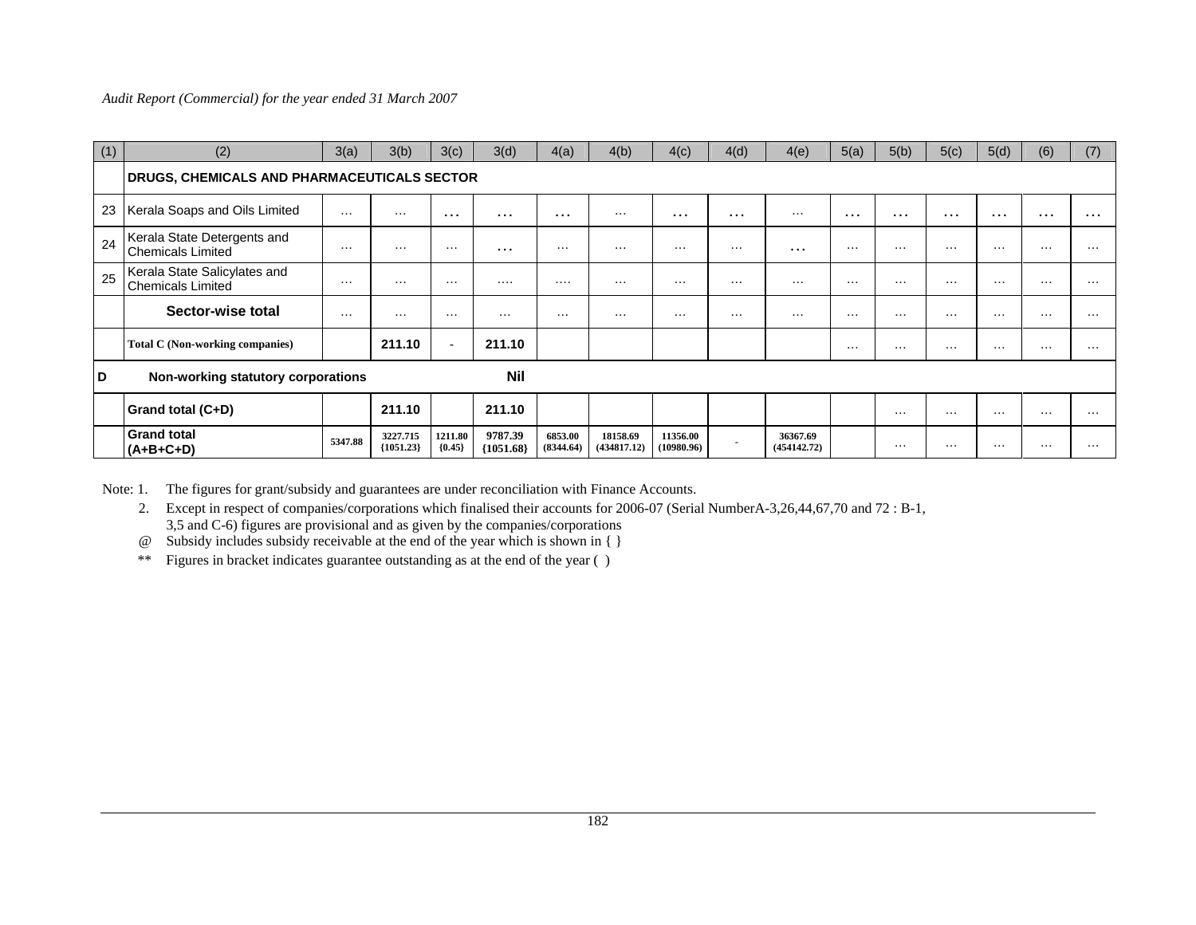| (1) | (2)                                                      | 3(a)     | 3(b)                    | 3(c)                     | 3(d)                   | 4(a)                 | 4(b)                    | 4(c)                  | 4(d)           | 4(e)                    | 5(a)     | 5(b)     | 5(c)     | 5(d)     | (6)      | (7)      |
|-----|----------------------------------------------------------|----------|-------------------------|--------------------------|------------------------|----------------------|-------------------------|-----------------------|----------------|-------------------------|----------|----------|----------|----------|----------|----------|
|     | DRUGS, CHEMICALS AND PHARMACEUTICALS SECTOR              |          |                         |                          |                        |                      |                         |                       |                |                         |          |          |          |          |          |          |
| 23  | Kerala Soaps and Oils Limited                            | $\cdots$ | $\sim$ $\sim$ $\sim$    | $\cdots$                 | $\cdots$               | $\cdots$             | $\cdots$                | $\cdots$              | $\cdots$       | $\cdots$                | $\cdots$ | $\cdots$ | $\cdots$ | $\cdots$ | $\cdots$ | $\cdots$ |
| 24  | Kerala State Detergents and<br><b>Chemicals Limited</b>  | $\cdots$ | $\sim$ $\sim$ $\sim$    | $\cdots$                 | $\cdots$               | $\cdots$             | $\cdots$                | $\cdots$              | $\cdots$       | $\cdots$                | $\cdots$ | $\cdots$ | $\cdots$ | $\cdots$ | $\cdots$ | $\cdots$ |
| 25  | Kerala State Salicylates and<br><b>Chemicals Limited</b> | $\cdots$ | $\cdots$                | $\cdots$                 |                        | .                    | $\cdots$                | .                     | $\cdots$       | $\cdots$                | $\cdots$ | $\cdots$ | $\cdots$ | $\cdots$ | $\cdots$ | $\cdots$ |
|     | Sector-wise total                                        | $\cdots$ | $\cdots$                | $\cdots$                 | $\cdots$               | $\cdots$             | $\cdots$                | $\cdots$              | $\cdots$       | $\cdots$                | $\cdots$ | .        | $\cdots$ | $\cdots$ | $\cdots$ | $\cdots$ |
|     | Total C (Non-working companies)                          |          | 211.10                  | $\overline{\phantom{a}}$ | 211.10                 |                      |                         |                       |                |                         | $\cdots$ | $\cdots$ | $\cdots$ | $\cdots$ | $\cdots$ | $\cdots$ |
| D   | Nil<br>Non-working statutory corporations                |          |                         |                          |                        |                      |                         |                       |                |                         |          |          |          |          |          |          |
|     | Grand total (C+D)                                        |          | 211.10                  |                          | 211.10                 |                      |                         |                       |                |                         |          | $\cdots$ | $\cdots$ | $\cdots$ | $\cdots$ | $\cdots$ |
|     | <b>Grand total</b><br>$(A+B+C+D)$                        | 5347.88  | 3227.715<br>${1051.23}$ | 1211.80<br>${0.45}$      | 9787.39<br>${1051.68}$ | 6853.00<br>(8344.64) | 18158.69<br>(434817.12) | 11356.00<br>10980.96) | $\blacksquare$ | 36367.69<br>(454142.72) |          | $\cdots$ | $\cdots$ | $\cdots$ | $\cdots$ | $\cdots$ |

Note: 1. The figures for grant/subsidy and guarantees are under reconciliation with Finance Accounts.

 2. Except in respect of companies/corporations which finalised their accounts for 2006-07 (Serial NumberA-3,26,44,67,70 and 72 : B-1, 3,5 and C-6) figures are provisional and as given by the companies/corporations

@ Subsidy includes subsidy receivable at the end of the year which is shown in { }

\*\* Figures in bracket indicates guarantee outstanding as at the end of the year ( )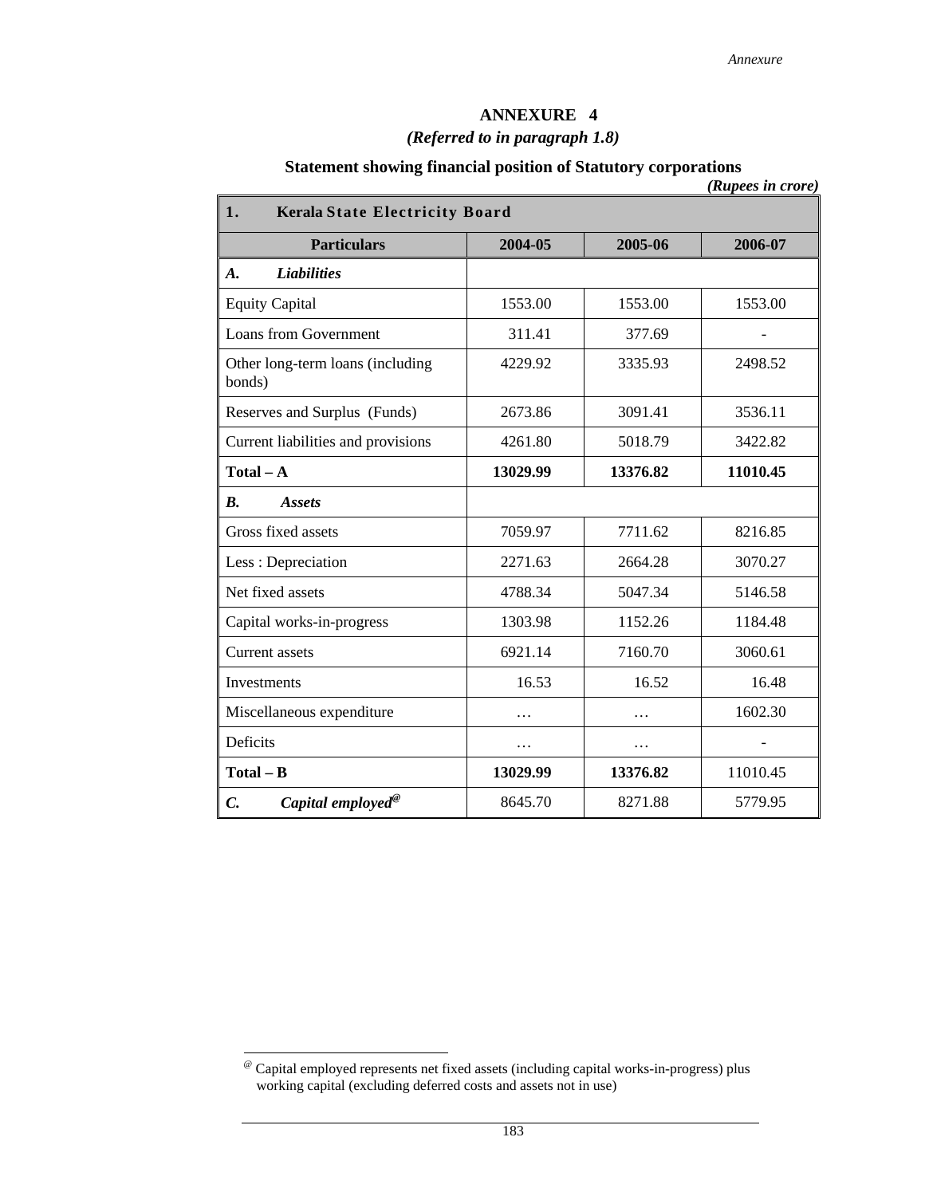# **ANNEXURE 4**

# *(Referred to in paragraph 1.8)*

# **Statement showing financial position of Statutory corporations**

| 1.                                               | (Kupees in crore)<br><b>Kerala State Electricity Board</b> |          |          |  |  |  |  |
|--------------------------------------------------|------------------------------------------------------------|----------|----------|--|--|--|--|
| <b>Particulars</b>                               | 2004-05                                                    | 2005-06  | 2006-07  |  |  |  |  |
| <b>Liabilities</b><br>$\boldsymbol{A}$ .         |                                                            |          |          |  |  |  |  |
| <b>Equity Capital</b>                            | 1553.00                                                    | 1553.00  | 1553.00  |  |  |  |  |
| <b>Loans from Government</b>                     | 311.41                                                     | 377.69   |          |  |  |  |  |
| Other long-term loans (including<br>bonds)       | 4229.92                                                    | 3335.93  | 2498.52  |  |  |  |  |
| Reserves and Surplus (Funds)                     | 2673.86                                                    | 3091.41  | 3536.11  |  |  |  |  |
| Current liabilities and provisions               | 4261.80                                                    | 5018.79  | 3422.82  |  |  |  |  |
| $Total - A$                                      | 13029.99                                                   | 13376.82 | 11010.45 |  |  |  |  |
| $\boldsymbol{B}$ .<br><b>Assets</b>              |                                                            |          |          |  |  |  |  |
| Gross fixed assets                               | 7059.97                                                    | 7711.62  | 8216.85  |  |  |  |  |
| Less: Depreciation                               | 2271.63                                                    | 2664.28  | 3070.27  |  |  |  |  |
| Net fixed assets                                 | 4788.34                                                    | 5047.34  | 5146.58  |  |  |  |  |
| Capital works-in-progress                        | 1303.98                                                    | 1152.26  | 1184.48  |  |  |  |  |
| <b>Current assets</b>                            | 6921.14                                                    | 7160.70  | 3060.61  |  |  |  |  |
| Investments                                      | 16.53                                                      | 16.52    | 16.48    |  |  |  |  |
| Miscellaneous expenditure                        | .                                                          | .        | 1602.30  |  |  |  |  |
| Deficits                                         | .                                                          | .        |          |  |  |  |  |
| $Total - B$                                      | 13029.99                                                   | 13376.82 | 11010.45 |  |  |  |  |
| $\mathcal{C}$ .<br>Capital employed <sup>®</sup> | 8645.70                                                    | 8271.88  | 5779.95  |  |  |  |  |

 $\overline{\phantom{a}}$ 

<sup>@</sup> Capital employed represents net fixed assets (including capital works-in-progress) plus working capital (excluding deferred costs and assets not in use)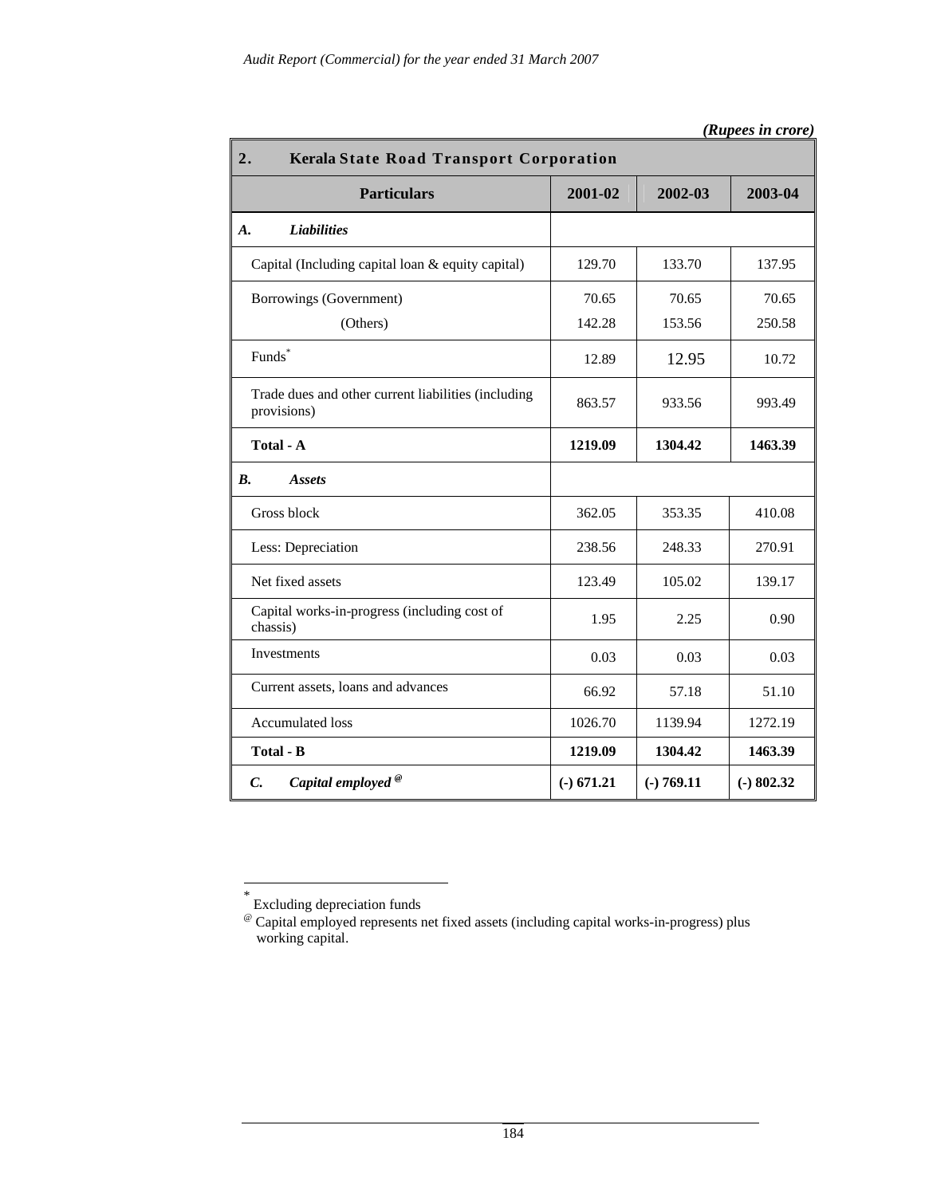| 2.<br><b>Kerala State Road Transport Corporation</b>               |              |              |              |  |  |
|--------------------------------------------------------------------|--------------|--------------|--------------|--|--|
| <b>Particulars</b>                                                 | 2001-02      | 2002-03      | 2003-04      |  |  |
| <b>Liabilities</b><br>A.                                           |              |              |              |  |  |
| Capital (Including capital loan & equity capital)                  | 129.70       | 133.70       | 137.95       |  |  |
| Borrowings (Government)                                            | 70.65        | 70.65        | 70.65        |  |  |
| (Others)                                                           | 142.28       | 153.56       | 250.58       |  |  |
| Funds*                                                             | 12.89        | 12.95        | 10.72        |  |  |
| Trade dues and other current liabilities (including<br>provisions) | 863.57       | 933.56       | 993.49       |  |  |
| Total - A                                                          | 1219.09      | 1304.42      | 1463.39      |  |  |
| <b>B.</b><br><i><b>Assets</b></i>                                  |              |              |              |  |  |
| Gross block                                                        | 362.05       | 353.35       | 410.08       |  |  |
| Less: Depreciation                                                 | 238.56       | 248.33       | 270.91       |  |  |
| Net fixed assets                                                   | 123.49       | 105.02       | 139.17       |  |  |
| Capital works-in-progress (including cost of<br>chassis)           | 1.95         | 2.25         | 0.90         |  |  |
| Investments                                                        | 0.03         | 0.03         | 0.03         |  |  |
| Current assets, loans and advances                                 | 66.92        | 57.18        | 51.10        |  |  |
| <b>Accumulated loss</b>                                            | 1026.70      | 1139.94      | 1272.19      |  |  |
| Total - B                                                          | 1219.09      | 1304.42      | 1463.39      |  |  |
| Capital employed <sup>®</sup><br>$\mathcal{C}$ .                   | $(-)$ 671.21 | $(-) 769.11$ | $(-) 802.32$ |  |  |

| (Rupees in crore) |  |
|-------------------|--|
|                   |  |

 $\overline{\phantom{a}}$ 

<sup>\*</sup> Excluding depreciation funds

<sup>@</sup> Capital employed represents net fixed assets (including capital works-in-progress) plus working capital.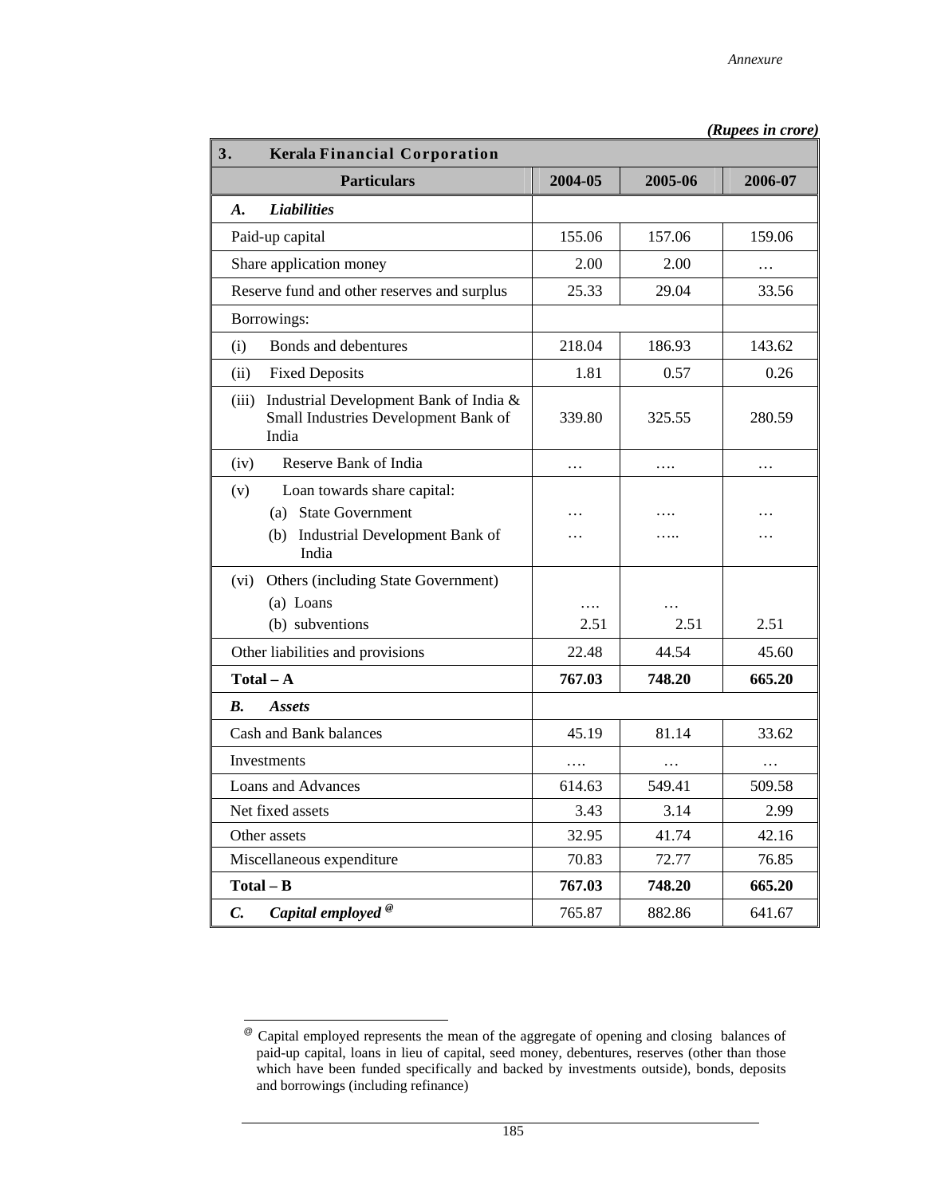| 3.<br><b>Kerala Financial Corporation</b>                                                                 |           |                  |           |
|-----------------------------------------------------------------------------------------------------------|-----------|------------------|-----------|
| <b>Particulars</b>                                                                                        | 2004-05   | 2005-06          | 2006-07   |
| <b>Liabilities</b><br>$\boldsymbol{A}$ .                                                                  |           |                  |           |
| Paid-up capital                                                                                           | 155.06    | 157.06           | 159.06    |
| Share application money                                                                                   | 2.00      | 2.00             | $\ddotsc$ |
| Reserve fund and other reserves and surplus                                                               | 25.33     | 29.04            | 33.56     |
| Borrowings:                                                                                               |           |                  |           |
| Bonds and debentures<br>(i)                                                                               | 218.04    | 186.93           | 143.62    |
| (ii)<br><b>Fixed Deposits</b>                                                                             | 1.81      | 0.57             | 0.26      |
| Industrial Development Bank of India &<br>(iii)<br>Small Industries Development Bank of<br>India          | 339.80    | 325.55           | 280.59    |
| (iv)<br>Reserve Bank of India                                                                             | .         | .                | .         |
| (v)<br>Loan towards share capital:<br>(a) State Government<br>(b) Industrial Development Bank of<br>India | $\ddotsc$ | .<br>.           | .         |
| Others (including State Government)<br>(vi)<br>(a) Loans<br>(b) subventions                               | .<br>2.51 | $\cdots$<br>2.51 | 2.51      |
| Other liabilities and provisions                                                                          | 22.48     | 44.54            | 45.60     |
| $Total - A$                                                                                               | 767.03    | 748.20           | 665.20    |
| $\boldsymbol{B}$ .<br><b>Assets</b>                                                                       |           |                  |           |
| Cash and Bank balances                                                                                    | 45.19     | 81.14            | 33.62     |
| Investments                                                                                               | .         | $\cdots$         | $\ddotsc$ |
| <b>Loans and Advances</b>                                                                                 | 614.63    | 549.41           | 509.58    |
| Net fixed assets                                                                                          | 3.43      | 3.14             | 2.99      |
| Other assets                                                                                              | 32.95     | 41.74            | 42.16     |
| Miscellaneous expenditure                                                                                 | 70.83     | 72.77            | 76.85     |
| $Total - B$                                                                                               | 767.03    | 748.20           | 665.20    |
| Capital employed <sup>®</sup><br>C.                                                                       | 765.87    | 882.86           | 641.67    |

 *(Rupees in crore)*

 $^{\circledR}$ @ Capital employed represents the mean of the aggregate of opening and closing balances of paid-up capital, loans in lieu of capital, seed money, debentures, reserves (other than those which have been funded specifically and backed by investments outside), bonds, deposits and borrowings (including refinance)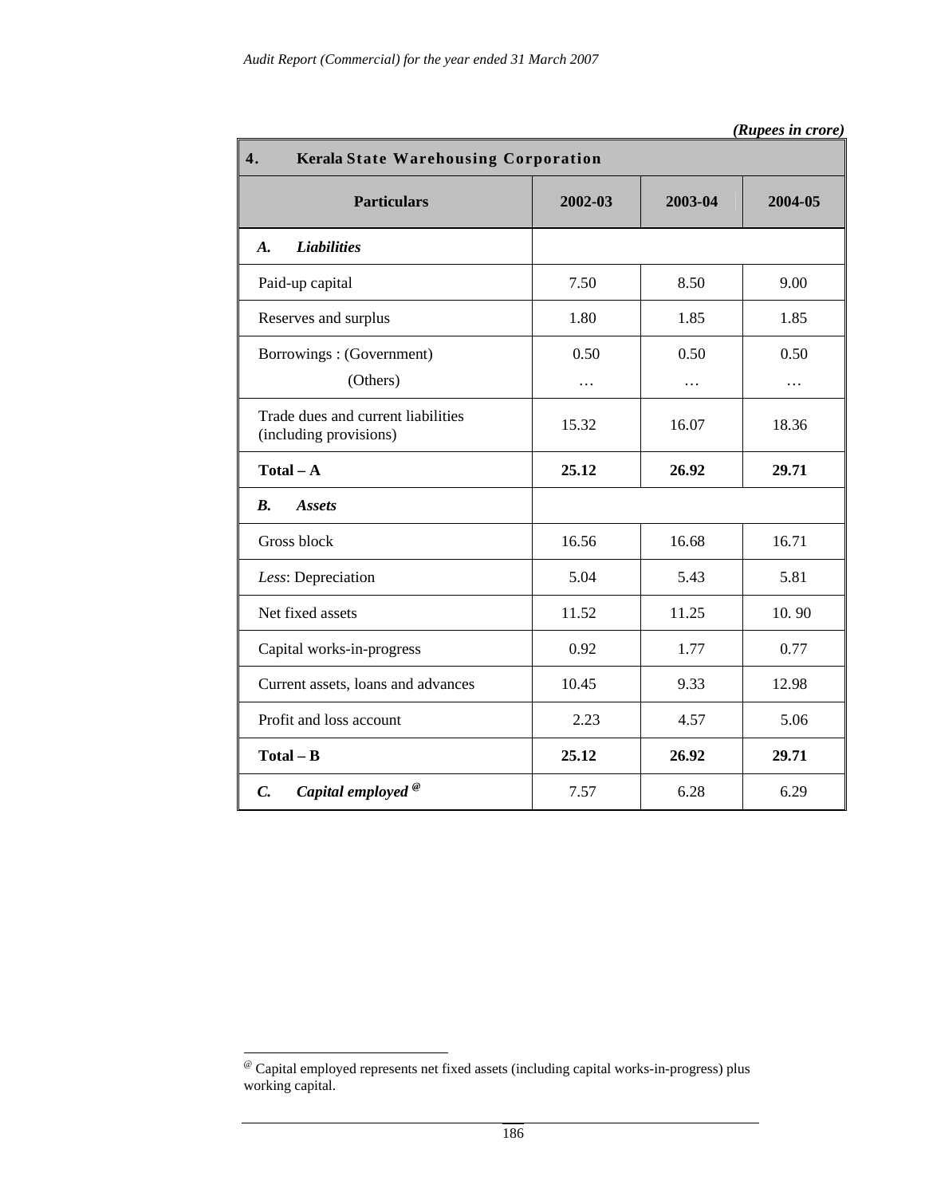| 4.<br>Kerala State Warehousing Corporation                   |           |           |           |  |  |
|--------------------------------------------------------------|-----------|-----------|-----------|--|--|
| <b>Particulars</b>                                           | 2002-03   | 2003-04   | 2004-05   |  |  |
| <b>Liabilities</b><br>$\boldsymbol{A}$ .                     |           |           |           |  |  |
| Paid-up capital                                              | 7.50      | 8.50      | 9.00      |  |  |
| Reserves and surplus                                         | 1.80      | 1.85      | 1.85      |  |  |
| Borrowings: (Government)<br>(Others)                         | 0.50<br>. | 0.50<br>. | 0.50<br>. |  |  |
| Trade dues and current liabilities<br>(including provisions) | 15.32     | 16.07     | 18.36     |  |  |
| $Total - A$                                                  | 25.12     | 26.92     | 29.71     |  |  |
| $\boldsymbol{B}$ .<br><b>Assets</b>                          |           |           |           |  |  |
| Gross block                                                  | 16.56     | 16.68     | 16.71     |  |  |
| Less: Depreciation                                           | 5.04      | 5.43      | 5.81      |  |  |
| Net fixed assets                                             | 11.52     | 11.25     | 10.90     |  |  |
| Capital works-in-progress                                    | 0.92      | 1.77      | 0.77      |  |  |
| Current assets, loans and advances                           | 10.45     | 9.33      | 12.98     |  |  |
| Profit and loss account                                      | 2.23      | 4.57      | 5.06      |  |  |
| $Total - B$                                                  | 25.12     | 26.92     | 29.71     |  |  |
| Capital employed <sup>®</sup><br>$\mathcal{C}$ .             | 7.57      | 6.28      | 6.29      |  |  |

 $\overline{\phantom{a}}$ @ Capital employed represents net fixed assets (including capital works-in-progress) plus working capital.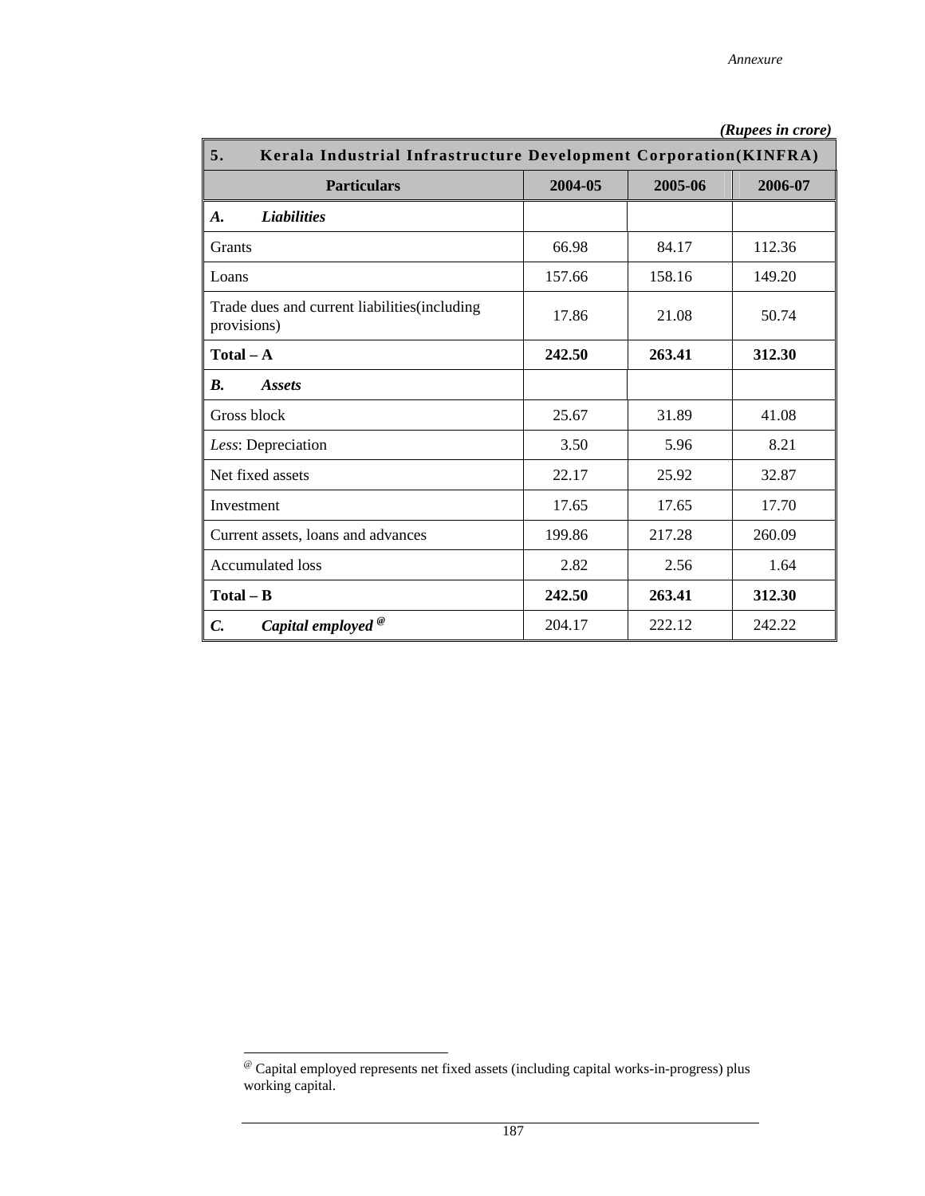| 5.<br>Kerala Industrial Infrastructure Development Corporation(KINFRA) |         |         |         |  |  |
|------------------------------------------------------------------------|---------|---------|---------|--|--|
| <b>Particulars</b>                                                     | 2004-05 | 2005-06 | 2006-07 |  |  |
| <b>Liabilities</b><br>A.                                               |         |         |         |  |  |
| <b>Grants</b>                                                          | 66.98   | 84.17   | 112.36  |  |  |
| Loans                                                                  | 157.66  | 158.16  | 149.20  |  |  |
| Trade dues and current liabilities (including<br>provisions)           | 17.86   | 21.08   | 50.74   |  |  |
| $Total - A$                                                            | 242.50  | 263.41  | 312.30  |  |  |
| <b>B.</b><br><b>Assets</b>                                             |         |         |         |  |  |
| Gross block                                                            | 25.67   | 31.89   | 41.08   |  |  |
| Less: Depreciation                                                     | 3.50    | 5.96    | 8.21    |  |  |
| Net fixed assets                                                       | 22.17   | 25.92   | 32.87   |  |  |
| Investment                                                             | 17.65   | 17.65   | 17.70   |  |  |
| Current assets, loans and advances                                     | 199.86  | 217.28  | 260.09  |  |  |
| <b>Accumulated</b> loss                                                | 2.82    | 2.56    | 1.64    |  |  |
| $Total - B$                                                            | 242.50  | 263.41  | 312.30  |  |  |
| Capital employed <sup>®</sup><br>$\mathcal{C}$ .                       | 204.17  | 222.12  | 242.22  |  |  |

 *(Rupees in crore)* 

 $\overline{\phantom{a}}$ @ Capital employed represents net fixed assets (including capital works-in-progress) plus working capital.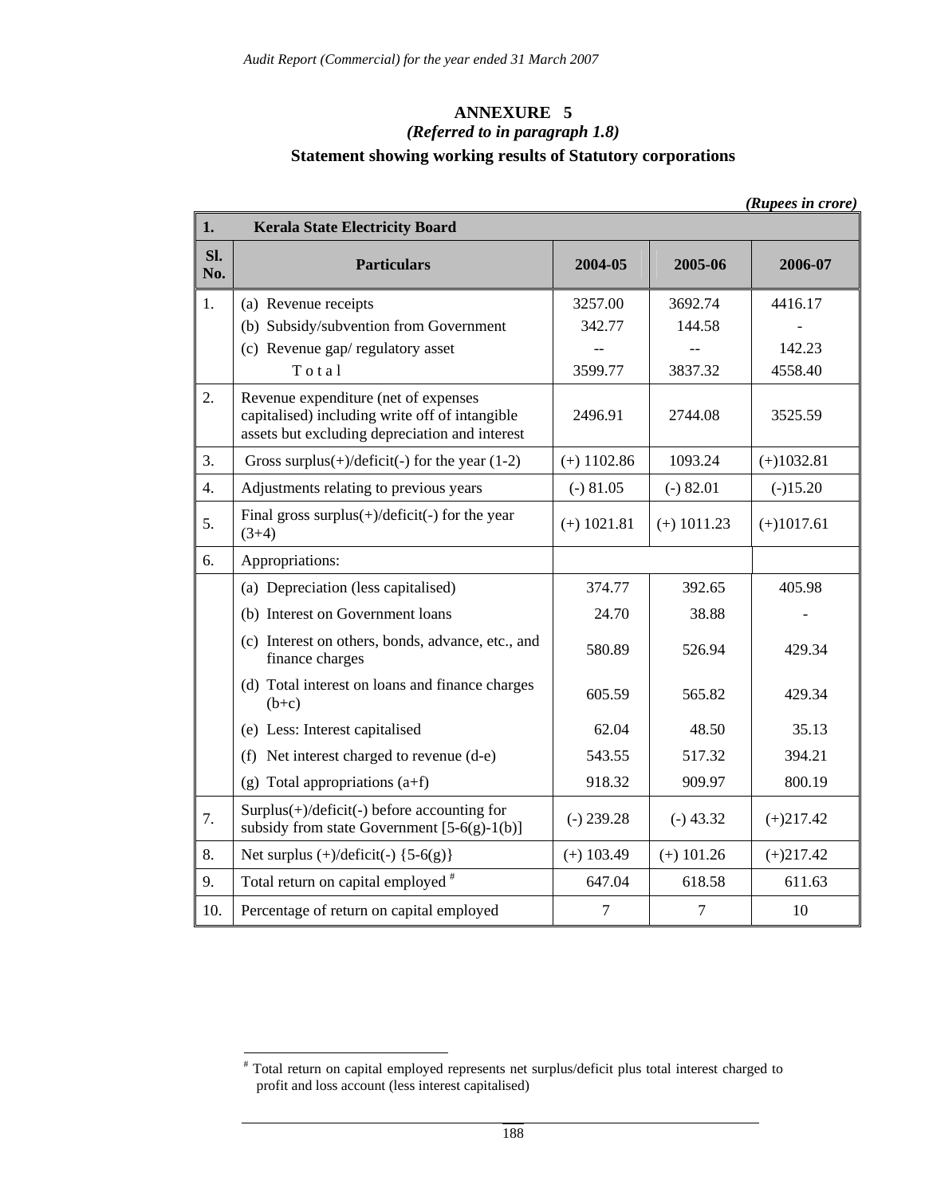# **ANNEXURE 5**  *(Referred to in paragraph 1.8)*  **Statement showing working results of Statutory corporations**

|                  |                                                                                                                                          |               |               | (Rupees in crore) |
|------------------|------------------------------------------------------------------------------------------------------------------------------------------|---------------|---------------|-------------------|
| 1.               | <b>Kerala State Electricity Board</b>                                                                                                    |               |               |                   |
| Sl.<br>No.       | <b>Particulars</b>                                                                                                                       | 2004-05       | 2005-06       | 2006-07           |
| 1.               | (a) Revenue receipts                                                                                                                     | 3257.00       | 3692.74       | 4416.17           |
|                  | (b) Subsidy/subvention from Government                                                                                                   | 342.77        | 144.58        |                   |
|                  | (c) Revenue gap/regulatory asset                                                                                                         |               |               | 142.23            |
|                  | Total                                                                                                                                    | 3599.77       | 3837.32       | 4558.40           |
| 2.               | Revenue expenditure (net of expenses<br>capitalised) including write off of intangible<br>assets but excluding depreciation and interest | 2496.91       | 2744.08       | 3525.59           |
| 3.               | Gross surplus $(+)$ /deficit $(-)$ for the year $(1-2)$                                                                                  | $(+)$ 1102.86 | 1093.24       | $(+)1032.81$      |
| $\overline{4}$ . | Adjustments relating to previous years                                                                                                   | $(-) 81.05$   | $(-) 82.01$   | $(-)15.20$        |
| 5.               | Final gross surplus $(+)$ /deficit $(-)$ for the year<br>$(3+4)$                                                                         | $(+)$ 1021.81 | $(+)$ 1011.23 | $(+)1017.61$      |
| 6.               | Appropriations:                                                                                                                          |               |               |                   |
|                  | (a) Depreciation (less capitalised)                                                                                                      | 374.77        | 392.65        | 405.98            |
|                  | (b) Interest on Government loans                                                                                                         | 24.70         | 38.88         |                   |
|                  | (c) Interest on others, bonds, advance, etc., and<br>finance charges                                                                     | 580.89        | 526.94        | 429.34            |
|                  | (d) Total interest on loans and finance charges<br>$(b+c)$                                                                               | 605.59        | 565.82        | 429.34            |
|                  | (e) Less: Interest capitalised                                                                                                           | 62.04         | 48.50         | 35.13             |
|                  | (f) Net interest charged to revenue (d-e)                                                                                                | 543.55        | 517.32        | 394.21            |
|                  | (g) Total appropriations $(a+f)$                                                                                                         | 918.32        | 909.97        | 800.19            |
| 7.               | $Surplus(+) /$ deficit(-) before accounting for<br>subsidy from state Government $[5-6(g)-1(b)]$                                         | $(-) 239.28$  | $(-)$ 43.32   | $(+)217.42$       |
| 8.               | Net surplus $(+)/\text{deficit}(-)$ {5-6(g)}                                                                                             | $(+)$ 103.49  | $(+)$ 101.26  | $(+)217.42$       |
| 9.               | Total return on capital employed <sup>#</sup>                                                                                            | 647.04        | 618.58        | 611.63            |
| 10.              | Percentage of return on capital employed                                                                                                 | $\tau$        | $\tau$        | 10                |

 # Total return on capital employed represents net surplus/deficit plus total interest charged to profit and loss account (less interest capitalised)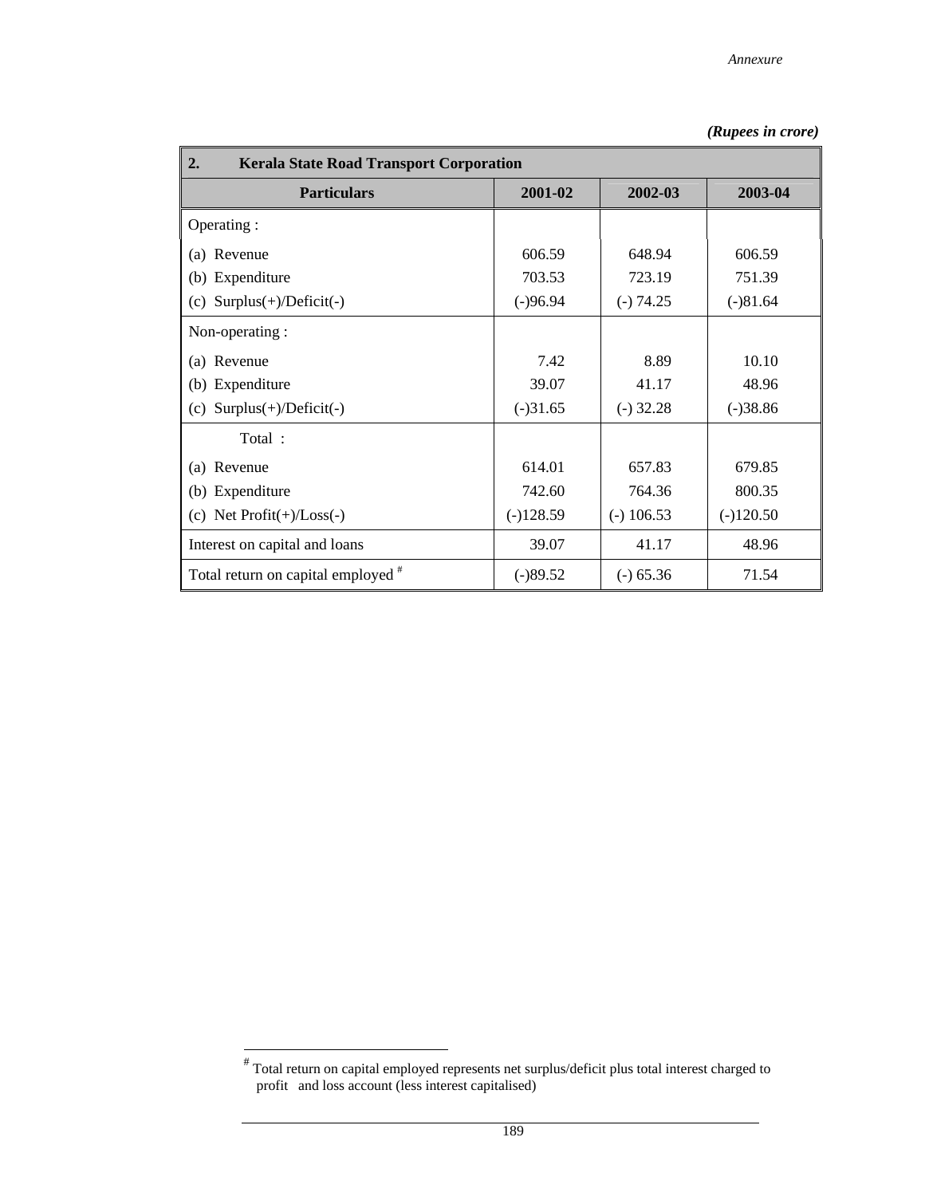| 2.<br><b>Kerala State Road Transport Corporation</b> |             |              |             |  |  |  |
|------------------------------------------------------|-------------|--------------|-------------|--|--|--|
| <b>Particulars</b>                                   | 2001-02     | 2002-03      | 2003-04     |  |  |  |
| Operating :                                          |             |              |             |  |  |  |
| Revenue<br>(a)                                       | 606.59      | 648.94       | 606.59      |  |  |  |
| (b) Expenditure                                      | 703.53      | 723.19       | 751.39      |  |  |  |
| $Surplus(+)/Deficit(-)$<br>(c)                       | $(-)96.94$  | $(-) 74.25$  | $(-)81.64$  |  |  |  |
| Non-operating:                                       |             |              |             |  |  |  |
| Revenue<br>(a)                                       | 7.42        | 8.89         | 10.10       |  |  |  |
| (b) Expenditure                                      | 39.07       | 41.17        | 48.96       |  |  |  |
| $Surplus(+)/Deficit(-)$<br>(c)                       | $(-)31.65$  | $(-)$ 32.28  | $(-)38.86$  |  |  |  |
| Total:                                               |             |              |             |  |  |  |
| Revenue<br>(a)                                       | 614.01      | 657.83       | 679.85      |  |  |  |
| (b) Expenditure                                      | 742.60      | 764.36       | 800.35      |  |  |  |
| (c) Net $Profit(+)/Loss(-)$                          | $(-)128.59$ | $(-)$ 106.53 | $(-)120.50$ |  |  |  |
| Interest on capital and loans                        | 39.07       | 41.17        | 48.96       |  |  |  |
| Total return on capital employed #                   | $(-)89.52$  | $(-) 65.36$  | 71.54       |  |  |  |

 # Total return on capital employed represents net surplus/deficit plus total interest charged to profit and loss account (less interest capitalised)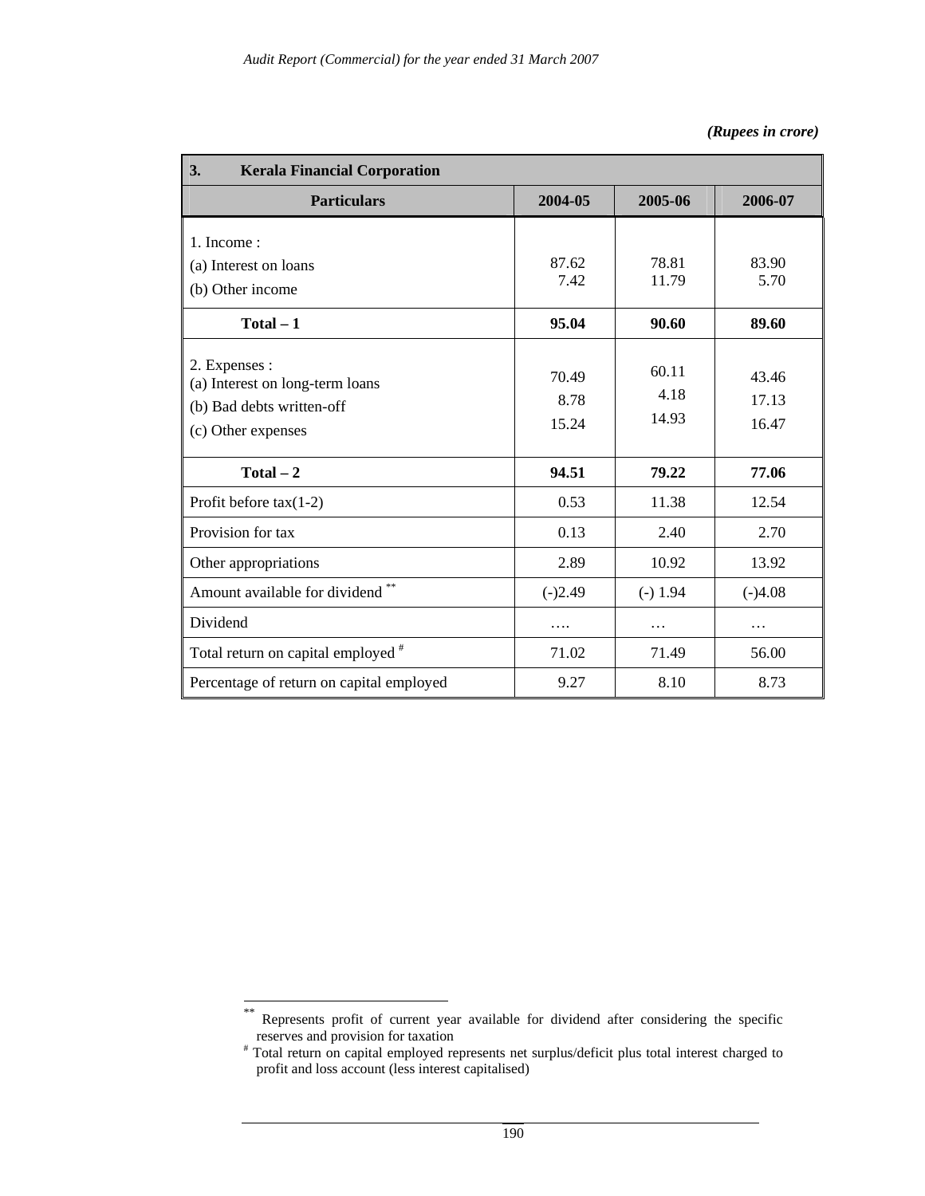| 3.<br><b>Kerala Financial Corporation</b>                                                           |                        |                        |                         |  |  |
|-----------------------------------------------------------------------------------------------------|------------------------|------------------------|-------------------------|--|--|
| <b>Particulars</b>                                                                                  | 2004-05                | 2005-06                | 2006-07                 |  |  |
| 1. Income:<br>(a) Interest on loans<br>(b) Other income                                             | 87.62<br>7.42          | 78.81<br>11.79         | 83.90<br>5.70           |  |  |
| $Total - 1$                                                                                         | 95.04                  | 90.60                  | 89.60                   |  |  |
| 2. Expenses :<br>(a) Interest on long-term loans<br>(b) Bad debts written-off<br>(c) Other expenses | 70.49<br>8.78<br>15.24 | 60.11<br>4.18<br>14.93 | 43.46<br>17.13<br>16.47 |  |  |
| $Total - 2$                                                                                         | 94.51                  | 79.22                  | 77.06                   |  |  |
| Profit before $tax(1-2)$                                                                            | 0.53                   | 11.38                  | 12.54                   |  |  |
| Provision for tax                                                                                   | 0.13                   | 2.40                   | 2.70                    |  |  |
| Other appropriations                                                                                | 2.89                   | 10.92                  | 13.92                   |  |  |
| Amount available for dividend **                                                                    | $(-)2.49$              | $(-) 1.94$             | $(-)4.08$               |  |  |
| Dividend                                                                                            | .                      | .                      | .                       |  |  |
| Total return on capital employed <sup>#</sup>                                                       | 71.02                  | 71.49                  | 56.00                   |  |  |
| Percentage of return on capital employed                                                            | 9.27                   | 8.10                   | 8.73                    |  |  |

 $**$ Represents profit of current year available for dividend after considering the specific

reserves and provision for taxation<br># Total return on capital employed represents net surplus/deficit plus total interest charged to profit and loss account (less interest capitalised)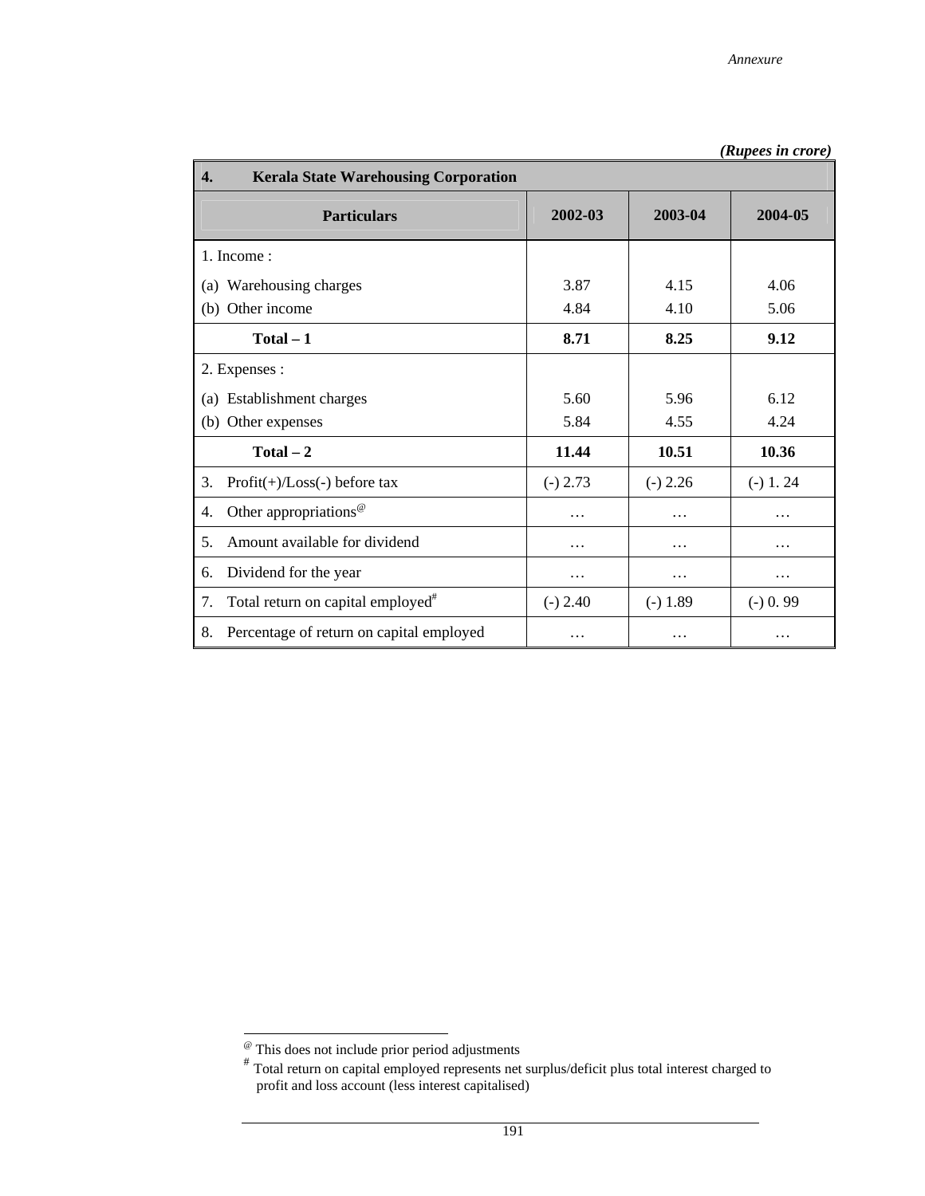| $\overline{4}$ .<br><b>Kerala State Warehousing Corporation</b> |            |            |            |  |  |
|-----------------------------------------------------------------|------------|------------|------------|--|--|
| <b>Particulars</b>                                              | 2002-03    | 2003-04    | 2004-05    |  |  |
| 1. Income:                                                      |            |            |            |  |  |
| (a) Warehousing charges                                         | 3.87       | 4.15       | 4.06       |  |  |
| (b) Other income                                                | 4.84       | 4.10       | 5.06       |  |  |
| $Total - 1$                                                     | 8.71       | 8.25       | 9.12       |  |  |
| 2. Expenses :                                                   |            |            |            |  |  |
| (a) Establishment charges                                       | 5.60       | 5.96       | 6.12       |  |  |
| (b) Other expenses                                              | 5.84       | 4.55       | 4.24       |  |  |
| $Total - 2$                                                     | 11.44      | 10.51      | 10.36      |  |  |
| 3.<br>$Profit(+) / Loss(-) before tax$                          | $(-) 2.73$ | $(-) 2.26$ | $(-) 1.24$ |  |  |
| Other appropriations <sup>@</sup><br>4.                         | .          | .          | .          |  |  |
| Amount available for dividend<br>5.                             | .          | .          | .          |  |  |
| Dividend for the year<br>6.                                     | .          | .          | .          |  |  |
| Total return on capital employed <sup>#</sup><br>7.             | $(-) 2.40$ | $(-) 1.89$ | $(-) 0.99$ |  |  |
| Percentage of return on capital employed<br>8.                  | $\ddotsc$  | .          |            |  |  |

 $\overline{\phantom{a}}$ 

<sup>@</sup> This does not include prior period adjustments

<sup>#</sup> Total return on capital employed represents net surplus/deficit plus total interest charged to profit and loss account (less interest capitalised)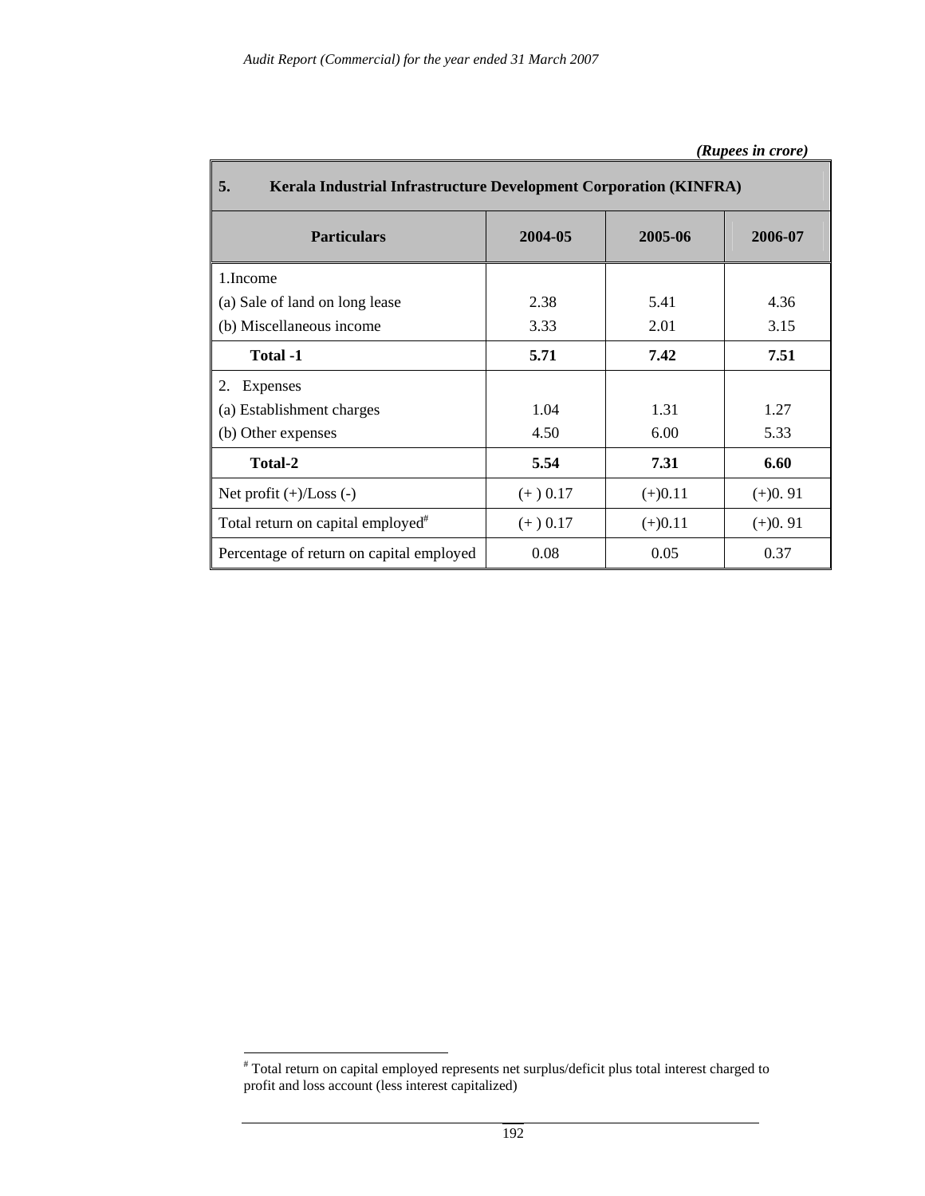| 5.<br><b>Kerala Industrial Infrastructure Development Corporation (KINFRA)</b> |            |           |           |  |  |  |
|--------------------------------------------------------------------------------|------------|-----------|-----------|--|--|--|
| <b>Particulars</b>                                                             | 2004-05    | 2005-06   | 2006-07   |  |  |  |
| 1.Income                                                                       |            |           |           |  |  |  |
| (a) Sale of land on long lease                                                 | 2.38       | 5.41      | 4.36      |  |  |  |
| (b) Miscellaneous income                                                       | 3.33       | 2.01      | 3.15      |  |  |  |
| Total -1                                                                       | 5.71       | 7.42      | 7.51      |  |  |  |
| 2. Expenses                                                                    |            |           |           |  |  |  |
| (a) Establishment charges                                                      | 1.04       | 1.31      | 1.27      |  |  |  |
| (b) Other expenses                                                             | 4.50       | 6.00      | 5.33      |  |  |  |
| <b>Total-2</b>                                                                 | 5.54       | 7.31      | 6.60      |  |  |  |
| Net profit $(+)/$ Loss $(-)$                                                   | $(+)$ 0.17 | $(+)0.11$ | $(+)0.91$ |  |  |  |
| Total return on capital employed <sup>#</sup>                                  | $(+) 0.17$ | $(+)0.11$ | $(+)0.91$ |  |  |  |
| Percentage of return on capital employed                                       | 0.08       | 0.05      | 0.37      |  |  |  |

 # Total return on capital employed represents net surplus/deficit plus total interest charged to profit and loss account (less interest capitalized)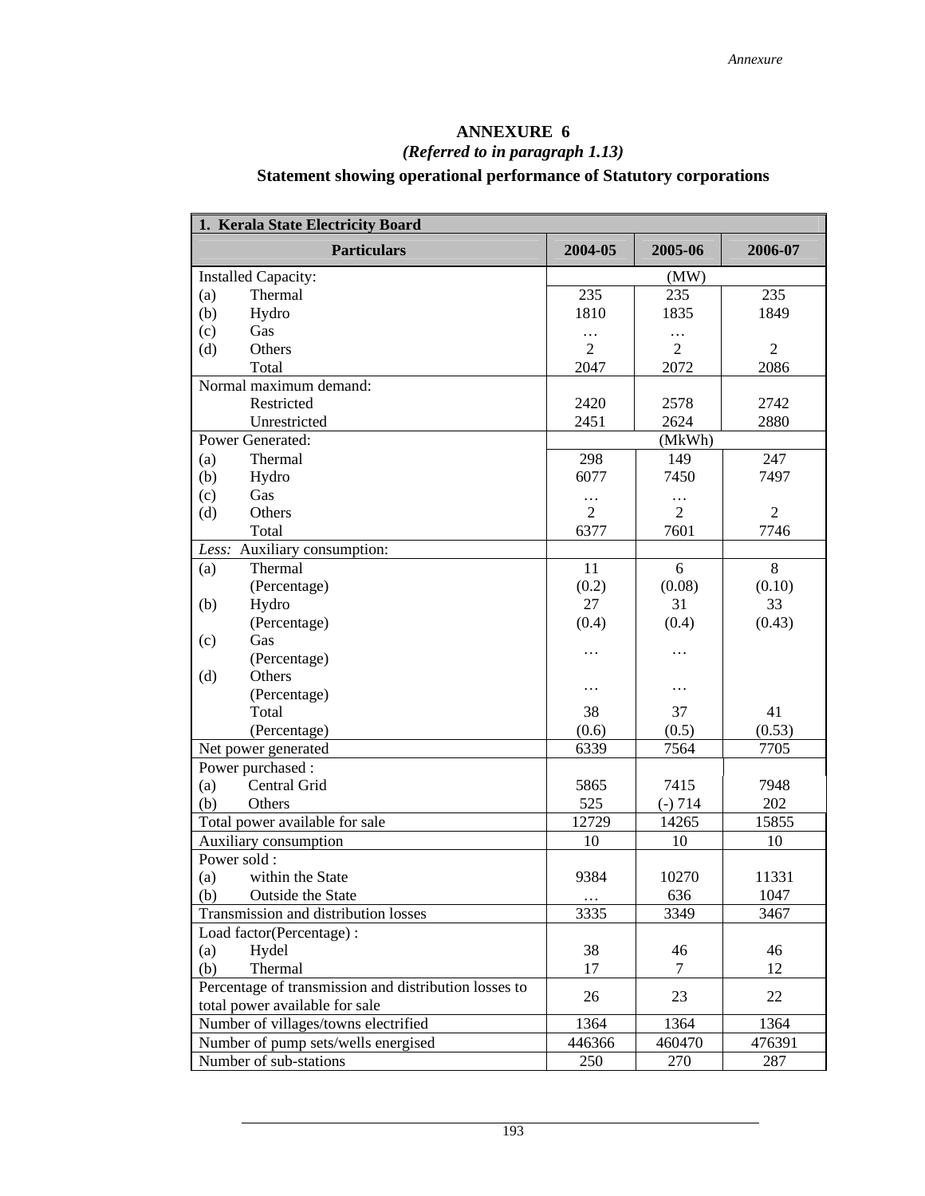# **ANNEXURE 6**  *(Referred to in paragraph 1.13)*  **Statement showing operational performance of Statutory corporations**

| 1. Kerala State Electricity Board                     |                |                |                |  |  |  |  |
|-------------------------------------------------------|----------------|----------------|----------------|--|--|--|--|
| <b>Particulars</b>                                    | 2004-05        | 2005-06        | 2006-07        |  |  |  |  |
| <b>Installed Capacity:</b>                            |                | (MW)           |                |  |  |  |  |
| Thermal<br>(a)                                        | 235            | 235            | 235            |  |  |  |  |
| (b)<br>Hydro                                          | 1810           | 1835           | 1849           |  |  |  |  |
| (c)<br>Gas                                            | $\cdots$       | $\cdots$       |                |  |  |  |  |
| Others<br>(d)                                         | $\overline{2}$ | $\overline{2}$ | $\overline{2}$ |  |  |  |  |
| Total                                                 | 2047           | 2072           | 2086           |  |  |  |  |
| Normal maximum demand:                                |                |                |                |  |  |  |  |
| Restricted                                            | 2420           | 2578           | 2742           |  |  |  |  |
| Unrestricted                                          | 2451           | 2624           | 2880           |  |  |  |  |
| Power Generated:                                      |                | (MkWh)         |                |  |  |  |  |
| Thermal<br>(a)                                        | 298            | 149            | 247            |  |  |  |  |
| (b)<br>Hydro                                          | 6077           | 7450           | 7497           |  |  |  |  |
| (c)<br>Gas                                            | $\cdots$       | $\cdots$       |                |  |  |  |  |
| (d)<br>Others                                         | $\overline{2}$ | $\overline{2}$ | $\overline{2}$ |  |  |  |  |
| Total                                                 | 6377           | 7601           | 7746           |  |  |  |  |
| Less: Auxiliary consumption:                          |                |                |                |  |  |  |  |
| Thermal<br>(a)                                        | 11             | 6              | 8              |  |  |  |  |
| (Percentage)                                          | (0.2)          | (0.08)         | (0.10)         |  |  |  |  |
| Hydro<br>(b)                                          | 27             | 31             | 33             |  |  |  |  |
| (Percentage)                                          | (0.4)          | (0.4)          | (0.43)         |  |  |  |  |
| Gas<br>(c)                                            |                |                |                |  |  |  |  |
| (Percentage)                                          | .              | .              |                |  |  |  |  |
| Others<br>(d)                                         |                | .              |                |  |  |  |  |
| (Percentage)                                          | .              |                |                |  |  |  |  |
| Total                                                 | 38             | 37             | 41             |  |  |  |  |
| (Percentage)                                          | (0.6)          | (0.5)          | (0.53)         |  |  |  |  |
| Net power generated                                   | 6339           | 7564           | 7705           |  |  |  |  |
| Power purchased :                                     |                |                |                |  |  |  |  |
| Central Grid<br>(a)                                   | 5865           | 7415           | 7948           |  |  |  |  |
| (b)<br>Others                                         | 525            | $(-) 714$      | 202            |  |  |  |  |
| Total power available for sale                        | 12729          | 14265          | 15855          |  |  |  |  |
| Auxiliary consumption                                 | 10             | 10             | 10             |  |  |  |  |
| Power sold:                                           |                |                |                |  |  |  |  |
| within the State<br>(a)                               | 9384           | 10270          | 11331          |  |  |  |  |
| Outside the State<br>(b)                              | $\ldots$       | 636            | 1047           |  |  |  |  |
| Transmission and distribution losses                  | 3335           | 3349           | 3467           |  |  |  |  |
| Load factor(Percentage):                              |                |                |                |  |  |  |  |
| Hydel<br>(a)                                          | 38             | 46             | 46             |  |  |  |  |
| (b)<br>Thermal                                        | 17             | 7              | 12             |  |  |  |  |
| Percentage of transmission and distribution losses to | 26             | 23             | 22             |  |  |  |  |
| total power available for sale                        |                |                |                |  |  |  |  |
| Number of villages/towns electrified                  | 1364           | 1364           | 1364           |  |  |  |  |
| Number of pump sets/wells energised                   | 446366         | 460470         | 476391         |  |  |  |  |
| Number of sub-stations                                | 250            | 270            | 287            |  |  |  |  |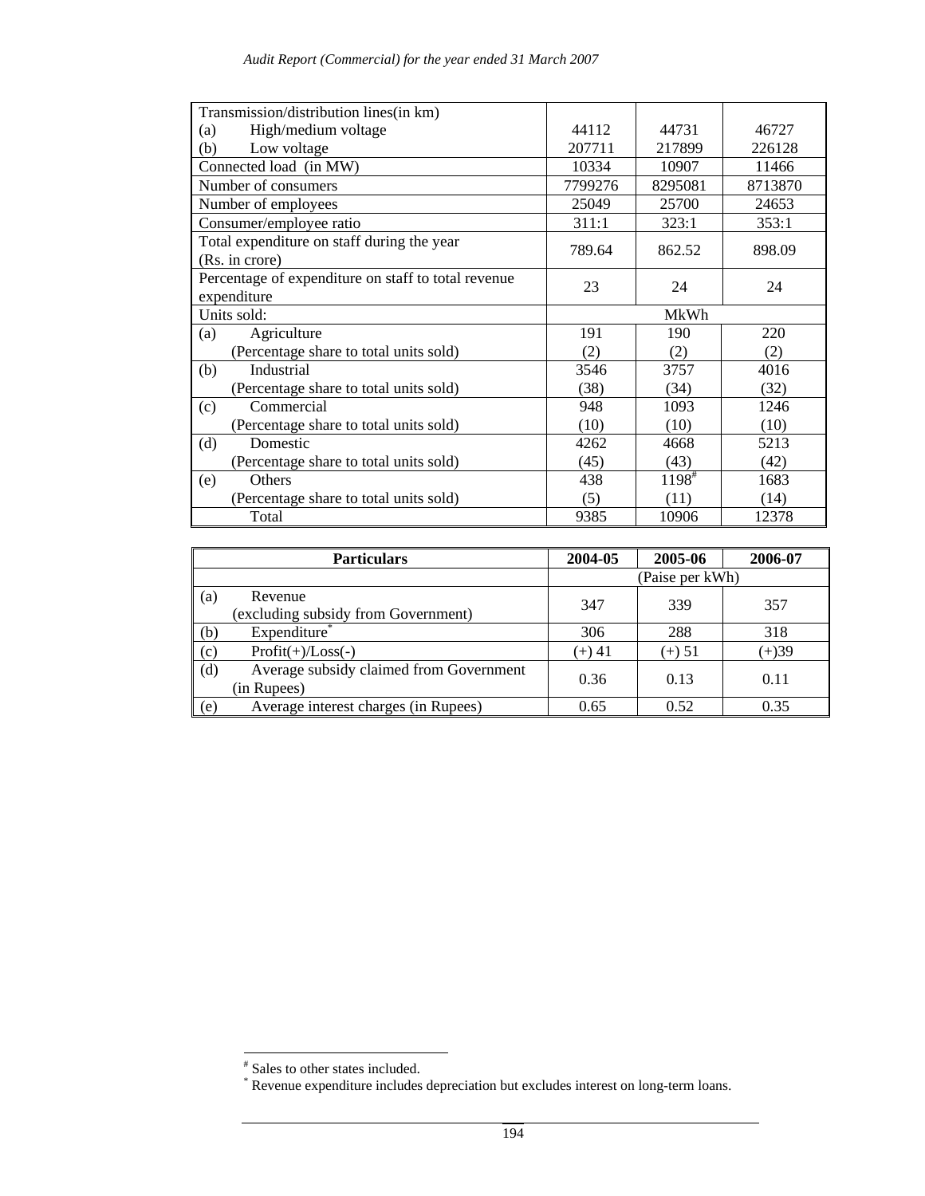| Transmission/distribution lines(in km)              |         |                   |         |  |  |
|-----------------------------------------------------|---------|-------------------|---------|--|--|
| High/medium voltage<br>(a)                          | 44112   | 44731             | 46727   |  |  |
| Low voltage<br>(b)                                  | 207711  | 217899            | 226128  |  |  |
| Connected load (in MW)                              | 10334   | 10907             | 11466   |  |  |
| Number of consumers                                 | 7799276 | 8295081           | 8713870 |  |  |
| Number of employees                                 | 25049   | 25700             | 24653   |  |  |
| Consumer/employee ratio                             | 311:1   | 323:1             | 353:1   |  |  |
| Total expenditure on staff during the year          | 789.64  | 862.52            | 898.09  |  |  |
| (Rs. in crore)                                      |         |                   |         |  |  |
| Percentage of expenditure on staff to total revenue | 23      | 24                | 24      |  |  |
| expenditure                                         |         |                   |         |  |  |
| Units sold:                                         | MkWh    |                   |         |  |  |
| (a)<br>Agriculture                                  | 191     | 190               | 220     |  |  |
| (Percentage share to total units sold)              | (2)     | (2)               | (2)     |  |  |
| Industrial<br>(b)                                   | 3546    | 3757              | 4016    |  |  |
| (Percentage share to total units sold)              | (38)    | (34)              | (32)    |  |  |
| Commercial<br>(c)                                   | 948     | 1093              | 1246    |  |  |
| (Percentage share to total units sold)              | (10)    | (10)              | (10)    |  |  |
| Domestic<br>(d)                                     | 4262    | 4668              | 5213    |  |  |
| (Percentage share to total units sold)              | (45)    | (43)              | (42)    |  |  |
| Others<br>(e)                                       | 438     | $1198^{\text{*}}$ | 1683    |  |  |
| (Percentage share to total units sold)              | (5)     | (11)              | (14)    |  |  |
| Total                                               | 9385    | 10906             | 12378   |  |  |

|     | <b>Particulars</b>                                     | 2004-05         | 2005-06  | 2006-07 |  |  |  |
|-----|--------------------------------------------------------|-----------------|----------|---------|--|--|--|
|     |                                                        | (Paise per kWh) |          |         |  |  |  |
| (a) | Revenue<br>(excluding subsidy from Government)         | 347             | 339      | 357     |  |  |  |
| (b) | Expenditure <sup>*</sup>                               | 306             | 288      | 318     |  |  |  |
| (c) | $Profit(+)/Loss(-)$                                    | $(+) 41$        | $(+) 51$ | $(+)39$ |  |  |  |
| (d) | Average subsidy claimed from Government<br>(in Rupees) | 0.36            | 0.13     | 0.11    |  |  |  |
| (e) | Average interest charges (in Rupees)                   | 0.65            | 0.52     | 0.35    |  |  |  |

 # Sales to other states included. \* Revenue expenditure includes depreciation but excludes interest on long-term loans.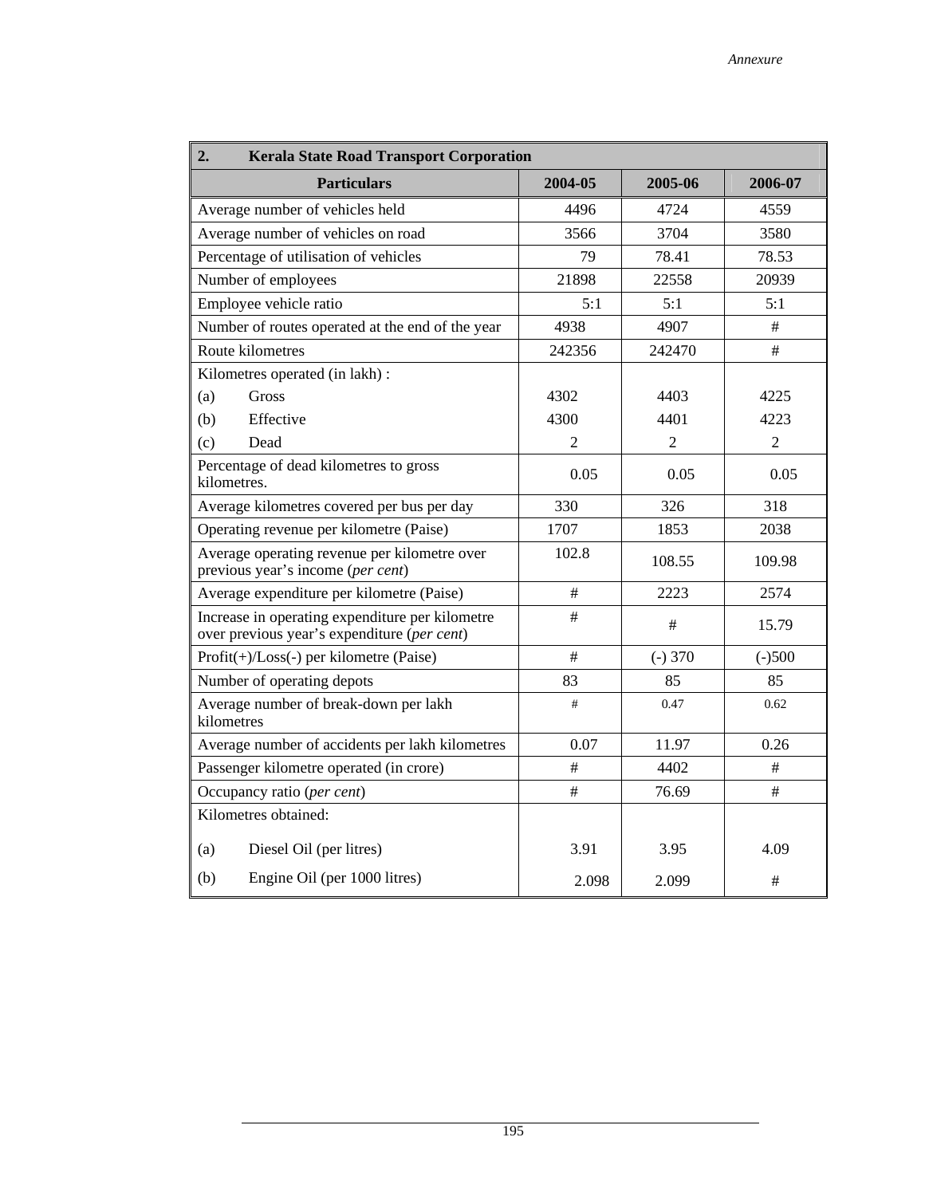| 2.<br><b>Kerala State Road Transport Corporation</b>                                           |                |                |                |  |  |  |  |  |
|------------------------------------------------------------------------------------------------|----------------|----------------|----------------|--|--|--|--|--|
| <b>Particulars</b>                                                                             | 2004-05        | 2005-06        | 2006-07        |  |  |  |  |  |
| Average number of vehicles held                                                                | 4496           | 4559           |                |  |  |  |  |  |
| Average number of vehicles on road                                                             | 3566           | 3704           | 3580           |  |  |  |  |  |
| Percentage of utilisation of vehicles                                                          | 79             | 78.41          | 78.53          |  |  |  |  |  |
| Number of employees                                                                            | 21898          | 22558          | 20939          |  |  |  |  |  |
| Employee vehicle ratio                                                                         | 5:1            | 5:1            | 5:1            |  |  |  |  |  |
| Number of routes operated at the end of the year                                               | 4938           | 4907           | #              |  |  |  |  |  |
| Route kilometres                                                                               | 242356         | 242470         | #              |  |  |  |  |  |
| Kilometres operated (in lakh) :                                                                |                |                |                |  |  |  |  |  |
| (a)<br>Gross                                                                                   | 4302           | 4403           | 4225           |  |  |  |  |  |
| (b)<br>Effective                                                                               | 4300           | 4401           | 4223           |  |  |  |  |  |
| (c)<br>Dead                                                                                    | $\overline{2}$ | $\overline{2}$ | $\overline{2}$ |  |  |  |  |  |
| Percentage of dead kilometres to gross<br>kilometres.                                          | 0.05           | 0.05           |                |  |  |  |  |  |
| Average kilometres covered per bus per day                                                     | 330            | 326            | 318            |  |  |  |  |  |
| Operating revenue per kilometre (Paise)                                                        | 1707           | 2038           |                |  |  |  |  |  |
| Average operating revenue per kilometre over<br>previous year's income (per cent)              | 102.8          | 108.55         | 109.98         |  |  |  |  |  |
| Average expenditure per kilometre (Paise)                                                      | #              | 2223           | 2574           |  |  |  |  |  |
| Increase in operating expenditure per kilometre<br>over previous year's expenditure (per cent) | #              | #              | 15.79          |  |  |  |  |  |
| $Profit(+)/Loss(-)$ per kilometre (Paise)                                                      | #              | $(-)370$       | $(-)500$       |  |  |  |  |  |
| Number of operating depots                                                                     | 83             | 85             | 85             |  |  |  |  |  |
| Average number of break-down per lakh<br>kilometres                                            | #              | 0.47           | 0.62           |  |  |  |  |  |
| Average number of accidents per lakh kilometres                                                | 0.07           | 11.97          | 0.26           |  |  |  |  |  |
| Passenger kilometre operated (in crore)                                                        | #              | 4402           | #              |  |  |  |  |  |
| Occupancy ratio (per cent)                                                                     | #              | 76.69          | #              |  |  |  |  |  |
| Kilometres obtained:                                                                           |                |                |                |  |  |  |  |  |
| Diesel Oil (per litres)<br>(a)                                                                 | 3.91           | 3.95           | 4.09           |  |  |  |  |  |
| (b)<br>Engine Oil (per 1000 litres)                                                            | 2.098          | 2.099          | #              |  |  |  |  |  |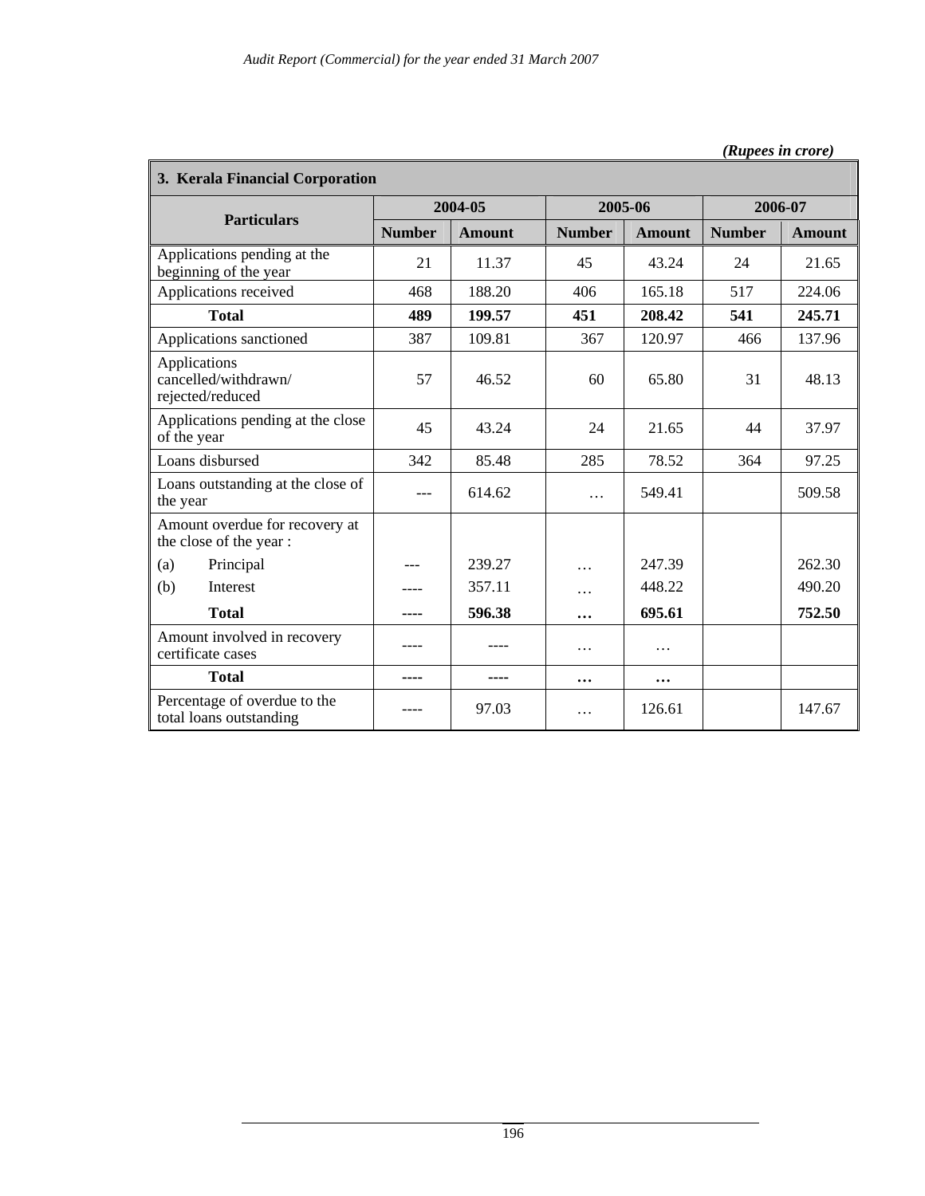| 3. Kerala Financial Corporation                          |               |               |               |               |               |               |  |  |
|----------------------------------------------------------|---------------|---------------|---------------|---------------|---------------|---------------|--|--|
| <b>Particulars</b>                                       |               | 2004-05       |               | 2005-06       | 2006-07       |               |  |  |
|                                                          | <b>Number</b> | <b>Amount</b> | <b>Number</b> | <b>Amount</b> | <b>Number</b> | <b>Amount</b> |  |  |
| Applications pending at the<br>beginning of the year     | 21            | 11.37         | 45            | 43.24         | 24            | 21.65         |  |  |
| Applications received                                    | 468           | 188.20        | 406           | 165.18        | 517           | 224.06        |  |  |
| <b>Total</b>                                             | 489           | 199.57        | 451           | 208.42        | 541           | 245.71        |  |  |
| Applications sanctioned                                  | 387           | 109.81        | 367           | 120.97        | 466           | 137.96        |  |  |
| Applications<br>cancelled/withdrawn/<br>rejected/reduced | 57            | 46.52         | 60            | 65.80         | 31            | 48.13         |  |  |
| Applications pending at the close<br>of the year         | 45            | 43.24         | 24            | 21.65         | 44            | 37.97         |  |  |
| Loans disbursed                                          | 342           | 85.48         | 285           | 78.52         | 364           | 97.25         |  |  |
| Loans outstanding at the close of<br>the year            | ---           | 614.62        | $\cdots$      | 549.41        |               | 509.58        |  |  |
| Amount overdue for recovery at<br>the close of the year: |               |               |               |               |               |               |  |  |
| Principal<br>(a)                                         | ---           | 239.27        | .             | 247.39        |               | 262.30        |  |  |
| (b)<br>Interest                                          | ----          | 357.11        | .             | 448.22        |               | 490.20        |  |  |
| <b>Total</b>                                             |               | 596.38        |               | 695.61        |               | 752.50        |  |  |
| Amount involved in recovery<br>certificate cases         |               |               | .             | $\cdots$      |               |               |  |  |
| <b>Total</b>                                             | ----          |               | $\ddotsc$     | $\ddotsc$     |               |               |  |  |
| Percentage of overdue to the<br>total loans outstanding  |               | 97.03         | .             | 126.61        |               | 147.67        |  |  |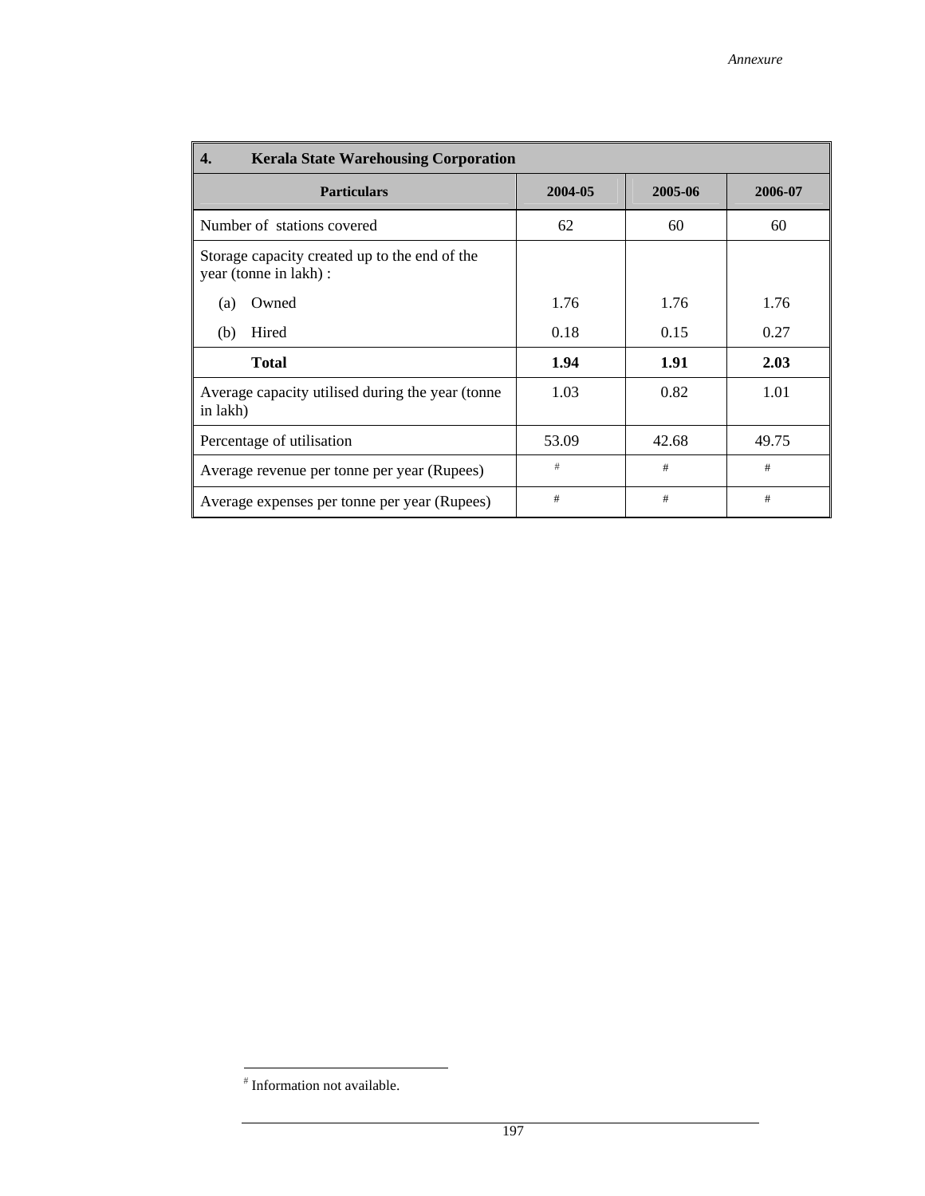| 4.<br><b>Kerala State Warehousing Corporation</b>                       |         |         |         |  |  |  |  |  |  |  |
|-------------------------------------------------------------------------|---------|---------|---------|--|--|--|--|--|--|--|
| <b>Particulars</b>                                                      | 2004-05 | 2005-06 | 2006-07 |  |  |  |  |  |  |  |
| Number of stations covered                                              | 62      | 60      | 60      |  |  |  |  |  |  |  |
| Storage capacity created up to the end of the<br>year (tonne in lakh) : |         |         |         |  |  |  |  |  |  |  |
| Owned<br>(a)                                                            | 1.76    | 1.76    | 1.76    |  |  |  |  |  |  |  |
| Hired<br>(b)                                                            | 0.18    | 0.15    | 0.27    |  |  |  |  |  |  |  |
| <b>Total</b>                                                            | 1.94    | 1.91    | 2.03    |  |  |  |  |  |  |  |
| Average capacity utilised during the year (tonne<br>in lakh)            | 1.03    | 0.82    | 1.01    |  |  |  |  |  |  |  |
| Percentage of utilisation                                               | 53.09   | 42.68   | 49.75   |  |  |  |  |  |  |  |
| Average revenue per tonne per year (Rupees)                             | #       | #       | #       |  |  |  |  |  |  |  |
| Average expenses per tonne per year (Rupees)                            | #       | #       | #       |  |  |  |  |  |  |  |

 # Information not available.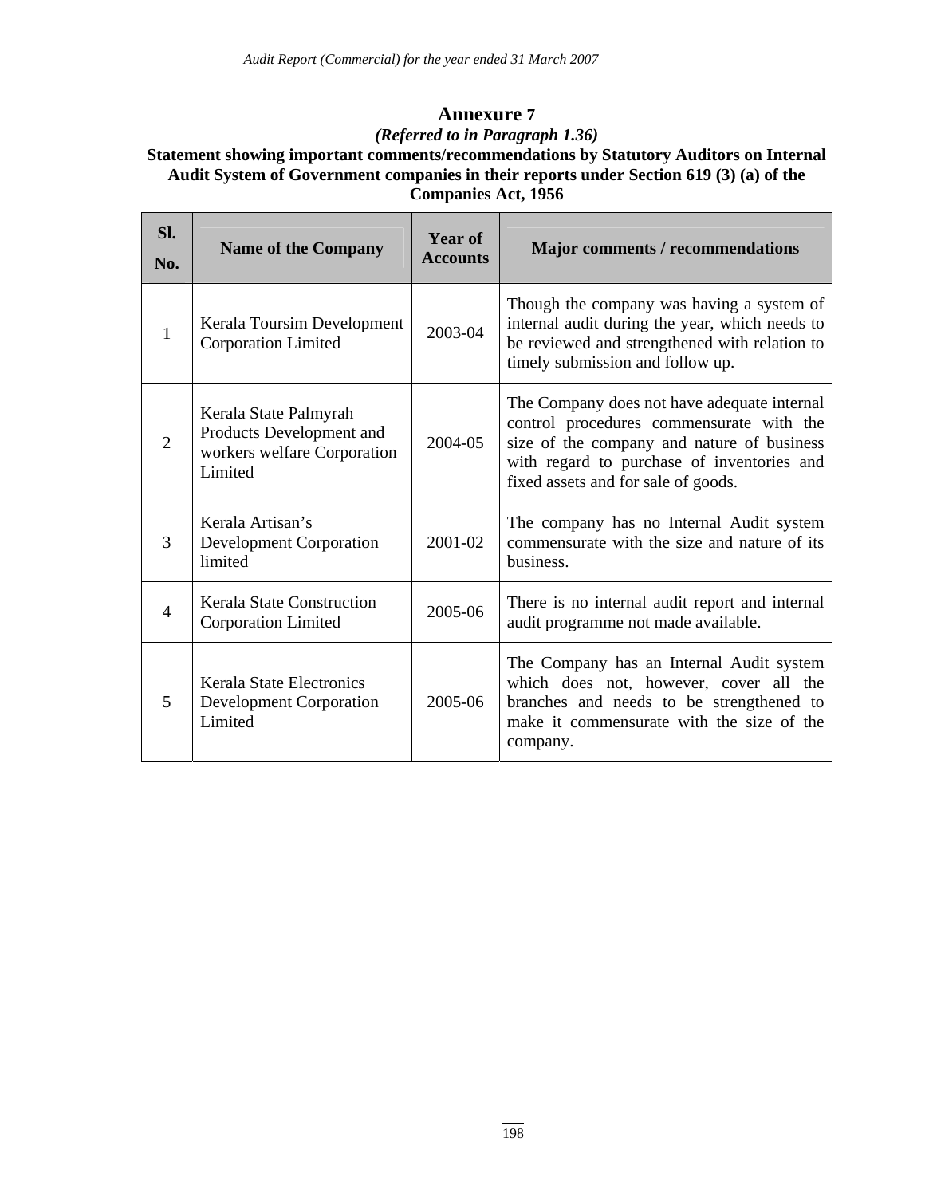# **Annexure 7** *(Referred to in Paragraph 1.36)*

# **Statement showing important comments/recommendations by Statutory Auditors on Internal Audit System of Government companies in their reports under Section 619 (3) (a) of the Companies Act, 1956**

| Sl.<br>No.     | <b>Name of the Company</b>                                                                  | <b>Year of</b><br><b>Accounts</b> | <b>Major comments / recommendations</b>                                                                                                                                                                                    |
|----------------|---------------------------------------------------------------------------------------------|-----------------------------------|----------------------------------------------------------------------------------------------------------------------------------------------------------------------------------------------------------------------------|
| $\mathbf{1}$   | Kerala Toursim Development<br><b>Corporation Limited</b>                                    | 2003-04                           | Though the company was having a system of<br>internal audit during the year, which needs to<br>be reviewed and strengthened with relation to<br>timely submission and follow up.                                           |
| 2              | Kerala State Palmyrah<br>Products Development and<br>workers welfare Corporation<br>Limited | 2004-05                           | The Company does not have adequate internal<br>control procedures commensurate with the<br>size of the company and nature of business<br>with regard to purchase of inventories and<br>fixed assets and for sale of goods. |
| 3              | Kerala Artisan's<br><b>Development Corporation</b><br>limited                               | 2001-02                           | The company has no Internal Audit system<br>commensurate with the size and nature of its<br>business.                                                                                                                      |
| $\overline{4}$ | <b>Kerala State Construction</b><br><b>Corporation Limited</b>                              | 2005-06                           | There is no internal audit report and internal<br>audit programme not made available.                                                                                                                                      |
| 5              | <b>Kerala State Electronics</b><br><b>Development Corporation</b><br>Limited                | 2005-06                           | The Company has an Internal Audit system<br>which does not, however, cover all the<br>branches and needs to be strengthened to<br>make it commensurate with the size of the<br>company.                                    |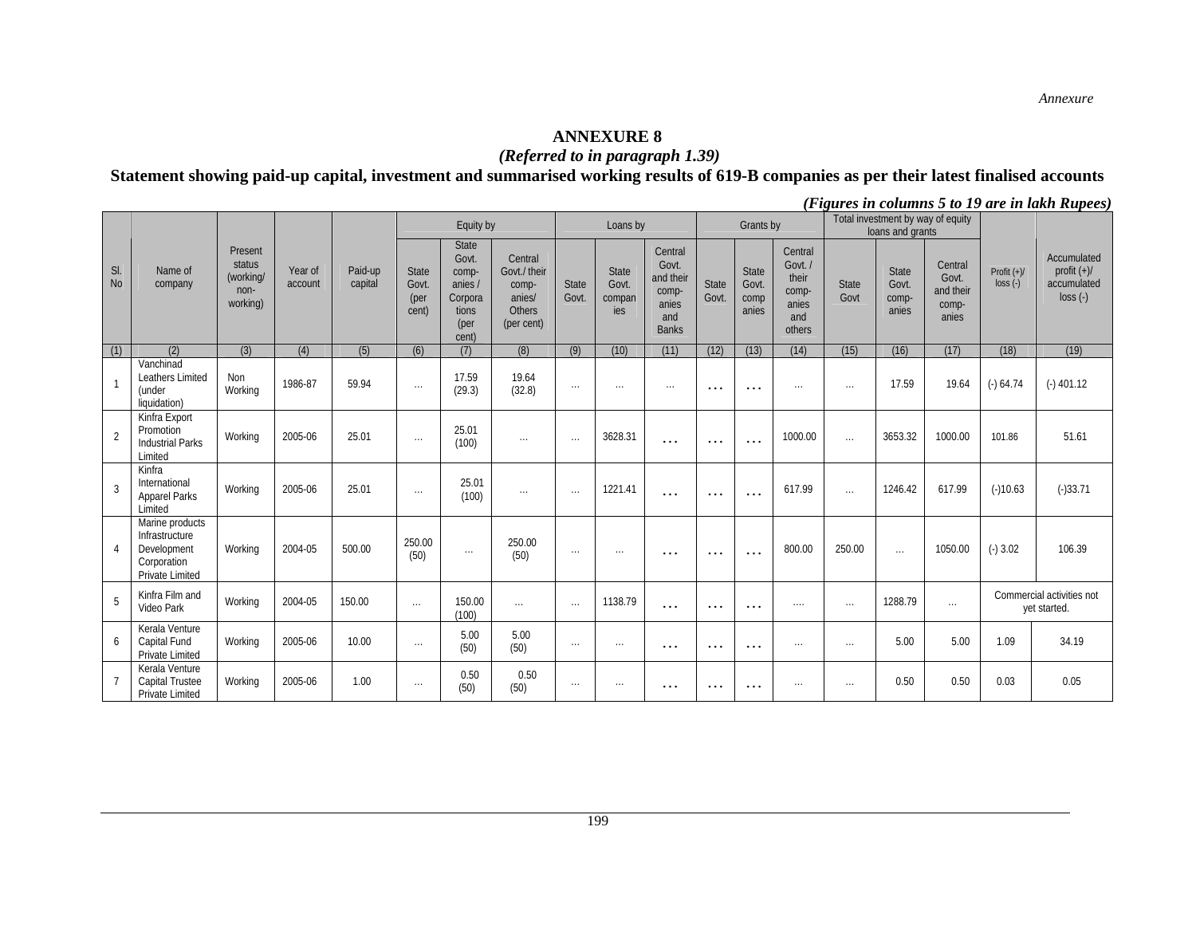#### **ANNEXURE 8**

#### *(Referred to in paragraph 1.39)*

**Statement showing paid-up capital, investment and summarised working results of 619-B companies as per their latest finalised accounts** 

|                  |                                                                                    |                                                    |                    |                    |                                 | Equity by                                                               |                                                                           |                       | Loans by                        |                                                                        |                      | Grants by                       |                                                                |                      | Total investment by way of equity<br>loans and grants |                                                 |                            |                                                        |
|------------------|------------------------------------------------------------------------------------|----------------------------------------------------|--------------------|--------------------|---------------------------------|-------------------------------------------------------------------------|---------------------------------------------------------------------------|-----------------------|---------------------------------|------------------------------------------------------------------------|----------------------|---------------------------------|----------------------------------------------------------------|----------------------|-------------------------------------------------------|-------------------------------------------------|----------------------------|--------------------------------------------------------|
| SI.<br><b>No</b> | Name of<br>company                                                                 | Present<br>status<br>(working/<br>non-<br>working) | Year of<br>account | Paid-up<br>capital | State<br>Govt.<br>(per<br>cent) | State<br>Govt.<br>comp-<br>anies /<br>Corpora<br>tions<br>(per<br>cent) | Central<br>Govt./ their<br>comp-<br>anies/<br><b>Others</b><br>(per cent) | <b>State</b><br>Govt. | State<br>Govt.<br>compan<br>ies | Central<br>Govt.<br>and their<br>comp-<br>anies<br>and<br><b>Banks</b> | State<br>Govt        | State<br>Govt.<br>comp<br>anies | Central<br>Govt. /<br>their<br>comp-<br>anies<br>and<br>others | <b>State</b><br>Govt | State<br>Govt.<br>comp-<br>anies                      | Central<br>Govt.<br>and their<br>comp-<br>anies | Profit $(+)/$<br>$loss(-)$ | Accumulated<br>profit $(+)/$<br>accumulated<br>loss(.) |
| (1)              | (2)                                                                                | (3)                                                | (4)                | (5)                | (6)                             | (7)                                                                     | (8)                                                                       | (9)                   | (10)                            | (11)                                                                   | (12)                 | (13)                            | (14)                                                           | (15)                 | (16)                                                  | (17)                                            | (18)                       | (19)                                                   |
|                  | Vanchinad<br>Leathers Limited<br>(under<br>liquidation)                            | Non<br>Working                                     | 1986-87            | 59.94              | $\ldots$                        | 17.59<br>(29.3)                                                         | 19.64<br>(32.8)                                                           | $\ldots$              | $\cdots$                        | $\sim$ . $\sim$                                                        | $\sim$ $\sim$ $\sim$ | $\cdots$                        | $\sim$ $\sim$ $\sim$                                           | $\cdots$             | 17.59                                                 | 19.64                                           | $(-) 64.74$                | $(-)$ 401.12                                           |
| $\overline{2}$   | Kinfra Export<br>Promotion<br><b>Industrial Parks</b><br>Limited                   | Working                                            | 2005-06            | 25.01              | $\ldots$                        | 25.01<br>(100)                                                          | $\ldots$                                                                  | $\cdots$              | 3628.31                         | .                                                                      | $\cdots$             | $\cdots$                        | 1000.00                                                        | $\cdots$             | 3653.32                                               | 1000.00                                         | 101.86                     | 51.61                                                  |
| 3                | Kinfra<br>International<br><b>Apparel Parks</b><br>Limited                         | Working                                            | 2005-06            | 25.01              | $\sim$ $\sim$                   | 25.01<br>(100)                                                          | $\ldots$                                                                  | $\sim$ . $\sim$       | 1221.41                         | .                                                                      | $\cdots$             | $\cdots$                        | 617.99                                                         | $\cdots$             | 1246.42                                               | 617.99                                          | $(-)10.63$                 | $(-)33.71$                                             |
| $\overline{4}$   | Marine products<br>Infrastructure<br>Development<br>Corporation<br>Private Limited | Working                                            | 2004-05            | 500.00             | 250.00<br>(50)                  | $\ldots$                                                                | 250.00<br>(50)                                                            | $\sim$ . $\sim$       | $\cdots$                        | .                                                                      | $\cdots$             | $\cdots$                        | 800.00                                                         | 250.00               | $\cdots$                                              | 1050.00                                         | $(-)3.02$                  | 106.39                                                 |
| 5                | Kinfra Film and<br>Video Park                                                      | Working                                            | 2004-05            | 150.00             | $\ldots$                        | 150.00<br>(100)                                                         | $\sim$                                                                    | $\ldots$              | 1138.79                         | .                                                                      | $\cdots$             | $\cdots$                        | $\cdots$                                                       | $\cdots$             | 1288.79                                               | $\sim$ .                                        |                            | Commercial activities not<br>yet started.              |
| 6                | Kerala Venture<br>Capital Fund<br>Private Limited                                  | Working                                            | 2005-06            | 10.00              | $\ldots$                        | 5.00<br>(50)                                                            | 5.00<br>(50)                                                              | $\sim$ $\sim$         | $\cdots$                        | $\cdots$                                                               | $\cdots$             | $\cdots$                        | $\cdots$                                                       | $\sim$ $\sim$ $\sim$ | 5.00                                                  | 5.00                                            | 1.09                       | 34.19                                                  |
|                  | Kerala Venture<br>Capital Trustee<br>Private Limited                               | Working                                            | 2005-06            | 1.00               | $\ldots$                        | 0.50<br>(50)                                                            | 0.50<br>(50)                                                              | $\sim$ $\sim$         | $\ldots$                        | $\cdots$                                                               | $\cdots$             | $\cdots$                        | $\sim$ $\sim$ $\sim$                                           | $\sim$ $\sim$ $\sim$ | 0.50                                                  | 0.50                                            | 0.03                       | 0.05                                                   |

*(Figures in columns 5 to 19 are in lakh Rupees)*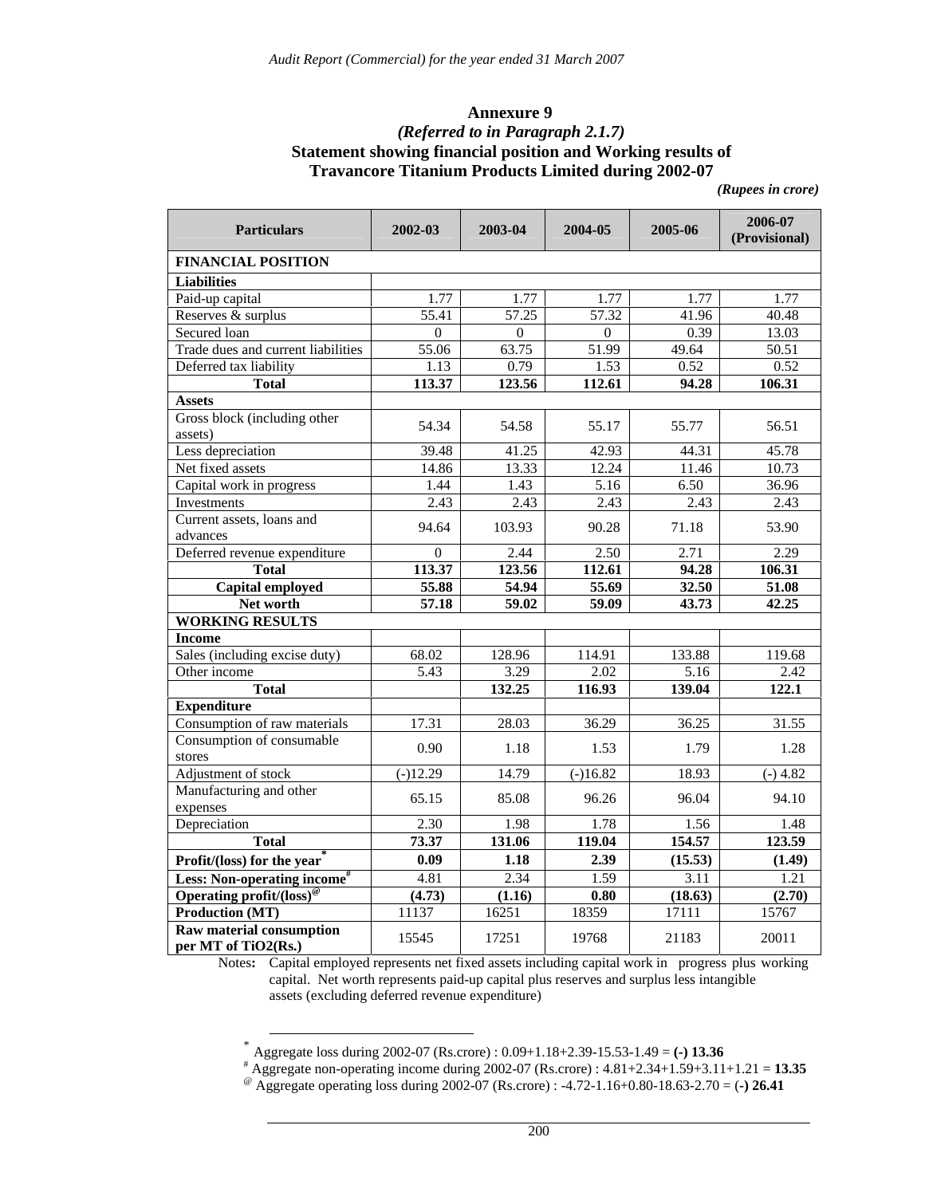#### **Annexure 9**  *(Referred to in Paragraph 2.1.7)*  **Statement showing financial position and Working results of Travancore Titanium Products Limited during 2002-07**

 *(Rupees in crore)* 

| <b>Particulars</b>                                          | 2002-03           | 2003-04  | 2004-05           | 2005-06             | 2006-07<br>(Provisional) |
|-------------------------------------------------------------|-------------------|----------|-------------------|---------------------|--------------------------|
| <b>FINANCIAL POSITION</b>                                   |                   |          |                   |                     |                          |
| <b>Liabilities</b>                                          |                   |          |                   |                     |                          |
| Paid-up capital                                             | 1.77              | 1.77     | 1.77              | 1.77                | 1.77                     |
| Reserves & surplus                                          | 55.41             | 57.25    | 57.32             | 41.96               | 40.48                    |
| Secured loan                                                | $\Omega$          | $\Omega$ | $\theta$          | 0.39                | 13.03                    |
| Trade dues and current liabilities                          | 55.06             | 63.75    | 51.99             | 49.64               | 50.51                    |
| Deferred tax liability                                      | 1.13              | 0.79     | 1.53              | 0.52                | 0.52                     |
| <b>Total</b>                                                | 113.37            | 123.56   | 112.61            | 94.28               | 106.31                   |
| <b>Assets</b>                                               |                   |          |                   |                     |                          |
| Gross block (including other<br>assets)                     | 54.34             | 54.58    | 55.17             | 55.77               | 56.51                    |
| Less depreciation                                           | 39.48             | 41.25    | 42.93             | 44.31               | 45.78                    |
| Net fixed assets                                            | 14.86             | 13.33    | 12.24             | 11.46               | 10.73                    |
| Capital work in progress                                    | 1.44              | 1.43     | 5.16              | 6.50                | 36.96                    |
| Investments                                                 | 2.43              | 2.43     | 2.43              | 2.43                | 2.43                     |
| Current assets, loans and<br>advances                       | 94.64             | 103.93   | 90.28             | 71.18               | 53.90                    |
| Deferred revenue expenditure                                | $\theta$          | 2.44     | 2.50              | 2.71                | 2.29                     |
| <b>Total</b>                                                | 113.37            | 123.56   | 112.61            | 94.28               | 106.31                   |
| <b>Capital employed</b>                                     | 55.88             | 54.94    | 55.69             | 32.50               | 51.08                    |
| Net worth                                                   | 57.18             | 59.02    | 59.09             | 43.73               | 42.25                    |
| <b>WORKING RESULTS</b>                                      |                   |          |                   |                     |                          |
| <b>Income</b>                                               |                   |          |                   |                     |                          |
| Sales (including excise duty)                               | 68.02             | 128.96   | 114.91            | 133.88              | 119.68                   |
| Other income                                                | $\overline{5.43}$ | 3.29     | $\overline{2.02}$ | $\overline{5.16}$   | 2.42                     |
| <b>Total</b>                                                |                   | 132.25   | 116.93            | $\overline{1}39.04$ | 122.1                    |
| <b>Expenditure</b>                                          |                   |          |                   |                     |                          |
| Consumption of raw materials                                | 17.31             | 28.03    | 36.29             | 36.25               | 31.55                    |
| Consumption of consumable<br>stores                         | 0.90              | 1.18     | 1.53              | 1.79                | 1.28                     |
| Adjustment of stock                                         | $(-)12.29$        | 14.79    | $(-)16.82$        | 18.93               | $(-) 4.82$               |
| Manufacturing and other                                     |                   |          |                   |                     |                          |
| expenses                                                    | 65.15             | 85.08    | 96.26             | 96.04               | 94.10                    |
| Depreciation                                                | 2.30              | 1.98     | 1.78              | 1.56                | 1.48                     |
| Total                                                       | 73.37             | 131.06   | 119.04            | 154.57              | 123.59                   |
| Profit/(loss) for the year                                  | 0.09              | 1.18     | 2.39              | (15.53)             | (1.49)                   |
| Less: Non-operating income#                                 | 4.81              | 2.34     | 1.59              | 3.11                | 1.21                     |
| Operating $\overline{\text{profit}/(\text{loss})^{\omega}}$ | (4.73)            | (1.16)   | 0.80              | (18.63)             | (2.70)                   |
| <b>Production (MT)</b>                                      | 11137             | 16251    | 18359             | 17111               | 15767                    |
| Raw material consumption<br>per MT of TiO2(Rs.)             | 15545             | 17251    | 19768             | 21183               | 20011                    |

Notes**:** Capital employed represents net fixed assets including capital work in progress plus working capital. Net worth represents paid-up capital plus reserves and surplus less intangible assets (excluding deferred revenue expenditure)

 <sup>\*</sup> Aggregate loss during 2002-07 (Rs.crore) : 0.09+1.18+2.39-15.53-1.49 = **(-) 13.36** 

<sup>#</sup> Aggregate non-operating income during 2002-07 (Rs.crore) : 4.81+2.34+1.59+3.11+1.21 = **13.35** @ Aggregate operating loss during 2002-07 (Rs.crore) : -4.72-1.16+0.80-18.63-2.70 = (**-) 26.41**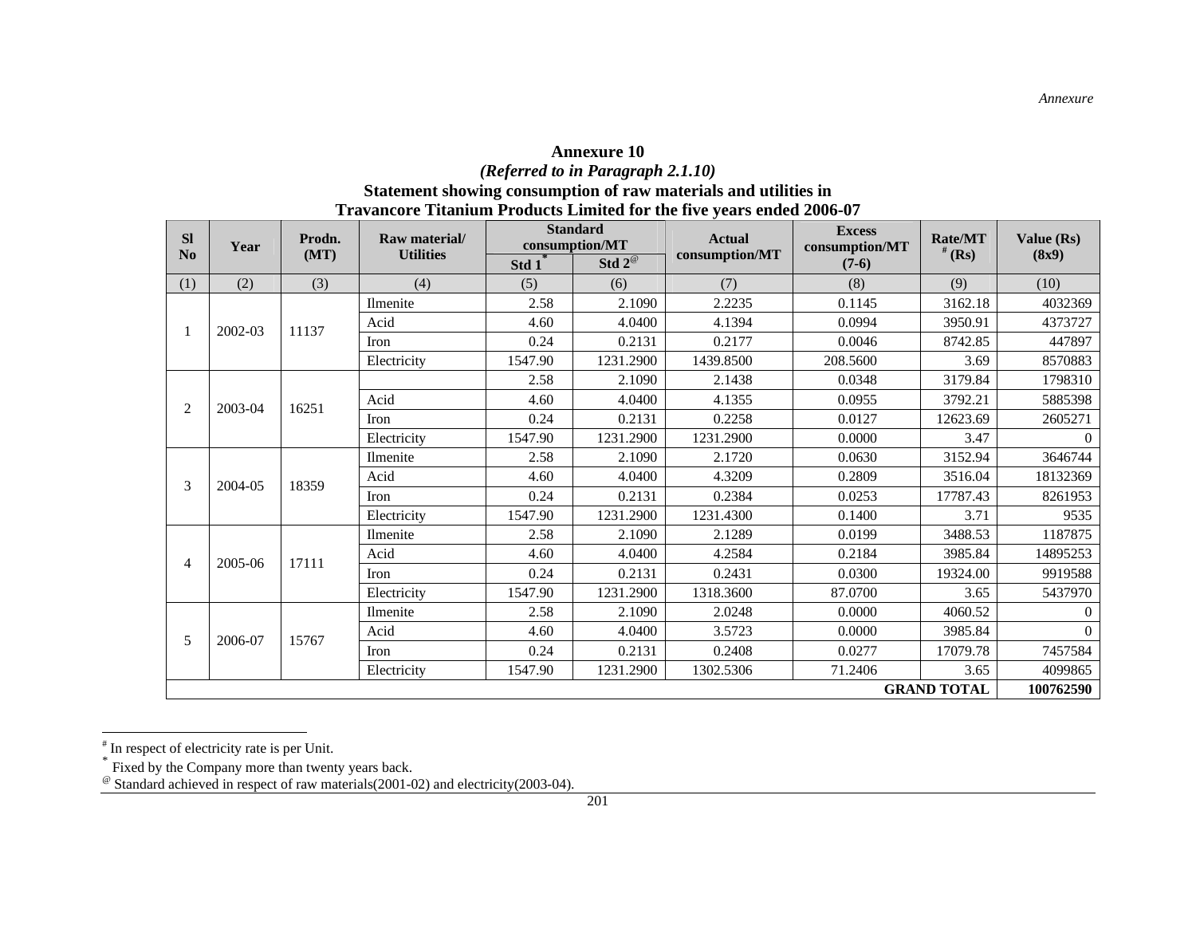#### **Annexure 10**  *(Referred to in Paragraph 2.1.10)*  **Statement showing consumption of raw materials and utilities in Travancore Titanium Products Limited for the five years ended 2006-07**

| <b>SI</b>      | Year    | Prodn. | Raw material/    | <b>Standard</b><br>consumption/MT |                     | <b>Actual</b>  | <b>Excess</b><br>consumption/MT | <b>Rate/MT</b>     | Value (Rs) |
|----------------|---------|--------|------------------|-----------------------------------|---------------------|----------------|---------------------------------|--------------------|------------|
| N <sub>0</sub> |         | (MT)   | <b>Utilities</b> | Std 1                             | Std $2^{\circledR}$ | consumption/MT | $(7-6)$                         | $#$ (Rs)           | (8x9)      |
| (1)            | (2)     | (3)    | (4)              | (5)                               | (6)                 | (7)            | (8)                             | (9)                | (10)       |
|                |         |        | Ilmenite         | 2.58                              | 2.1090              | 2.2235         | 0.1145                          | 3162.18            | 4032369    |
|                | 2002-03 | 11137  | Acid             | 4.60                              | 4.0400              | 4.1394         | 0.0994                          | 3950.91            | 4373727    |
|                |         |        | Iron             | 0.24                              | 0.2131              | 0.2177         | 0.0046                          | 8742.85            | 447897     |
|                |         |        | Electricity      | 1547.90                           | 1231.2900           | 1439.8500      | 208.5600                        | 3.69               | 8570883    |
|                |         |        | 2.58             | 2.1090                            | 2.1438              | 0.0348         | 3179.84                         | 1798310            |            |
| 2              | 2003-04 | 16251  | Acid             | 4.60                              | 4.0400              | 4.1355         | 0.0955                          | 3792.21            | 5885398    |
|                |         |        | <b>Iron</b>      | 0.24                              | 0.2131              | 0.2258         | 0.0127                          | 12623.69           | 2605271    |
|                |         |        | Electricity      | 1547.90                           | 1231.2900           | 1231.2900      | 0.0000                          | 3.47               | $\theta$   |
|                |         | 18359  | Ilmenite         | 2.58                              | 2.1090              | 2.1720         | 0.0630                          | 3152.94            | 3646744    |
| 3              | 2004-05 |        | Acid             | 4.60                              | 4.0400              | 4.3209         | 0.2809                          | 3516.04            | 18132369   |
|                |         |        | Iron             | 0.24                              | 0.2131              | 0.2384         | 0.0253                          | 17787.43           | 8261953    |
|                |         |        | Electricity      | 1547.90                           | 1231.2900           | 1231.4300      | 0.1400                          | 3.71               | 9535       |
|                |         |        | Ilmenite         | 2.58                              | 2.1090              | 2.1289         | 0.0199                          | 3488.53            | 1187875    |
| $\overline{4}$ | 2005-06 | 17111  | Acid             | 4.60                              | 4.0400              | 4.2584         | 0.2184                          | 3985.84            | 14895253   |
|                |         |        | <b>Iron</b>      | 0.24                              | 0.2131              | 0.2431         | 0.0300                          | 19324.00           | 9919588    |
|                |         |        | Electricity      | 1547.90                           | 1231.2900           | 1318.3600      | 87.0700                         | 3.65               | 5437970    |
|                |         |        | Ilmenite         | 2.58                              | 2.1090              | 2.0248         | 0.0000                          | 4060.52            | $\Omega$   |
| 5              | 2006-07 | 15767  | Acid             | 4.60                              | 4.0400              | 3.5723         | 0.0000                          | 3985.84            | $\Omega$   |
|                |         |        | <b>Iron</b>      | 0.24                              | 0.2131              | 0.2408         | 0.0277                          | 17079.78           | 7457584    |
|                |         |        | Electricity      | 1547.90                           | 1231.2900           | 1302.5306      | 71.2406                         | 3.65               | 4099865    |
|                |         |        |                  |                                   |                     |                |                                 | <b>GRAND TOTAL</b> | 100762590  |

<sup>#</sup> In respect of electricity rate is per Unit.

<sup>\*</sup> Fixed by the Company more than twenty years back.

 $^{\circ}$  Standard achieved in respect of raw materials(2001-02) and electricity(2003-04).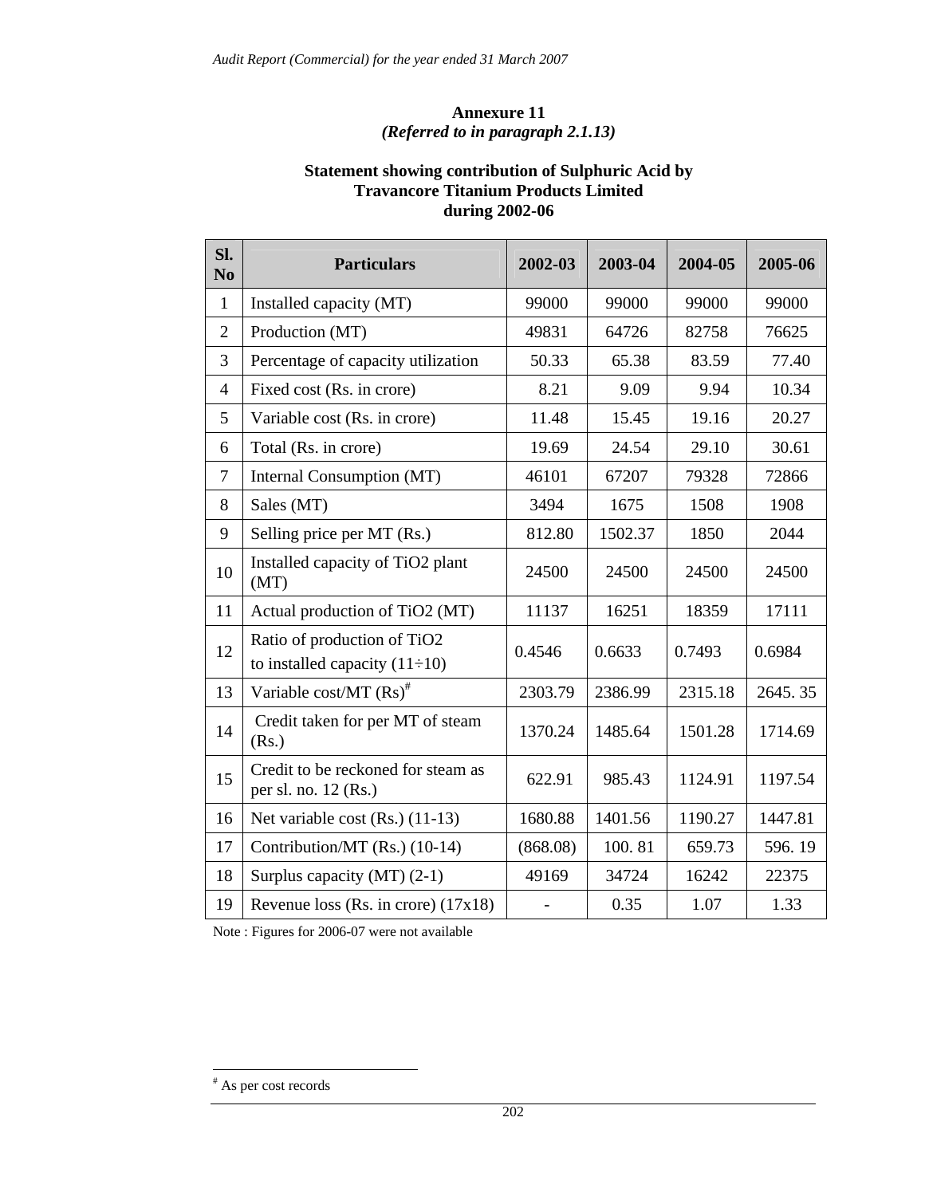#### **Annexure 11**  *(Referred to in paragraph 2.1.13)*

#### **Statement showing contribution of Sulphuric Acid by Travancore Titanium Products Limited during 2002-06**

| Sl.<br>N <sub>0</sub> | <b>Particulars</b>                                                 | 2002-03  | 2003-04 | 2004-05 | 2005-06 |
|-----------------------|--------------------------------------------------------------------|----------|---------|---------|---------|
| $\mathbf{1}$          | Installed capacity (MT)                                            | 99000    | 99000   | 99000   | 99000   |
| $\overline{2}$        | Production (MT)                                                    | 49831    | 64726   | 82758   | 76625   |
| 3                     | Percentage of capacity utilization                                 | 50.33    | 65.38   | 83.59   | 77.40   |
| $\overline{4}$        | Fixed cost (Rs. in crore)                                          | 8.21     | 9.09    | 9.94    | 10.34   |
| 5                     | Variable cost (Rs. in crore)                                       | 11.48    | 15.45   | 19.16   | 20.27   |
| 6                     | Total (Rs. in crore)                                               | 19.69    | 24.54   | 29.10   | 30.61   |
| 7                     | Internal Consumption (MT)                                          | 46101    | 67207   | 79328   | 72866   |
| 8                     | Sales (MT)                                                         | 3494     | 1675    | 1508    | 1908    |
| 9                     | Selling price per MT (Rs.)                                         | 812.80   | 1502.37 | 1850    | 2044    |
| 10                    | Installed capacity of TiO2 plant<br>(MT)                           | 24500    | 24500   | 24500   | 24500   |
| 11                    | Actual production of TiO2 (MT)                                     | 11137    | 16251   | 18359   | 17111   |
| 12                    | Ratio of production of TiO2<br>to installed capacity $(11\div 10)$ | 0.4546   | 0.6633  | 0.7493  | 0.6984  |
| 13                    | Variable cost/MT (Rs) <sup>#</sup>                                 | 2303.79  | 2386.99 | 2315.18 | 2645.35 |
| 14                    | Credit taken for per MT of steam<br>(Rs.)                          | 1370.24  | 1485.64 | 1501.28 | 1714.69 |
| 15                    | Credit to be reckoned for steam as<br>per sl. no. 12 (Rs.)         | 622.91   | 985.43  | 1124.91 | 1197.54 |
| 16                    | Net variable cost (Rs.) (11-13)                                    | 1680.88  | 1401.56 | 1190.27 | 1447.81 |
| 17                    | Contribution/MT (Rs.) (10-14)                                      | (868.08) | 100.81  | 659.73  | 596.19  |
| 18                    | Surplus capacity (MT) $(2-1)$                                      | 49169    | 34724   | 16242   | 22375   |
| 19                    | Revenue loss (Rs. in crore) $(17x18)$                              |          | 0.35    | 1.07    | 1.33    |

Note : Figures for 2006-07 were not available

 $\overline{a}$ 

<sup>#</sup> As per cost records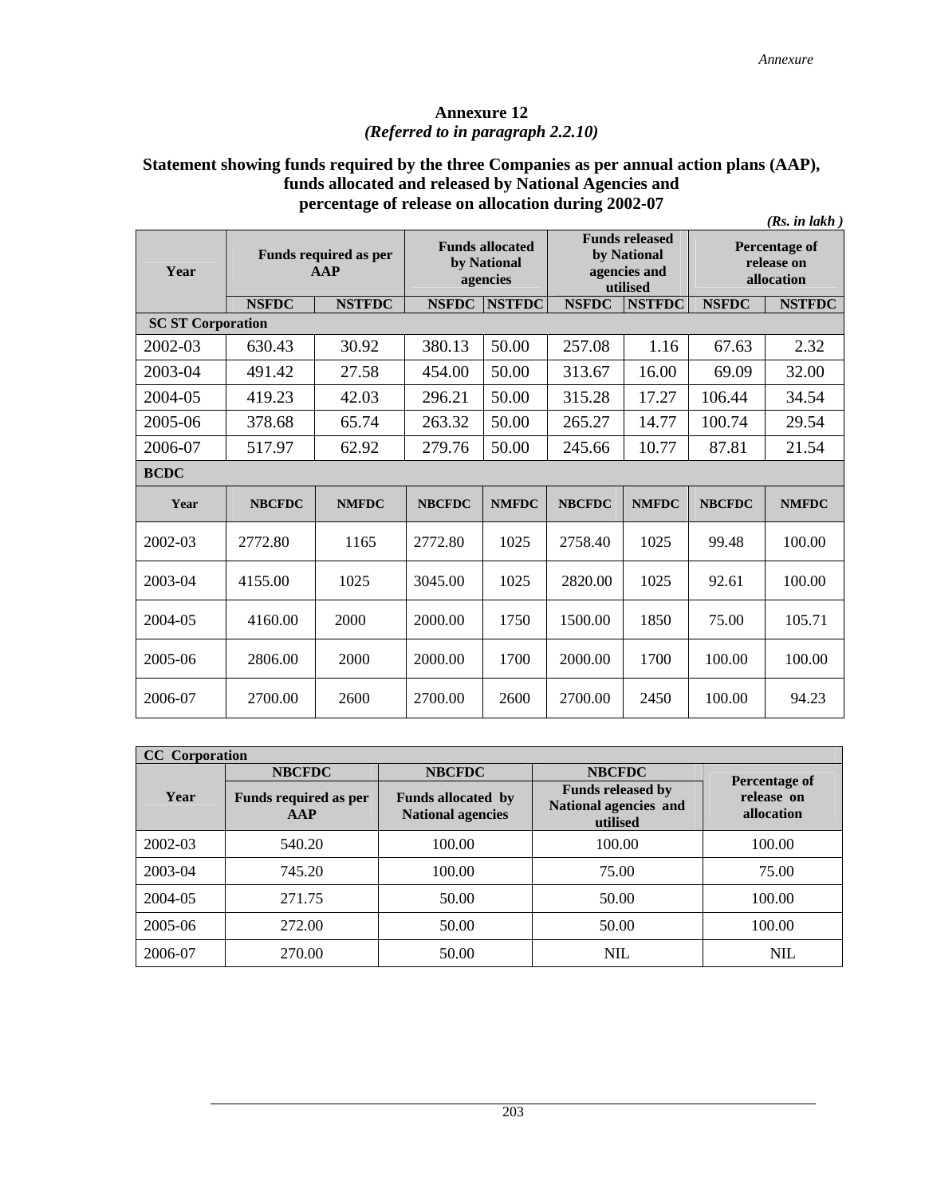#### **Annexure 12**  *(Referred to in paragraph 2.2.10)*

#### **Statement showing funds required by the three Companies as per annual action plans (AAP), funds allocated and released by National Agencies and percentage of release on allocation during 2002-07**

|                          |               |                                     |               | (Rs. in lakh)                                     |               |                                                                  |                                           |               |
|--------------------------|---------------|-------------------------------------|---------------|---------------------------------------------------|---------------|------------------------------------------------------------------|-------------------------------------------|---------------|
| Year                     |               | <b>Funds required as per</b><br>AAP |               | <b>Funds allocated</b><br>by National<br>agencies |               | <b>Funds released</b><br>by National<br>agencies and<br>utilised | Percentage of<br>release on<br>allocation |               |
|                          | <b>NSFDC</b>  | <b>NSTFDC</b>                       | <b>NSFDC</b>  | <b>NSTFDC</b>                                     | <b>NSFDC</b>  | <b>NSTFDC</b>                                                    | <b>NSFDC</b>                              | <b>NSTFDC</b> |
| <b>SC ST Corporation</b> |               |                                     |               |                                                   |               |                                                                  |                                           |               |
| 2002-03                  | 630.43        | 30.92                               | 380.13        | 50.00                                             | 257.08        | 1.16                                                             | 67.63                                     | 2.32          |
| 2003-04                  | 491.42        | 27.58                               | 454.00        | 50.00                                             | 313.67        | 16.00                                                            | 69.09                                     | 32.00         |
| 2004-05                  | 419.23        | 42.03                               | 296.21        | 50.00                                             | 315.28        | 17.27                                                            | 106.44                                    | 34.54         |
| 2005-06                  | 378.68        | 65.74                               | 263.32        | 50.00                                             | 265.27        | 14.77                                                            | 100.74                                    | 29.54         |
| 2006-07                  | 517.97        | 62.92                               | 279.76        | 50.00                                             | 245.66        | 10.77                                                            | 87.81                                     | 21.54         |
| <b>BCDC</b>              |               |                                     |               |                                                   |               |                                                                  |                                           |               |
| Year                     | <b>NBCFDC</b> | <b>NMFDC</b>                        | <b>NBCFDC</b> | <b>NMFDC</b>                                      | <b>NBCFDC</b> | <b>NMFDC</b>                                                     | <b>NBCFDC</b>                             | <b>NMFDC</b>  |
| 2002-03                  | 2772.80       | 1165                                | 2772.80       | 1025                                              | 2758.40       | 1025                                                             | 99.48                                     | 100.00        |
| 2003-04                  | 4155.00       | 1025                                | 3045.00       | 1025                                              | 2820.00       | 1025                                                             | 92.61                                     | 100.00        |
| 2004-05                  | 4160.00       | 2000                                | 2000.00       | 1750                                              | 1500.00       | 1850                                                             | 75.00                                     | 105.71        |
| 2005-06                  | 2806.00       | 2000                                | 2000.00       | 1700                                              | 2000.00       | 1700                                                             | 100.00                                    | 100.00        |
| 2006-07                  | 2700.00       | 2600                                | 2700.00       | 2600                                              | 2700.00       | 2450                                                             | 100.00                                    | 94.23         |

| <b>CC</b> Corporation |                                     |                                                       |                                                               |                          |  |  |  |  |
|-----------------------|-------------------------------------|-------------------------------------------------------|---------------------------------------------------------------|--------------------------|--|--|--|--|
|                       | <b>NBCFDC</b>                       | <b>NBCFDC</b>                                         | <b>NBCFDC</b>                                                 | Percentage of            |  |  |  |  |
| Year                  | <b>Funds required as per</b><br>AAP | <b>Funds allocated by</b><br><b>National agencies</b> | <b>Funds released by</b><br>National agencies and<br>utilised | release on<br>allocation |  |  |  |  |
| 2002-03               | 540.20                              | 100.00                                                | 100.00                                                        | 100.00                   |  |  |  |  |
| 2003-04               | 745.20                              | 100.00                                                | 75.00                                                         | 75.00                    |  |  |  |  |
| 2004-05               | 271.75                              | 50.00                                                 | 50.00                                                         | 100.00                   |  |  |  |  |
| 2005-06               | 272.00                              | 50.00                                                 | 50.00                                                         | 100.00                   |  |  |  |  |
| 2006-07               | 270.00                              | 50.00                                                 | <b>NIL</b>                                                    | <b>NIL</b>               |  |  |  |  |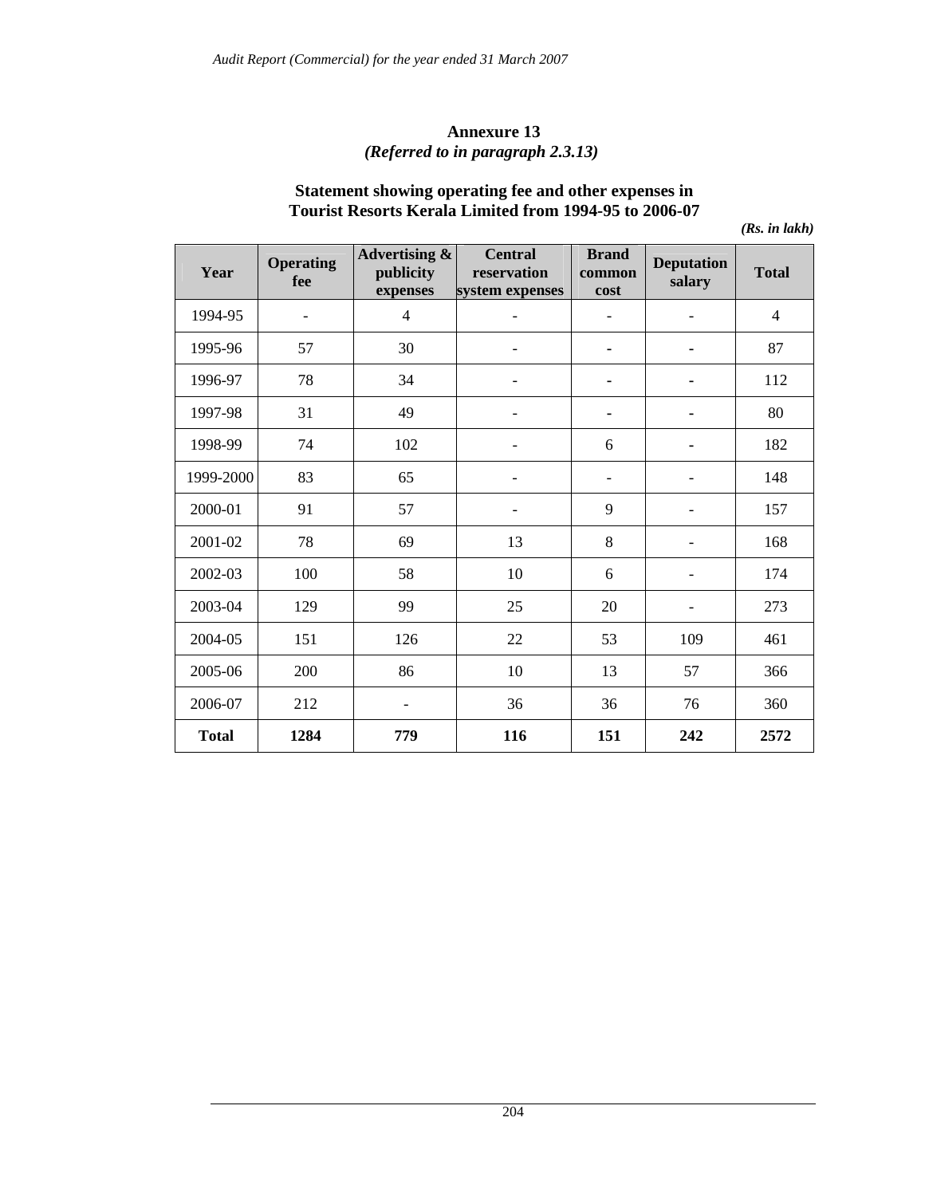#### **Annexure 13**  *(Referred to in paragraph 2.3.13)*

#### **Statement showing operating fee and other expenses in Tourist Resorts Kerala Limited from 1994-95 to 2006-07**

*(Rs. in lakh)* 

| Year         | <b>Operating</b><br>fee | Advertising &<br>publicity<br>expenses | <b>Central</b><br>reservation<br>system expenses | <b>Brand</b><br>common<br>cost | <b>Deputation</b><br>salary | <b>Total</b>   |
|--------------|-------------------------|----------------------------------------|--------------------------------------------------|--------------------------------|-----------------------------|----------------|
| 1994-95      | $\blacksquare$          | $\overline{4}$                         |                                                  |                                |                             | $\overline{4}$ |
| 1995-96      | 57                      | 30                                     |                                                  | ۰                              |                             | 87             |
| 1996-97      | 78                      | 34                                     |                                                  | $\blacksquare$                 | ٠                           | 112            |
| 1997-98      | 31                      | 49                                     |                                                  | ۰                              | ۰                           | 80             |
| 1998-99      | 74                      | 102                                    |                                                  | 6                              |                             | 182            |
| 1999-2000    | 83                      | 65                                     |                                                  | $\overline{\phantom{m}}$       |                             | 148            |
| 2000-01      | 91                      | 57                                     |                                                  | 9                              |                             | 157            |
| 2001-02      | 78                      | 69                                     | 13                                               | 8                              | $\overline{\phantom{a}}$    | 168            |
| 2002-03      | 100                     | 58                                     | 10                                               | 6                              |                             | 174            |
| 2003-04      | 129                     | 99                                     | 25                                               | 20                             |                             | 273            |
| 2004-05      | 151                     | 126                                    | 22                                               | 53                             | 109                         | 461            |
| 2005-06      | 200                     | 86                                     | 10                                               | 13                             | 57                          | 366            |
| 2006-07      | 212                     | $\overline{\phantom{a}}$               | 36                                               | 36                             | 76                          | 360            |
| <b>Total</b> | 1284                    | 779                                    | 116                                              | 151                            | 242                         | 2572           |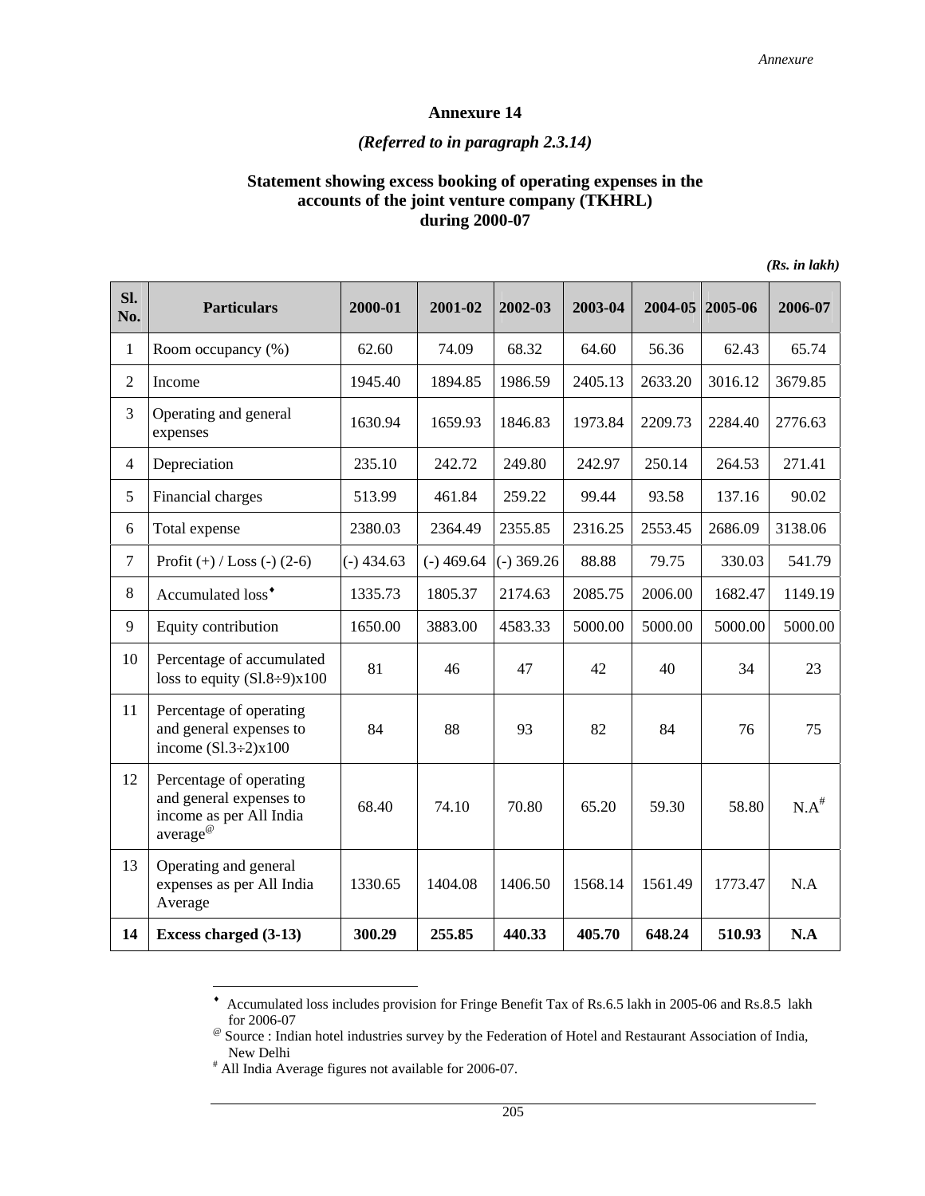# *(Referred to in paragraph 2.3.14)*

#### **Statement showing excess booking of operating expenses in the accounts of the joint venture company (TKHRL) during 2000-07**

| SI.<br>No.     | <b>Particulars</b>                                                                                    | 2000-01      | 2001-02      | 2002-03      | 2003-04 | 2004-05 | 2005-06 | 2006-07    |
|----------------|-------------------------------------------------------------------------------------------------------|--------------|--------------|--------------|---------|---------|---------|------------|
| $\mathbf{1}$   | Room occupancy (%)                                                                                    | 62.60        | 74.09        | 68.32        | 64.60   | 56.36   | 62.43   | 65.74      |
| 2              | Income                                                                                                | 1945.40      | 1894.85      | 1986.59      | 2405.13 | 2633.20 | 3016.12 | 3679.85    |
| 3              | Operating and general<br>expenses                                                                     | 1630.94      | 1659.93      | 1846.83      | 1973.84 | 2209.73 | 2284.40 | 2776.63    |
| $\overline{4}$ | Depreciation                                                                                          | 235.10       | 242.72       | 249.80       | 242.97  | 250.14  | 264.53  | 271.41     |
| 5              | Financial charges                                                                                     | 513.99       | 461.84       | 259.22       | 99.44   | 93.58   | 137.16  | 90.02      |
| 6              | Total expense                                                                                         | 2380.03      | 2364.49      | 2355.85      | 2316.25 | 2553.45 | 2686.09 | 3138.06    |
| $\tau$         | Profit $(+) /$ Loss $(-) (2-6)$                                                                       | $(-)$ 434.63 | $(-)$ 469.64 | $(-)$ 369.26 | 88.88   | 79.75   | 330.03  | 541.79     |
| 8              | Accumulated loss <sup>*</sup>                                                                         | 1335.73      | 1805.37      | 2174.63      | 2085.75 | 2006.00 | 1682.47 | 1149.19    |
| 9              | Equity contribution                                                                                   | 1650.00      | 3883.00      | 4583.33      | 5000.00 | 5000.00 | 5000.00 | 5000.00    |
| 10             | Percentage of accumulated<br>loss to equity $(S1.8\div 9)x100$                                        | 81           | 46           | 47           | 42      | 40      | 34      | 23         |
| 11             | Percentage of operating<br>and general expenses to<br>income $(S1.3\div 2)x100$                       | 84           | 88           | 93           | 82      | 84      | 76      | 75         |
| 12             | Percentage of operating<br>and general expenses to<br>income as per All India<br>average <sup>@</sup> | 68.40        | 74.10        | 70.80        | 65.20   | 59.30   | 58.80   | $N.A^{\#}$ |
| 13             | Operating and general<br>expenses as per All India<br>Average                                         | 1330.65      | 1404.08      | 1406.50      | 1568.14 | 1561.49 | 1773.47 | N.A        |
| 14             | Excess charged (3-13)                                                                                 | 300.29       | 255.85       | 440.33       | 405.70  | 648.24  | 510.93  | N.A        |

*(Rs. in lakh)* 

 $\overline{a}$ 

<sup>♦</sup> Accumulated loss includes provision for Fringe Benefit Tax of Rs.6.5 lakh in 2005-06 and Rs.8.5 lakh for 2006-07

<sup>@</sup> Source : Indian hotel industries survey by the Federation of Hotel and Restaurant Association of India, New Delhi

<sup>#</sup> All India Average figures not available for 2006-07.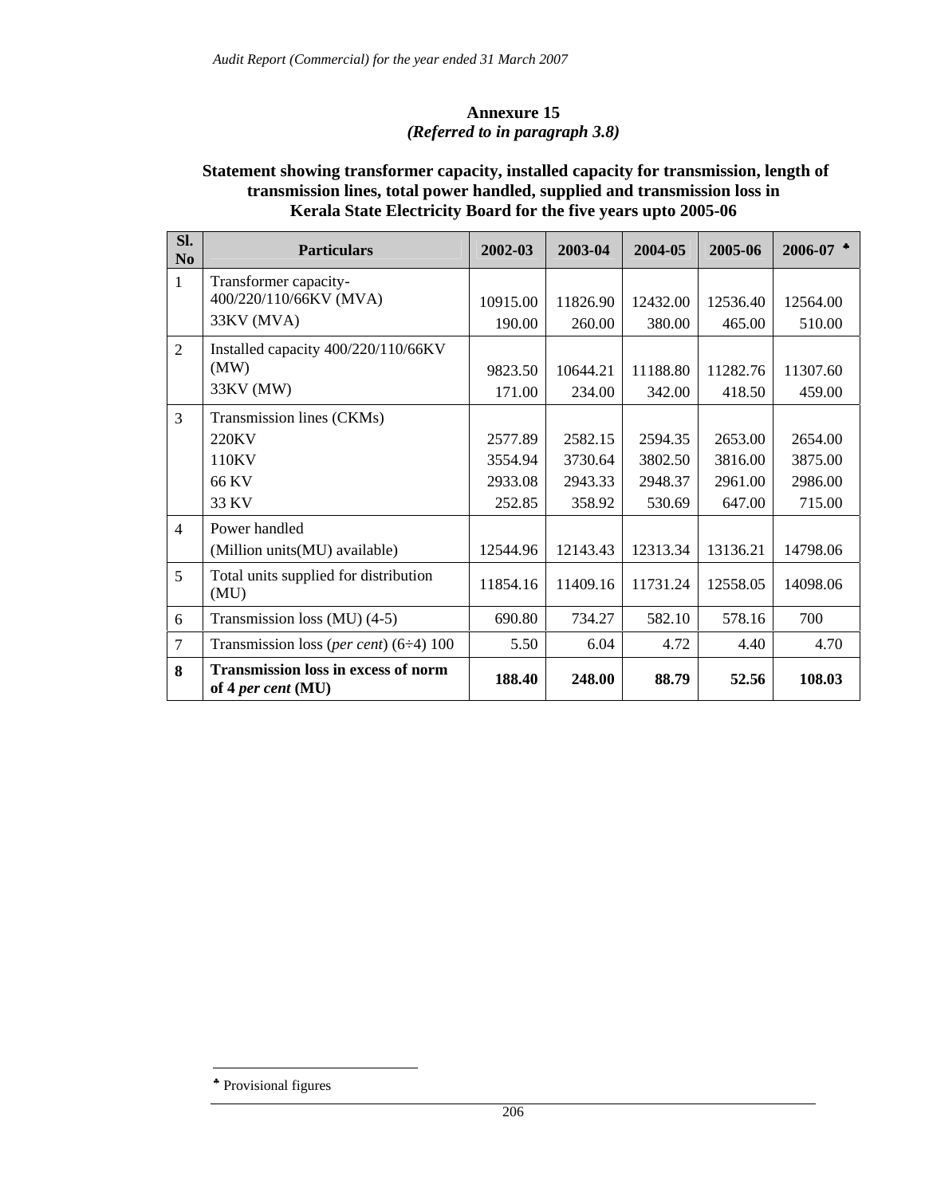#### **Annexure 15**  *(Referred to in paragraph 3.8)*

### **Statement showing transformer capacity, installed capacity for transmission, length of transmission lines, total power handled, supplied and transmission loss in Kerala State Electricity Board for the five years upto 2005-06**

| Sl.<br>N <sub>0</sub> | <b>Particulars</b>                                                 | 2002-03                                 | 2003-04                                 | 2004-05                                 | 2005-06                                 | 2006-07                                 |
|-----------------------|--------------------------------------------------------------------|-----------------------------------------|-----------------------------------------|-----------------------------------------|-----------------------------------------|-----------------------------------------|
| $\mathbf{1}$          | Transformer capacity-<br>400/220/110/66KV (MVA)<br>33KV (MVA)      | 10915.00<br>190.00                      | 11826.90<br>260.00                      | 12432.00<br>380.00                      | 12536.40<br>465.00                      | 12564.00<br>510.00                      |
| $\overline{2}$        | Installed capacity 400/220/110/66KV<br>(MW)<br>33KV (MW)           | 9823.50<br>171.00                       | 10644.21<br>234.00                      | 11188.80<br>342.00                      | 11282.76<br>418.50                      | 11307.60<br>459.00                      |
| $\overline{3}$        | Transmission lines (CKMs)<br>220KV<br>110KV<br>66 KV<br>33 KV      | 2577.89<br>3554.94<br>2933.08<br>252.85 | 2582.15<br>3730.64<br>2943.33<br>358.92 | 2594.35<br>3802.50<br>2948.37<br>530.69 | 2653.00<br>3816.00<br>2961.00<br>647.00 | 2654.00<br>3875.00<br>2986.00<br>715.00 |
| $\overline{4}$        | Power handled<br>(Million units (MU) available)                    | 12544.96                                | 12143.43                                | 12313.34                                | 13136.21                                | 14798.06                                |
| 5                     | Total units supplied for distribution<br>(MU)                      | 11854.16                                | 11409.16                                | 11731.24                                | 12558.05                                | 14098.06                                |
| 6                     | Transmission loss (MU) (4-5)                                       | 690.80                                  | 734.27                                  | 582.10                                  | 578.16                                  | 700                                     |
| $\overline{7}$        | Transmission loss (per cent) $(6-4)$ 100                           | 5.50                                    | 6.04                                    | 4.72                                    | 4.40                                    | 4.70                                    |
| 8                     | <b>Transmission loss in excess of norm</b><br>of 4 per cent $(MU)$ | 188.40                                  | 248.00                                  | 88.79                                   | 52.56                                   | 108.03                                  |

 $\overline{a}$ 

<sup>♣</sup> Provisional figures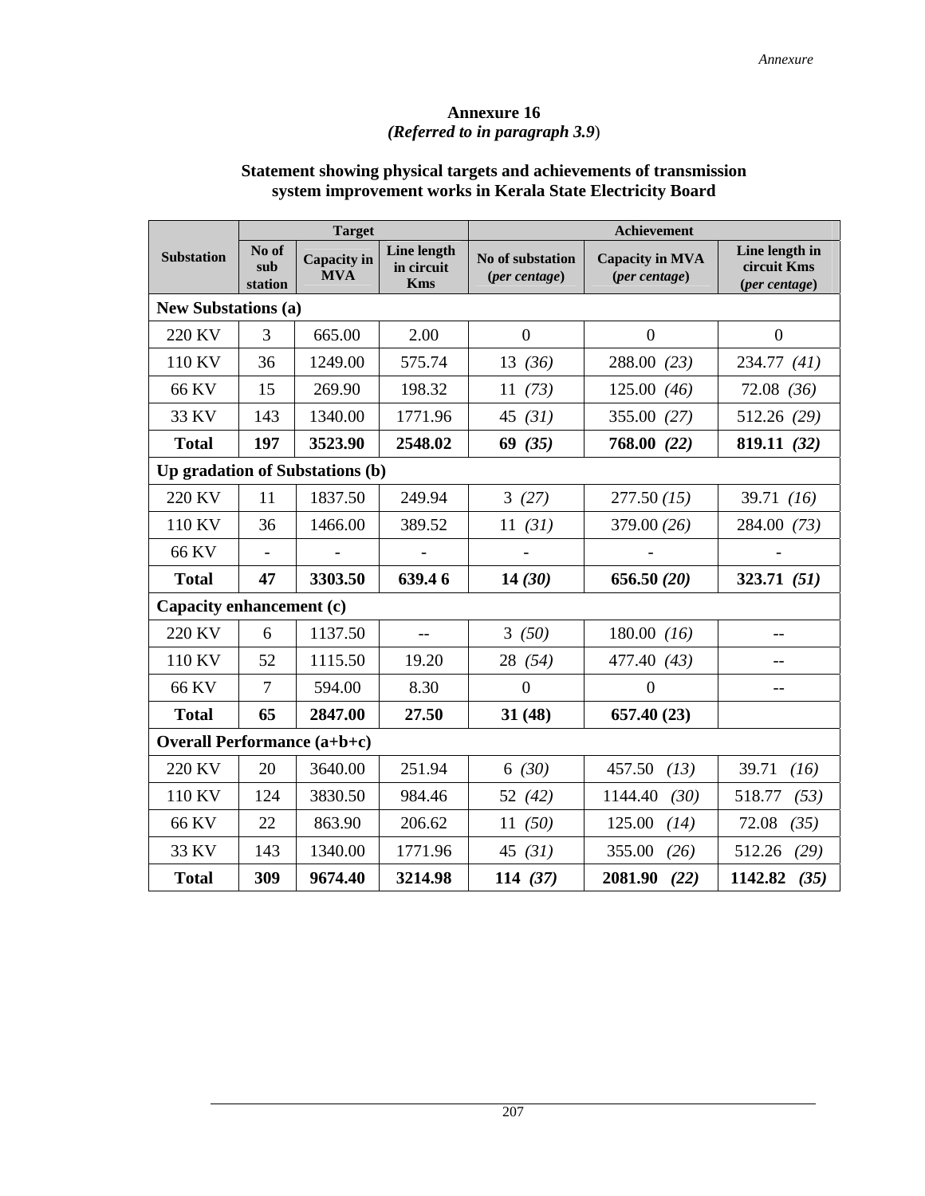#### **Annexure 16**  *(Referred to in paragraph 3.9*)

# **Statement showing physical targets and achievements of transmission system improvement works in Kerala State Electricity Board**

|                                                 | <b>Target</b>           |                                  |                                                | <b>Achievement</b>                |                                         |                                                |  |  |
|-------------------------------------------------|-------------------------|----------------------------------|------------------------------------------------|-----------------------------------|-----------------------------------------|------------------------------------------------|--|--|
| <b>Substation</b>                               | No of<br>sub<br>station | <b>Capacity</b> in<br><b>MVA</b> | <b>Line length</b><br>in circuit<br><b>Kms</b> | No of substation<br>(per centage) | <b>Capacity in MVA</b><br>(per centage) | Line length in<br>circuit Kms<br>(per centage) |  |  |
| <b>New Substations (a)</b>                      |                         |                                  |                                                |                                   |                                         |                                                |  |  |
| 220 KV                                          | 3                       | 665.00                           | 2.00                                           | $\overline{0}$                    | $\overline{0}$                          | $\overline{0}$                                 |  |  |
| 110 KV                                          | 36                      | 1249.00                          | 575.74                                         | 13(36)                            | 288.00 (23)                             | 234.77 (41)                                    |  |  |
| 66 KV                                           | 15                      | 269.90                           | 198.32                                         | 11(73)                            | 125.00(46)                              | 72.08(36)                                      |  |  |
| 33 KV                                           | 143                     | 1340.00                          | 1771.96                                        | 45 $(31)$                         | 355.00 (27)                             | 512.26 (29)                                    |  |  |
| <b>Total</b>                                    | 197                     | 3523.90                          | 2548.02                                        | 69(35)                            | 768.00 (22)                             | 819.11 (32)                                    |  |  |
|                                                 |                         | Up gradation of Substations (b)  |                                                |                                   |                                         |                                                |  |  |
| 220 KV                                          | 11                      | 1837.50                          | 249.94                                         | 3(27)                             | 277.50(15)                              | 39.71 $(16)$                                   |  |  |
| 110 KV                                          | 36                      | 1466.00                          | 389.52                                         | 11(31)                            | 379.00 (26)                             | 284.00 (73)                                    |  |  |
| 66 KV                                           |                         |                                  |                                                |                                   |                                         |                                                |  |  |
| <b>Total</b>                                    | 47                      | 3303.50                          | 639.46                                         | 14(30)                            | 656.50(20)                              | 323.71(51)                                     |  |  |
| Capacity enhancement (c)                        |                         |                                  |                                                |                                   |                                         |                                                |  |  |
| 220 KV                                          | 6                       | 1137.50                          | $-$                                            | 3(50)                             | $180.00$ (16)                           | --                                             |  |  |
| 110 KV                                          | 52                      | 1115.50                          | 19.20                                          | 28 (54)                           | 477.40 (43)                             |                                                |  |  |
| 66 KV                                           | $\overline{7}$          | 594.00                           | 8.30                                           | $\overline{0}$                    | $\mathbf{0}$                            |                                                |  |  |
| <b>Total</b>                                    | 65                      | 2847.00                          | 27.50                                          | 31(48)                            | 657.40 (23)                             |                                                |  |  |
| <b>Overall Performance <math>(a+b+c)</math></b> |                         |                                  |                                                |                                   |                                         |                                                |  |  |
| 220 KV                                          | 20                      | 3640.00                          | 251.94                                         | 6(30)                             | 457.50<br>(13)                          | 39.71<br>(16)                                  |  |  |
| 110 KV                                          | 124                     | 3830.50                          | 984.46                                         | 52 $(42)$                         | 1144.40<br>(30)                         | 518.77<br>(53)                                 |  |  |
| 66 KV                                           | 22                      | 863.90                           | 206.62                                         | 11(50)                            | 125.00<br>(14)                          | 72.08<br>(35)                                  |  |  |
| 33 KV                                           | 143                     | 1340.00                          | 1771.96                                        | 45 $(31)$                         | 355.00<br>(26)                          | 512.26<br>(29)                                 |  |  |
| <b>Total</b>                                    | 309                     | 9674.40                          | 3214.98                                        | 114(37)                           | 2081.90<br>(22)                         | 1142.82<br>(35)                                |  |  |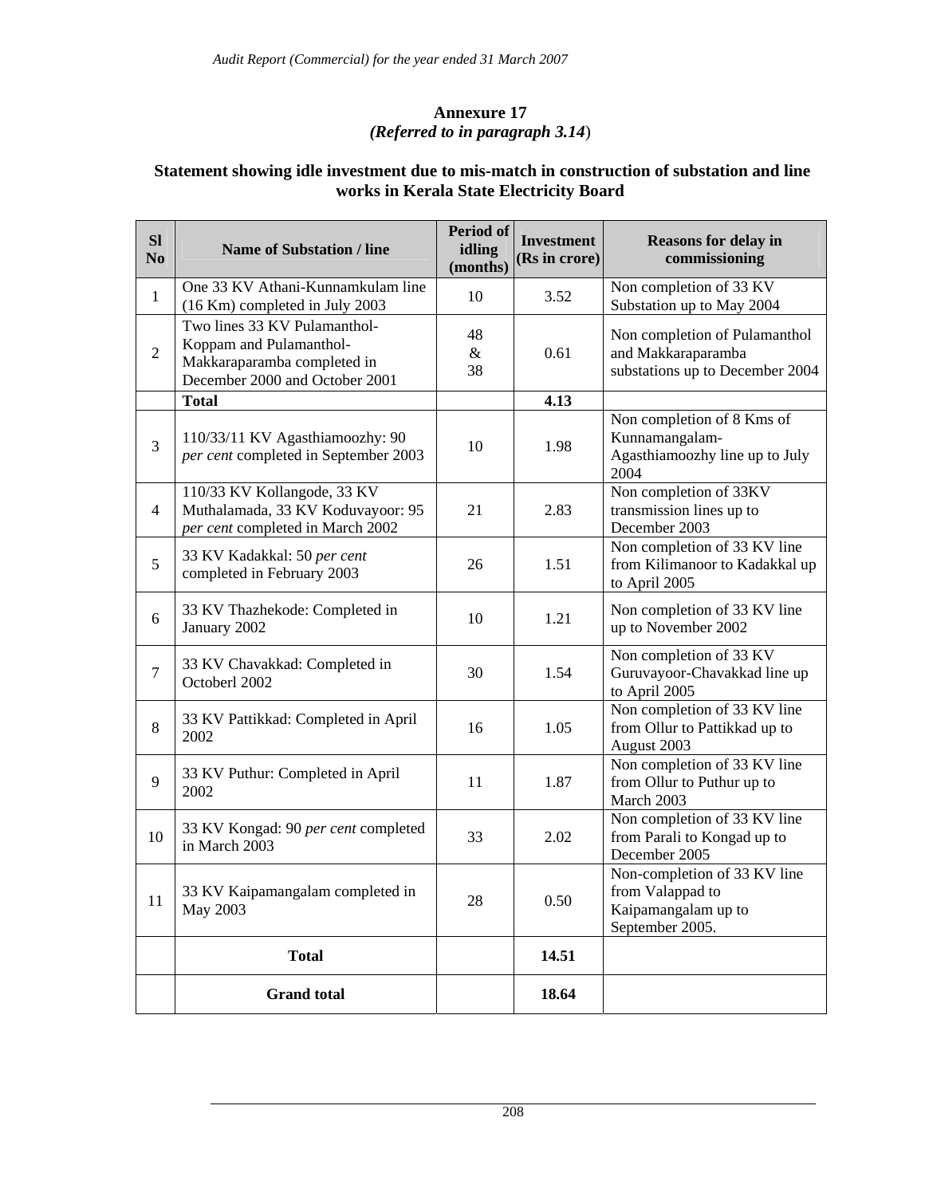# **Annexure 17**  *(Referred to in paragraph 3.14*)

# **Statement showing idle investment due to mis-match in construction of substation and line works in Kerala State Electricity Board**

| SI<br>N <sub>0</sub> | <b>Name of Substation / line</b>                                                                                         | Period of<br>idling<br>(months) | <b>Investment</b><br>(Rs in crore) | <b>Reasons for delay in</b><br>commissioning                                               |
|----------------------|--------------------------------------------------------------------------------------------------------------------------|---------------------------------|------------------------------------|--------------------------------------------------------------------------------------------|
| $\mathbf{1}$         | One 33 KV Athani-Kunnamkulam line<br>(16 Km) completed in July 2003                                                      | 10                              | 3.52                               | Non completion of 33 KV<br>Substation up to May 2004                                       |
| $\overline{2}$       | Two lines 33 KV Pulamanthol-<br>Koppam and Pulamanthol-<br>Makkaraparamba completed in<br>December 2000 and October 2001 | 48<br>&<br>38                   | 0.61                               | Non completion of Pulamanthol<br>and Makkaraparamba<br>substations up to December 2004     |
|                      | <b>Total</b>                                                                                                             |                                 | 4.13                               |                                                                                            |
| $\overline{3}$       | 110/33/11 KV Agasthiamoozhy: 90<br>per cent completed in September 2003                                                  | 10                              | 1.98                               | Non completion of 8 Kms of<br>Kunnamangalam-<br>Agasthiamoozhy line up to July<br>2004     |
| $\overline{4}$       | 110/33 KV Kollangode, 33 KV<br>Muthalamada, 33 KV Koduvayoor: 95<br>per cent completed in March 2002                     | 21                              | 2.83                               | Non completion of 33KV<br>transmission lines up to<br>December 2003                        |
| 5                    | 33 KV Kadakkal: 50 per cent<br>completed in February 2003                                                                | 26                              | 1.51                               | Non completion of 33 KV line<br>from Kilimanoor to Kadakkal up<br>to April 2005            |
| 6                    | 33 KV Thazhekode: Completed in<br>January 2002                                                                           | 10                              | 1.21                               | Non completion of 33 KV line<br>up to November 2002                                        |
| $\overline{7}$       | 33 KV Chavakkad: Completed in<br>Octoberl 2002                                                                           | 30                              | 1.54                               | Non completion of 33 KV<br>Guruvayoor-Chavakkad line up<br>to April 2005                   |
| 8                    | 33 KV Pattikkad: Completed in April<br>2002                                                                              | 16                              | 1.05                               | Non completion of 33 KV line<br>from Ollur to Pattikkad up to<br>August 2003               |
| 9                    | 33 KV Puthur: Completed in April<br>2002                                                                                 | 11                              | 1.87                               | Non completion of 33 KV line<br>from Ollur to Puthur up to<br>March 2003                   |
| 10                   | 33 KV Kongad: 90 per cent completed<br>in March 2003                                                                     | 33                              | 2.02                               | Non completion of 33 KV line<br>from Parali to Kongad up to<br>December 2005               |
| 11                   | 33 KV Kaipamangalam completed in<br>May 2003                                                                             | 28                              | 0.50                               | Non-completion of 33 KV line<br>from Valappad to<br>Kaipamangalam up to<br>September 2005. |
|                      | <b>Total</b>                                                                                                             |                                 | 14.51                              |                                                                                            |
|                      | <b>Grand</b> total                                                                                                       |                                 | 18.64                              |                                                                                            |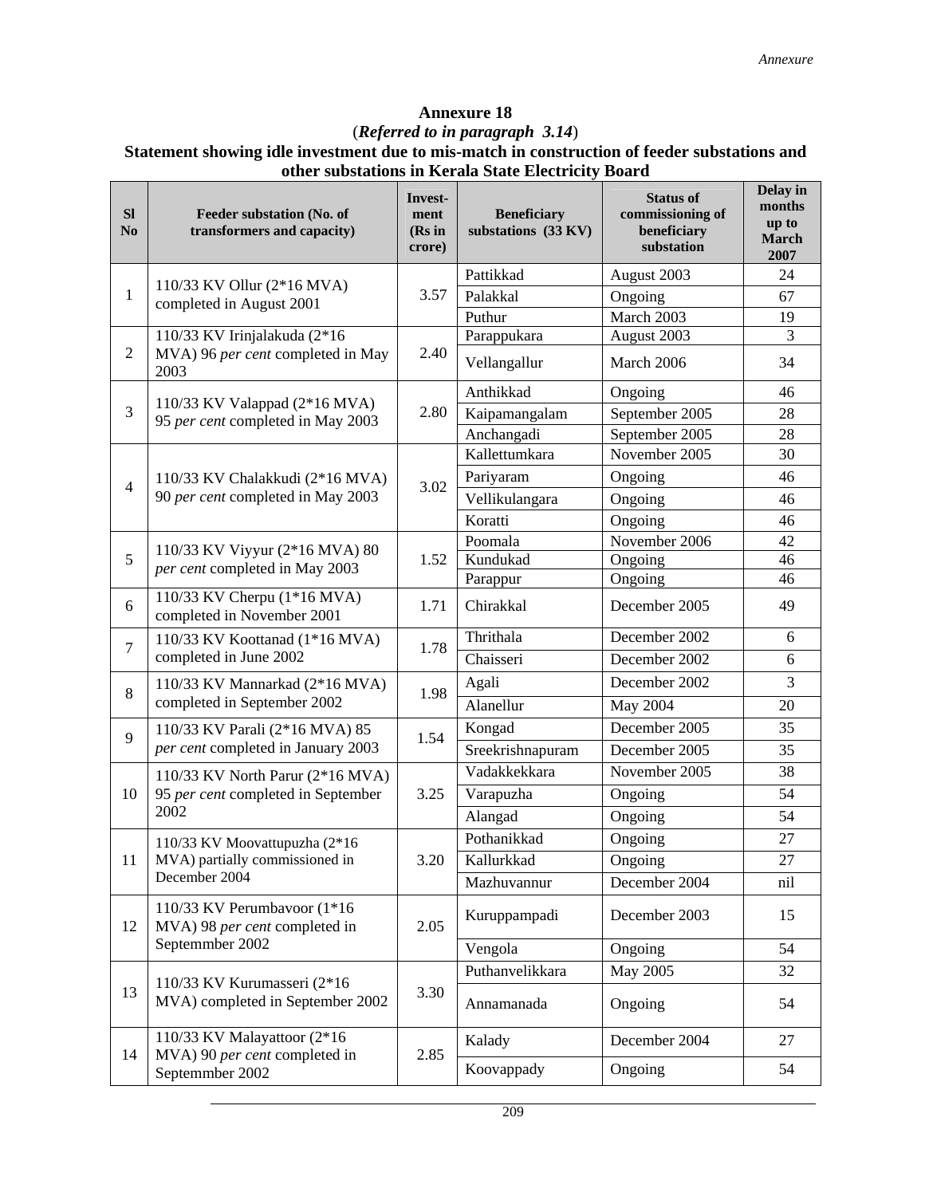#### (*Referred to in paragraph 3.14*)

#### **Statement showing idle investment due to mis-match in construction of feeder substations and other substations in Kerala State Electricity Board**

| <b>SI</b><br>N <sub>0</sub> | Feeder substation (No. of<br>transformers and capacity)         | Invest-<br>ment<br>(Rs in<br>crore) | <b>Beneficiary</b><br>substations (33 KV) | <b>Status of</b><br>commissioning of<br>beneficiary<br>substation | Delay in<br>months<br>up to<br><b>March</b><br>2007 |
|-----------------------------|-----------------------------------------------------------------|-------------------------------------|-------------------------------------------|-------------------------------------------------------------------|-----------------------------------------------------|
|                             |                                                                 |                                     | Pattikkad                                 | August 2003                                                       | 24                                                  |
| $\mathbf{1}$                | 110/33 KV Ollur (2*16 MVA)<br>completed in August 2001          | 3.57                                | Palakkal                                  | Ongoing                                                           | 67                                                  |
|                             |                                                                 |                                     | Puthur                                    | March 2003                                                        | 19                                                  |
|                             | 110/33 KV Irinjalakuda (2*16                                    |                                     | Parappukara                               | August 2003                                                       | 3                                                   |
| $\overline{2}$              | MVA) 96 per cent completed in May<br>2003                       | 2.40                                | Vellangallur                              | March 2006                                                        | 34                                                  |
|                             | 110/33 KV Valappad (2*16 MVA)                                   |                                     | Anthikkad                                 | Ongoing                                                           | 46                                                  |
| 3                           | 95 per cent completed in May 2003                               | 2.80                                | Kaipamangalam                             | September 2005                                                    | 28                                                  |
|                             |                                                                 |                                     | Anchangadi                                | September 2005                                                    | 28                                                  |
|                             |                                                                 |                                     | Kallettumkara                             | November 2005                                                     | 30                                                  |
| $\overline{4}$              | 110/33 KV Chalakkudi (2*16 MVA)                                 | 3.02                                | Pariyaram                                 | Ongoing                                                           | 46                                                  |
|                             | 90 per cent completed in May 2003                               |                                     | Vellikulangara                            | Ongoing                                                           | 46                                                  |
|                             |                                                                 |                                     | Koratti                                   | Ongoing                                                           | 46                                                  |
|                             | 110/33 KV Viyyur (2*16 MVA) 80                                  |                                     | Poomala                                   | November 2006                                                     | 42                                                  |
| 5                           | per cent completed in May 2003                                  | 1.52                                | Kundukad                                  | Ongoing                                                           | 46                                                  |
|                             |                                                                 |                                     | Parappur                                  | Ongoing                                                           | 46                                                  |
| 6                           | 110/33 KV Cherpu (1*16 MVA)<br>completed in November 2001       | 1.71                                | Chirakkal                                 | December 2005                                                     | 49                                                  |
| $\overline{7}$              | 110/33 KV Koottanad (1*16 MVA)                                  | 1.78                                | Thrithala                                 | December 2002                                                     | 6                                                   |
|                             | completed in June 2002                                          |                                     | Chaisseri                                 | December 2002                                                     | 6                                                   |
| $8\,$                       | 110/33 KV Mannarkad (2*16 MVA)                                  | 1.98                                | Agali                                     | December 2002                                                     | 3                                                   |
|                             | completed in September 2002                                     |                                     | Alanellur                                 | May 2004                                                          | 20                                                  |
| 9                           | 110/33 KV Parali (2*16 MVA) 85                                  | 1.54                                | Kongad                                    | December 2005                                                     | 35                                                  |
|                             | per cent completed in January 2003                              |                                     | Sreekrishnapuram                          | December 2005                                                     | 35                                                  |
|                             | 110/33 KV North Parur (2*16 MVA)                                |                                     | Vadakkekkara                              | November 2005                                                     | 38                                                  |
| 10                          | 95 per cent completed in September                              | 3.25                                | Varapuzha                                 | Ongoing                                                           | 54                                                  |
|                             | 2002                                                            |                                     | Alangad                                   | Ongoing                                                           | 54                                                  |
|                             | 110/33 KV Moovattupuzha (2*16                                   |                                     | Pothanikkad                               | Ongoing                                                           | 27                                                  |
| 11                          | MVA) partially commissioned in                                  | 3.20                                | Kallurkkad                                | Ongoing                                                           | 27                                                  |
|                             | December 2004                                                   |                                     | Mazhuvannur                               | December 2004                                                     | nil                                                 |
| 12                          | 110/33 KV Perumbavoor (1*16<br>MVA) 98 per cent completed in    | 2.05                                | Kuruppampadi                              | December 2003                                                     | 15                                                  |
|                             | Septemmber 2002                                                 |                                     | Vengola                                   | Ongoing                                                           | 54                                                  |
|                             |                                                                 |                                     | Puthanvelikkara                           | May 2005                                                          | 32                                                  |
| 13                          | 110/33 KV Kurumasseri (2*16<br>MVA) completed in September 2002 | 3.30                                | Annamanada                                | Ongoing                                                           | 54                                                  |
| 14                          | 110/33 KV Malayattoor (2*16)<br>MVA) 90 per cent completed in   | 2.85                                | Kalady                                    | December 2004                                                     | 27                                                  |
|                             | Septemmber 2002                                                 |                                     | Koovappady                                | Ongoing                                                           | 54                                                  |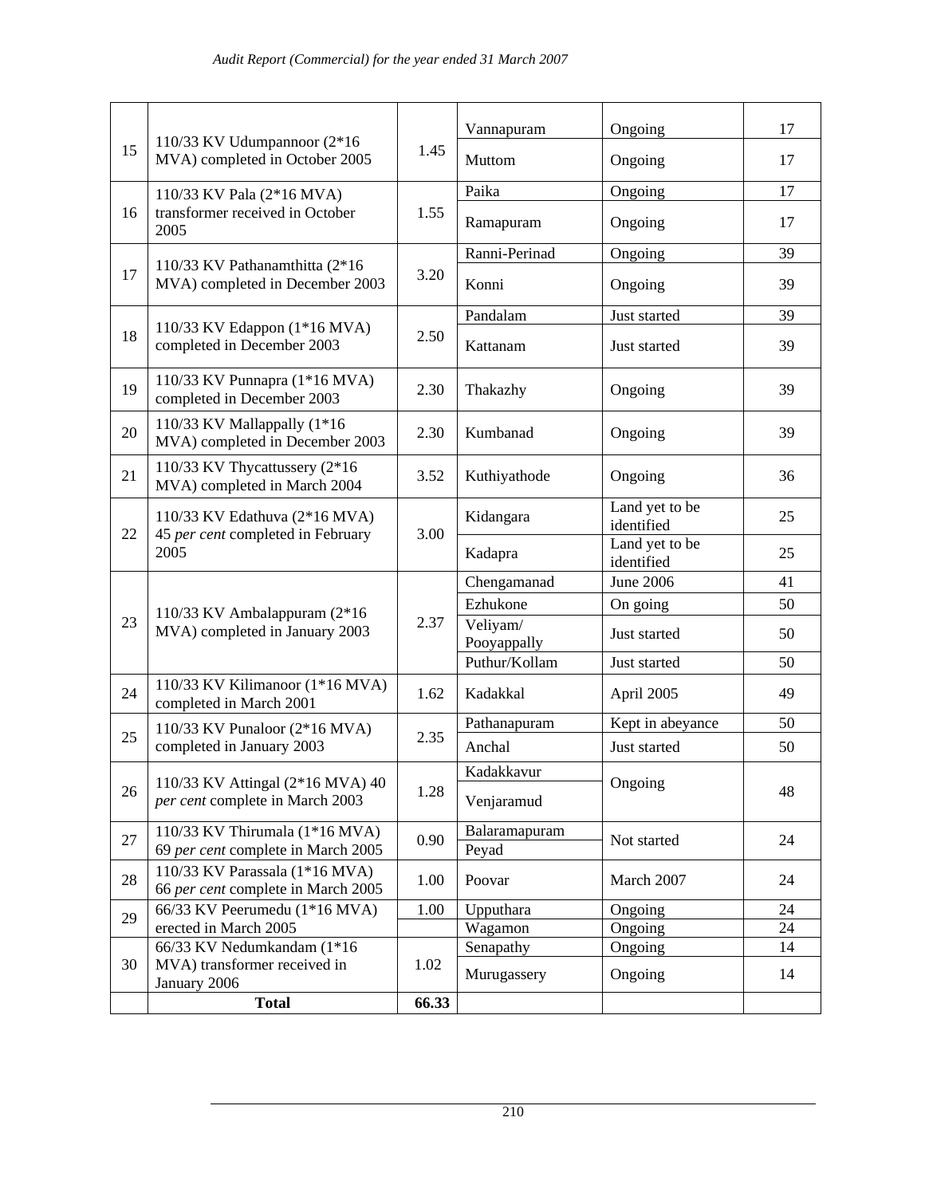|    |                                                                            |       | Vannapuram               | Ongoing                      | 17       |
|----|----------------------------------------------------------------------------|-------|--------------------------|------------------------------|----------|
| 15 | 110/33 KV Udumpannoor $(2*16)$<br>MVA) completed in October 2005           | 1.45  | Muttom                   | Ongoing                      | 17       |
|    | 110/33 KV Pala (2*16 MVA)                                                  |       | Paika                    | Ongoing                      | 17       |
| 16 | transformer received in October<br>2005                                    | 1.55  | Ramapuram                | Ongoing                      | 17       |
|    |                                                                            |       | Ranni-Perinad            | Ongoing                      | 39       |
| 17 | 110/33 KV Pathanamthitta (2*16<br>MVA) completed in December 2003          | 3.20  | Konni                    | Ongoing                      | 39       |
|    |                                                                            |       | Pandalam                 | Just started                 | 39       |
| 18 | 110/33 KV Edappon (1*16 MVA)<br>completed in December 2003                 | 2.50  | Kattanam                 | Just started                 | 39       |
| 19 | 110/33 KV Punnapra (1*16 MVA)<br>completed in December 2003                | 2.30  | Thakazhy                 | Ongoing                      | 39       |
| 20 | 110/33 KV Mallappally (1*16<br>MVA) completed in December 2003             | 2.30  | Kumbanad                 | Ongoing                      | 39       |
| 21 | 110/33 KV Thycattussery (2*16)<br>MVA) completed in March 2004             | 3.52  | Kuthiyathode             | Ongoing                      | 36       |
| 22 | 110/33 KV Edathuva (2*16 MVA)<br>45 per cent completed in February         | 3.00  | Kidangara                | Land yet to be<br>identified | 25       |
|    | 2005                                                                       |       | Kadapra                  | Land yet to be<br>identified | 25       |
|    |                                                                            |       | Chengamanad              | <b>June 2006</b>             | 41       |
|    | 110/33 KV Ambalappuram (2*16)                                              |       | Ezhukone                 | On going                     | 50       |
| 23 | MVA) completed in January 2003                                             | 2.37  | Veliyam/<br>Pooyappally  | Just started                 | 50       |
|    |                                                                            |       | Puthur/Kollam            | Just started                 | 50       |
| 24 | 110/33 KV Kilimanoor (1*16 MVA)<br>completed in March 2001                 | 1.62  | Kadakkal                 | April 2005                   | 49       |
| 25 | 110/33 KV Punaloor (2*16 MVA)                                              | 2.35  | Pathanapuram             | Kept in abeyance             | 50       |
|    | completed in January 2003                                                  |       | Anchal                   | Just started                 | 50       |
|    | 110/33 KV Attingal (2*16 MVA) 40                                           |       | Kadakkavur               |                              |          |
| 26 | per cent complete in March 2003                                            | 1.28  | Venjaramud               | Ongoing                      | 48       |
| 27 | 110/33 KV Thirumala (1*16 MVA)<br>69 per cent complete in March 2005       | 0.90  | Balaramapuram<br>Peyad   | Not started                  | 24       |
| 28 | 110/33 KV Parassala (1*16 MVA)<br>66 per cent complete in March 2005       | 1.00  | Poovar                   | March 2007                   | 24       |
| 29 | 66/33 KV Peerumedu (1*16 MVA)                                              | 1.00  | Upputhara                | Ongoing                      | 24       |
|    | erected in March 2005                                                      |       | Wagamon                  | Ongoing                      | 24       |
| 30 | 66/33 KV Nedumkandam (1*16<br>MVA) transformer received in<br>January 2006 | 1.02  | Senapathy<br>Murugassery | Ongoing<br>Ongoing           | 14<br>14 |
|    | <b>Total</b>                                                               | 66.33 |                          |                              |          |
|    |                                                                            |       |                          |                              |          |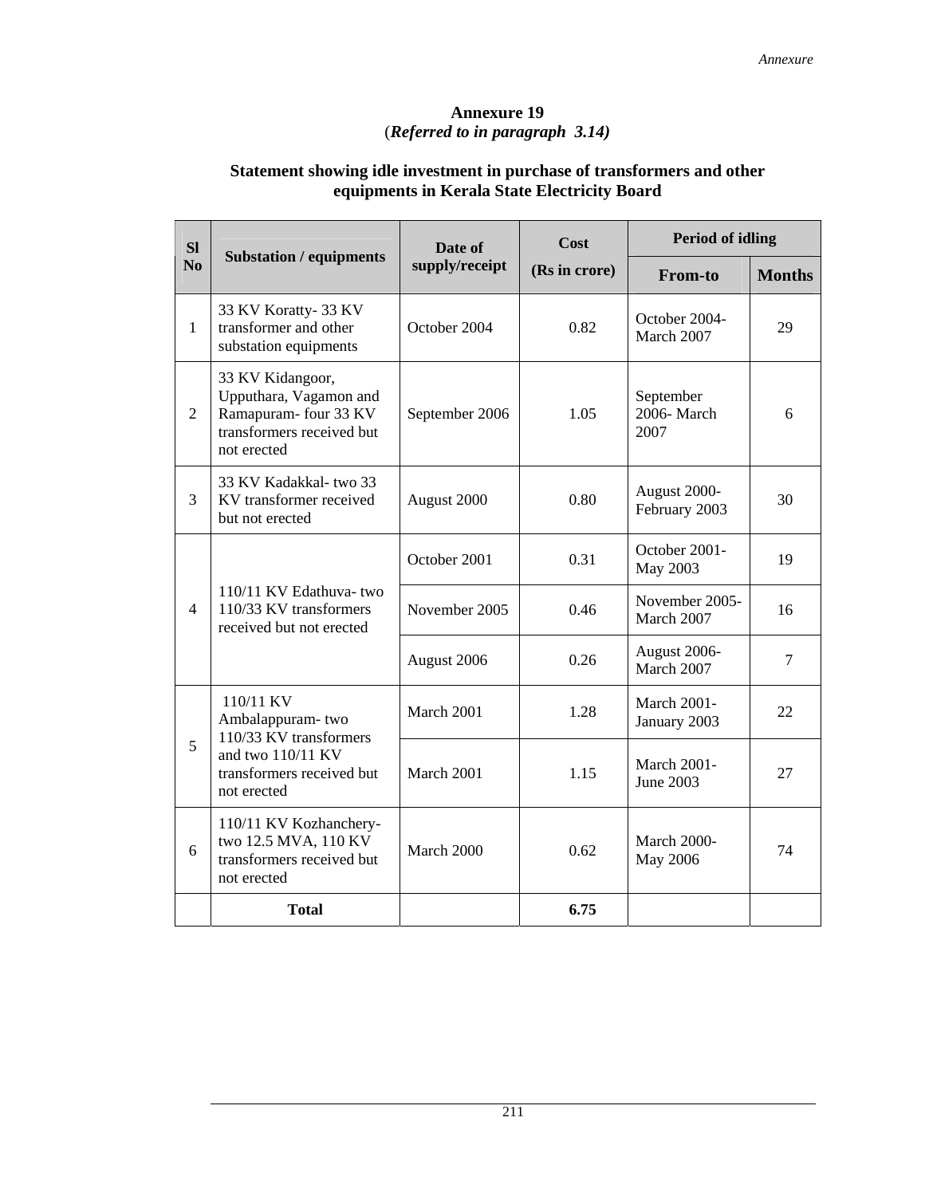# **Annexure 19**  (*Referred to in paragraph 3.14)*

# **Statement showing idle investment in purchase of transformers and other equipments in Kerala State Electricity Board**

| <b>SI</b>      |                                                                                                                 | Date of        | Cost          | <b>Period of idling</b>                |               |
|----------------|-----------------------------------------------------------------------------------------------------------------|----------------|---------------|----------------------------------------|---------------|
| N <sub>0</sub> | <b>Substation / equipments</b>                                                                                  | supply/receipt | (Rs in crore) | <b>From-to</b>                         | <b>Months</b> |
| $\mathbf{1}$   | 33 KV Koratty-33 KV<br>transformer and other<br>substation equipments                                           | October 2004   | 0.82          | October 2004-<br>March 2007            | 29            |
| 2              | 33 KV Kidangoor,<br>Upputhara, Vagamon and<br>Ramapuram- four 33 KV<br>transformers received but<br>not erected | September 2006 | 1.05          | September<br>2006-March<br>2007        | 6             |
| 3              | 33 KV Kadakkal-two 33<br>KV transformer received<br>but not erected                                             | August 2000    | 0.80          | August 2000-<br>February 2003          | 30            |
|                |                                                                                                                 | October 2001   | 0.31          | October 2001-<br>May 2003              | 19            |
| $\overline{4}$ | 110/11 KV Edathuva-two<br>110/33 KV transformers<br>received but not erected                                    | November 2005  | 0.46          | November 2005-<br>March 2007           | 16            |
|                |                                                                                                                 | August 2006    | 0.26          | August 2006-<br>March 2007             | 7             |
|                | 110/11 KV<br>Ambalappuram-two                                                                                   | March 2001     | 1.28          | <b>March 2001-</b><br>January 2003     | 22            |
| 5              | 110/33 KV transformers<br>and two 110/11 KV<br>transformers received but<br>not erected                         | March 2001     | 1.15          | <b>March 2001-</b><br><b>June 2003</b> | 27            |
| 6              | 110/11 KV Kozhanchery-<br>two 12.5 MVA, 110 KV<br>transformers received but<br>not erected                      | March 2000     | 0.62          | March 2000-<br>May 2006                | 74            |
|                | <b>Total</b>                                                                                                    |                | 6.75          |                                        |               |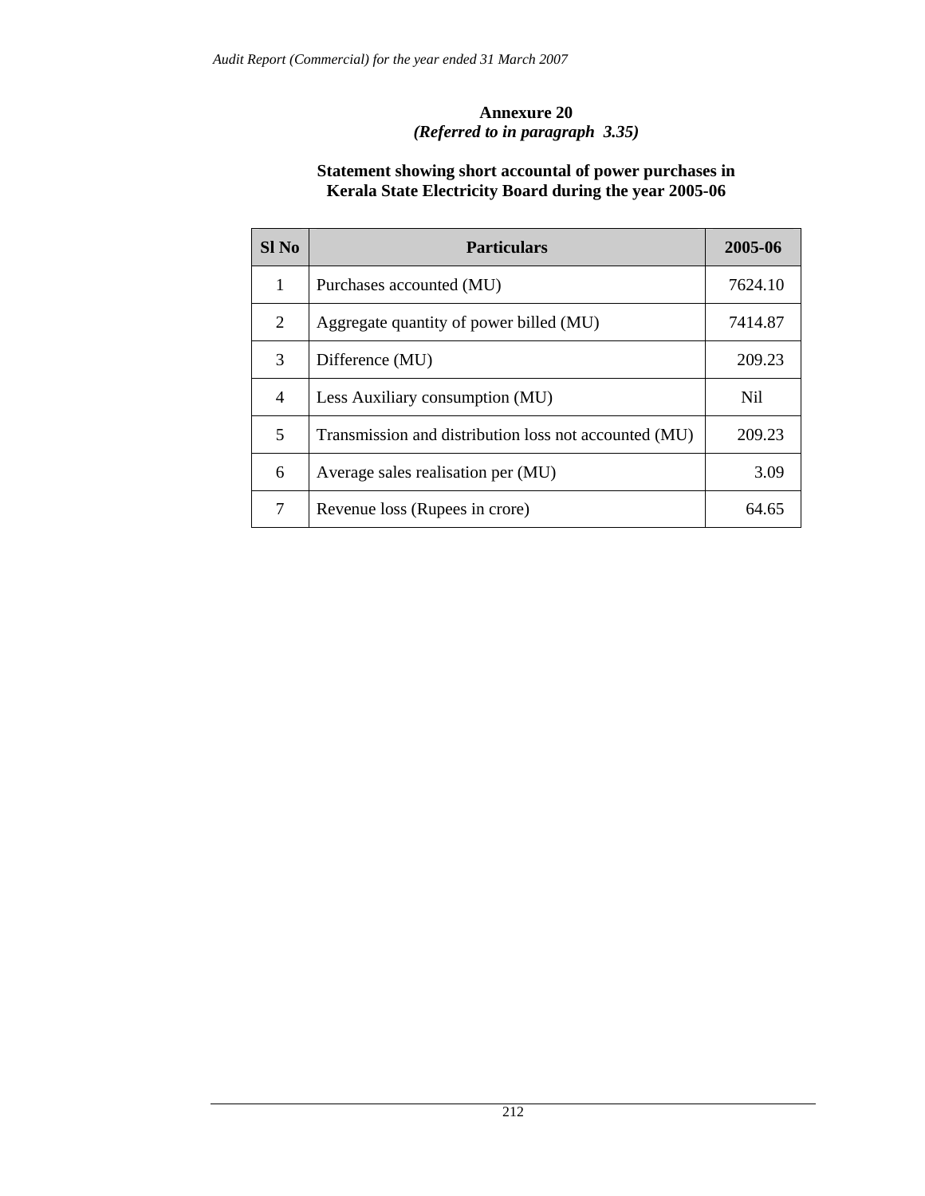# **Annexure 20**  *(Referred to in paragraph 3.35)*

## **Statement showing short accountal of power purchases in Kerala State Electricity Board during the year 2005-06**

| $SI$ No        | <b>Particulars</b>                                    | 2005-06 |
|----------------|-------------------------------------------------------|---------|
| 1              | Purchases accounted (MU)                              | 7624.10 |
| 2              | Aggregate quantity of power billed (MU)               | 7414.87 |
| 3              | Difference (MU)                                       | 209.23  |
| $\overline{4}$ | Less Auxiliary consumption (MU)                       | Nil.    |
| 5              | Transmission and distribution loss not accounted (MU) | 209.23  |
| 6              | Average sales realisation per (MU)                    | 3.09    |
| 7              | Revenue loss (Rupees in crore)                        | 64.65   |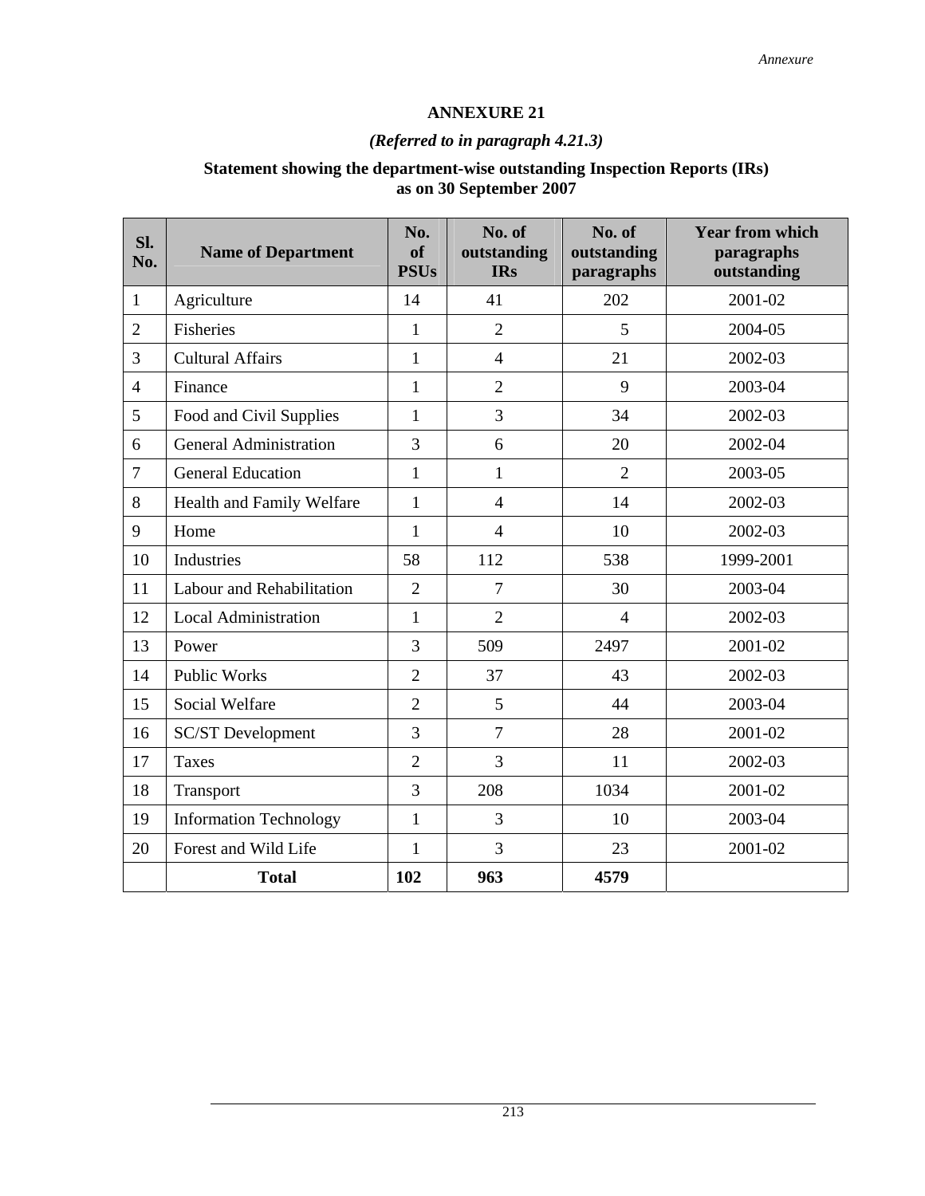# **ANNEXURE 21**

# *(Referred to in paragraph 4.21.3)*

# **Statement showing the department-wise outstanding Inspection Reports (IRs) as on 30 September 2007**

| SI.<br>No.     | <b>Name of Department</b>     | No.<br>of<br><b>PSUs</b> | No. of<br>outstanding<br><b>IRs</b> | No. of<br>outstanding<br>paragraphs | <b>Year from which</b><br>paragraphs<br>outstanding |
|----------------|-------------------------------|--------------------------|-------------------------------------|-------------------------------------|-----------------------------------------------------|
| $\mathbf{1}$   | Agriculture                   | 14                       | 41                                  | 202                                 | 2001-02                                             |
| $\overline{2}$ | <b>Fisheries</b>              | 1                        | $\overline{2}$                      | 5                                   | 2004-05                                             |
| 3              | <b>Cultural Affairs</b>       | $\mathbf{1}$             | $\overline{4}$                      | 21                                  | 2002-03                                             |
| $\overline{4}$ | Finance                       | $\mathbf{1}$             | $\overline{2}$                      | 9                                   | 2003-04                                             |
| 5              | Food and Civil Supplies       | $\mathbf{1}$             | 3                                   | 34                                  | 2002-03                                             |
| 6              | <b>General Administration</b> | 3                        | 6                                   | 20                                  | 2002-04                                             |
| $\overline{7}$ | <b>General Education</b>      | $\mathbf{1}$             | $\mathbf{1}$                        | $\overline{2}$                      | 2003-05                                             |
| 8              | Health and Family Welfare     | $\mathbf{1}$             | $\overline{4}$                      | 14                                  | 2002-03                                             |
| 9              | Home                          | $\mathbf{1}$             | $\overline{4}$                      | 10                                  | 2002-03                                             |
| 10             | Industries                    | 58                       | 112                                 | 538                                 | 1999-2001                                           |
| 11             | Labour and Rehabilitation     | $\overline{2}$           | $\overline{7}$                      | 30                                  | 2003-04                                             |
| 12             | <b>Local Administration</b>   | $\mathbf{1}$             | $\overline{2}$                      | $\overline{4}$                      | 2002-03                                             |
| 13             | Power                         | 3                        | 509                                 | 2497                                | 2001-02                                             |
| 14             | <b>Public Works</b>           | $\overline{2}$           | 37                                  | 43                                  | 2002-03                                             |
| 15             | Social Welfare                | $\overline{2}$           | 5                                   | 44                                  | 2003-04                                             |
| 16             | <b>SC/ST</b> Development      | 3                        | $\overline{7}$                      | 28                                  | 2001-02                                             |
| 17             | Taxes                         | $\overline{2}$           | 3                                   | 11                                  | 2002-03                                             |
| 18             | Transport                     | 3                        | 208                                 | 1034                                | 2001-02                                             |
| 19             | <b>Information Technology</b> | $\mathbf{1}$             | 3                                   | 10                                  | 2003-04                                             |
| 20             | Forest and Wild Life          | $\mathbf{1}$             | 3                                   | 23                                  | 2001-02                                             |
|                | <b>Total</b>                  | 102                      | 963                                 | 4579                                |                                                     |